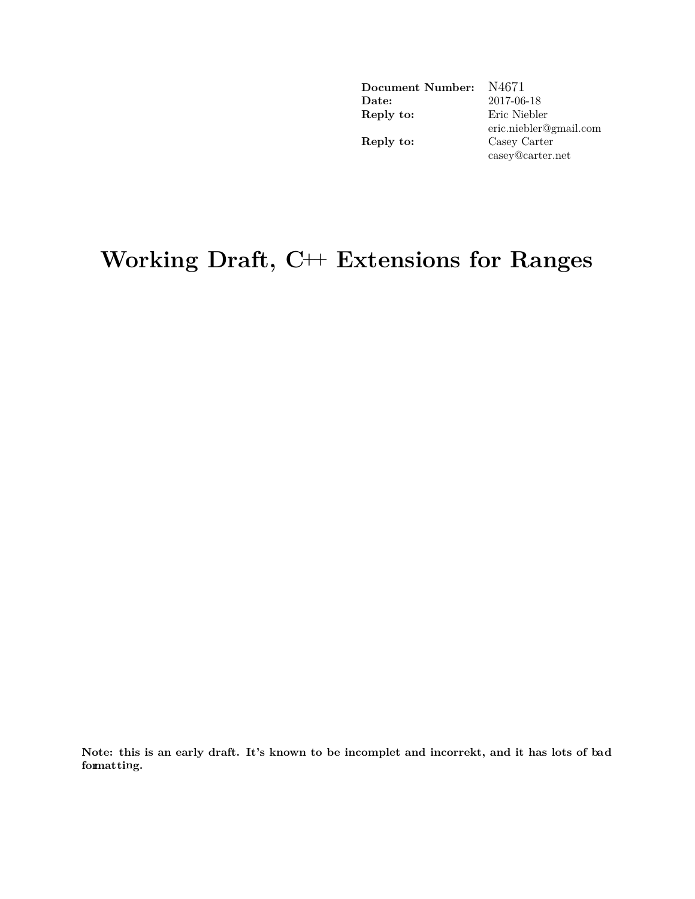| Document Number:      | N4671                  |
|-----------------------|------------------------|
| $\rm{\textbf{Date}:}$ | 2017-06-18             |
| Reply to:             | Eric Niebler           |
|                       | eric.niebler@gmail.com |
| Reply to:             | Casey Carter           |
|                       | casey@carter.net       |

# **Working Draft, C++ Extensions for Ranges**

**Note: this is an early draft. It's known to be incomplet and incorrekt, and it has lots of bad formatting.**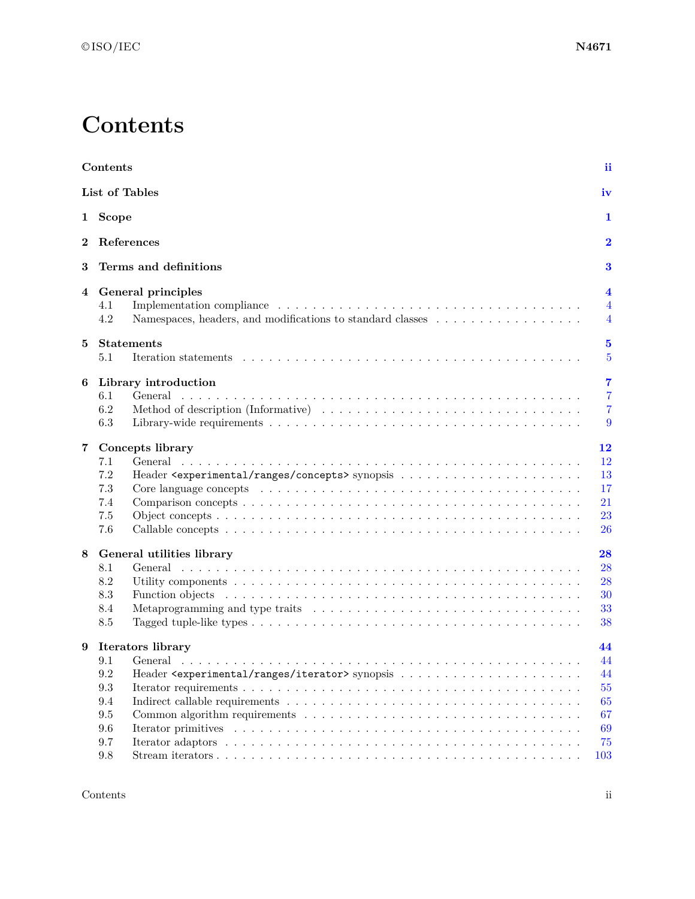# **Contents**

<span id="page-1-0"></span>

|              | Contents                                                                                                                                                                                                                                  | ii                                    |
|--------------|-------------------------------------------------------------------------------------------------------------------------------------------------------------------------------------------------------------------------------------------|---------------------------------------|
|              | List of Tables                                                                                                                                                                                                                            | iv                                    |
| $\mathbf{1}$ | <b>Scope</b>                                                                                                                                                                                                                              | 1                                     |
| 2            | References                                                                                                                                                                                                                                | $\overline{\mathbf{2}}$               |
| 3            | Terms and definitions                                                                                                                                                                                                                     | 3                                     |
| 4            | General principles<br>4.1                                                                                                                                                                                                                 | 4<br>$\overline{4}$                   |
|              | 4.2<br>Namespaces, headers, and modifications to standard classes                                                                                                                                                                         | $\overline{4}$                        |
| 5            | <b>Statements</b><br>5.1                                                                                                                                                                                                                  | $\bf{5}$<br>$\overline{5}$            |
| 6            | Library introduction                                                                                                                                                                                                                      | $\overline{7}$                        |
|              | General<br>6.1<br>6.2<br>6.3                                                                                                                                                                                                              | $\overline{7}$<br>$\overline{7}$<br>9 |
| 7            | Concepts library                                                                                                                                                                                                                          | 12                                    |
|              | 7.1<br>General                                                                                                                                                                                                                            | 12                                    |
|              | 7.2                                                                                                                                                                                                                                       | 13                                    |
|              | $7.3\,$<br>Core language concepts entering the service of the service of the service of the service of the service of the service of the service of the service of the service of the service of the service of the service of the servic | 17                                    |
|              | 7.4                                                                                                                                                                                                                                       | 21                                    |
|              | $7.5\,$                                                                                                                                                                                                                                   | 23                                    |
|              | 7.6                                                                                                                                                                                                                                       | 26                                    |
| 8            | General utilities library                                                                                                                                                                                                                 | 28                                    |
|              | 8.1<br>General -                                                                                                                                                                                                                          | 28                                    |
|              | 8.2                                                                                                                                                                                                                                       | 28                                    |
|              | 8.3<br>Function objects enterprise in the server in the server is a server in the server in the server in the server in the server in the server in the server in the server in the server in the server in the server in the server      | 30                                    |
|              | 8.4                                                                                                                                                                                                                                       | 33                                    |
|              | 8.5                                                                                                                                                                                                                                       | 38                                    |
| 9            | Iterators library                                                                                                                                                                                                                         | 44                                    |
|              | 9.1<br>General                                                                                                                                                                                                                            | 44                                    |
|              | 9.2                                                                                                                                                                                                                                       | 44                                    |
|              | $\rm 9.3$                                                                                                                                                                                                                                 | 55                                    |
|              | $9.4\,$                                                                                                                                                                                                                                   | 65                                    |
|              | $\,9.5$<br>Common algorithm requirements $\dots \dots \dots \dots \dots \dots \dots \dots \dots \dots \dots \dots \dots$                                                                                                                  | 67                                    |
|              | $9.6\,$                                                                                                                                                                                                                                   | 69                                    |
|              | $9.7\,$                                                                                                                                                                                                                                   | 75                                    |
|              | 9.8                                                                                                                                                                                                                                       | 103                                   |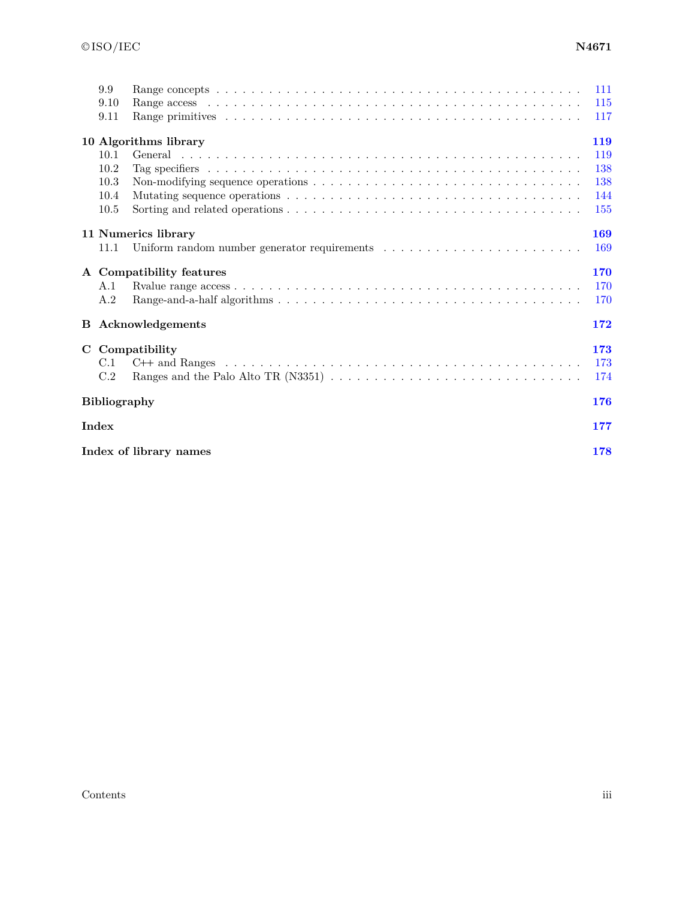| 9.9<br>9.10         |                           | 111<br>115 |
|---------------------|---------------------------|------------|
| 9.11                |                           | 117        |
|                     | 10 Algorithms library     | 119        |
| 10.1                |                           | 119        |
| 10.2                |                           | 138        |
| 10.3                |                           | 138        |
| 10.4                |                           | 144        |
| 10.5                |                           | 155        |
|                     | 11 Numerics library       | 169        |
| 11.1                |                           | 169        |
|                     | A Compatibility features  | 170        |
| A.1                 |                           | 170        |
| A.2                 |                           | 170        |
|                     | <b>B</b> Acknowledgements | 172        |
|                     | C Compatibility           | 173        |
| C.1                 |                           | 173        |
| C.2                 |                           | 174        |
| <b>Bibliography</b> |                           | 176        |
| Index               |                           | 177        |
|                     | Index of library names    | 178        |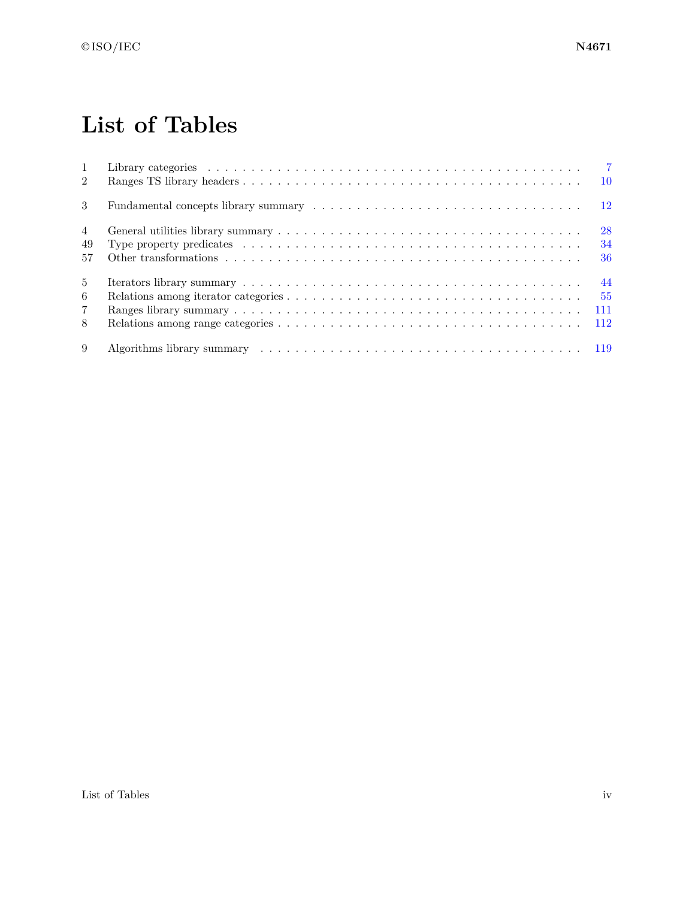# **List of Tables**

<span id="page-3-0"></span>

| $\mathbf{1}$<br>$\mathfrak{D}$ | $\overline{7}$                                                                                                                                                                                                                 |
|--------------------------------|--------------------------------------------------------------------------------------------------------------------------------------------------------------------------------------------------------------------------------|
| 3                              | $\overline{12}$                                                                                                                                                                                                                |
| $\overline{4}$                 | 28                                                                                                                                                                                                                             |
| 49                             | 34                                                                                                                                                                                                                             |
| 57                             | 36                                                                                                                                                                                                                             |
| $\frac{5}{2}$                  | 44                                                                                                                                                                                                                             |
| 6                              | 55                                                                                                                                                                                                                             |
| $\overline{7}$                 | 111                                                                                                                                                                                                                            |
| 8                              | 112                                                                                                                                                                                                                            |
| 9                              | Algorithms library summary contained and the set of the set of the set of the set of the set of the set of the set of the set of the set of the set of the set of the set of the set of the set of the set of the set of the s |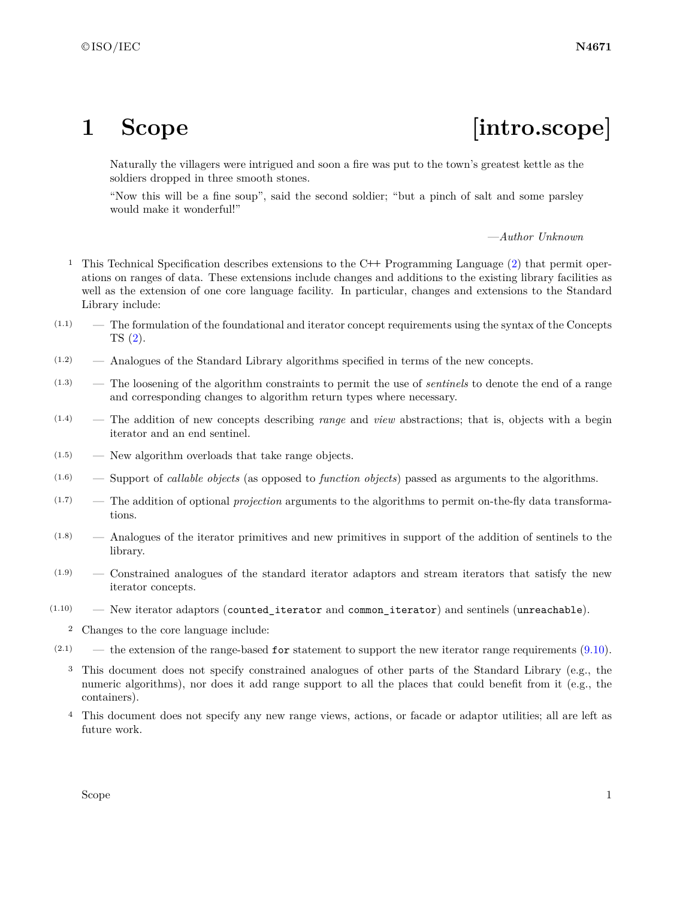# <span id="page-4-0"></span>1 Scope [intro.scope]

Naturally the villagers were intrigued and soon a fire was put to the town's greatest kettle as the soldiers dropped in three smooth stones.

"Now this will be a fine soup", said the second soldier; "but a pinch of salt and some parsley would make it wonderful!"

—*Author Unknown*

- <sup>1</sup> This Technical Specification describes extensions to the C**++** Programming Language [\(2\)](#page-5-0) that permit operations on ranges of data. These extensions include changes and additions to the existing library facilities as well as the extension of one core language facility. In particular, changes and extensions to the Standard Library include:
- (1.1) The formulation of the foundational and iterator concept requirements using the syntax of the Concepts TS [\(2\)](#page-5-0).
- (1.2) Analogues of the Standard Library algorithms specified in terms of the new concepts.
- (1.3) The loosening of the algorithm constraints to permit the use of *sentinels* to denote the end of a range and corresponding changes to algorithm return types where necessary.
- (1.4) The addition of new concepts describing *range* and *view* abstractions; that is, objects with a begin iterator and an end sentinel.
- $(1.5)$  New algorithm overloads that take range objects.
- (1.6) Support of *callable objects* (as opposed to *function objects*) passed as arguments to the algorithms.
- (1.7) The addition of optional *projection* arguments to the algorithms to permit on-the-fly data transformations.
- (1.8) Analogues of the iterator primitives and new primitives in support of the addition of sentinels to the library.
- (1.9) Constrained analogues of the standard iterator adaptors and stream iterators that satisfy the new iterator concepts.
- (1.10) New iterator adaptors (counted\_iterator and common\_iterator) and sentinels (unreachable).
	- <sup>2</sup> Changes to the core language include:
- $(2.1)$  the extension of the range-based for statement to support the new iterator range requirements  $(9.10)$ .
	- <sup>3</sup> This document does not specify constrained analogues of other parts of the Standard Library (e.g., the numeric algorithms), nor does it add range support to all the places that could benefit from it (e.g., the containers).
	- <sup>4</sup> This document does not specify any new range views, actions, or facade or adaptor utilities; all are left as future work.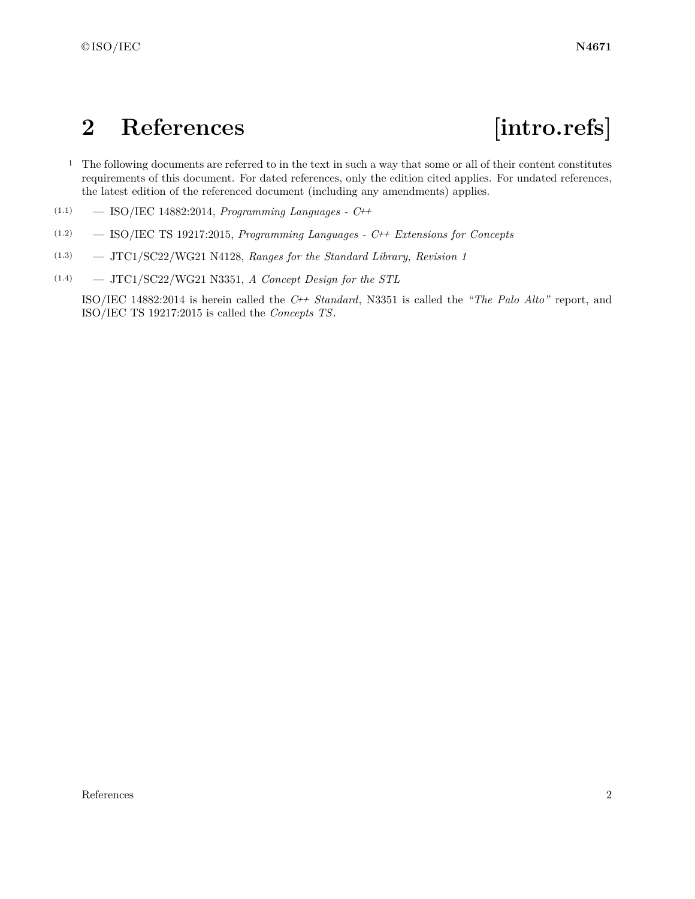## <span id="page-5-0"></span>**2 References [intro.refs]**

- <sup>1</sup> The following documents are referred to in the text in such a way that some or all of their content constitutes requirements of this document. For dated references, only the edition cited applies. For undated references, the latest edition of the referenced document (including any amendments) applies.
- (1.1) ISO/IEC 14882:2014, *Programming Languages C++*
- (1.2) ISO/IEC TS 19217:2015, *Programming Languages C++ Extensions for Concepts*
- (1.3) JTC1/SC22/WG21 N4128, *Ranges for the Standard Library, Revision 1*
- (1.4) JTC1/SC22/WG21 N3351, *A Concept Design for the STL*

ISO/IEC 14882:2014 is herein called the *C++ Standard*, N3351 is called the *"The Palo Alto"* report, and ISO/IEC TS 19217:2015 is called the *Concepts TS*.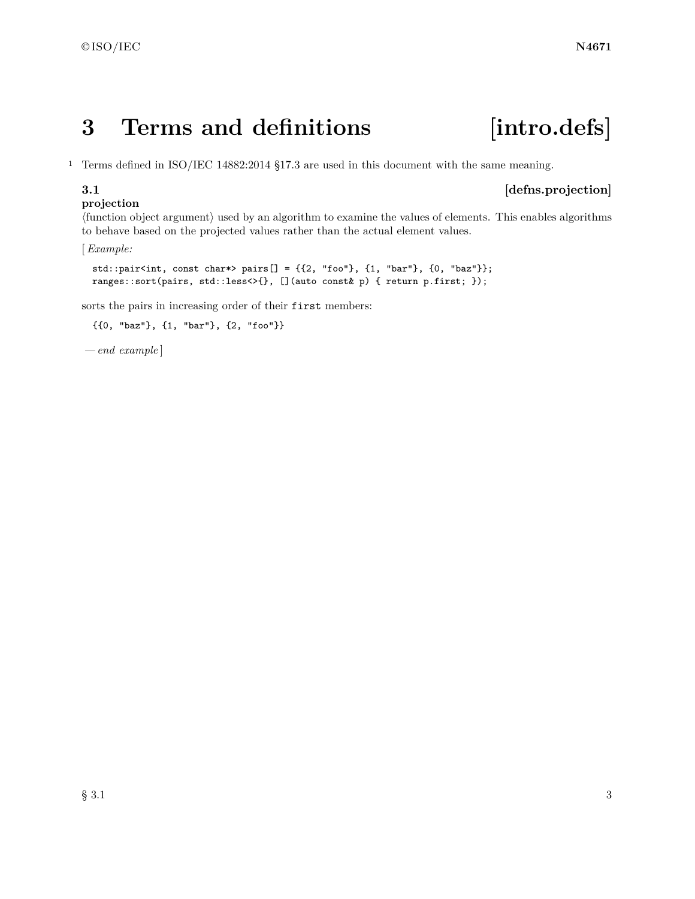# <span id="page-6-0"></span>**3 Terms and definitions [intro.defs]**

<sup>1</sup> Terms defined in ISO/IEC 14882:2014 §17.3 are used in this document with the same meaning.

### **projection**

### **3.1** *defns.projection*

〈function object argument〉 used by an algorithm to examine the values of elements. This enables algorithms to behave based on the projected values rather than the actual element values.

[*Example:*

std::pair<int, const char\*> pairs[] =  $\{\{2, "foo"\}, \{1, "bar"\}, \{0, "baz"\}\};$ ranges::sort(pairs, std::less<>{}, [](auto const& p) { return p.first; });

sorts the pairs in increasing order of their first members:

```
{{0, "baz"}, {1, "bar"}, {2, "foo"}}
```
*— end example* ]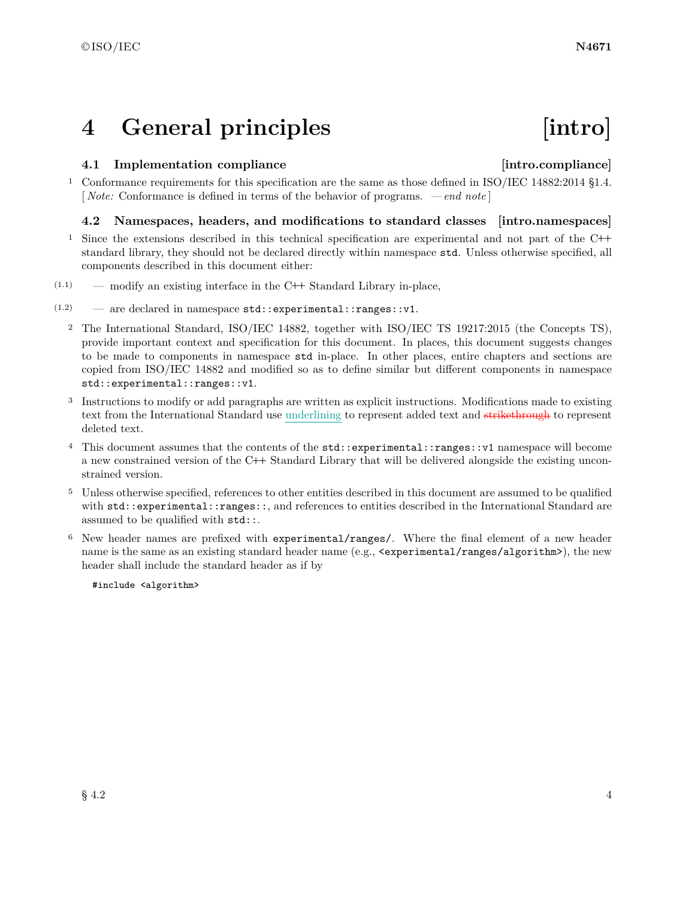## <span id="page-7-0"></span>**4 General principles [intro]**

### <span id="page-7-1"></span>**4.1 Implementation compliance [intro.compliance]**

<sup>1</sup> Conformance requirements for this specification are the same as those defined in ISO/IEC 14882:2014 §1.4. [ *Note:* Conformance is defined in terms of the behavior of programs. *— end note* ]

### <span id="page-7-2"></span>**4.2 Namespaces, headers, and modifications to standard classes [intro.namespaces]**

- <sup>1</sup> Since the extensions described in this technical specification are experimental and not part of the C**++** standard library, they should not be declared directly within namespace std. Unless otherwise specified, all components described in this document either:
- (1.1) modify an existing interface in the C**++** Standard Library in-place,
- $(1.2)$  are declared in namespace std:: experimental:: ranges:: v1.
	- <sup>2</sup> The International Standard, ISO/IEC 14882, together with ISO/IEC TS 19217:2015 (the Concepts TS), provide important context and specification for this document. In places, this document suggests changes to be made to components in namespace std in-place. In other places, entire chapters and sections are copied from ISO/IEC 14882 and modified so as to define similar but different components in namespace std::experimental::ranges::v1.
	- <sup>3</sup> Instructions to modify or add paragraphs are written as explicit instructions. Modifications made to existing text from the International Standard use underlining to represent added text and strikethrough to represent deleted text.
	- <sup>4</sup> This document assumes that the contents of the std::experimental::ranges::v1 namespace will become a new constrained version of the C**++** Standard Library that will be delivered alongside the existing unconstrained version.
	- <sup>5</sup> Unless otherwise specified, references to other entities described in this document are assumed to be qualified with std::experimental::ranges::, and references to entities described in the International Standard are assumed to be qualified with std::.
	- <sup>6</sup> New header names are prefixed with experimental/ranges/. Where the final element of a new header name is the same as an existing standard header name (e.g.,  $\langle$ experimental/ranges/algorithm>), the new header shall include the standard header as if by

#include <algorithm>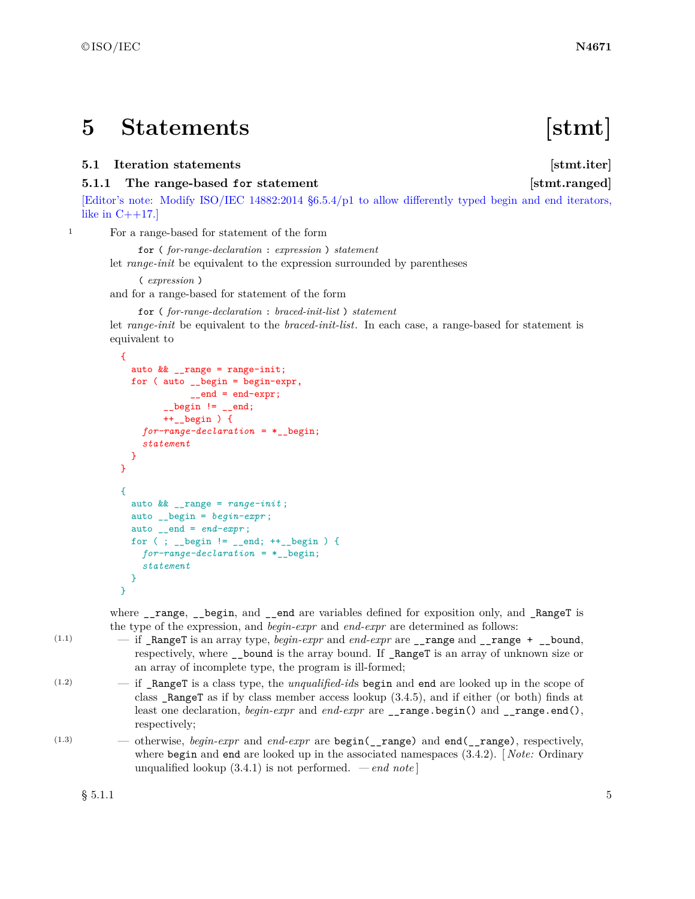## <span id="page-8-0"></span>**5 Statements [stmt]**

### <span id="page-8-1"></span>**5.1 Iteration statements** [stmt.iter]

### **5.1.1** The range-based for statement [stmt.ranged]

[Editor's note: Modify ISO/IEC 14882:2014 §6.5.4/p1 to allow differently typed begin and end iterators, like in  $C++17$ .

<sup>1</sup> For a range-based for statement of the form

for ( *for-range-declaration* : *expression* ) *statement* let *range-init* be equivalent to the expression surrounded by parentheses

```
( expression )
and for a range-based for statement of the form
```
for ( *for-range-declaration* : *braced-init-list* ) *statement*

let *range-init* be equivalent to the *braced-init-list*. In each case, a range-based for statement is equivalent to

```
{
  auto && __range = range-init;
 for ( auto __begin = begin-expr,
             __end = end-expr;
        \angle_begin != \angleend;
        ++__begin ) {
    for-range-declaration = *__begin;
    statement
 }
}
{
  auto && __range = range-init ;
  auto __begin = begin-expr ;
  auto __end = end-expr ;
 for ( ; __begin != __end; ++__begin ) {
    for-range-declaration = *__begin;
    statement
 }
}
```
where \_\_range, \_\_begin, and \_\_end are variables defined for exposition only, and \_RangeT is the type of the expression, and *begin-expr* and *end-expr* are determined as follows:

- $(1.1)$   $-$  if \_RangeT is an array type, *begin-expr* and *end-expr* are \_\_range and \_\_range + \_\_bound, respectively, where \_\_bound is the array bound. If \_RangeT is an array of unknown size or an array of incomplete type, the program is ill-formed;
- (1.2) if \_RangeT is a class type, the *unqualified-id*s begin and end are looked up in the scope of class \_RangeT as if by class member access lookup (3.4.5), and if either (or both) finds at least one declaration, *begin-expr* and *end-expr* are \_\_range.begin() and \_\_range.end(), respectively;
- (1.3) otherwise, *begin-expr* and *end-expr* are begin(\_\_range) and end(\_\_range), respectively, where begin and end are looked up in the associated namespaces (3.4.2). [ *Note:* Ordinary unqualified lookup  $(3.4.1)$  is not performed. *— end note*

 $\S$  5.1.1 5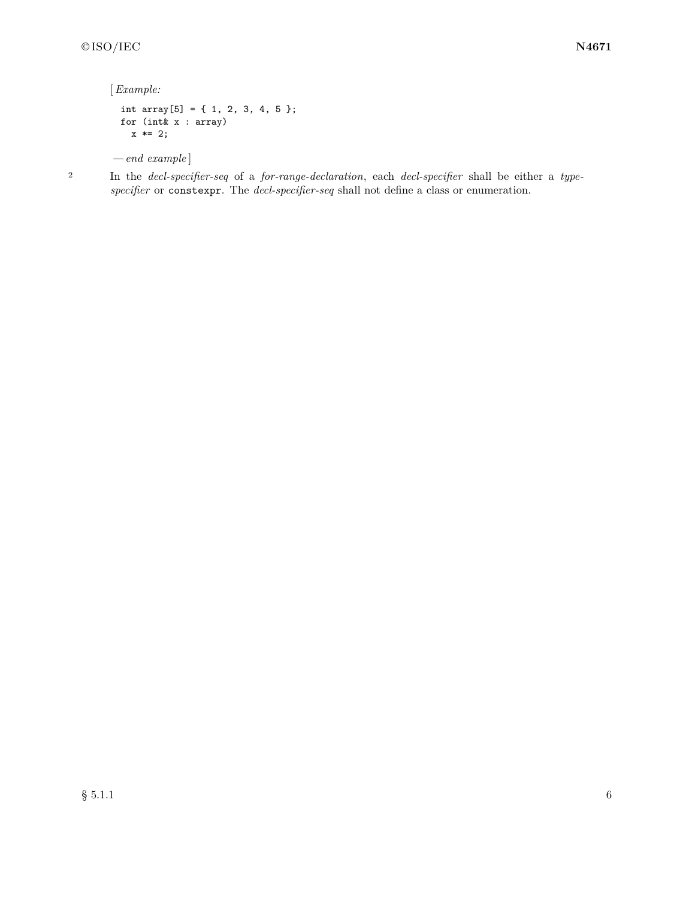[*Example:*

```
int array[5] = { 1, 2, 3, 4, 5 };
 for (int& x : array)
   x * = 2;— end example ]
```
<sup>2</sup> In the *decl-specifier-seq* of a *for-range-declaration*, each *decl-specifier* shall be either a *typespecifier* or constexpr. The *decl-specifier-seq* shall not define a class or enumeration.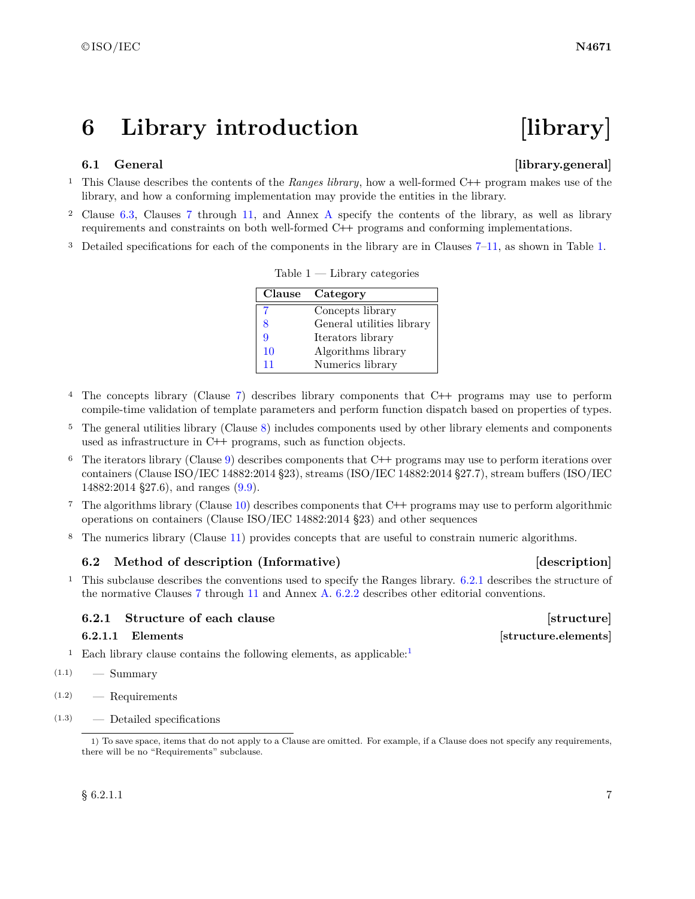## <span id="page-10-0"></span>**6 Library introduction [library]**

### <span id="page-10-1"></span>**6.1 General**  [library.general]

- <sup>1</sup> This Clause describes the contents of the *Ranges library*, how a well-formed C**++** program makes use of the library, and how a conforming implementation may provide the entities in the library.
- <sup>2</sup> Clause [6.3,](#page-12-0) Clauses [7](#page-15-0) through [11,](#page-172-0) and Annex [A](#page-173-0) specify the contents of the library, as well as library requirements and constraints on both well-formed C**++** programs and conforming implementations.
- <sup>3</sup> Detailed specifications for each of the components in the library are in Clauses [7–](#page-15-0)[11,](#page-172-0) as shown in Table [1.](#page-10-3)

|    | Clause Category           |
|----|---------------------------|
|    | Concepts library          |
| 8  | General utilities library |
| 9  | Iterators library         |
| 10 | Algorithms library        |
| 11 | Numerics library          |

<span id="page-10-3"></span> $Table 1 - Library categories$ 

- <sup>4</sup> The concepts library (Clause [7\)](#page-15-0) describes library components that C**++** programs may use to perform compile-time validation of template parameters and perform function dispatch based on properties of types.
- <sup>5</sup> The general utilities library (Clause [8\)](#page-31-0) includes components used by other library elements and components used as infrastructure in C**++** programs, such as function objects.
- <sup>6</sup> The iterators library (Clause [9\)](#page-47-0) describes components that C**++** programs may use to perform iterations over containers (Clause ISO/IEC 14882:2014 §23), streams (ISO/IEC 14882:2014 §27.7), stream buffers (ISO/IEC 14882:2014 §27.6), and ranges [\(9.9\)](#page-114-0).
- <sup>7</sup> The algorithms library (Clause [10\)](#page-122-0) describes components that C**++** programs may use to perform algorithmic operations on containers (Clause ISO/IEC 14882:2014 §23) and other sequences
- <sup>8</sup> The numerics library (Clause [11\)](#page-172-0) provides concepts that are useful to constrain numeric algorithms.

### <span id="page-10-2"></span>**6.2** Method of description (Informative) **Example 2** [description]

<sup>1</sup> This subclause describes the conventions used to specify the Ranges library. [6.2.1](#page-10-4) describes the structure of the normative Clauses [7](#page-15-0) through [11](#page-172-0) and Annex [A.](#page-173-0) [6.2.2](#page-12-1) describes other editorial conventions.

### <span id="page-10-4"></span>**6.2.1 Structure of each clause [structure]** [structure]

<sup>[1](#page-10-5)</sup> Each library clause contains the following elements, as applicable:<sup>1</sup>

- $(1.1)$  Summary
- (1.2) Requirements
- (1.3) Detailed specifications

**6.2.1.1 Elements** *structure.elements* 

<span id="page-10-5"></span><sup>1)</sup> To save space, items that do not apply to a Clause are omitted. For example, if a Clause does not specify any requirements, there will be no "Requirements" subclause.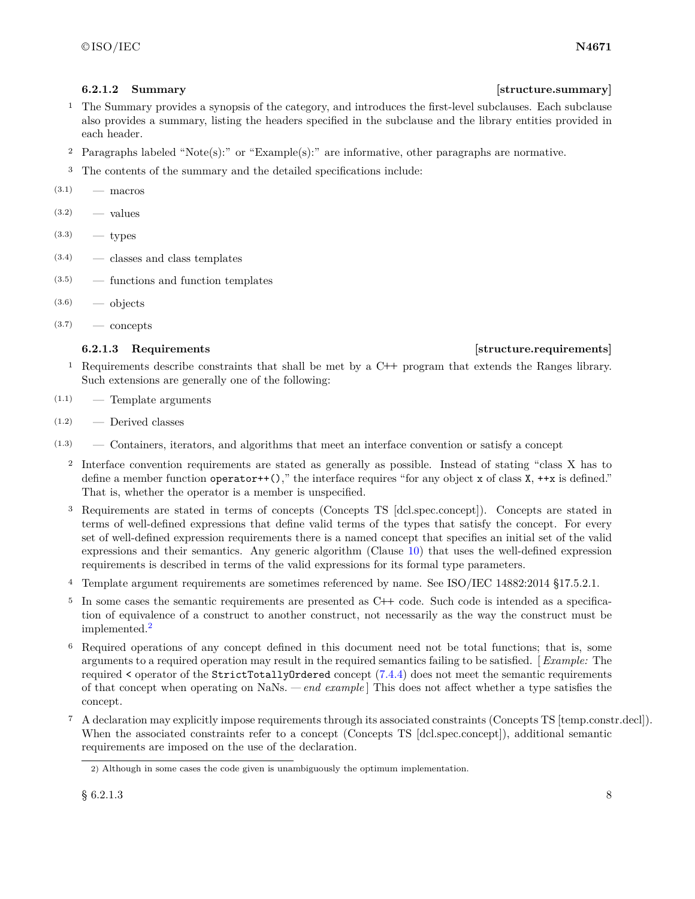- <sup>1</sup> The Summary provides a synopsis of the category, and introduces the first-level subclauses. Each subclause also provides a summary, listing the headers specified in the subclause and the library entities provided in each header.
- <sup>2</sup> Paragraphs labeled "Note(s):" or "Example(s):" are informative, other paragraphs are normative.
- <sup>3</sup> The contents of the summary and the detailed specifications include:

 $(3.1)$  — macros

- $(3.2)$  values
- $(3.3)$  types
- (3.4) classes and class templates
- (3.5) functions and function templates
- $(3.6)$  objects
- $(3.7)$  concepts

### **6.2.1.3** Requirements **in the structure of the structure.** *structure.requirements*

- <sup>1</sup> Requirements describe constraints that shall be met by a C**++** program that extends the Ranges library. Such extensions are generally one of the following:
- (1.1) Template arguments
- $(1.2)$  Derived classes
- (1.3) Containers, iterators, and algorithms that meet an interface convention or satisfy a concept
	- <sup>2</sup> Interface convention requirements are stated as generally as possible. Instead of stating "class X has to define a member function operator++()," the interface requires "for any object x of class  $X$ , ++x is defined." That is, whether the operator is a member is unspecified.
	- <sup>3</sup> Requirements are stated in terms of concepts (Concepts TS [dcl.spec.concept]). Concepts are stated in terms of well-defined expressions that define valid terms of the types that satisfy the concept. For every set of well-defined expression requirements there is a named concept that specifies an initial set of the valid expressions and their semantics. Any generic algorithm (Clause [10\)](#page-122-0) that uses the well-defined expression requirements is described in terms of the valid expressions for its formal type parameters.
	- <sup>4</sup> Template argument requirements are sometimes referenced by name. See ISO/IEC 14882:2014 §17.5.2.1.
	- <sup>5</sup> In some cases the semantic requirements are presented as C**++** code. Such code is intended as a specification of equivalence of a construct to another construct, not necessarily as the way the construct must be implemented.[2](#page-11-0)
	- <sup>6</sup> Required operations of any concept defined in this document need not be total functions; that is, some arguments to a required operation may result in the required semantics failing to be satisfied. [ *Example:* The required < operator of the StrictTotallyOrdered concept [\(7.4.4\)](#page-25-0) does not meet the semantic requirements of that concept when operating on NaNs. *— end example* ] This does not affect whether a type satisfies the concept.
	- <sup>7</sup> A declaration may explicitly impose requirements through its associated constraints (Concepts TS [temp.constr.decl]). When the associated constraints refer to a concept (Concepts TS [dcl.spec.concept]), additional semantic requirements are imposed on the use of the declaration.

### **6.2.1.2 Summary [structure.summary]**

<span id="page-11-0"></span><sup>2)</sup> Although in some cases the code given is unambiguously the optimum implementation.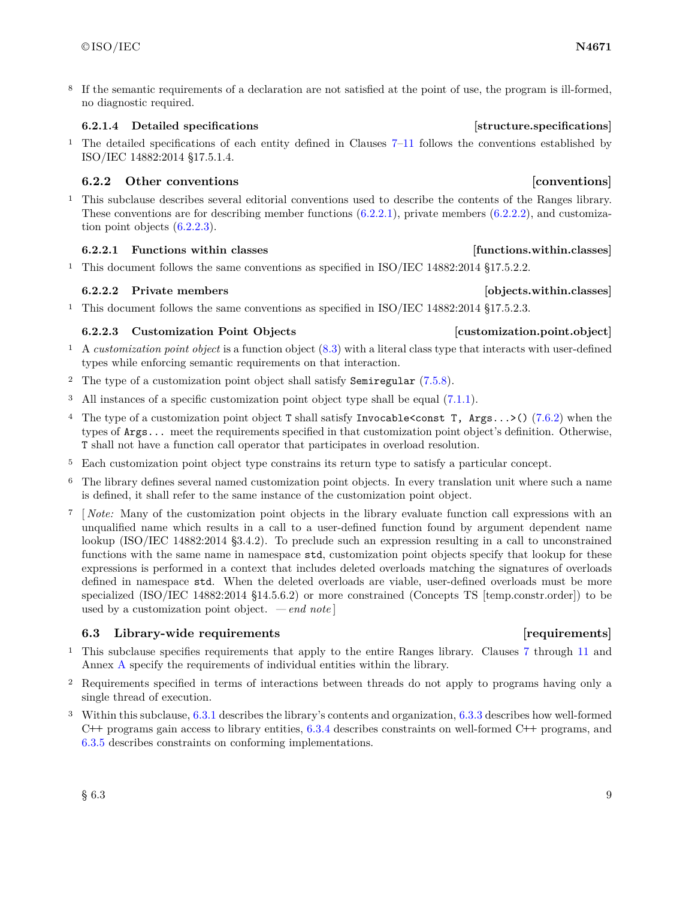<sup>8</sup> If the semantic requirements of a declaration are not satisfied at the point of use, the program is ill-formed, no diagnostic required.

### **6.2.1.4 Detailed specifications [structure.specifications]**

<sup>1</sup> The detailed specifications of each entity defined in Clauses [7–](#page-15-0)[11](#page-172-0) follows the conventions established by ISO/IEC 14882:2014 §17.5.1.4.

### <span id="page-12-1"></span>**6.2.2 Other conventions [conventions]**

<sup>1</sup> This subclause describes several editorial conventions used to describe the contents of the Ranges library. These conventions are for describing member functions [\(6.2.2.1\)](#page-12-2), private members [\(6.2.2.2\)](#page-12-3), and customization point objects [\(6.2.2.3\)](#page-12-4).

### <span id="page-12-2"></span>**6.2.2.1 Functions within classes [functions.within.classes]**

<sup>1</sup> This document follows the same conventions as specified in ISO/IEC 14882:2014 §17.5.2.2.

### <span id="page-12-3"></span>**6.2.2.2 Private members [objects.within.classes]**

<sup>1</sup> This document follows the same conventions as specified in ISO/IEC 14882:2014 §17.5.2.3.

### <span id="page-12-4"></span>**6.2.2.3 Customization Point Objects [customization.point.object]**

- <sup>1</sup> A *customization point object* is a function object [\(8.3\)](#page-33-0) with a literal class type that interacts with user-defined types while enforcing semantic requirements on that interaction.
- <sup>2</sup> The type of a customization point object shall satisfy Semiregular [\(7.5.8\)](#page-28-0).
- <sup>3</sup> All instances of a specific customization point object type shall be equal [\(7.1.1\)](#page-15-3).
- <sup>4</sup> The type of a customization point object T shall satisfy Invocable<const T, Args...>() [\(7.6.2\)](#page-29-1) when the types of Args... meet the requirements specified in that customization point object's definition. Otherwise, T shall not have a function call operator that participates in overload resolution.
- <sup>5</sup> Each customization point object type constrains its return type to satisfy a particular concept.
- <sup>6</sup> The library defines several named customization point objects. In every translation unit where such a name is defined, it shall refer to the same instance of the customization point object.
- <sup>7</sup> [ *Note:* Many of the customization point objects in the library evaluate function call expressions with an unqualified name which results in a call to a user-defined function found by argument dependent name lookup (ISO/IEC 14882:2014 §3.4.2). To preclude such an expression resulting in a call to unconstrained functions with the same name in namespace std, customization point objects specify that lookup for these expressions is performed in a context that includes deleted overloads matching the signatures of overloads defined in namespace std. When the deleted overloads are viable, user-defined overloads must be more specialized (ISO/IEC 14882:2014 §14.5.6.2) or more constrained (Concepts TS [temp.constr.order]) to be used by a customization point object. *— end note* ]

### <span id="page-12-0"></span>**6.3 Library-wide requirements [requirements]**

- <sup>1</sup> This subclause specifies requirements that apply to the entire Ranges library. Clauses [7](#page-15-0) through [11](#page-172-0) and Annex [A](#page-173-0) specify the requirements of individual entities within the library.
- <sup>2</sup> Requirements specified in terms of interactions between threads do not apply to programs having only a single thread of execution.
- <sup>3</sup> Within this subclause, [6.3.1](#page-13-1) describes the library's contents and organization, [6.3.3](#page-13-2) describes how well-formed C**++** programs gain access to library entities, [6.3.4](#page-13-3) describes constraints on well-formed C**++** programs, and [6.3.5](#page-14-0) describes constraints on conforming implementations.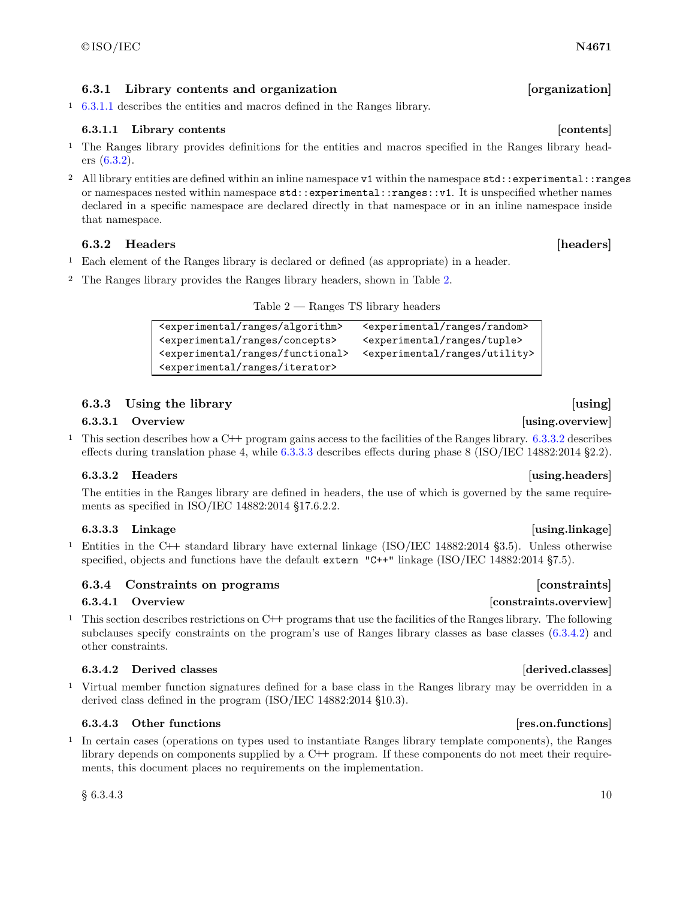### $\odot$ ISO/IEC **N4671**

### <span id="page-13-1"></span>**6.3.1 Library contents and organization [organization]**

<sup>1</sup> [6.3.1.1](#page-13-4) describes the entities and macros defined in the Ranges library.

### <span id="page-13-4"></span>**6.3.1.1 Library contents [contents]**

- <sup>1</sup> The Ranges library provides definitions for the entities and macros specified in the Ranges library headers [\(6.3.2\)](#page-13-5).
- <sup>2</sup> All library entities are defined within an inline namespace v1 within the namespace std::experimental::ranges or namespaces nested within namespace std::experimental::ranges::v1. It is unspecified whether names declared in a specific namespace are declared directly in that namespace or in an inline namespace inside that namespace.

### <span id="page-13-5"></span>**6.3.2 Headers [headers]**

- <sup>1</sup> Each element of the Ranges library is declared or defined (as appropriate) in a header.
- <sup>2</sup> The Ranges library provides the Ranges library headers, shown in Table [2.](#page-13-0)

<span id="page-13-0"></span>

| Table 2 $-$ |  |  |  | Ranges TS library headers |
|-------------|--|--|--|---------------------------|
|-------------|--|--|--|---------------------------|

<sup>&</sup>lt;experimental/ranges/algorithm> <experimental/ranges/random> <experimental/ranges/concepts> <experimental/ranges/tuple> <experimental/ranges/functional> <experimental/ranges/utility> <experimental/ranges/iterator>

### <span id="page-13-2"></span>**6.3.3 Using the library [using]**

### **6.3.3.1 Overview [using.overview]**

<sup>1</sup> This section describes how a C**++** program gains access to the facilities of the Ranges library. [6.3.3.2](#page-13-6) describes effects during translation phase 4, while [6.3.3.3](#page-13-7) describes effects during phase 8 (ISO/IEC 14882:2014 §2.2).

### <span id="page-13-6"></span>**6.3.3.2 Headers [using.headers]**

The entities in the Ranges library are defined in headers, the use of which is governed by the same requirements as specified in ISO/IEC 14882:2014 §17.6.2.2.

### <span id="page-13-7"></span>**6.3.3.3 Linkage [using.linkage]**

<sup>1</sup> Entities in the C**++** standard library have external linkage (ISO/IEC 14882:2014 §3.5). Unless otherwise specified, objects and functions have the default extern "C++" linkage (ISO/IEC 14882:2014 §7.5).

### <span id="page-13-3"></span>**6.3.4 Constraints on programs [constraints]**

<sup>1</sup> This section describes restrictions on C**++** programs that use the facilities of the Ranges library. The following subclauses specify constraints on the program's use of Ranges library classes as base classes  $(6.3.4.2)$  and other constraints.

### <span id="page-13-8"></span>**6.3.4.2 Derived classes [derived.classes]**

<sup>1</sup> Virtual member function signatures defined for a base class in the Ranges library may be overridden in a derived class defined in the program (ISO/IEC 14882:2014 §10.3).

### **6.3.4.3 Other functions [res.on.functions]**

<sup>1</sup> In certain cases (operations on types used to instantiate Ranges library template components), the Ranges library depends on components supplied by a C**++** program. If these components do not meet their requirements, this document places no requirements on the implementation.

 $\S~6.3.4.3$  10

### **6.3.4.1 Overview [constraints.overview]**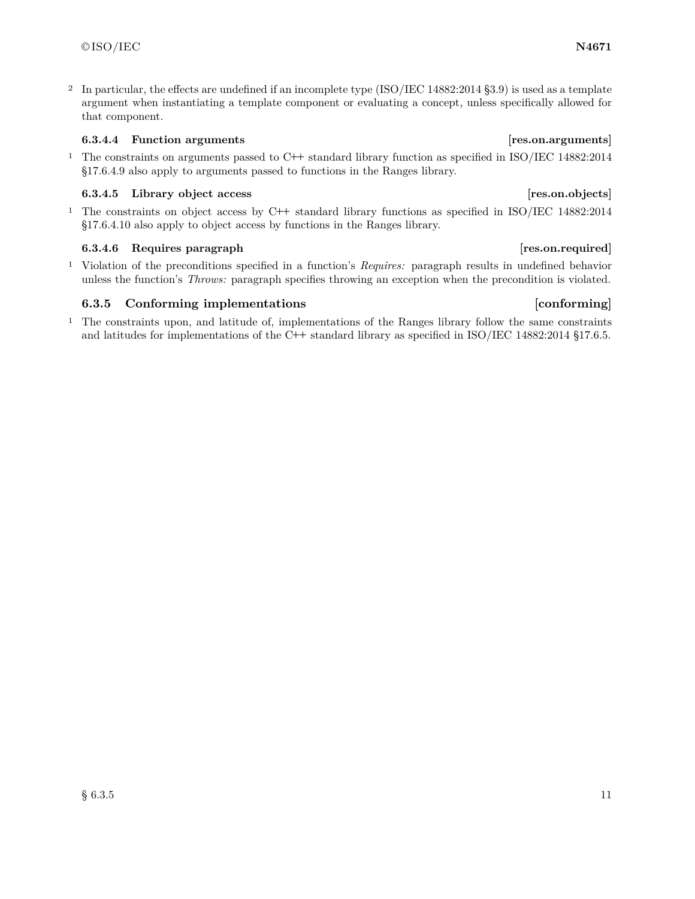<sup>2</sup> In particular, the effects are undefined if an incomplete type (ISO/IEC 14882:2014 §3.9) is used as a template argument when instantiating a template component or evaluating a concept, unless specifically allowed for that component.

### **6.3.4.4 Function arguments [res.on.arguments]**

<sup>1</sup> The constraints on arguments passed to C**++** standard library function as specified in ISO/IEC 14882:2014 §17.6.4.9 also apply to arguments passed to functions in the Ranges library.

### **6.3.4.5 Library object access [res.on.objects]**

<sup>1</sup> The constraints on object access by C**++** standard library functions as specified in ISO/IEC 14882:2014 §17.6.4.10 also apply to object access by functions in the Ranges library.

### **6.3.4.6 Requires paragraph [res.on.required]**

<sup>1</sup> Violation of the preconditions specified in a function's *Requires:* paragraph results in undefined behavior unless the function's *Throws:* paragraph specifies throwing an exception when the precondition is violated.

### <span id="page-14-0"></span>**6.3.5 Conforming implementations** and the conforming conforming

<sup>1</sup> The constraints upon, and latitude of, implementations of the Ranges library follow the same constraints and latitudes for implementations of the C**++** standard library as specified in ISO/IEC 14882:2014 §17.6.5.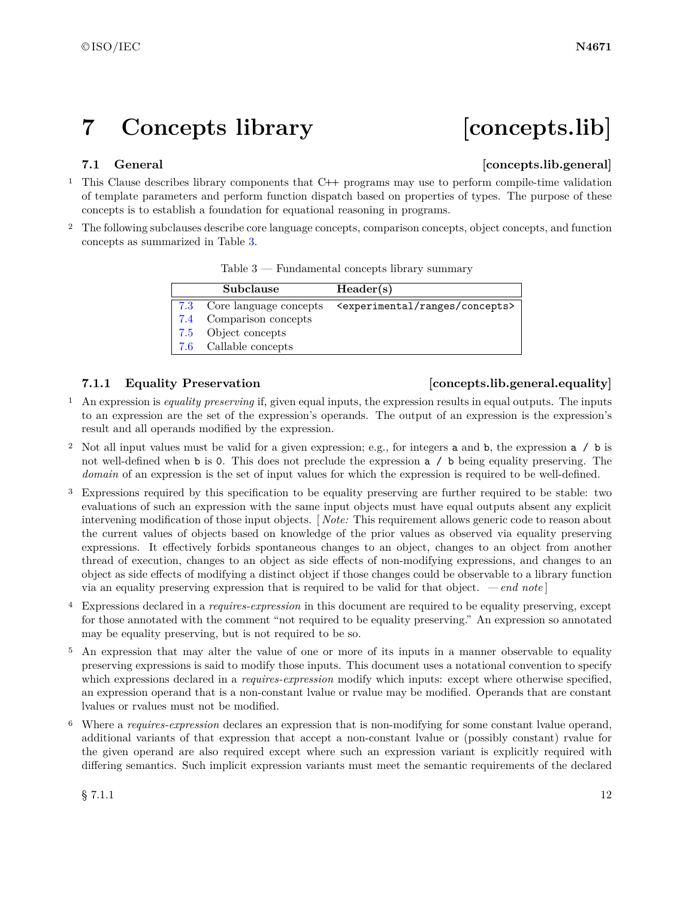## <span id="page-15-0"></span>**7 Concepts library [concepts.lib]**

### <span id="page-15-1"></span>**7.1 General Concepts.lib.general**

- <sup>1</sup> This Clause describes library components that C**++** programs may use to perform compile-time validation of template parameters and perform function dispatch based on properties of types. The purpose of these concepts is to establish a foundation for equational reasoning in programs.
- <sup>2</sup> The following subclauses describe core language concepts, comparison concepts, object concepts, and function concepts as summarized in Table [3.](#page-15-2)

| Subclause                  | Header(s)                                           |
|----------------------------|-----------------------------------------------------|
| 7.3 Core language concepts | <experimental concepts="" ranges=""></experimental> |
| 7.4 Comparison concepts    |                                                     |
| 7.5 Object concepts        |                                                     |
| 7.6 Callable concepts      |                                                     |

### <span id="page-15-2"></span>Table 3 — Fundamental concepts library summary

### <span id="page-15-3"></span>**7.1.1 Equality Preservation [concepts.lib.general.equality]**

- <sup>1</sup> An expression is *equality preserving* if, given equal inputs, the expression results in equal outputs. The inputs to an expression are the set of the expression's operands. The output of an expression is the expression's result and all operands modified by the expression.
- <sup>2</sup> Not all input values must be valid for a given expression; e.g., for integers a and b, the expression a / b is not well-defined when b is 0. This does not preclude the expression a / b being equality preserving. The *domain* of an expression is the set of input values for which the expression is required to be well-defined.
- <sup>3</sup> Expressions required by this specification to be equality preserving are further required to be stable: two evaluations of such an expression with the same input objects must have equal outputs absent any explicit intervening modification of those input objects. [ *Note:* This requirement allows generic code to reason about the current values of objects based on knowledge of the prior values as observed via equality preserving expressions. It effectively forbids spontaneous changes to an object, changes to an object from another thread of execution, changes to an object as side effects of non-modifying expressions, and changes to an object as side effects of modifying a distinct object if those changes could be observable to a library function via an equality preserving expression that is required to be valid for that object. *— end note* ]
- <sup>4</sup> Expressions declared in a *requires-expression* in this document are required to be equality preserving, except for those annotated with the comment "not required to be equality preserving." An expression so annotated may be equality preserving, but is not required to be so.
- <sup>5</sup> An expression that may alter the value of one or more of its inputs in a manner observable to equality preserving expressions is said to modify those inputs. This document uses a notational convention to specify which expressions declared in a *requires-expression* modify which inputs: except where otherwise specified, an expression operand that is a non-constant lvalue or rvalue may be modified. Operands that are constant lvalues or rvalues must not be modified.
- <sup>6</sup> Where a *requires-expression* declares an expression that is non-modifying for some constant lvalue operand, additional variants of that expression that accept a non-constant lvalue or (possibly constant) rvalue for the given operand are also required except where such an expression variant is explicitly required with differing semantics. Such implicit expression variants must meet the semantic requirements of the declared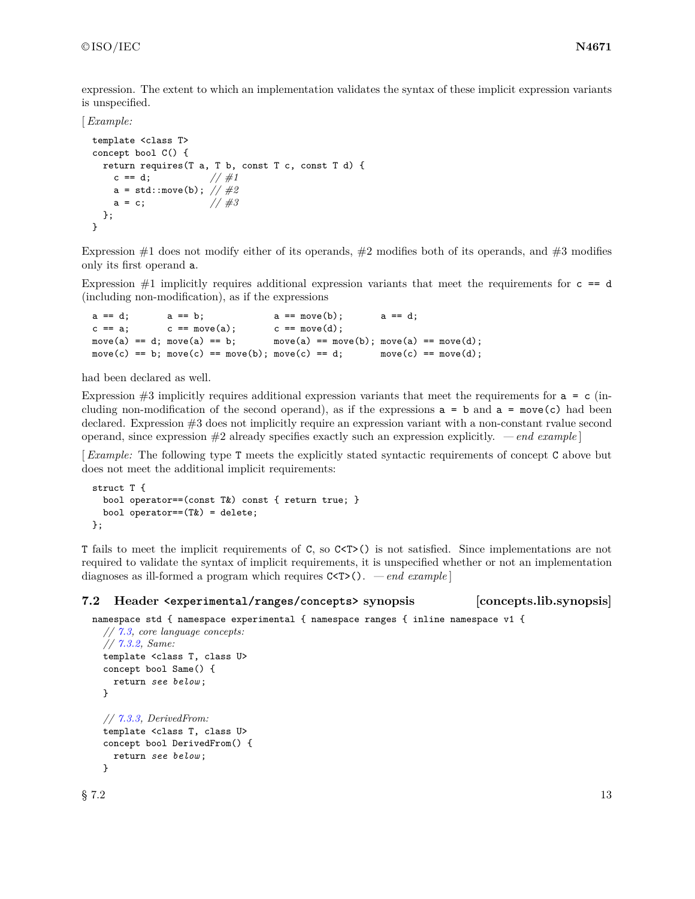expression. The extent to which an implementation validates the syntax of these implicit expression variants is unspecified.

### [*Example:*

```
template <class T>
concept bool C() {
 return requires(T a, T b, const T c, const T d) {
   c = d; //#1
   a = std::move(b); // #2
   a = c; //#3
 };
}
```
Expression  $\#1$  does not modify either of its operands,  $\#2$  modifies both of its operands, and  $\#3$  modifies only its first operand a.

Expression  $\#1$  implicitly requires additional expression variants that meet the requirements for  $c = d$ (including non-modification), as if the expressions

```
a == d; a == b; a == move(b); a == d;c == a; c == move(a); c == move(d);move(a) == d; move(a) == b; move(a) == move(b); move(a) == move(d);
move(c) == b; move(c) == move(b); move(c) == d; move(c) == move(d);
```
had been declared as well.

Expression  $\#3$  implicitly requires additional expression variants that meet the requirements for  $a = c$  (including non-modification of the second operand), as if the expressions  $a = b$  and  $a = move(c)$  had been declared. Expression #3 does not implicitly require an expression variant with a non-constant rvalue second operand, since expression #2 already specifies exactly such an expression explicitly. *— end example* ]

[*Example:* The following type T meets the explicitly stated syntactic requirements of concept C above but does not meet the additional implicit requirements:

```
struct T {
  bool operator==(const T&) const { return true; }
  bool operator==(T&) = delete;
};
```
T fails to meet the implicit requirements of C, so C<T>() is not satisfied. Since implementations are not required to validate the syntax of implicit requirements, it is unspecified whether or not an implementation diagnoses as ill-formed a program which requires C<T>(). *— end example* ]

```
7.2 Header <experimental/ranges/concepts> synopsis [concepts.lib.synopsis]
```

```
namespace std { namespace experimental { namespace ranges { inline namespace v1 {
  // 7.3, core language concepts:
  // 7.3.2, Same:
```

```
template <class T, class U>
concept bool Same() {
  return see below ;
}
// 7.3.3, DerivedFrom:
template <class T, class U>
concept bool DerivedFrom() {
  return see below ;
}
```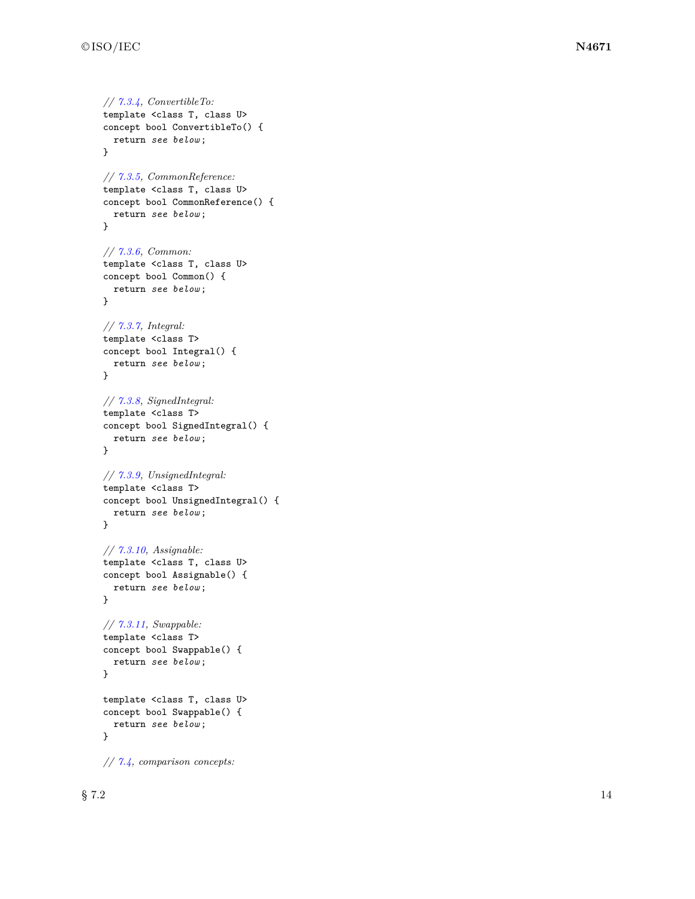*// [7.3.4,](#page-20-3) ConvertibleTo:* template <class T, class U> concept bool ConvertibleTo() { return *see below* ; } *// [7.3.5,](#page-20-4) CommonReference:* template <class T, class U> concept bool CommonReference() { return *see below* ; } *// [7.3.6,](#page-21-0) Common:* template <class T, class U> concept bool Common() { return *see below* ; } *// [7.3.7,](#page-21-1) Integral:* template <class T> concept bool Integral() { return *see below* ; } *// [7.3.8,](#page-22-0) SignedIntegral:* template <class T> concept bool SignedIntegral() { return *see below* ; } *// [7.3.9,](#page-22-1) UnsignedIntegral:* template <class T> concept bool UnsignedIntegral() { return *see below* ; } *// [7.3.10,](#page-22-2) Assignable:* template <class T, class U> concept bool Assignable() { return *see below* ; } *// [7.3.11,](#page-22-3) Swappable:* template <class T> concept bool Swappable() { return *see below* ; } template <class T, class U> concept bool Swappable() { return *see below* ; } *// [7.4,](#page-24-0) comparison concepts:*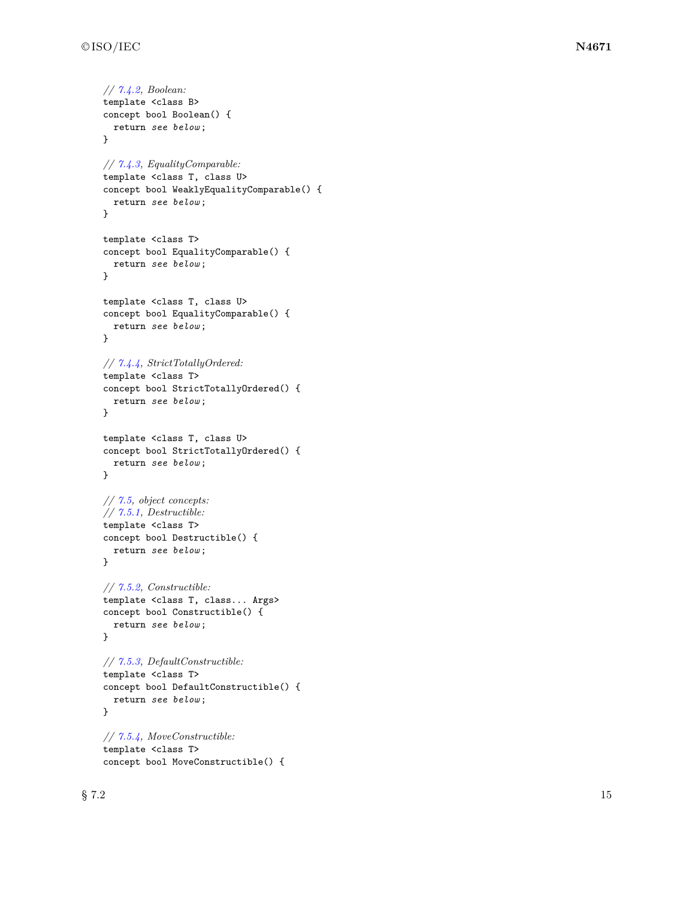```
// 7.4.2, Boolean:
template <class B>
concept bool Boolean() {
  return see below
;
}
// 7.4.3, EqualityComparable:
template <class T, class U>
concept bool WeaklyEqualityComparable() {
  return see below
;
}
template <class T>
concept bool EqualityComparable() {
  return see below
;
}
template <class T, class U>
concept bool EqualityComparable() {
  return see below
;
}
// 7.4.4, StrictTotallyOrdered:
template <class T>
concept bool StrictTotallyOrdered() {
  return see below
;
}
template <class T, class U>
concept bool StrictTotallyOrdered() {
  return see below
;
}
// 7.5, object concepts:
// 7.5.1, Destructible:
template <class T>
concept bool Destructible() {
  return see below
;
}
// 7.5.2, Constructible:
template <class T, class... Args>
concept bool Constructible() {
  return see below
;
}
// 7.5.3, DefaultConstructible:
template <class T>
concept bool DefaultConstructible() {
  return see below
;
}
// 7.5.4, MoveConstructible:
template <class T>
concept bool MoveConstructible() {
```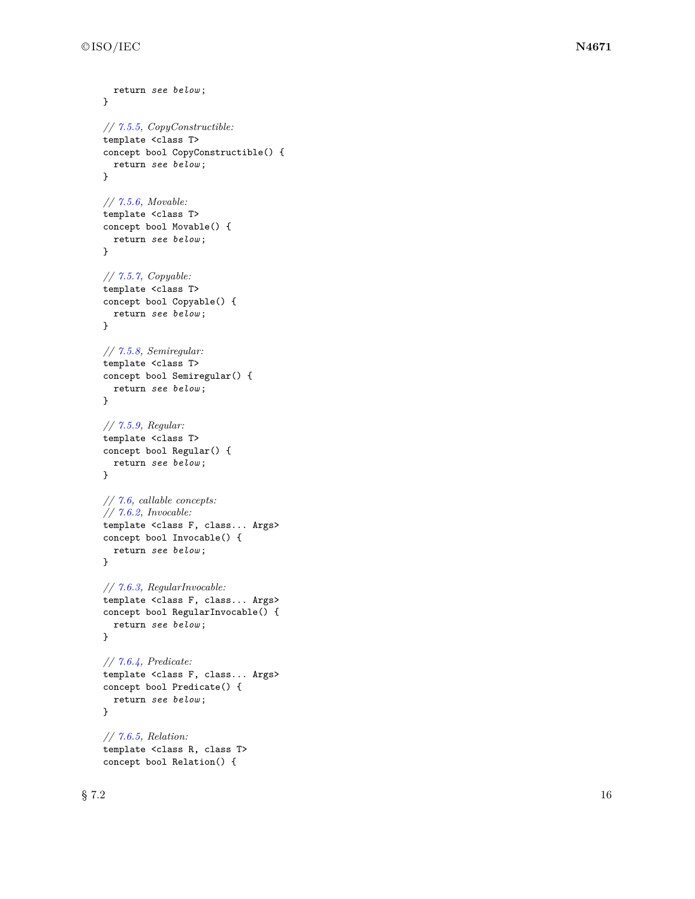```
return see below
;
}
// 7.5.5, CopyConstructible:
template <class T>
concept bool CopyConstructible() {
  return see below
;
}
// 7.5.6, Movable:
template <class T>
concept bool Movable() {
  return see below
;
}
// 7.5.7, Copyable:
template <class T>
concept bool Copyable() {
  return see below
;
}
// 7.5.8, Semiregular:
template <class T>
concept bool Semiregular() {
  return see below
;
}
// 7.5.9, Regular:
template <class T>
concept bool Regular() {
  return see below
;
}
// 7.6, callable concepts:
// 7.6.2, Invocable:
template <class F, class... Args>
concept bool Invocable() {
  return see below
;
}
// 7.6.3, RegularInvocable:
template <class F, class... Args>
concept bool RegularInvocable() {
  return see below
;
}
// 7.6.4, Predicate:
template <class F, class... Args>
concept bool Predicate() {
  return see below
;
}
// 7.6.5, Relation:
template <class R, class T>
```
concept bool Relation() {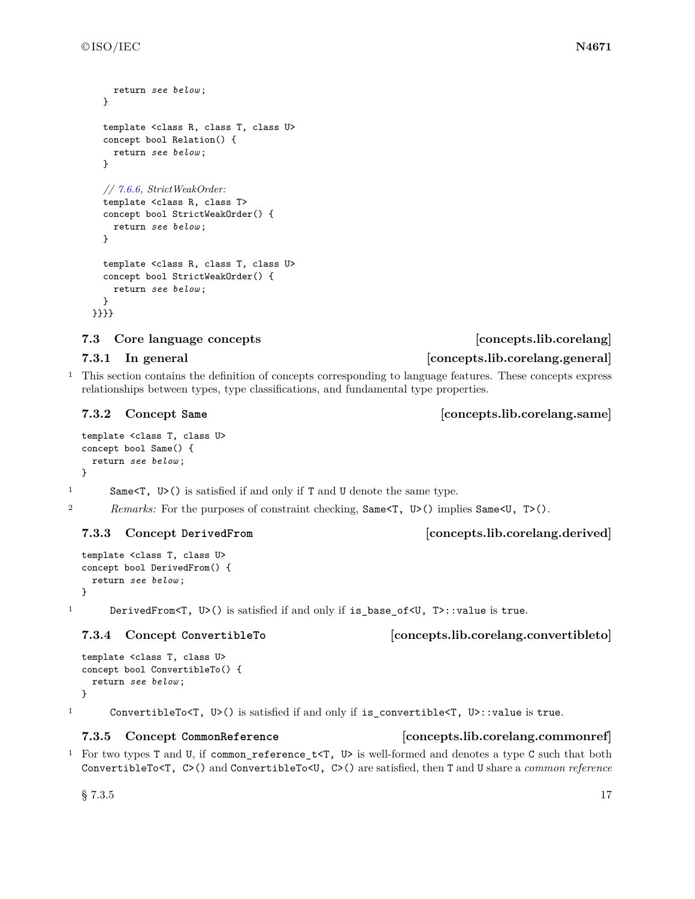```
return see below ;
  }
  template <class R, class T, class U>
  concept bool Relation() {
    return see below ;
  }
  // 7.6.6, StrictWeakOrder:
  template <class R, class T>
  concept bool StrictWeakOrder() {
    return see below ;
  }
  template <class R, class T, class U>
  concept bool StrictWeakOrder() {
    return see below ;
  }
}}}}
```
### <span id="page-20-0"></span>**7.3 Core language concepts [concepts.lib.corelang]**

### **7.3.1** In general *concepts.lib.corelang.general*

<sup>1</sup> This section contains the definition of concepts corresponding to language features. These concepts express relationships between types, type classifications, and fundamental type properties.

```
template <class T, class U>
concept bool Same() {
  return see below ;
}
```
1 Same<T, U>() is satisfied if and only if T and U denote the same type.

2 *Remarks:* For the purposes of constraint checking, Same $\langle U, U \rangle$  implies Same $\langle U, T \rangle$ .

### <span id="page-20-2"></span>**7.3.3 Concept DerivedFrom [concepts.lib.corelang.derived]**

```
template <class T, class U>
concept bool DerivedFrom() {
 return see below ;
}
```
1 DerivedFrom<T, U>() is satisfied if and only if is\_base\_of<U, T>::value is true.

```
template <class T, class U>
concept bool ConvertibleTo() {
 return see below ;
}
```
<sup>1</sup> ConvertibleTo<T, U>() is satisfied if and only if is\_convertible<T, U>::value is true.

### <span id="page-20-4"></span>**7.3.5 Concept CommonReference [concepts.lib.corelang.commonref]**

<sup>1</sup> For two types T and U, if common\_reference\_t<T, U> is well-formed and denotes a type C such that both ConvertibleTo<T, C>() and ConvertibleTo<U, C>() are satisfied, then T and U share a *common reference*

### <span id="page-20-1"></span>**7.3.2 Concept Same [concepts.lib.corelang.same]**

### <span id="page-20-3"></span>**7.3.4 Concept ConvertibleTo [concepts.lib.corelang.convertibleto]**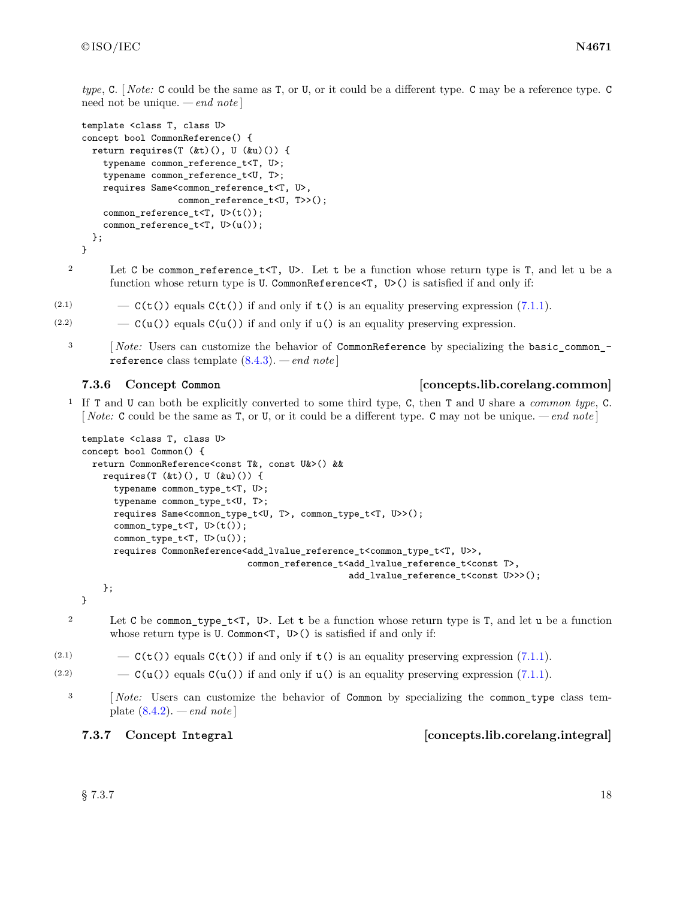*type*, C. [ *Note:* C could be the same as T, or U, or it could be a different type. C may be a reference type. C need not be unique. *— end note* ]

```
template <class T, class U>
concept bool CommonReference() {
 return requires(T (&t)(), U (&u)()) {
    typename common_reference_t<T, U>;
    typename common_reference_t<U, T>;
    requires Same<common_reference_t<T, U>,
                  common_reference_t<U, T>>();
    common_reference_t<T, U>(t());
    common_reference_t<T, U>(u());
 };
}
```
2 Let C be common reference  $t < T$ , U>. Let t be a function whose return type is T, and let u be a function whose return type is U. CommonReference<T, U>() is satisfied if and only if:

- (2.1)  $-\mathsf{C}(\mathsf{t}(\mathsf{t}))$  equals  $\mathsf{C}(\mathsf{t}(\mathsf{t}))$  if and only if  $\mathsf{t}(\mathsf{t})$  is an equality preserving expression [\(7.1.1\)](#page-15-3).
- (2.2)  $C(u)$  equals  $C(u)$  if and only if  $u()$  is an equality preserving expression.
	- <sup>3</sup> [ *Note:* Users can customize the behavior of CommonReference by specializing the basic\_common\_reference class template [\(8.4.3\)](#page-39-1). *— end note* ]

### <span id="page-21-0"></span>**7.3.6 Concept Common [concepts.lib.corelang.common]**

<sup>1</sup> If T and U can both be explicitly converted to some third type, C, then T and U share a *common type*, C. [ *Note:* C could be the same as T, or U, or it could be a different type. C may not be unique. *— end note* ]

```
template <class T, class U>
concept bool Common() {
 return CommonReference<const T&, const U&>() &&
    requires(T (kt)(), U (ku)() {
     typename common_type_t<T, U>;
     typename common_type_t<U, T>;
     requires Same<common_type_t<U, T>, common_type_t<T, U>>();
     common_type_t<T, U>(t());
      common_type_t<T, U>(u());
     requires CommonReference<add_lvalue_reference_t<common_type_t<T, U>>,
                               common_reference_t<add_lvalue_reference_t<const T>,
                                                  add_lvalue_reference_t<const U>>>();
    };
```
}

- <sup>2</sup> Let C be common\_type\_t<T, U>. Let t be a function whose return type is T, and let u be a function whose return type is U. Common<T, U>() is satisfied if and only if:
- (2.1)  $-\mathcal{C}(\mathbf{t}(\tau))$  equals  $\mathcal{C}(\mathbf{t}(\tau))$  if and only if  $\mathbf{t}(\tau)$  is an equality preserving expression [\(7.1.1\)](#page-15-3).
- (2.2)  $C(u)$  equals  $C(u)$  if and only if  $u()$  is an equality preserving expression [\(7.1.1\)](#page-15-3).
	- <sup>3</sup> [*Note:* Users can customize the behavior of Common by specializing the common type class template [\(8.4.2\)](#page-37-1). *— end note* ]

<span id="page-21-1"></span>**7.3.7 Concept Integral [concepts.lib.corelang.integral]**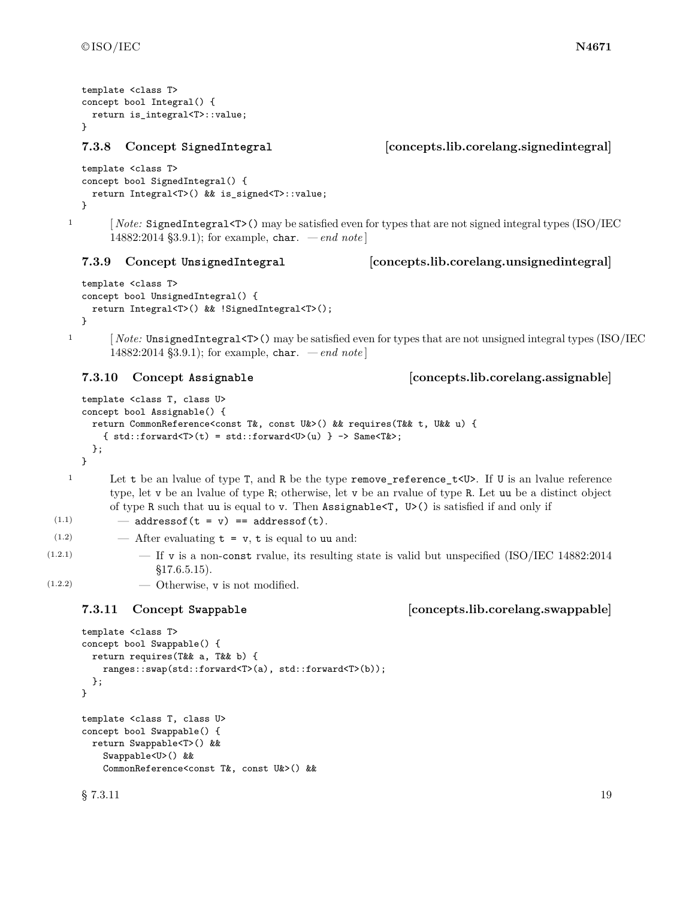```
template <class T>
concept bool Integral() {
 return is_integral<T>::value;
}
```
### <span id="page-22-0"></span>**7.3.8 Concept SignedIntegral [concepts.lib.corelang.signedintegral]**

```
template <class T>
concept bool SignedIntegral() {
 return Integral<T>() && is_signed<T>::value;
}
```
<sup>1</sup> [ *Note:* SignedIntegral<T>() may be satisfied even for types that are not signed integral types (ISO/IEC 14882:2014 §3.9.1); for example, char. *— end note* ]

### <span id="page-22-1"></span>**7.3.9 Concept UnsignedIntegral [concepts.lib.corelang.unsignedintegral]**

```
template <class T>
concept bool UnsignedIntegral() {
 return Integral<T>() && !SignedIntegral<T>();
}
```
1 [*Note:* UnsignedIntegral<T>() may be satisfied even for types that are not unsigned integral types (ISO/IEC 14882:2014 §3.9.1); for example, char. *— end note* ]

### <span id="page-22-2"></span>**7.3.10 Concept Assignable [concepts.lib.corelang.assignable]**

```
template <class T, class U>
concept bool Assignable() {
  return CommonReference<const T&, const U&>() && requires(T&& t, U&& u) {
    { std::forward < T>(t) = std::forward < U>(u) } -> Same< T&gt;;
  };
}
```
<sup>1</sup> Let t be an lvalue of type T, and R be the type remove\_reference\_t<U>. If U is an lvalue reference type, let v be an lvalue of type R; otherwise, let v be an rvalue of type R. Let uu be a distinct object of type R such that uu is equal to v. Then Assignable<T, U>() is satisfied if and only if

```
(1.1) - addressof(t = v) == addressof(t).
```

```
(1.2) \qquad \qquad After evaluating t = v, t is equal to uu and:
```
 $(1.2.1)$  - If v is a non-const rvalue, its resulting state is valid but unspecified (ISO/IEC 14882:2014) §17.6.5.15).

 $(1.2.2)$   $\qquad$   $\qquad$  Otherwise, v is not modified.

### <span id="page-22-3"></span>**7.3.11 Concept Swappable [concepts.lib.corelang.swappable]**

```
template <class T>
concept bool Swappable() {
 return requires(T&& a, T&& b) {
   ranges::swap(std::forward<T>(a), std::forward<T>(b));
 };
}
template <class T, class U>
concept bool Swappable() {
 return Swappable<T>() &&
   Swappable<U>() &&
   CommonReference<const T&, const U&>() &&
\S 7.3.11 19
```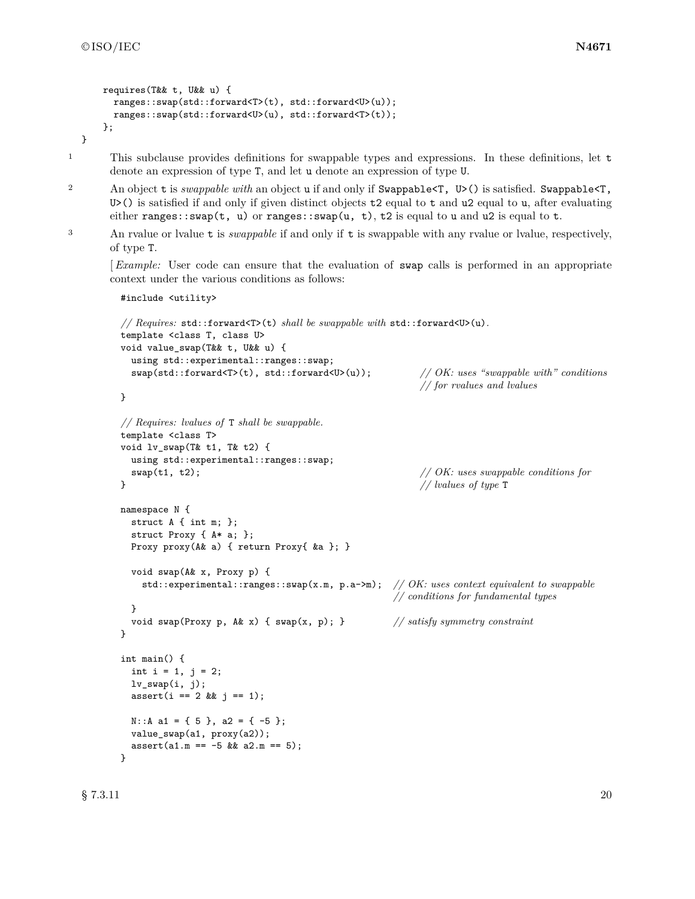#include <utility>

```
requires(T&& t, U&& u) {
 ranges::swap(std::forward<T>(t), std::forward<U>(u));
 ranges::swap(std::forward<U>(u), std::forward<T>(t));
};
```
}

<sup>1</sup> This subclause provides definitions for swappable types and expressions. In these definitions, let t denote an expression of type T, and let u denote an expression of type U.

- <sup>2</sup> An object t is *swappable with* an object u if and only if Swappable<T, U>() is satisfied. Swappable<T, U>() is satisfied if and only if given distinct objects  $t2$  equal to  $t$  and  $u2$  equal to  $u$ , after evaluating either ranges::swap(t, u) or ranges::swap(u, t), t2 is equal to u and u2 is equal to t.
- <sup>3</sup> An rvalue or lvalue t is *swappable* if and only if t is swappable with any rvalue or lvalue, respectively, of type T.

[*Example:* User code can ensure that the evaluation of swap calls is performed in an appropriate context under the various conditions as follows:

```
// Requires: std::forward<T>(t) shall be swappable with std::forward<U>(u).
template <class T, class U>
void value_swap(T&& t, U&& u) {
 using std::experimental::ranges::swap;
 swap(std::forward<T>(t), std::forward<U>(u)); // OK: uses "swappable with" conditions
                                                     // for rvalues and lvalues
}
// Requires: lvalues of T shall be swappable.
template <class T>
void lv_swap(T& t1, T& t2) {
 using std::experimental::ranges::swap;
 swap(t1, t2); // OK: uses swappable conditions for
} // lvalues of type T
namespace N {
 struct A { int m; };
 struct Proxy { A* a; };
 Proxy proxy(A& a) { return Proxy{ &a }; }
 void swap(A& x, Proxy p) {
   std::experimental::ranges::swap(x.m, p.a->m); // OK: uses context equivalent to swappable
                                                // conditions for fundamental types
 }
 void swap(Proxy p, A& x) { swap(x, p); } // satisfy symmetry constraint
}
int main() {
 int i = 1, j = 2;
 lv\_swap(i, j);assert(i == 2 \& j == 1);N::A a1 = { 5 }, a2 = { -5 };
 value_swap(a1, proxy(a2));
 assert(a1.m == -5 \& a2.m == 5);}
```
 $\S$  7.3.11 20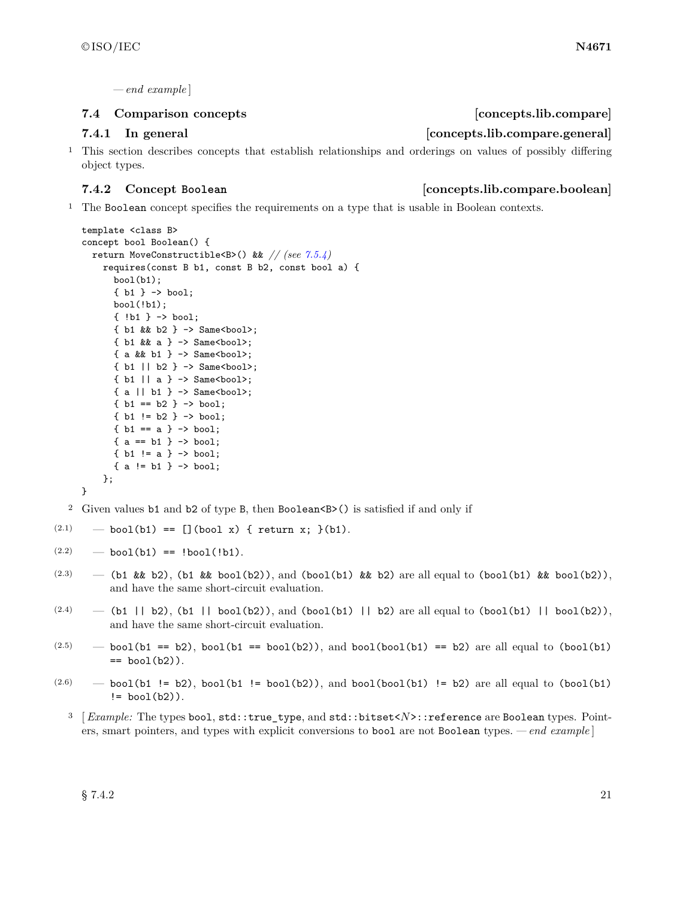*— end example* ]

### <span id="page-24-0"></span>**7.4 Comparison concepts [concepts.lib.compare]**

### **7.4.1 In general [concepts.lib.compare.general]**

<sup>1</sup> This section describes concepts that establish relationships and orderings on values of possibly differing object types.

### <span id="page-24-1"></span>**7.4.2 Concept Boolean [concepts.lib.compare.boolean]**

<sup>1</sup> The Boolean concept specifies the requirements on a type that is usable in Boolean contexts.

```
template <class B>
concept bool Boolean() {
  return MoveConstructible<B>() && // (see 7.5.4)
    requires(const B b1, const B b2, const bool a) {
      bool(b1):
      { b1 } -> bool;
      bool(!b1);
      { !b1 } -> bool;
      { b1 && b2 } -> Same<bool>;
      \{ b1 \& a \} -> Same<br/>bool>;
      {a \& b1} -> Same<br/>bool>;
      { b1 || b2 } -> Same<bool>;
      { b1 || a } -> Same<bool>;
      { a || b1 } -> Same<bool>;
      \{ b1 == b2 \} \rightarrow bool;\{ b1 := b2 \} \rightarrow bool;{b1 == a} -> bool;
      { a == b1 } \rightarrow bool;{ b1 != a } -> bool;
      { a != b1 } -> bool;
    };
}
```
<sup>2</sup> Given values b1 and b2 of type B, then Boolean<B>() is satisfied if and only if

- $(2.1)$  bool(b1) == [](bool x) { return x; }(b1).
- $(2.2)$  bool(b1) == !bool(!b1).
- (2.3) (b1 && b2), (b1 && bool(b2)), and (bool(b1) && b2) are all equal to (bool(b1) && bool(b2)), and have the same short-circuit evaluation.
- $(2.4)$  (b1 || b2), (b1 || bool(b2)), and (bool(b1) || b2) are all equal to (bool(b1) || bool(b2)), and have the same short-circuit evaluation.
- $(2.5)$  bool(b1 == b2), bool(b1 == bool(b2)), and bool(bool(b1) == b2) are all equal to (bool(b1)  $==$  bool $(b2)$ ).
- $(2.6)$  bool(b1 != b2), bool(b1 != bool(b2)), and bool(bool(b1) != b2) are all equal to (bool(b1)  $!=$  bool $(b2)$ ).
	- <sup>3</sup> [*Example:* The types bool, std::true\_type, and std::bitset<*N*>::reference are Boolean types. Pointers, smart pointers, and types with explicit conversions to bool are not Boolean types. *— end example* ]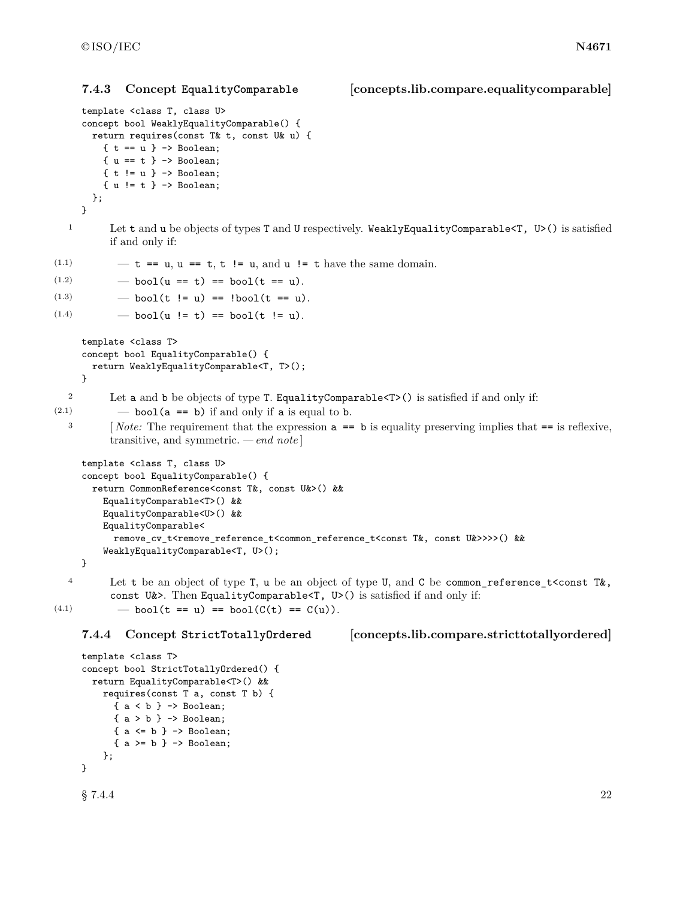### <span id="page-25-1"></span>**7.4.3 Concept EqualityComparable [concepts.lib.compare.equalitycomparable]**

```
template <class T, class U>
     concept bool WeaklyEqualityComparable() {
       return requires(const T& t, const U& u) {
         \{t == u\} -> Boolean;
         \{ u == t \} \rightarrow Boolean;
         { t != u } -> Boolean;
         { u != t } -> Boolean;
       };
     }
  1 Let t and u be objects of types T and U respectively. WeaklyEqualityComparable<T, U>() is satisfied
           if and only if:
(1.1) -t == u, u == t, t != u, and u != t have the same domain.(1.2) \qquad - \text{bool}(u == t) == \text{bool}(t == u).(1.3) \qquad - \text{bool}(t := u) == \text{bool}(t == u).(1.4) \qquad - \text{bool}(u := t) == \text{bool}(t != u).template <class T>
     concept bool EqualityComparable() {
       return WeaklyEqualityComparable<T, T>();
     }
  2 Let a and b be objects of type T. EqualityComparable<T>() is satisfied if and only if:
(2.1) \qquad \qquad bool(a == b) if and only if a is equal to b.
  <sup>3</sup> [Note: The requirement that the expression a == b is equality preserving implies that == is reflexive,
           transitive, and symmetric. — end note ]
     template <class T, class U>
     concept bool EqualityComparable() {
       return CommonReference<const T&, const U&>() &&
         EqualityComparable<T>() &&
         EqualityComparable<U>() &&
         EqualityComparable<
           remove_cv_t<remove_reference_t<common_reference_t<const T&, const U&>>>>() &&
         WeaklyEqualityComparable<T, U>();
     }
  4 Let t be an object of type T, u be an object of type U, and C be common_reference_t<const T&,
           const U(x). Then EqualityComparable (T, U) is satisfied if and only if:
(4.1) \qquad - \text{bool}(t == u) == \text{bool}(C(t) == C(u)).7.4.4 Concept StrictTotallyOrdered [concepts.lib.compare.stricttotallyordered]
     template <class T>
     concept bool StrictTotallyOrdered() {
       return EqualityComparable<T>() &&
         requires(const T a, const T b) {
           { a < b } -> Boolean;
           { a > b } -> Boolean;
           { a \leftarrow b } \rightarrow Boolean;
           { a >= b } \rightarrow Boolean;
         };
```
<span id="page-25-0"></span>}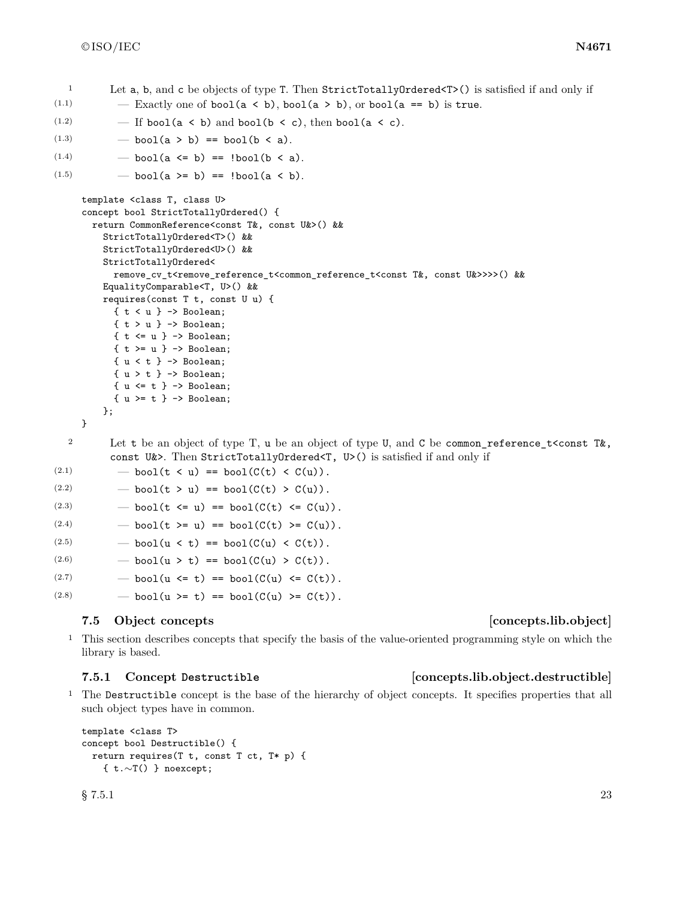- <sup>1</sup> Let a, b, and c be objects of type T. Then StrictTotallyOrdered<T>() is satisfied if and only if (1.1)  $-$  Exactly one of bool(a < b), bool(a > b), or bool(a == b) is true.
- $(1.2)$   $-$  If bool(a < b) and bool(b < c), then bool(a < c).
- (1.3)  $-$  bool(a > b) == bool(b < a).
- (1.4)  $-$  bool(a <= b) == !bool(b < a).

```
(1.5) — bool(a >= b) == ! \text{bool}(a \le b).
```

```
template <class T, class U>
concept bool StrictTotallyOrdered() {
  return CommonReference<const T&, const U&>() &&
    StrictTotallyOrdered<T>() &&
    StrictTotallyOrdered<U>() &&
    StrictTotallyOrdered<
      remove_cv_t<remove_reference_t<common_reference_t<const T&, const U&>>>>() &&
    EqualityComparable<T, U>() &&
    requires(const T t, const U u) {
      { t < u } -> Boolean;
      { t > u } -> Boolean;
      \{ t \iff u \} \Rightarrow \text{Boolean};\{t \geq u\} \rightarrow Boolean;
      \{ u < t \} \rightarrow Boolean;
      { u > t } -> Boolean;
      \{ u \le t \} \rightarrow Boolean;
      { u >= t } -> Boolean;
    };
}
```
<sup>2</sup> Let t be an object of type T, u be an object of type U, and C be common\_reference\_t<const T&, const U&>. Then StrictTotallyOrdered<T, U>() is satisfied if and only if

(2.1)  $\qquad - \text{bool}(t \le u) == \text{bool}(C(t) \le C(u)).$ 

(2.2)  $-$  bool(t > u) == bool( $C(t) > C(u)$ ).

```
(2.3) - bool(t <= u) == bool(C(t) <= C(u)).
```

```
(2.4) - bool(t >= u) == bool(C(t) >= C(u)).
```

```
(2.5) - bool(u < t) == bool(C(u) < C(t)).
```

```
(2.6) - bool(u > t) == bool(C(u) > C(t)).
```
(2.7) 
$$
\qquad
$$
 -  $\text{bool}(u \leq t) == \text{bool}(C(u) \leq C(t)).$ 

(2.8)  $-$  bool(u >= t) == bool(C(u) >= C(t)).

### <span id="page-26-0"></span>**7.5 Object concepts [concepts.lib.object]**

<sup>1</sup> This section describes concepts that specify the basis of the value-oriented programming style on which the library is based.

### <span id="page-26-1"></span>**7.5.1 Concept Destructible [concepts.lib.object.destructible]**

<sup>1</sup> The Destructible concept is the base of the hierarchy of object concepts. It specifies properties that all such object types have in common.

```
template <class T>
concept bool Destructible() {
 return requires(T t, const T ct, T* p) {
    { t.∼T() } noexcept;
```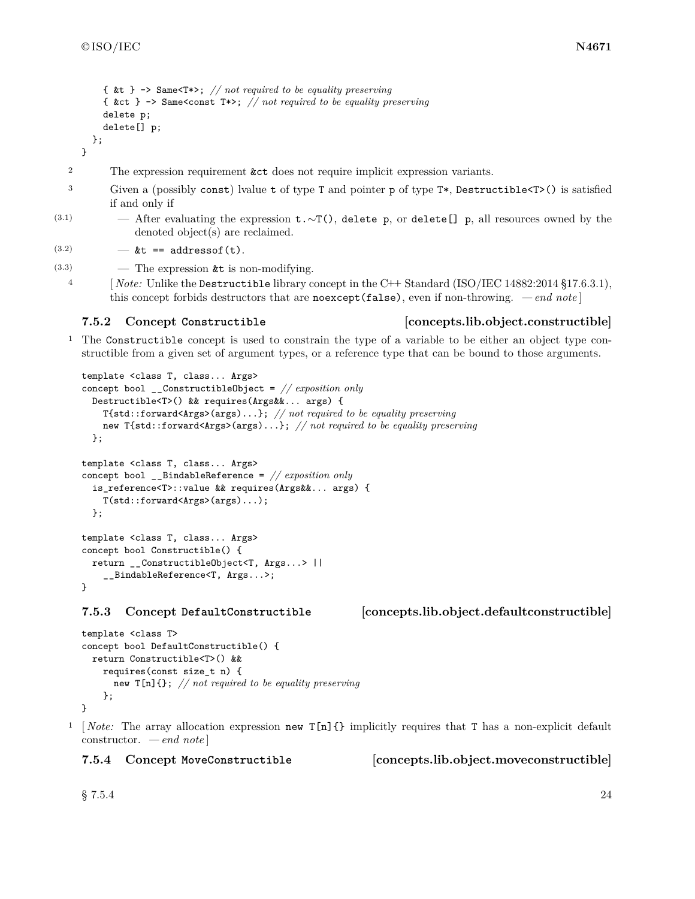```
{ &t } -> Same<T*>; // not required to be equality preserving
    { &ct } -> Same<const T*>; // not required to be equality preserving
    delete p;
    delete[] p;
  };
}
```
- <sup>2</sup> The expression requirement **&ct** does not require implicit expression variants.
- <sup>3</sup> Given a (possibly const) lvalue t of type T and pointer p of type T\*, Destructible<T>() is satisfied if and only if
- (3.1) After evaluating the expression t.∼T(), delete p, or delete[] p, all resources owned by the denoted object(s) are reclaimed.

(3.2)  $-$  &t == addressof(t).

 $(3.3)$  — The expression  $\&$ t is non-modifying.

<sup>4</sup> [ *Note:* Unlike the Destructible library concept in the C**++** Standard (ISO/IEC 14882:2014 §17.6.3.1), this concept forbids destructors that are noexcept(false), even if non-throwing. *— end note* ]

### <span id="page-27-0"></span>**7.5.2 Concept Constructible [concepts.lib.object.constructible]**

<sup>1</sup> The Constructible concept is used to constrain the type of a variable to be either an object type constructible from a given set of argument types, or a reference type that can be bound to those arguments.

```
template <class T, class... Args>
concept bool __ConstructibleObject = // exposition only
  Destructible<T>() && requires(Args&&... args) {
    T{std::forward<Args>(args)...}; // not required to be equality preserving
    new T{std::forward<Args>(args)...}; // not required to be equality preserving
  };
template <class T, class... Args>
concept bool __BindableReference = // exposition only
  is_reference<T>::value && requires(Args&&... args) {
    T(std::forward<Args>(args)...);
  };
template <class T, class... Args>
concept bool Constructible() {
  return __ConstructibleObject<T, Args...> ||
    __BindableReference<T, Args...>;
}
```
<span id="page-27-1"></span>**7.5.3 Concept DefaultConstructible [concepts.lib.object.defaultconstructible]**

```
template <class T>
concept bool DefaultConstructible() {
  return Constructible<T>() &&
    requires(const size_t n) {
      new T[n]{}; // not required to be equality preserving
    };
}
```
<sup>1</sup> Note: The array allocation expression new  $T[n]{\ }$  implicitly requires that T has a non-explicit default constructor. *— end note* ]

<span id="page-27-2"></span>

**7.5.4 Concept MoveConstructible [concepts.lib.object.moveconstructible]**

 $\S 7.5.4$  24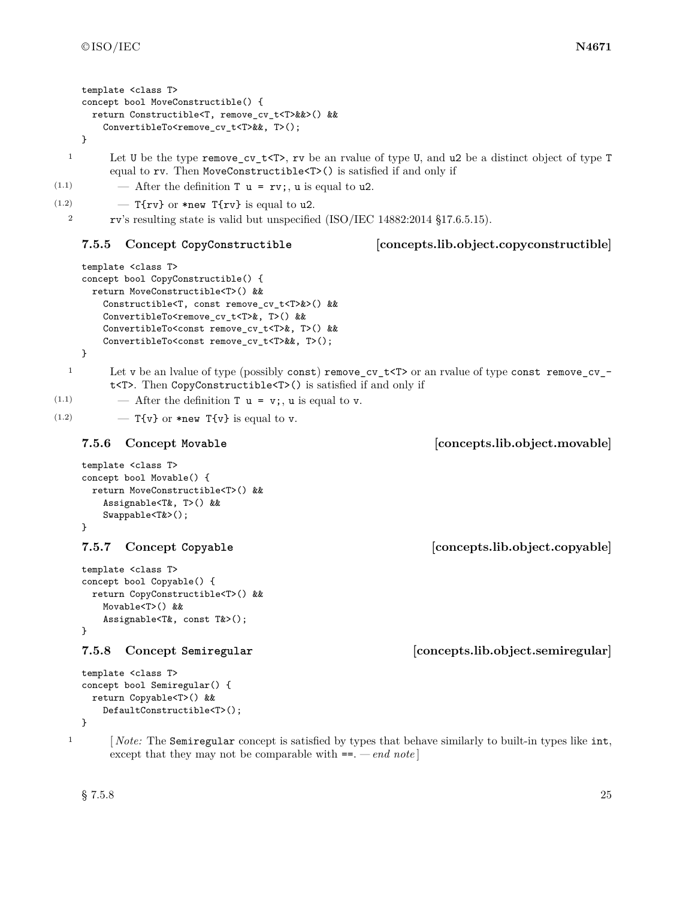template <class T>

```
concept bool MoveConstructible() {
      return Constructible<T, remove_cv_t<T>&&>() &&
        ConvertibleTo<remove_cv_t<T>&&, T>();
    }
  1 Let U be the type remove_cv_t<T>, rv be an rvalue of type U, and u2 be a distinct object of type T
         equal to rv. Then MoveConstructible<T>() is satisfied if and only if
(1.1) \qquad After the definition T u = rv;, u is equal to u2.
(1.2) - T{rv} or *new T{rv} is equal to u2.
  2 rv's resulting state is valid but unspecified (ISO/IEC 14882:2014 §17.6.5.15).
    7.5.5 Concept CopyConstructible [concepts.lib.object.copyconstructible]
    template <class T>
    concept bool CopyConstructible() {
      return MoveConstructible<T>() &&
        Constructible<T, const remove_cv_t<T>&>() &&
        ConvertibleTo<remove_cv_t<T>&, T>() &&
        ConvertibleTo<const remove_cv_t<T>&, T>() &&
        ConvertibleTo<const remove_cv_t<T>&&, T>();
    }
  1 Let v be an lvalue of type (possibly const) remove_cv_t<T> or an rvalue of type const remove_cv_-
         t<T>. Then CopyConstructible<T>() is satisfied if and only if
(1.1) \qquad \qquad After the definition T u = v; u is equal to v.
(1.2) - T{v} or *new T{v} is equal to v.
    7.5.6 Concept Movable [concepts.lib.object.movable]
    template <class T>
    concept bool Movable() {
      return MoveConstructible<T>() &&
        Assignable<T&, T>() &&
        Swappable<T&>();
    }
    7.5.7 Concept Copyable [concepts.lib.object.copyable]
    template <class T>
    concept bool Copyable() {
      return CopyConstructible<T>() &&
        Movable<T>() &&
        Assignable<T&, const T&>();
    }
    7.5.8 Concept Semiregular [concepts.lib.object.semiregular]
    template <class T>
    concept bool Semiregular() {
      return Copyable<T>() &&
        DefaultConstructible<T>();
    }
  <sup>1</sup> [Note: The Semiregular concept is satisfied by types that behave similarly to built-in types like int,
         except that they may not be comparable with ==. — end note ]
```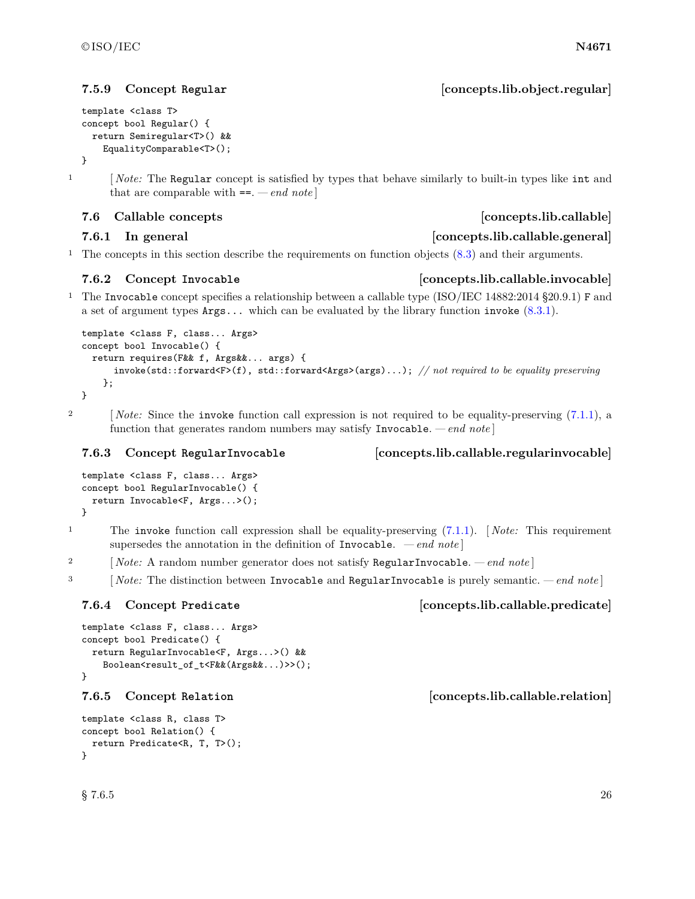### <span id="page-29-2"></span>**7.5.9 Concept Regular [concepts.lib.object.regular]**

```
template <class T>
concept bool Regular() {
 return Semiregular<T>() &&
    EqualityComparable<T>();
}
```
<sup>1</sup> [*Note:* The Regular concept is satisfied by types that behave similarly to built-in types like int and that are comparable with ==. *— end note* ]

### <span id="page-29-0"></span>**7.6 Callable concepts [concepts.lib.callable]**

### **7.6.1 In general [concepts.lib.callable.general]**

<sup>1</sup> The concepts in this section describe the requirements on function objects [\(8.3\)](#page-33-0) and their arguments.

### <span id="page-29-1"></span>**7.6.2 Concept Invocable [concepts.lib.callable.invocable]**

<sup>1</sup> The Invocable concept specifies a relationship between a callable type (ISO/IEC 14882:2014 §20.9.1) F and a set of argument types Args... which can be evaluated by the library function invoke [\(8.3.1\)](#page-34-0).

```
template <class F, class... Args>
concept bool Invocable() {
  return requires(F&& f, Args&&... args) {
      invoke(std::forward<F>(f), std::forward<Args>(args)...); // not required to be equality preserving
    };
}
```
<sup>2</sup> [ *Note:* Since the invoke function call expression is not required to be equality-preserving [\(7.1.1\)](#page-15-3), a function that generates random numbers may satisfy Invocable. *— end note* ]

### <span id="page-29-3"></span>**7.6.3 Concept RegularInvocable [concepts.lib.callable.regularinvocable]**

```
template <class F, class... Args>
concept bool RegularInvocable() {
 return Invocable<F, Args...>();
}
```
<sup>1</sup> The invoke function call expression shall be equality-preserving [\(7.1.1\)](#page-15-3). [ *Note:* This requirement supersedes the annotation in the definition of Invocable. *— end note* ]

<sup>2</sup> [ *Note:* A random number generator does not satisfy RegularInvocable. *— end note* ]

<sup>3</sup> [ *Note:* The distinction between Invocable and RegularInvocable is purely semantic. *— end note* ]

### <span id="page-29-4"></span>**7.6.4 Concept Predicate [concepts.lib.callable.predicate]**

```
template <class F, class... Args>
concept bool Predicate() {
 return RegularInvocable<F, Args...>() &&
   Boolean<result_of_t<F&&(Args&&...)>>();
}
7.6.5 Concept Relation [concepts.lib.callable.relation]
template <class R, class T>
concept bool Relation() {
```

```
return Predicate<R, T, T>();
}
```
 $\S$  7.6.5 26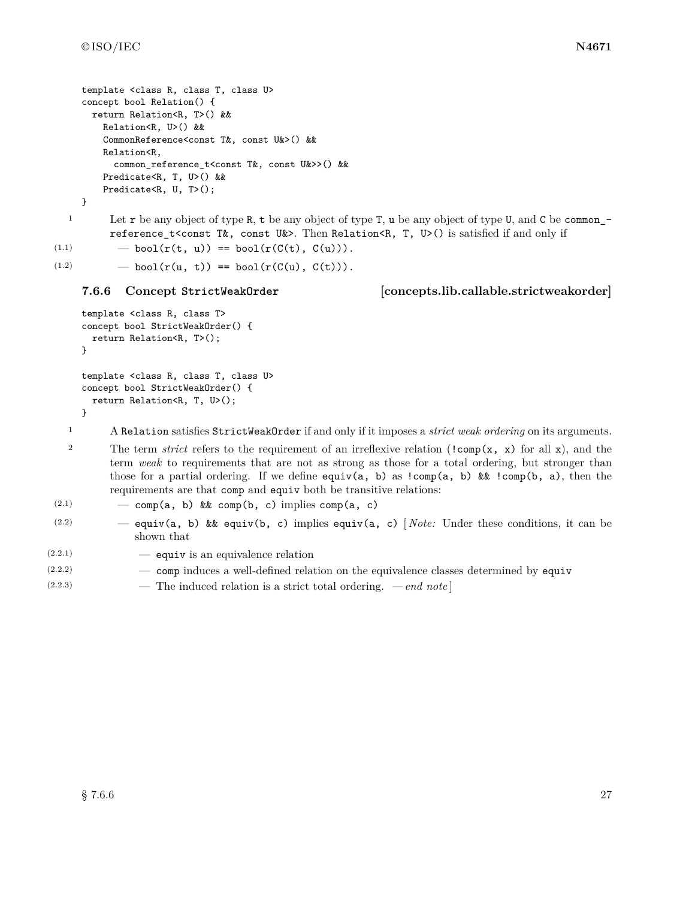```
template <class R, class T, class U>
concept bool Relation() {
 return Relation<R, T>() &&
    Relation<R, U>() &&
    CommonReference<const T&, const U&>() &&
    Relation<R,
      common_reference_t<const T&, const U&>>() &&
    Predicate<R, T, U>() &&
    Predicate<R, U, T>();
```
}

<sup>1</sup> Let **r** be any object of type **R**, **t** be any object of type **T**, **u** be any object of type **U**, and **C** be common\_ reference\_t<const T&, const U&>. Then Relation<R, T, U>() is satisfied if and only if

(1.1)  $\qquad \qquad - \text{bool}(r(t, u)) = \text{bool}(r(C(t), C(u))).$ 

(1.2)  $-$  bool( $r(u, t)$ ) == bool( $r(C(u), C(t))$ ).

<span id="page-30-0"></span>**7.6.6 Concept StrictWeakOrder [concepts.lib.callable.strictweakorder]**

```
template <class R, class T>
concept bool StrictWeakOrder() {
 return Relation<R, T>();
}
template <class R, class T, class U>
concept bool StrictWeakOrder() {
 return Relation<R, T, U>();
```
}

<sup>1</sup> A Relation satisfies StrictWeakOrder if and only if it imposes a *strict weak ordering* on its arguments.

<sup>2</sup> The term *strict* refers to the requirement of an irreflexive relation (!comp(x, x) for all x), and the term *weak* to requirements that are not as strong as those for a total ordering, but stronger than those for a partial ordering. If we define equiv(a, b) as  $!comp(a, b)$  &&  $!comp(b, a)$ , then the requirements are that comp and equiv both be transitive relations:

```
(2.1) - comp(a, b) && comp(b, c) implies comp(a, c)
```
- (2.2) equiv(a, b) && equiv(b, c) implies equiv(a, c) [ *Note:* Under these conditions, it can be shown that
- $(2.2.1)$   $\qquad$  equive is an equivalence relation
- (2.2.2) comp induces a well-defined relation on the equivalence classes determined by equiv
- (2.2.3) The induced relation is a strict total ordering.  *end note* ]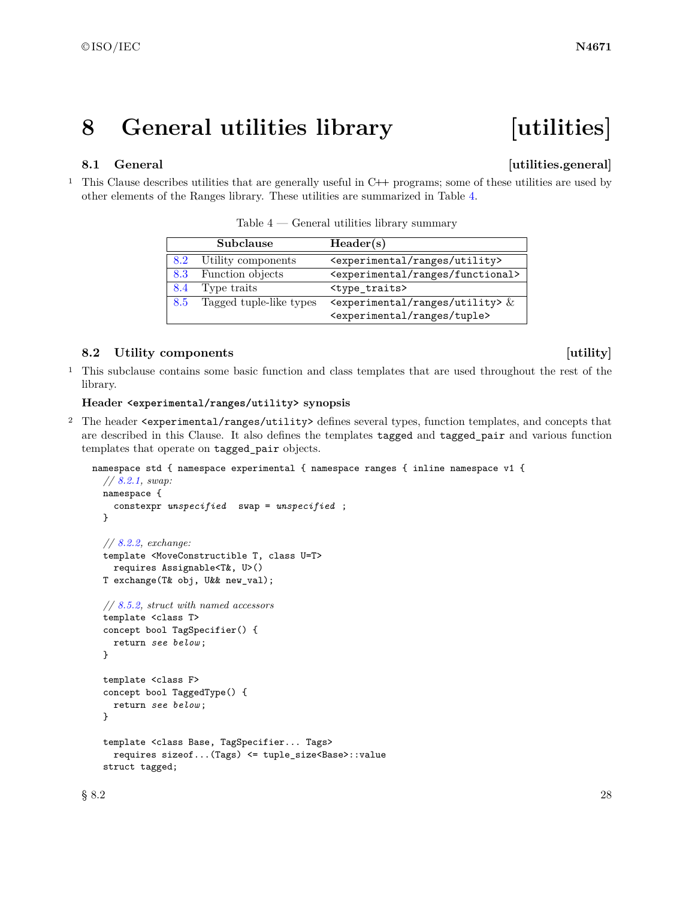## <span id="page-31-0"></span>**8 General utilities library [utilities]**

### <span id="page-31-1"></span>**8.1 General Community Community Community Community Community Community Community Community Community Community Community Community Community Community Community Community Community Community Community Community Community**

<sup>1</sup> This Clause describes utilities that are generally useful in C**++** programs; some of these utilities are used by other elements of the Ranges library. These utilities are summarized in Table [4.](#page-31-3)

|     | Subclause               | Header(s)                                                                         |
|-----|-------------------------|-----------------------------------------------------------------------------------|
| 8.2 | Utility components      | <experimental ranges="" utility=""></experimental>                                |
| 8.3 | Function objects        | <experimental functional="" ranges=""></experimental>                             |
| 8.4 | Type traits             | <type_traits></type_traits>                                                       |
| 8.5 | Tagged tuple-like types | $\epsilon$ <experimental ranges="" utility=""> <math>\&amp;</math></experimental> |
|     |                         | <experimental ranges="" tuple=""></experimental>                                  |

<span id="page-31-3"></span>Table  $4$  — General utilities library summary

### <span id="page-31-2"></span>**8.2** Utility components [utility]

<sup>1</sup> This subclause contains some basic function and class templates that are used throughout the rest of the library.

### **Header <experimental/ranges/utility> synopsis**

<sup>2</sup> The header <experimental/ranges/utility> defines several types, function templates, and concepts that are described in this Clause. It also defines the templates tagged and tagged\_pair and various function templates that operate on tagged\_pair objects.

```
namespace std { namespace experimental { namespace ranges { inline namespace v1 {
  // 8.2.1, swap:
  namespace {
    constexpr unspecified swap = unspecified ;
  }
  // 8.2.2, exchange:
 template <MoveConstructible T, class U=T>
    requires Assignable<T&, U>()
 T exchange(T& obj, U&& new_val);
 // 8.5.2, struct with named accessors
  template <class T>
  concept bool TagSpecifier() {
    return see below ;
  }
  template <class F>
  concept bool TaggedType() {
    return see below ;
  }
  template <class Base, TagSpecifier... Tags>
    requires sizeof...(Tags) <= tuple_size<Base>::value
  struct tagged;
```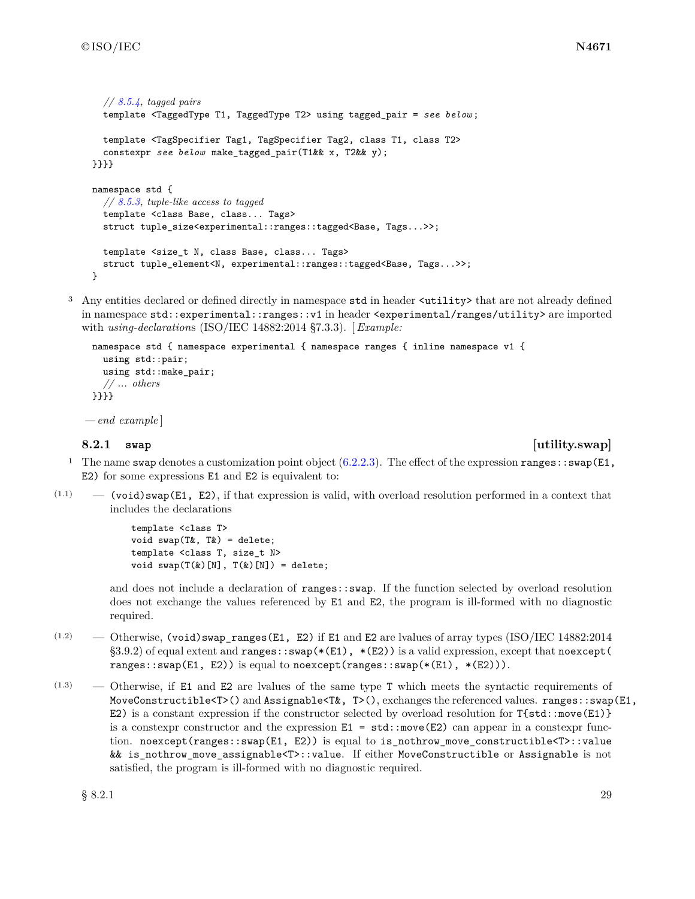```
// 8.5.4, tagged pairs
  template <TaggedType T1, TaggedType T2> using tagged_pair = see below ;
  template <TagSpecifier Tag1, TagSpecifier Tag2, class T1, class T2>
  constexpr see below make_tagged_pair(T1&& x, T2&& y);
}}}}
namespace std {
  // 8.5.3, tuple-like access to tagged
  template <class Base, class... Tags>
  struct tuple_size<experimental::ranges::tagged<Base, Tags...>>;
 template <size_t N, class Base, class... Tags>
  struct tuple_element<N, experimental::ranges::tagged<Base, Tags...>>;
}
```
<sup>3</sup> Any entities declared or defined directly in namespace std in header <utility> that are not already defined in namespace std::experimental::ranges::v1 in header <experimental/ranges/utility> are imported with *using-declaration*s (ISO/IEC 14882:2014 §7.3.3). [ *Example:*

```
namespace std { namespace experimental { namespace ranges { inline namespace v1 {
  using std::pair;
  using std::make_pair;
  // ... others
}}}}
```
*— end example* ]

### <span id="page-32-0"></span>**8.2.1 swap [utility.swap]**

- <sup>1</sup> The name swap denotes a customization point object  $(6.2.2.3)$ . The effect of the expression ranges::swap(E1, E2) for some expressions E1 and E2 is equivalent to:
- $(1.1)$  (void)swap(E1, E2), if that expression is valid, with overload resolution performed in a context that includes the declarations

```
template <class T>
void swap(T&, T&) = delete;
template <class T, size_t N>
void swap(T(k)[N], T(k)[N]) = delete;
```
and does not include a declaration of ranges::swap. If the function selected by overload resolution does not exchange the values referenced by E1 and E2, the program is ill-formed with no diagnostic required.

- (1.2) Otherwise, (void)swap\_ranges(E1, E2) if E1 and E2 are lvalues of array types (ISO/IEC 14882:2014 §3.9.2) of equal extent and ranges:: $swap(*(E1), * (E2))$  is a valid expression, except that noexcept ( ranges::swap(E1, E2)) is equal to noexcept(ranges::swap( $*(E1)$ ,  $*(E2))$ ).
- (1.3) Otherwise, if E1 and E2 are lvalues of the same type T which meets the syntactic requirements of MoveConstructible<T>() and Assignable<T $\&$ , T>(), exchanges the referenced values. ranges::swap(E1, E2) is a constant expression if the constructor selected by overload resolution for  $T{std::move(E1)}$ is a constexpr constructor and the expression  $E1 = std:move(E2)$  can appear in a constexpr function. noexcept(ranges::swap(E1, E2)) is equal to is\_nothrow\_move\_constructible<T>::value && is\_nothrow\_move\_assignable<T>::value. If either MoveConstructible or Assignable is not satisfied, the program is ill-formed with no diagnostic required.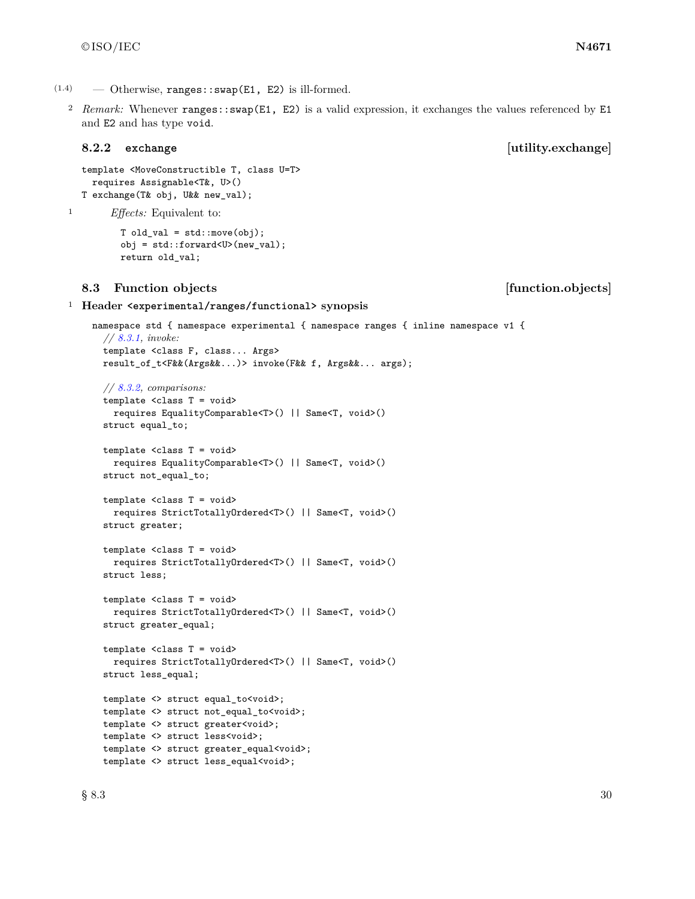$(1.4)$  — Otherwise, ranges::swap(E1, E2) is ill-formed.

2 *Remark:* Whenever ranges::swap(E1, E2) is a valid expression, it exchanges the values referenced by E1 and E2 and has type void.

### <span id="page-33-1"></span>**8.2.2 exchange [utility.exchange]**

```
template <MoveConstructible T, class U=T>
 requires Assignable<T&, U>()
T exchange(T& obj, U&& new_val);
```
<sup>1</sup> *Effects:* Equivalent to:

```
T old_val = std::move(obj);obj = std::forward<U>(new_val);
return old_val;
```
### <span id="page-33-0"></span>**8.3 Function objects [function.objects]**

<sup>1</sup> **Header <experimental/ranges/functional> synopsis**

```
namespace std { namespace experimental { namespace ranges { inline namespace v1 {
 // 8.3.1, invoke:
 template <class F, class... Args>
 result_of_t<F&&(Args&&...)> invoke(F&& f, Args&&... args);
 // 8.3.2, comparisons:
 template <class T = void>
   requires EqualityComparable<T>() || Same<T, void>()
 struct equal_to;
 template <class T = void>
   requires EqualityComparable<T>() || Same<T, void>()
 struct not_equal_to;
 template <class T = void>
   requires StrictTotallyOrdered<T>() || Same<T, void>()
 struct greater;
 template <class T = void>
   requires StrictTotallyOrdered<T>() || Same<T, void>()
 struct less;
 template <class T = void>
   requires StrictTotallyOrdered<T>() || Same<T, void>()
 struct greater_equal;
 template <class T = void>
   requires StrictTotallyOrdered<T>() || Same<T, void>()
 struct less_equal;
 template <> struct equal_to<void>;
 template <> struct not_equal_to<void>;
 template <> struct greater<void>;
 template <> struct less<void>;
 template <> struct greater_equal<void>;
 template <> struct less_equal<void>;
```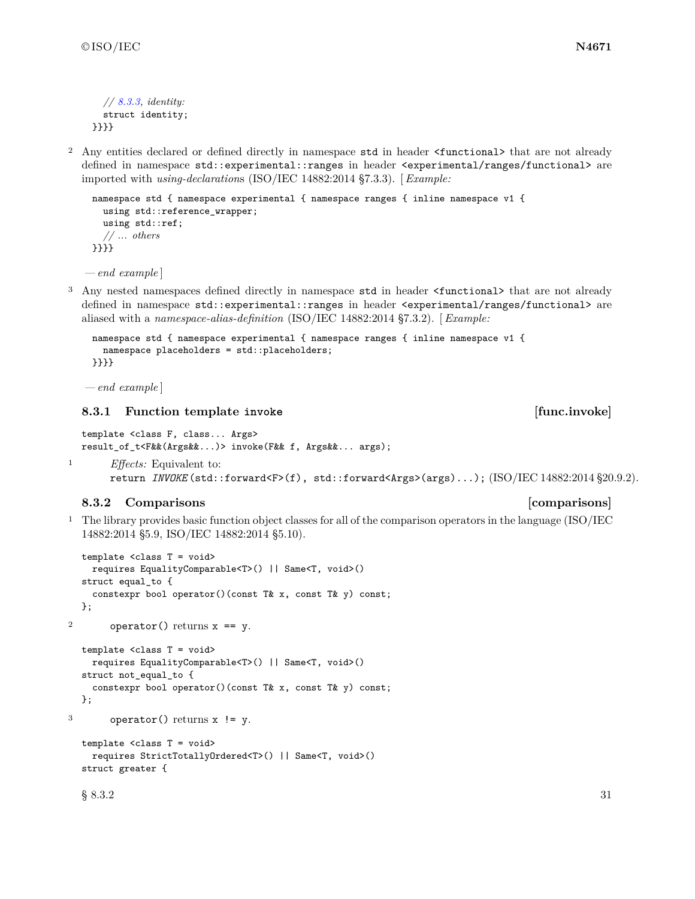```
// 8.3.3, identity:
  struct identity;
}}}}
```
<sup>2</sup> Any entities declared or defined directly in namespace std in header <functional> that are not already defined in namespace std::experimental::ranges in header <experimental/ranges/functional> are imported with *using-declaration*s (ISO/IEC 14882:2014 §7.3.3). [ *Example:*

```
namespace std { namespace experimental { namespace ranges { inline namespace v1 {
  using std::reference_wrapper;
  using std::ref;
  // ... others
}}}}
```
*— end example* ]

<sup>3</sup> Any nested namespaces defined directly in namespace std in header <functional> that are not already defined in namespace std::experimental::ranges in header <experimental/ranges/functional> are aliased with a *namespace-alias-definition* (ISO/IEC 14882:2014 §7.3.2). [ *Example:*

```
namespace std { namespace experimental { namespace ranges { inline namespace v1 {
  namespace placeholders = std::placeholders;
}}}}
```
*— end example* ]

### <span id="page-34-0"></span>**8.3.1 Function template invoke [func.invoke]**

```
template <class F, class... Args>
result_of_t<F&&(Args&&...)> invoke(F&& f, Args&&... args);
```

```
1 Effects: Equivalent to:
       return INVOKE (std::forward<F>(f), std::forward<Args>(args)...); (ISO/IEC 14882:2014 §20.9.2).
```
### <span id="page-34-1"></span>**8.3.2 Comparisons** *comparisons*

<sup>1</sup> The library provides basic function object classes for all of the comparison operators in the language (ISO/IEC 14882:2014 §5.9, ISO/IEC 14882:2014 §5.10).

```
template <class T = void>
   requires EqualityComparable<T>() || Same<T, void>()
  struct equal_to {
   constexpr bool operator()(const T& x, const T& y) const;
  };
2 operator() returns x == y.
  template <class T = void>
   requires EqualityComparable<T>() || Same<T, void>()
  struct not_equal_to {
   constexpr bool operator()(const T& x, const T& y) const;
  };
3 operator() returns x != y.
  template <class T = void>
   requires StrictTotallyOrdered<T>() || Same<T, void>()
  struct greater {
  \S 8.3.2 31
```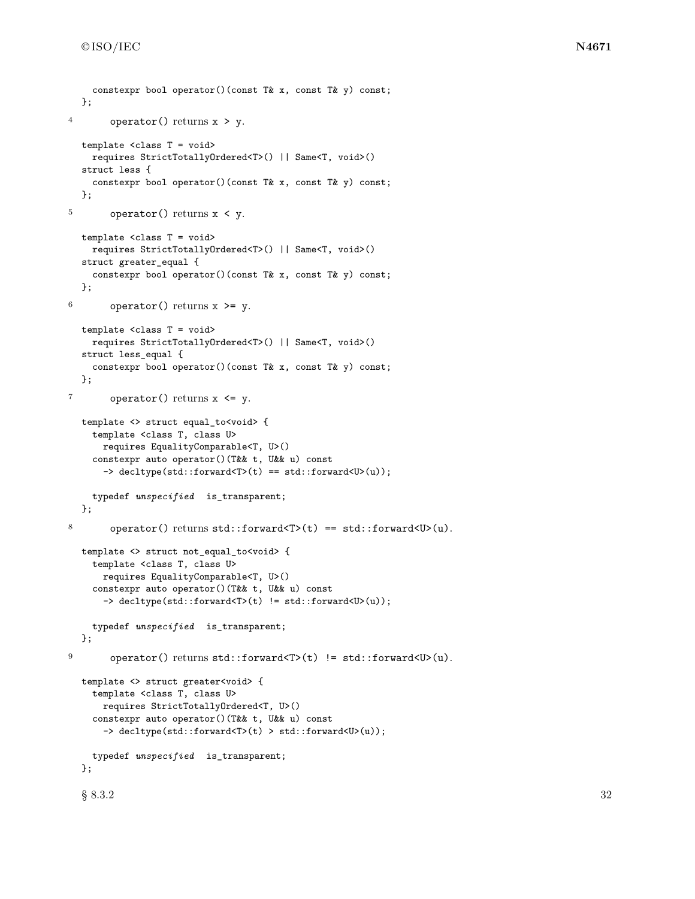```
};
4 operator() returns x > y.
  template <class T = void>
    requires StrictTotallyOrdered<T>() || Same<T, void>()
  struct less {
    constexpr bool operator()(const T& x, const T& y) const;
  };
5 operator() returns x < y.
  template <class T = void>
    requires StrictTotallyOrdered<T>() || Same<T, void>()
  struct greater_equal {
    constexpr bool operator()(const T& x, const T& y) const;
  };
6 operator() returns x \ge y.
  template <class T = void>
    requires StrictTotallyOrdered<T>() || Same<T, void>()
  struct less_equal {
    constexpr bool operator()(const T& x, const T& y) const;
  };
7 operator() returns x \leq y.
  template <> struct equal_to<void> {
    template <class T, class U>
      requires EqualityComparable<T, U>()
    constexpr auto operator()(T&& t, U&& u) const
      -> decltype(std::forward<T>(t) == std::forward<U>(u));
    typedef unspecified is_transparent;
  };
8 operator() returns std::forward<T>(t) == std::forward<U>(u).
  template <> struct not_equal_to<void> {
    template <class T, class U>
     requires EqualityComparable<T, U>()
    constexpr auto operator()(T&& t, U&& u) const
      -> decltype(std::forward<T>(t) != std::forward<U>(u));
    typedef unspecified is_transparent;
  };
9 operator() returns std::forward<T>(t) != std::forward<U>(u).
  template <> struct greater<void> {
    template <class T, class U>
     requires StrictTotallyOrdered<T, U>()
    constexpr auto operator()(T&& t, U&& u) const
      -> decltype(std::forward<T>(t) > std::forward<U>(u));
    typedef unspecified is_transparent;
  };
  \S~8.3.2 32
```
constexpr bool operator()(const T& x, const T& y) const;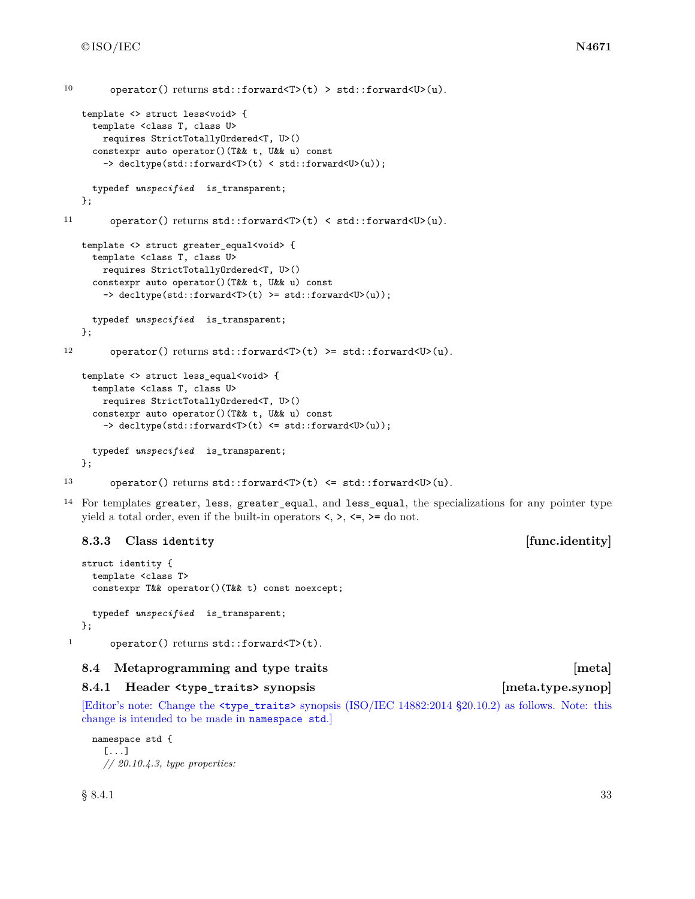```
10 operator() returns std::forward<T>(t) > std::forward<U>(u).
   template <> struct less<void> {
     template <class T, class U>
       requires StrictTotallyOrdered<T, U>()
     constexpr auto operator()(T&& t, U&& u) const
       -> decltype(std::forward<T>(t) < std::forward<U>(u));
     typedef unspecified is_transparent;
   };
11 operator() returns std::forward<T>(t) < std::forward<U>(u).
   template <> struct greater_equal<void> {
     template <class T, class U>
       requires StrictTotallyOrdered<T, U>()
     constexpr auto operator()(T&& t, U&& u) const
       -> decltype(std::forward<T>(t) >= std::forward<U>(u));
     typedef unspecified is_transparent;
   };
12 operator() returns std::forward<T>(t) >= std::forward<U>(u).
   template <> struct less_equal<void> {
     template <class T, class U>
       requires StrictTotallyOrdered<T, U>()
     constexpr auto operator()(T&& t, U&& u) const
       -> decltype(std::forward<T>(t) <= std::forward<U>(u));
     typedef unspecified is_transparent;
   };
13 operator() returns std::forward<T>(t) <= std::forward<U>(u).
```

```
14 For templates greater, less, greater_equal, and less_equal, the specializations for any pointer type
```
yield a total order, even if the built-in operators  $\langle, \rangle, \langle =, \rangle =$  do not.

# **8.3.3 Class identity [func.identity]**

```
struct identity {
    template <class T>
    constexpr T&& operator()(T&& t) const noexcept;
    typedef unspecified is_transparent;
  };
1 operator() returns std::forward<T>(t).
```
# **8.4 Metaprogramming and type traits [meta]**

# **8.4.1 Header <type\_traits> synopsis [meta.type.synop]**

[Editor's note: Change the <type\_traits> synopsis (ISO/IEC 14882:2014 §20.10.2) as follows. Note: this change is intended to be made in namespace std.]

```
namespace std {
  [...]
  // 20.10.4.3, type properties:
```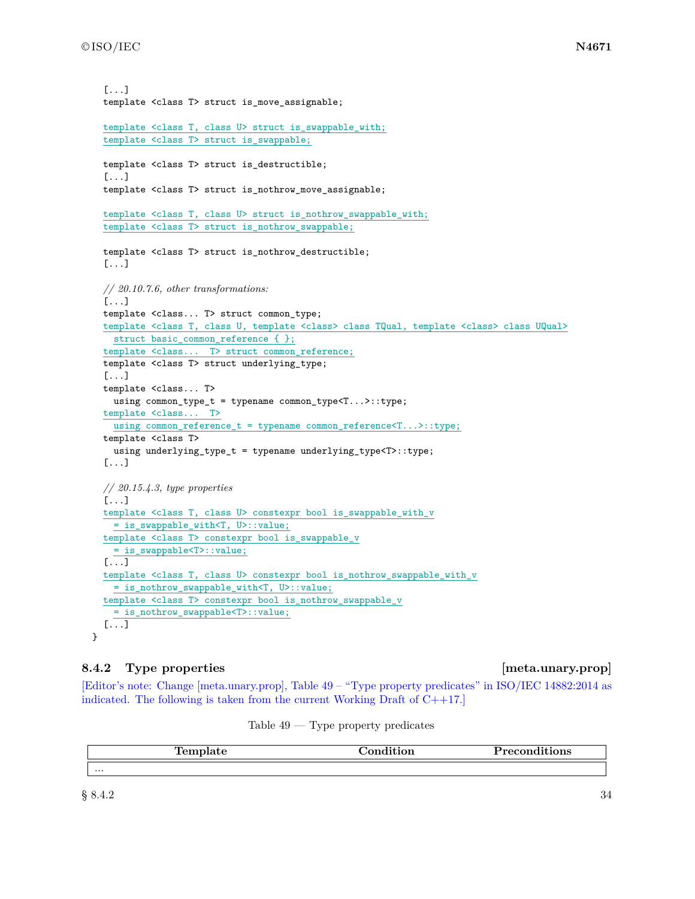```
[...]
template <class T> struct is_move_assignable;
template <class T, class U> struct is_swappable_with;
template <class T> struct is_swappable;
template <class T> struct is_destructible;
[...]
template <class T> struct is_nothrow_move_assignable;
template <class T, class U> struct is_nothrow_swappable_with;
template <class T> struct is_nothrow_swappable;
template <class T> struct is_nothrow_destructible;
[...]
// 20.10.7.6, other transformations:
[...]
template <class... T> struct common_type;
template <class T, class U, template <class> class TQual, template <class> class UQual>
 struct basic_common_reference { };
template <class... T> struct common_reference;
template <class T> struct underlying_type;
[...]
template <class... T>
  using common_type_t = typename common_type<T...>::type;
template <class... T>
  using common_reference_t = typename common_reference<T...>::type;
template <class T>
  using underlying_type_t = typename underlying_type<T>::type;
[...]
// 20.15.4.3, type properties
[...]
template <class T, class U> constexpr bool is_swappable_with_v
  = is_swappable_with<T, U>::value;
template <class T> constexpr bool is_swappable_v
  = is_swappable<T>::value;
[...]
template <class T, class U> constexpr bool is_nothrow_swappable_with_v
 = is_nothrow_swappable_with<T, U>::value;
template <class T> constexpr bool is_nothrow_swappable_v
  = is_nothrow_swappable<T>::value;
[...]
```
# **8.4.2** Type properties **in the set of the set of the set of the set of the set of the set of the set of the set of the set of the set of the set of the set of the set of the set of the set of the set of the set of the set**

[Editor's note: Change [meta.unary.prop], Table 49 – "Type property predicates" in ISO/IEC 14882:2014 as indicated. The following is taken from the current Working Draft of C++17.]

| remplate | "tion<br>$\sim$ $\sim$ | $P$ recono $\ldots$<br>nditions |
|----------|------------------------|---------------------------------|
| $\cdots$ |                        |                                 |

Table  $49$  — Type property predicates

}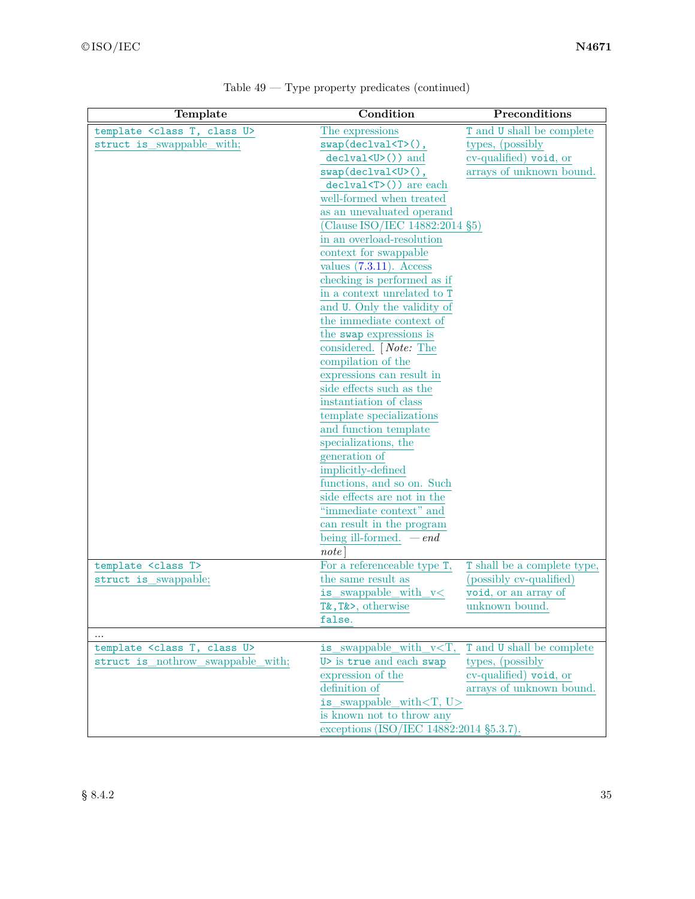| Template                                     | Condition                                              | Preconditions               |
|----------------------------------------------|--------------------------------------------------------|-----------------------------|
| template <class class="" t,="" u=""></class> | The expressions                                        | T and U shall be complete   |
| struct is swappable with;                    | $swap$ (declval $(T>()$ ,                              | types, (possibly            |
|                                              | declval <u>()) and</u>                                 | cv-qualified) void, or      |
|                                              | $swap(declval < U > ()$ ,                              | arrays of unknown bound.    |
|                                              | $dec1val(T)()$ are each                                |                             |
|                                              | well-formed when treated                               |                             |
|                                              | as an unevaluated operand                              |                             |
|                                              | (Clause ISO/IEC 14882:2014 §5)                         |                             |
|                                              | in an overload-resolution                              |                             |
|                                              | context for swappable                                  |                             |
|                                              | values $(7.3.11)$ . Access                             |                             |
|                                              | checking is performed as if                            |                             |
|                                              | in a context unrelated to T                            |                             |
|                                              | and U. Only the validity of                            |                             |
|                                              | the immediate context of                               |                             |
|                                              | the swap expressions is                                |                             |
|                                              | considered. <i>Note:</i> The                           |                             |
|                                              | compilation of the                                     |                             |
|                                              | expressions can result in                              |                             |
|                                              | side effects such as the                               |                             |
|                                              | instantiation of class                                 |                             |
|                                              | template specializations                               |                             |
|                                              | and function template                                  |                             |
|                                              | specializations, the                                   |                             |
|                                              | generation of                                          |                             |
|                                              | implicitly-defined                                     |                             |
|                                              | functions, and so on. Such                             |                             |
|                                              | side effects are not in the<br>"immediate context" and |                             |
|                                              |                                                        |                             |
|                                              | can result in the program<br>being ill-formed. $-end$  |                             |
|                                              | note                                                   |                             |
| template <class t=""></class>                | For a referenceable type T,                            | T shall be a complete type, |
| struct is swappable;                         | the same result as                                     | (possibly cv-qualified)     |
|                                              | is_swappable_with_v<                                   | void, or an array of        |
|                                              | T&, T&>, otherwise                                     | unknown bound.              |
|                                              | false.                                                 |                             |
|                                              |                                                        |                             |
| template <class class="" t,="" u=""></class> | is swappable with $v < T$ ,                            | T and U shall be complete   |
| struct is nothrow swappable with;            | U> is true and each swap                               | types, (possibly)           |
|                                              | expression of the                                      | cv-qualified) void, or      |
|                                              | definition of                                          | arrays of unknown bound.    |
|                                              | is swappable_with $(T, U)$                             |                             |
|                                              | is known not to throw any                              |                             |
|                                              | exceptions (ISO/IEC 14882:2014 §5.3.7).                |                             |

Table 49 — Type property predicates (continued)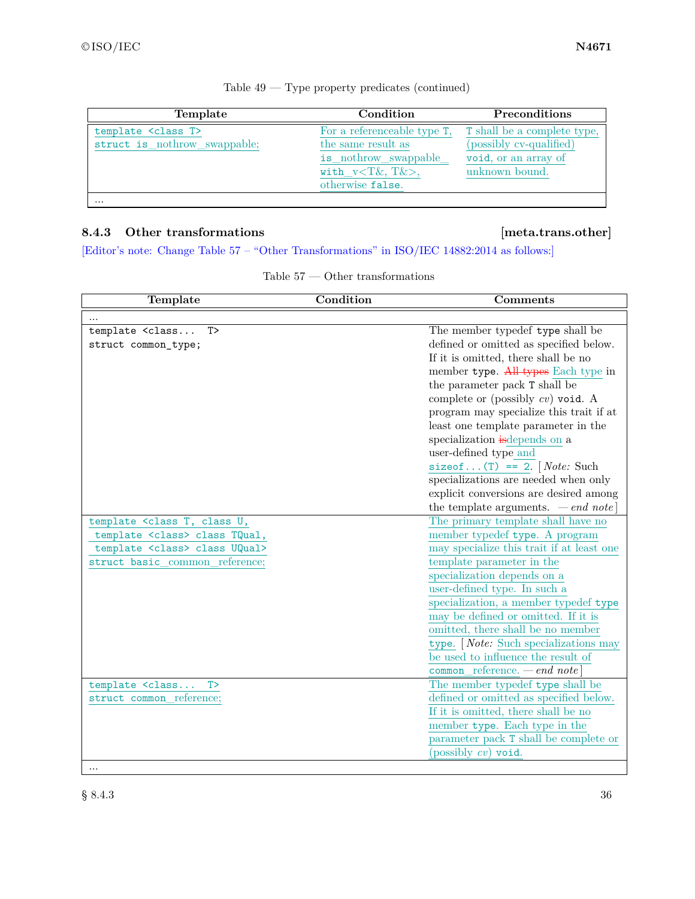| Template                                                       | Condition                                                                                                                   | <b>Preconditions</b>                                                                                    |
|----------------------------------------------------------------|-----------------------------------------------------------------------------------------------------------------------------|---------------------------------------------------------------------------------------------------------|
| template <class t=""><br/>struct is nothrow swappable;</class> | For a referenceable type T,<br>the same result as<br>is_nothrow_swappable_<br>with $v < T\&$ , $T\&>$ ,<br>otherwise false. | <b>T</b> shall be a complete type,<br>(possibly cv-qualified)<br>void, or an array of<br>unknown bound. |
| $\cdots$                                                       |                                                                                                                             |                                                                                                         |

| Table $49$ — Type property predicates (continued) |  |  |  |  |  |
|---------------------------------------------------|--|--|--|--|--|
|---------------------------------------------------|--|--|--|--|--|

# **8.4.3 Other transformations [meta.trans.other]**

[Editor's note: Change Table 57 – "Other Transformations" in ISO/IEC 14882:2014 as follows:]

| Table 57 |  | Other transformations |
|----------|--|-----------------------|
|----------|--|-----------------------|

| Template                                                                                                 | Condition | <b>Comments</b>                            |
|----------------------------------------------------------------------------------------------------------|-----------|--------------------------------------------|
|                                                                                                          |           |                                            |
| template <class<br>T</class<br>                                                                          |           | The member typedef type shall be           |
| struct common_type;                                                                                      |           | defined or omitted as specified below.     |
|                                                                                                          |           | If it is omitted, there shall be no        |
|                                                                                                          |           | member type. All types Each type in        |
|                                                                                                          |           | the parameter pack T shall be              |
|                                                                                                          |           | complete or (possibly $cv$ ) void. A       |
|                                                                                                          |           | program may specialize this trait if at    |
|                                                                                                          |           | least one template parameter in the        |
|                                                                                                          |           | specialization is depends on a             |
|                                                                                                          |           | user-defined type and                      |
|                                                                                                          |           | size<br>of (T) == 2. [Note: Such           |
|                                                                                                          |           | specializations are needed when only       |
|                                                                                                          |           | explicit conversions are desired among     |
|                                                                                                          |           | the template arguments. $\,-\,end\,note\]$ |
| template <class class="" t,="" td="" u,<=""><td></td><td>The primary template shall have no</td></class> |           | The primary template shall have no         |
| template <class> class TQual,</class>                                                                    |           | member typedef type. A program             |
| template <class> class UQual&gt;</class>                                                                 |           | may specialize this trait if at least one  |
| struct basic_common_reference;                                                                           |           | template parameter in the                  |
|                                                                                                          |           | specialization depends on a                |
|                                                                                                          |           | user-defined type. In such a               |
|                                                                                                          |           | specialization, a member typedef type      |
|                                                                                                          |           | may be defined or omitted. If it is        |
|                                                                                                          |           | omitted, there shall be no member          |
|                                                                                                          |           | type. [Note: Such specializations may      |
|                                                                                                          |           | be used to influence the result of         |
|                                                                                                          |           | common reference. $-end$ note]             |
| template <class t=""></class>                                                                            |           | The member typedef type shall be           |
| struct common_reference;                                                                                 |           | defined or omitted as specified below.     |
|                                                                                                          |           | If it is omitted, there shall be no        |
|                                                                                                          |           | member type. Each type in the              |
|                                                                                                          |           | parameter pack T shall be complete or      |
|                                                                                                          |           | (possibly $cv$ ) void.                     |
| $\cdots$                                                                                                 |           |                                            |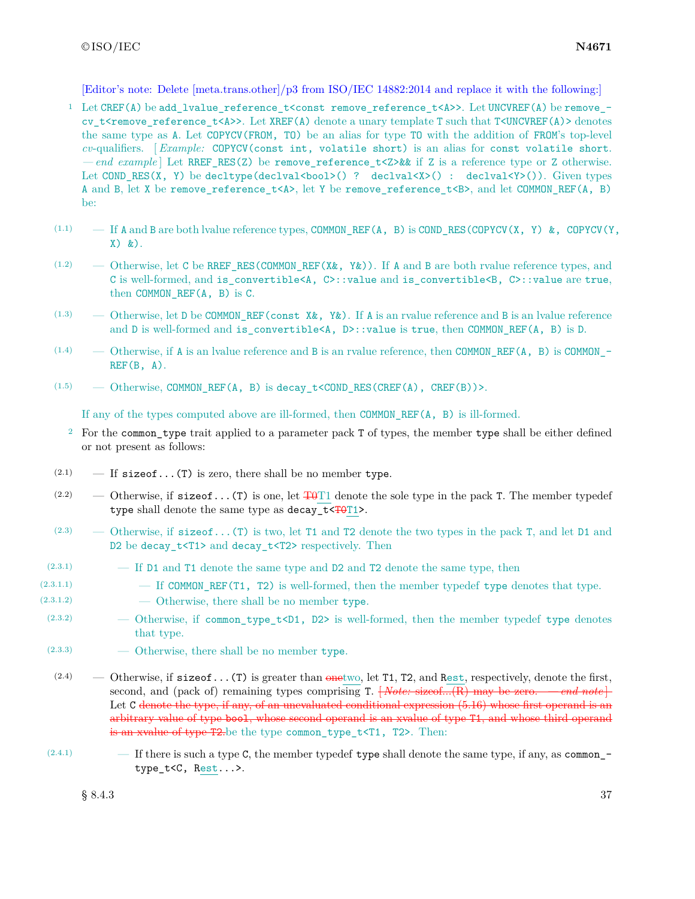[Editor's note: Delete [meta.trans.other]/p3 from ISO/IEC 14882:2014 and replace it with the following:]

- <sup>1</sup> Let CREF(A) be add lvalue reference t<const remove reference t<A>>. Let UNCVREF(A) be remove cv t<remove reference t<A>>. Let XREF(A) denote a unary template T such that T<UNCVREF(A)> denotes the same type as A. Let COPYCV(FROM, TO) be an alias for type TO with the addition of FROM's top-level *cv*-qualifiers. [ *Example:* COPYCV(const int, volatile short) is an alias for const volatile short. *— end example* ] Let RREF\_RES(Z) be remove\_reference\_t<Z>&& if Z is a reference type or Z otherwise. Let COND\_RES(X, Y) be decltype(declval<br/>sool>() ? declval<X>() : declval<Y>()). Given types A and B, let X be remove\_reference\_t<A>, let Y be remove\_reference\_t<B>, and let COMMON\_REF(A, B) be:
- $(1.1)$  If A and B are both lvalue reference types, COMMON\_REF(A, B) is COND\_RES(COPYCV(X, Y) &, COPYCV(Y, X) &).
- $(1.2)$  Otherwise, let C be RREF\_RES(COMMON\_REF(X&, Y&)). If A and B are both rvalue reference types, and C is well-formed, and is\_convertible<A, C>::value and is\_convertible<B, C>::value are true, then COMMON\_REF(A, B) is C.
- (1.3) Otherwise, let D be COMMON\_REF(const X&, Y&). If A is an rvalue reference and B is an lvalue reference and D is well-formed and is convertible<A, D>::value is true, then COMMON REF(A, B) is D.
- $(1.4)$  Otherwise, if A is an Ivalue reference and B is an rvalue reference, then COMMON REF(A, B) is COMMON - $REF(B, A)$ .
- $(1.5)$  Otherwise, COMMON\_REF(A, B) is decay\_t<COND\_RES(CREF(A), CREF(B))>.

If any of the types computed above are ill-formed, then  $COMMON$  REF $(A, B)$  is ill-formed.

- <sup>2</sup> For the common\_type trait applied to a parameter pack T of types, the member type shall be either defined or not present as follows:
- $(2.1)$  If sizeof...(T) is zero, there shall be no member type.
- (2.2) Otherwise, if  $size of ... (T)$  is one, let  $T+0T1$  denote the sole type in the pack T. The member typedef type shall denote the same type as  $decay_t < T0T1$ .
- (2.3) Otherwise, if  $sizeof...$  (T) is two, let T1 and T2 denote the two types in the pack T, and let D1 and D2 be decay  $t$ <T1> and decay  $t$ <T2> respectively. Then
- (2.3.1) If D1 and T1 denote the same type and D2 and T2 denote the same type, then
- (2.3.1.1) If COMMON\_REF(T1, T2) is well-formed, then the member typedef type denotes that type.
- $(2.3.1.2)$   $\qquad -$  Otherwise, there shall be no member type.
- (2.3.2) Otherwise, if common type  $t < D1$ , D2> is well-formed, then the member typedef type denotes that type.
- $(2.3.3)$  Otherwise, there shall be no member type.
- $(2.4)$  Otherwise, if sizeof...(T) is greater than onetwo, let T1, T2, and Rest, respectively, denote the first, second, and (pack of) remaining types comprising T.  $\overline{|\text{Note: sizeof}...(\text{R})}$  may be zero. *— end note* Let C denote the type, if any, of an unevaluated conditional expression (5.16) whose first operand is an arbitrary value of type bool, whose second operand is an xvalue of type T1, and whose third operand is an xvalue of type T2.be the type common\_type\_t<T1, T2>. Then:
- $(2.4.1)$  If there is such a type C, the member typedef type shall denote the same type, if any, as common type\_t<C, Rest...>.

 $\S 8.4.3$  37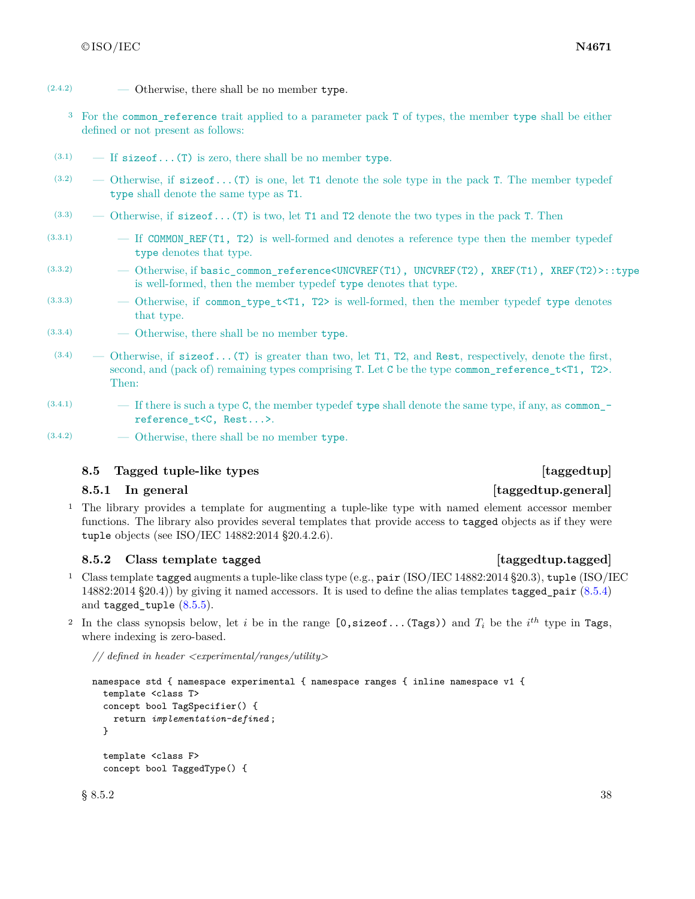- $(2.4.2)$  Otherwise, there shall be no member type.
	- <sup>3</sup> For the common reference trait applied to a parameter pack T of types, the member type shall be either defined or not present as follows:
- $(3.1)$  If sizeof...(T) is zero, there shall be no member type.
- $(3.2)$  Otherwise, if sizeof...(T) is one, let T1 denote the sole type in the pack T. The member typedef type shall denote the same type as T1.
- $(3.3)$  Otherwise, if sizeof...(T) is two, let T1 and T2 denote the two types in the pack T. Then
- $(3.3.1)$  If COMMON REF(T1, T2) is well-formed and denotes a reference type then the member typedef type denotes that type.
- (3.3.2) Otherwise, if basic\_common\_reference<UNCVREF(T1), UNCVREF(T2), XREF(T1), XREF(T2)>::type is well-formed, then the member typedef type denotes that type.
- (3.3.3) Otherwise, if common\_type\_t<T1, T2> is well-formed, then the member typedef type denotes that type.
- (3.3.4) Otherwise, there shall be no member type.
- $(3.4)$  Otherwise, if size of...(T) is greater than two, let T1, T2, and Rest, respectively, denote the first, second, and (pack of) remaining types comprising T. Let C be the type common\_reference\_t<T1, T2>. Then:
- $(3.4.1)$  If there is such a type C, the member typedef type shall denote the same type, if any, as common\_reference\_t<C, Rest...>.
- $(3.4.2)$  Otherwise, there shall be no member type.

### **8.5 Tagged tuple-like types** *n n* **<b>***n n n n n n n n n n n n n n n n n n n n n n n n n n n n n n*

### **8.5.1 In general [taggedtup.general]**

<sup>1</sup> The library provides a template for augmenting a tuple-like type with named element accessor member functions. The library also provides several templates that provide access to tagged objects as if they were tuple objects (see ISO/IEC 14882:2014 §20.4.2.6).

### **8.5.2 Class template tagged [taggedtup.tagged]**

- <sup>1</sup> Class template tagged augments a tuple-like class type (e.g., pair (ISO/IEC 14882:2014 §20.3), tuple (ISO/IEC 14882:2014 §20.4)) by giving it named accessors. It is used to define the alias templates tagged\_pair [\(8.5.4\)](#page-44-0) and tagged\_tuple [\(8.5.5\)](#page-45-0).
- <sup>2</sup> In the class synopsis below, let *i* be in the range  $[0, sizeof... (Tags))$  and  $T_i$  be the *i*<sup>th</sup> type in Tags, where indexing is zero-based.

*// defined in header <experimental/ranges/utility>*

```
namespace std { namespace experimental { namespace ranges { inline namespace v1 {
  template <class T>
  concept bool TagSpecifier() {
    return implementation-defined ;
  }
 template <class F>
  concept bool TaggedType() {
```
 $\S 8.5.2$  38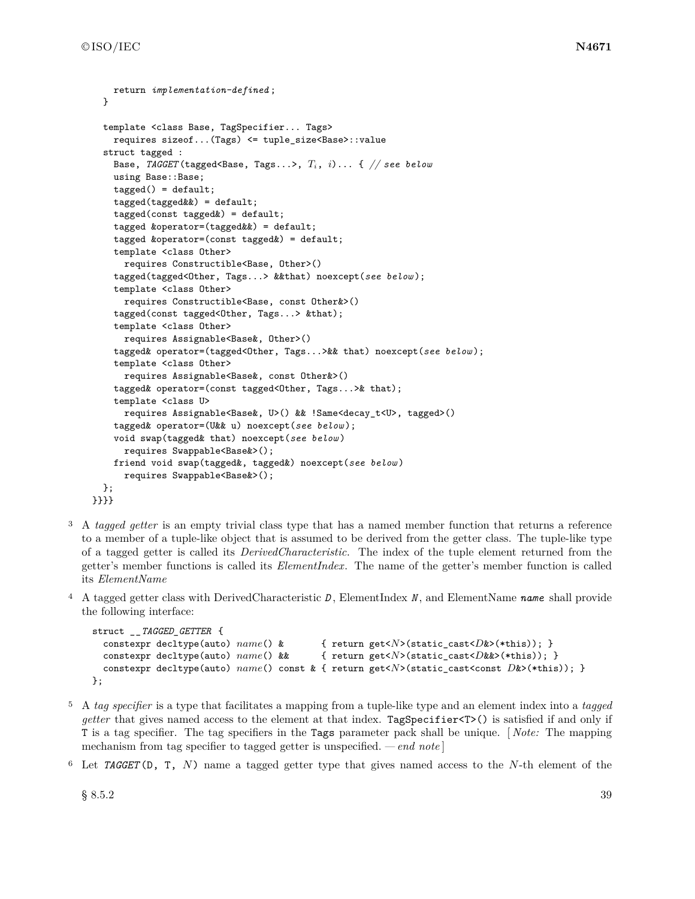```
return implementation-defined ;
  }
  template <class Base, TagSpecifier... Tags>
    requires sizeof...(Tags) <= tuple_size<Base>::value
  struct tagged :
    Base, TAGGET (tagged<Base, Tags...>, Ti, i)... { // see below
    using Base::Base;
    taged() = default;tagged(tagged&&) = default;
    tagged(const tagged&) = default;
    tagged &operator=(tagged&&) = default;
    tagged &operator=(const tagged&) = default;
    template <class Other>
      requires Constructible<Base, Other>()
    tagged(tagged<Other, Tags...> &&that) noexcept(see below );
    template <class Other>
      requires Constructible<Base, const Other&>()
    tagged(const tagged<Other, Tags...> &that);
    template <class Other>
      requires Assignable<Base&, Other>()
    tagged& operator=(tagged<Other, Tags...>&& that) noexcept(see below );
    template <class Other>
      requires Assignable<Base&, const Other&>()
    tagged& operator=(const tagged<Other, Tags...>& that);
    template <class U>
      requires Assignable<Base&, U>() && !Same<decay_t<U>, tagged>()
    tagged& operator=(U&& u) noexcept(see below );
    void swap(tagged& that) noexcept(see below )
      requires Swappable<Base&>();
    friend void swap(tagged&, tagged&) noexcept(see below )
      requires Swappable<Base&>();
  };
}}}}
```
- <sup>3</sup> A *tagged getter* is an empty trivial class type that has a named member function that returns a reference to a member of a tuple-like object that is assumed to be derived from the getter class. The tuple-like type of a tagged getter is called its *DerivedCharacteristic*. The index of the tuple element returned from the getter's member functions is called its *ElementIndex*. The name of the getter's member function is called its *ElementName*
- <sup>4</sup> A tagged getter class with DerivedCharacteristic *D* , ElementIndex *N* , and ElementName *name* shall provide the following interface:

```
struct __TAGGED_GETTER {
 constexpr decltype(auto) name() & { return get<N>(static_cast<D&>(*this)); }
 constexpr decltype(auto) name() && { return get<N>(static_cast<D&&>(*this)); }
 constexpr decltype(auto) name() const & { return get<N>(static_cast<const D&>(*this)); }
};
```
- <sup>5</sup> A *tag specifier* is a type that facilitates a mapping from a tuple-like type and an element index into a *tagged getter* that gives named access to the element at that index. TagSpecifier<T>() is satisfied if and only if T is a tag specifier. The tag specifiers in the Tags parameter pack shall be unique. [ *Note:* The mapping mechanism from tag specifier to tagged getter is unspecified. *— end note* ]
- <sup>6</sup> Let *TAGGET* (D, T, *N*) name a tagged getter type that gives named access to the *N*-th element of the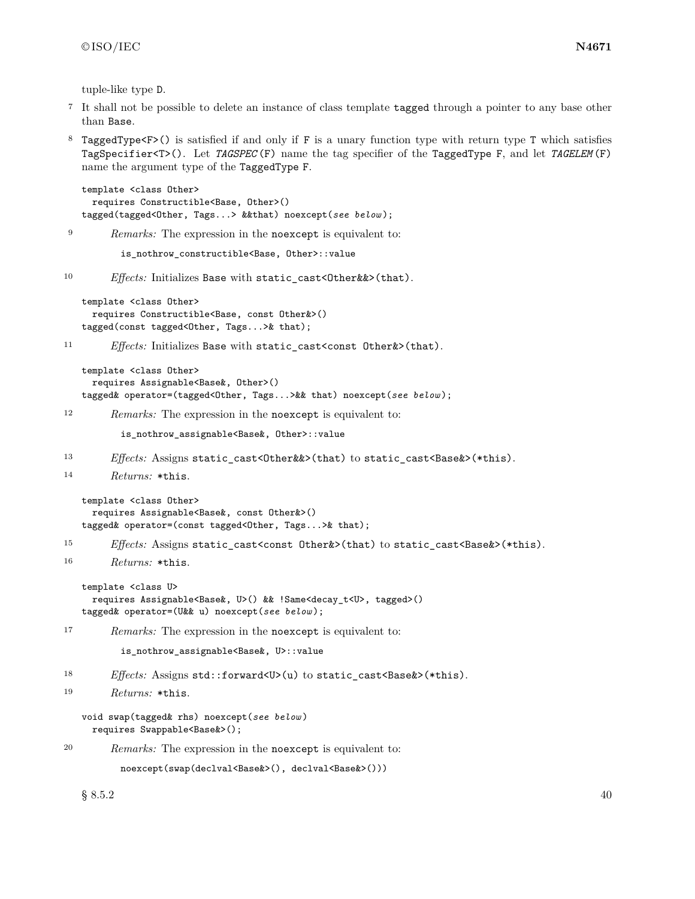tuple-like type D.

- <sup>7</sup> It shall not be possible to delete an instance of class template tagged through a pointer to any base other than Base.
- <sup>8</sup> TaggedType<F>() is satisfied if and only if F is a unary function type with return type T which satisfies TagSpecifier<T>(). Let *TAGSPEC* (F) name the tag specifier of the TaggedType F, and let *TAGELEM* (F) name the argument type of the TaggedType F.

```
template <class Other>
 requires Constructible<Base, Other>()
tagged(tagged<Other, Tags...> &&that) noexcept(see below );
```
<sup>9</sup> *Remarks:* The expression in the noexcept is equivalent to:

is\_nothrow\_constructible<Base, Other>::value

10 *Effects:* Initializes Base with static\_cast<Other&&>(that).

```
template <class Other>
 requires Constructible<Base, const Other&>()
tagged(const tagged<Other, Tags...>& that);
```
11 *Effects:* Initializes Base with static\_cast<const 0ther&>(that).

```
template <class Other>
 requires Assignable<Base&, Other>()
tagged& operator=(tagged<Other, Tags...>&& that) noexcept(see below );
```
<sup>12</sup> *Remarks:* The expression in the noexcept is equivalent to:

is\_nothrow\_assignable<Base&, Other>::value

- 13 *Effects:* Assigns static\_cast<Other&&>(that) to static\_cast<Base&>(\*this).
- <sup>14</sup> *Returns:* \*this.

```
template <class Other>
 requires Assignable<Base&, const Other&>()
tagged& operator=(const tagged<Other, Tags...>& that);
```
- 15 *Effects:* Assigns static cast<const Other&>(that) to static cast<Base&>(\*this).
- <sup>16</sup> *Returns:* \*this.

```
template <class U>
 requires Assignable<Base&, U>() && !Same<decay_t<U>, tagged>()
tagged& operator=(U&& u) noexcept(see below );
```
<sup>17</sup> *Remarks:* The expression in the noexcept is equivalent to:

is\_nothrow\_assignable<Base&, U>::value

```
18 Effects: Assigns std::forward<U>(u) to static_cast<Base&>(*this).
```
<sup>19</sup> *Returns:* \*this.

```
void swap(tagged& rhs) noexcept(see below )
 requires Swappable<Base&>();
```
<sup>20</sup> *Remarks:* The expression in the noexcept is equivalent to:

```
noexcept(swap(declval<Base&>(), declval<Base&>()))
```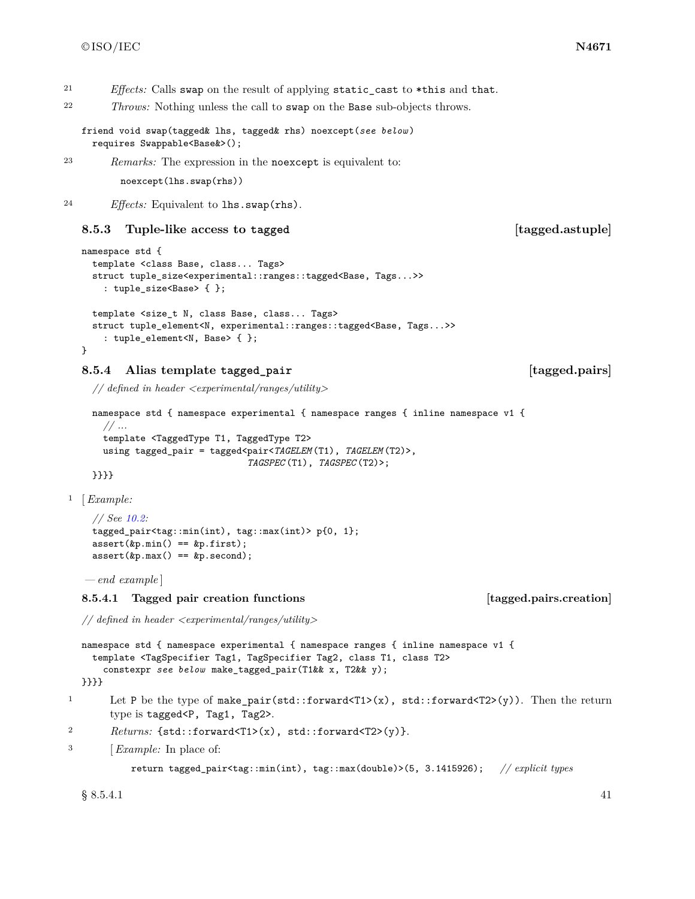<sup>21</sup> *Effects:* Calls swap on the result of applying static\_cast to \*this and that.

<sup>22</sup> *Throws:* Nothing unless the call to swap on the Base sub-objects throws.

friend void swap(tagged& lhs, tagged& rhs) noexcept(*see below* ) requires Swappable<Base&>();

<sup>23</sup> *Remarks:* The expression in the noexcept is equivalent to:

noexcept(lhs.swap(rhs))

<sup>24</sup> *Effects:* Equivalent to lhs.swap(rhs).

### **8.5.3 Tuple-like access to tagged [tagged.astuple]**

```
namespace std {
 template <class Base, class... Tags>
  struct tuple_size<experimental::ranges::tagged<Base, Tags...>>
    : tuple_size<Base> { };
 template <size_t N, class Base, class... Tags>
 struct tuple_element<N, experimental::ranges::tagged<Base, Tags...>>
    : tuple_element<N, Base> { };
}
```
### <span id="page-44-0"></span>**8.5.4 Alias template tagged\_pair [tagged.pairs]**

*// defined in header <experimental/ranges/utility>*

```
namespace std { namespace experimental { namespace ranges { inline namespace v1 {
  // ...
 template <TaggedType T1, TaggedType T2>
 using tagged_pair = tagged<pair<TAGELEM (T1), TAGELEM (T2)>,
                              TAGSPEC (T1), TAGSPEC (T2)>;
```
}}}}

<sup>1</sup> [*Example:*

```
// See 10.2:
tagged_pair<tag::min(int), tag::max(int)> p{0, 1};
assert(&p.min() == &p.first);
assert(&p.max() == &p.second);
```
*— end example* ]

### **8.5.4.1 Tagged pair creation functions [tagged.pairs.creation]**

*// defined in header <experimental/ranges/utility>*

```
namespace std { namespace experimental { namespace ranges { inline namespace v1 {
  template <TagSpecifier Tag1, TagSpecifier Tag2, class T1, class T2>
    constexpr see below make_tagged_pair(T1&& x, T2&& y);
}}}}
```
- <sup>1</sup> Let P be the type of make pair(std::forward<T1>(x), std::forward<T2>(y)). Then the return type is tagged<P, Tag1, Tag2>.
- 2 *Returns:* {std::forward<T1>(x), std::forward<T2>(y)}.
- <sup>3</sup> [*Example:* In place of:

```
return tagged_pair<tag::min(int), tag::max(double)>(5, 3.1415926); // explicit types
```
 $\S 8.5.4.1$  41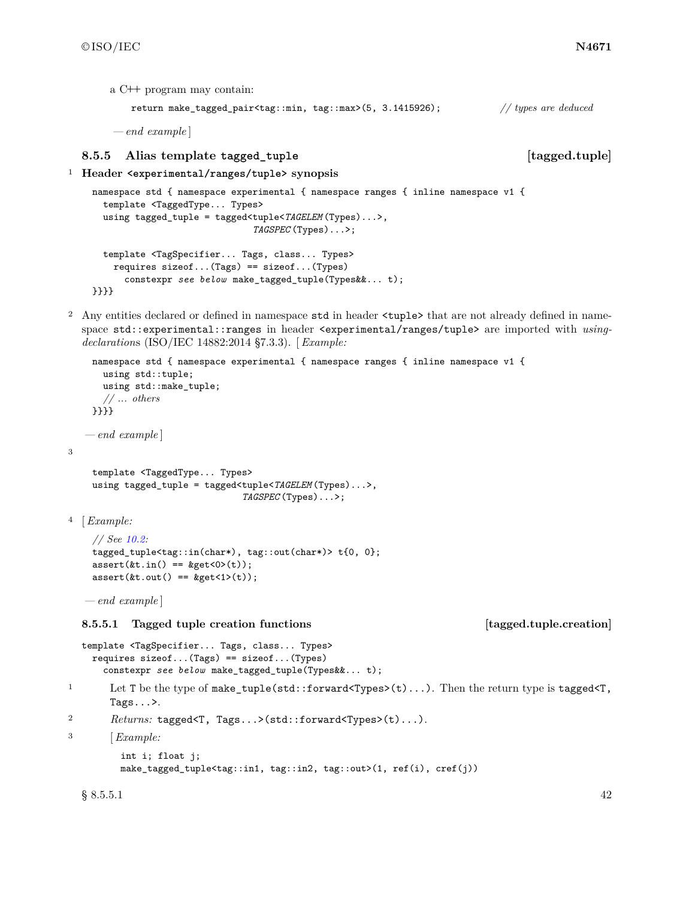a C**++** program may contain:

return make\_tagged\_pair<tag::min, tag::max>(5, 3.1415926); *// types are deduced*

*— end example* ]

### <span id="page-45-0"></span>**8.5.5 Alias template tagged\_tuple [tagged.tuple]**

```
1 Header <experimental/ranges/tuple> synopsis
```

```
namespace std { namespace experimental { namespace ranges { inline namespace v1 {
 template <TaggedType... Types>
 using tagged_tuple = tagged<tuple<TAGELEM (Types)...>,
                              TAGSPEC (Types)...>;
  template <TagSpecifier... Tags, class... Types>
    requires sizeof...(Tags) == sizeof...(Types)
      constexpr see below make_tagged_tuple(Types&&... t);
}}}}
```
<sup>2</sup> Any entities declared or defined in namespace std in header <tuple> that are not already defined in namespace std::experimental::ranges in header <experimental/ranges/tuple> are imported with *usingdeclaration*s (ISO/IEC 14882:2014 §7.3.3). [ *Example:*

```
namespace std { namespace experimental { namespace ranges { inline namespace v1 {
       using std::tuple;
       using std::make_tuple;
      // ... others
    }}}}
   — end example ]
    template <TaggedType... Types>
    using tagged_tuple = tagged<tuple<TAGELEM (Types)...>,
                                   TAGSPEC (Types)...>;
4 [Example:
     // See 10.2:
     tagged_tuple<tag::in(char*), tag::out(char*)> t{0, 0};
     assert(kt.in() == <code>kget&lt;0&gt;(t));assert(&t.out() == <code>kget</code><math>&lt;</math><math>1 &gt;</math><math>(t))</math>;— end example ]
  8.5.5.1 Tagged tuple creation functions [tagged.tuple.creation]
  template <TagSpecifier... Tags, class... Types>
```
requires sizeof...(Tags) == sizeof...(Types) constexpr *see below* make\_tagged\_tuple(Types&&... t);

<sup>1</sup> Let T be the type of make tuple(std::forward<Types>(t)...). Then the return type is tagged<T, Tags...>.

<sup>2</sup> *Returns:* tagged<T, Tags...>(std::forward<Types>(t)...).

```
3 [Example:
```
3

```
int i; float j;
make_tagged_tuple<tag::in1, tag::in2, tag::out>(1, ref(i), cref(j))
```
 $\S 8.5.5.1$  42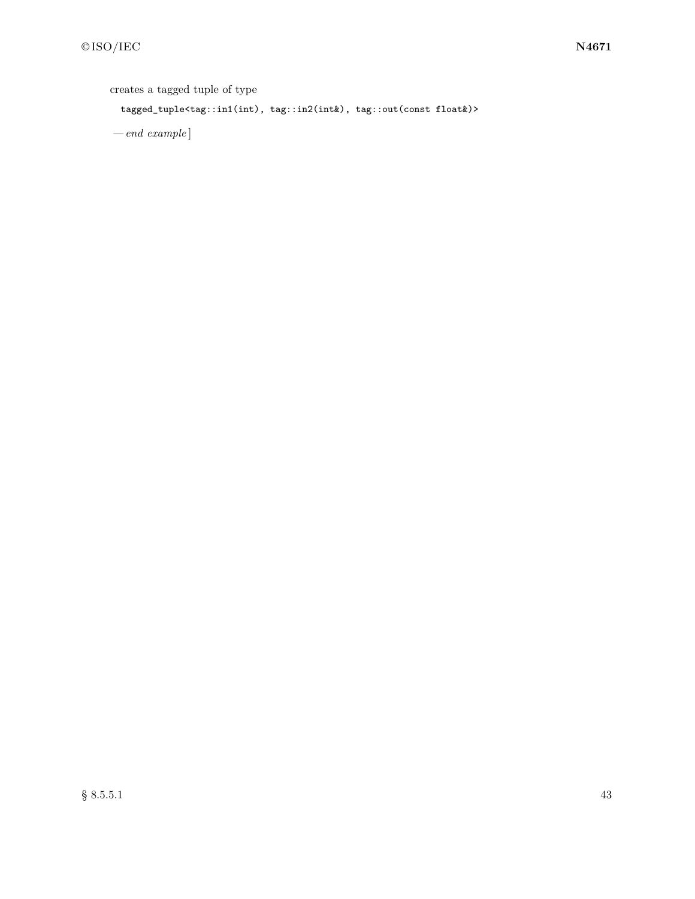creates a tagged tuple of type

tagged\_tuple<tag::in1(int), tag::in2(int&), tag::out(const float&)>

*— end example* ]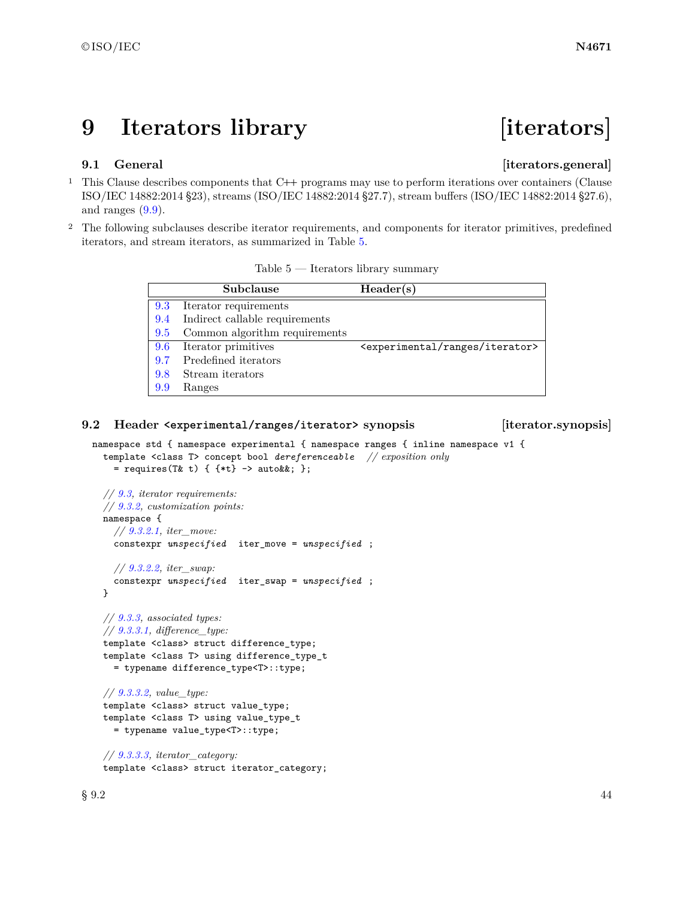# **9 Iterators library [iterators]**

### **9.1 General idea is a constructed idea is a constructed idea in the construction of the construction**  $\left[$  **i** terators.general

- <sup>1</sup> This Clause describes components that C**++** programs may use to perform iterations over containers (Clause ISO/IEC 14882:2014 §23), streams (ISO/IEC 14882:2014 §27.7), stream buffers (ISO/IEC 14882:2014 §27.6), and ranges  $(9.9)$ .
- <sup>2</sup> The following subclauses describe iterator requirements, and components for iterator primitives, predefined iterators, and stream iterators, as summarized in Table [5.](#page-47-0)

<span id="page-47-0"></span>

|     | Subclause                      | Header(s)                                           |
|-----|--------------------------------|-----------------------------------------------------|
| 9.3 | Iterator requirements          |                                                     |
| 9.4 | Indirect callable requirements |                                                     |
| 9.5 | Common algorithm requirements  |                                                     |
| 9.6 | Iterator primitives            | <experimental iterator="" ranges=""></experimental> |
| 9.7 | Predefined iterators           |                                                     |
| 9.8 | Stream iterators               |                                                     |
| 9.9 | Ranges                         |                                                     |

### **9.2 Header <experimental/ranges/iterator> synopsis [iterator.synopsis]**

```
namespace std { namespace experimental { namespace ranges { inline namespace v1 {
  template <class T> concept bool dereferenceable // exposition only
    = requires(T& t) { {*t} -> auto&&; };
  // 9.3, iterator requirements:
  // 9.3.2, customization points:
  namespace {
    // 9.3.2.1, iter_move:
    constexpr unspecified iter_move = unspecified ;
    // 9.3.2.2, iter_swap:
    constexpr unspecified iter_swap = unspecified ;
  }
```
*// [9.3.3,](#page-60-1) associated types: // [9.3.3.1,](#page-60-2) difference\_type:* template <class> struct difference\_type; template <class T> using difference\_type\_t = typename difference\_type<T>::type;

*// [9.3.3.2,](#page-61-0) value\_type:* template <class> struct value\_type; template <class T> using value\_type\_t = typename value\_type<T>::type;

*// [9.3.3.3,](#page-61-1) iterator\_category:* template <class> struct iterator\_category;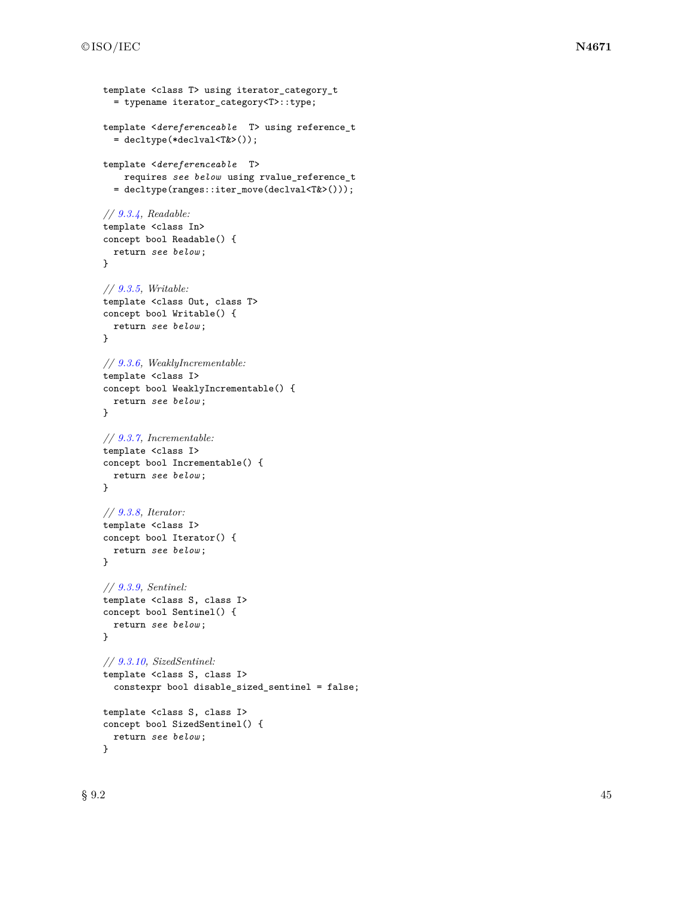```
template <class T> using iterator_category_t
  = typename iterator_category<T>::type;
template <dereferenceable T> using reference_t
  = decltype(*declval<T&>());
template <dereferenceable T>
   requires see below using rvalue_reference_t
  = decltype(ranges::iter_move(declval<T&>()));
// 9.3.4, Readable:
template <class In>
concept bool Readable() {
 return see below ;
}
// 9.3.5, Writable:
template <class Out, class T>
concept bool Writable() {
 return see below ;
}
// 9.3.6, WeaklyIncrementable:
template <class I>
concept bool WeaklyIncrementable() {
 return see below ;
}
// 9.3.7, Incrementable:
template <class I>
concept bool Incrementable() {
 return see below ;
}
// 9.3.8, Iterator:
template <class I>
concept bool Iterator() {
 return see below ;
}
// 9.3.9, Sentinel:
template <class S, class I>
concept bool Sentinel() {
 return see below ;
}
// 9.3.10, SizedSentinel:
template <class S, class I>
  constexpr bool disable_sized_sentinel = false;
template <class S, class I>
concept bool SizedSentinel() {
  return see below ;
}
```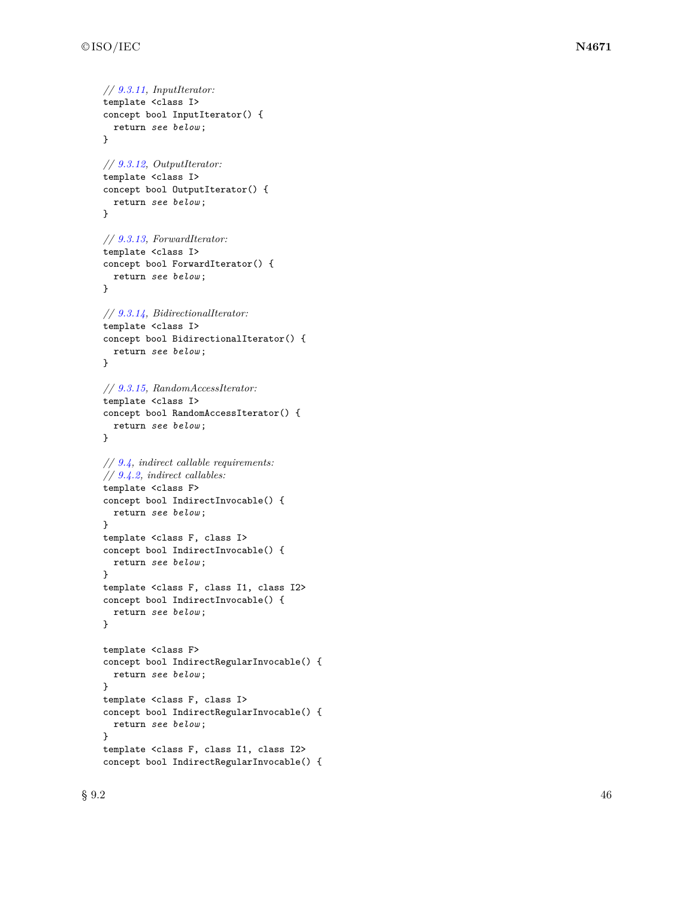```
// 9.3.11, InputIterator:
template <class I>
concept bool InputIterator() {
  return see below
;
}
// 9.3.12, OutputIterator:
template <class I>
concept bool OutputIterator() {
  return see below
;
}
// 9.3.13, ForwardIterator:
template <class I>
concept bool ForwardIterator() {
  return see below
;
}
// 9.3.14, BidirectionalIterator:
template <class I>
concept bool BidirectionalIterator() {
  return see below
;
}
// 9.3.15, RandomAccessIterator:
template <class I>
concept bool RandomAccessIterator() {
  return see below
;
}
// 9.4, indirect callable requirements:
// 9.4.2, indirect callables:
template <class F>
concept bool IndirectInvocable() {
  return see below
;
}
template <class F, class I>
concept bool IndirectInvocable() {
  return see below
;
}
template <class F, class I1, class I2>
concept bool IndirectInvocable() {
  return see below
;
}
template <class F>
concept bool IndirectRegularInvocable() {
  return see below
;
}
template <class F, class I>
concept bool IndirectRegularInvocable() {
  return see below
;
}
template <class F, class I1, class I2>
concept bool IndirectRegularInvocable() {
```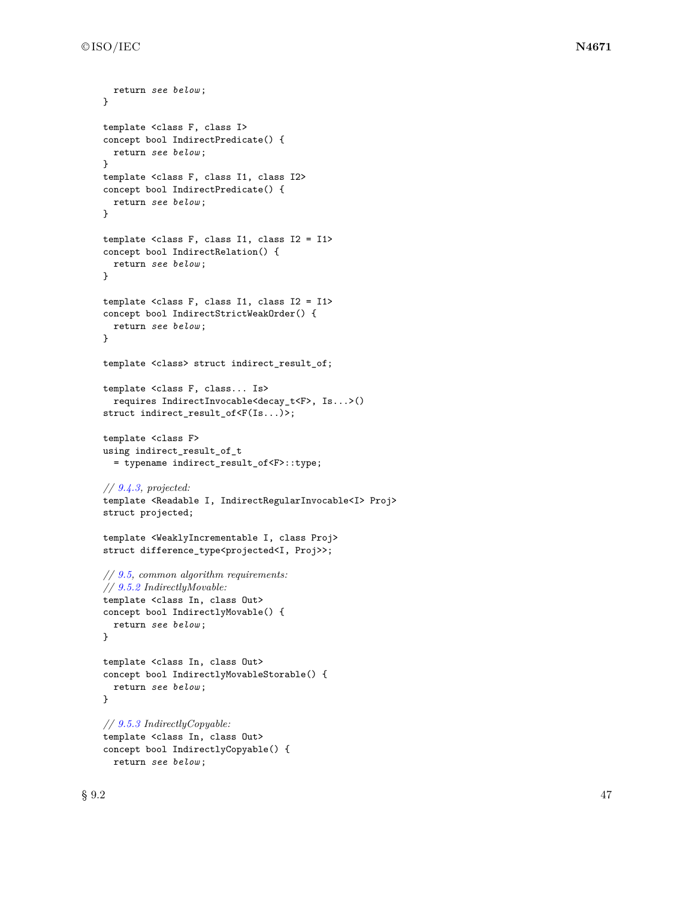```
return see below ;
}
template <class F, class I>
concept bool IndirectPredicate() {
 return see below ;
}
template <class F, class I1, class I2>
concept bool IndirectPredicate() {
 return see below ;
}
template <class F, class I1, class I2 = I1>
concept bool IndirectRelation() {
 return see below ;
}
template <class F, class I1, class I2 = I1>
concept bool IndirectStrictWeakOrder() {
 return see below ;
}
template <class> struct indirect_result_of;
template <class F, class... Is>
  requires IndirectInvocable<decay_t<F>, Is...>()
struct indirect_result_of<F(Is...)>;
template <class F>
using indirect_result_of_t
  = typename indirect_result_of<F>::type;
// 9.4.3, projected:
template <Readable I, IndirectRegularInvocable<I> Proj>
struct projected;
template <WeaklyIncrementable I, class Proj>
struct difference_type<projected<I, Proj>>;
// 9.5, common algorithm requirements:
// 9.5.2 IndirectlyMovable:
template <class In, class Out>
concept bool IndirectlyMovable() {
 return see below ;
}
template <class In, class Out>
concept bool IndirectlyMovableStorable() {
 return see below ;
}
// 9.5.3 IndirectlyCopyable:
template <class In, class Out>
concept bool IndirectlyCopyable() {
 return see below ;
```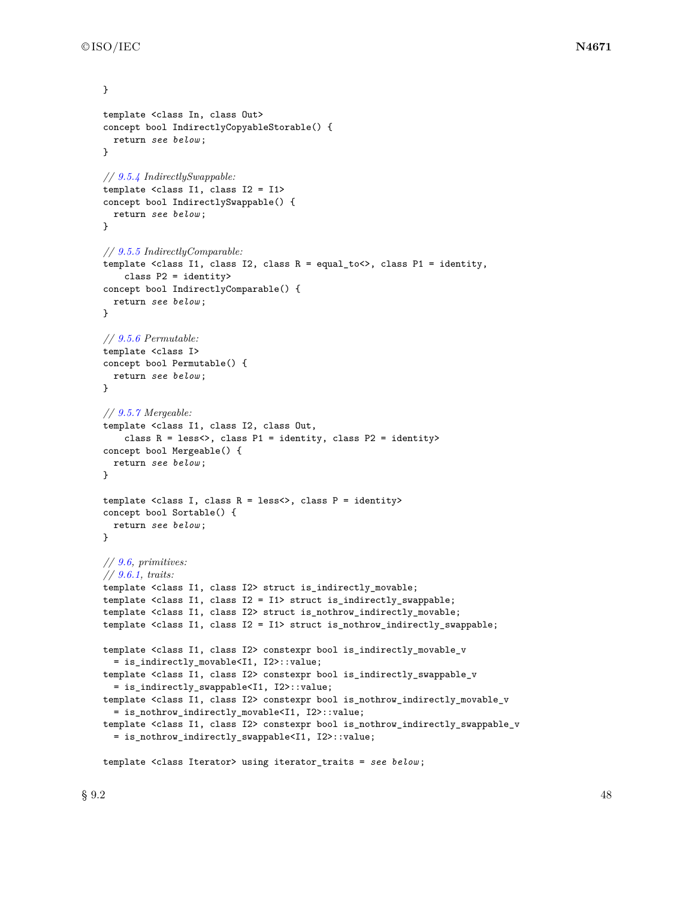```
}
template <class In, class Out>
concept bool IndirectlyCopyableStorable() {
  return see below ;
}
// 9.5.4 IndirectlySwappable:
template <class I1, class I2 = I1>
concept bool IndirectlySwappable() {
 return see below ;
}
// 9.5.5 IndirectlyComparable:
template <class I1, class I2, class R = equal_to<>, class P1 = identity,
    class P2 = identity>
concept bool IndirectlyComparable() {
 return see below ;
}
// 9.5.6 Permutable:
template <class I>
concept bool Permutable() {
 return see below ;
}
// 9.5.7 Mergeable:
template <class I1, class I2, class Out,
    class R = less<>, class P1 = identity, class P2 = identity>
concept bool Mergeable() {
  return see below ;
}
template <class I, class R = less<>, class P = identity>
concept bool Sortable() {
 return see below ;
}
// 9.6, primitives:
// 9.6.1, traits:
template <class I1, class I2> struct is_indirectly_movable;
template <class I1, class I2 = I1> struct is_indirectly_swappable;
template <class I1, class I2> struct is_nothrow_indirectly_movable;
template <class I1, class I2 = I1> struct is_nothrow_indirectly_swappable;
template <class I1, class I2> constexpr bool is_indirectly_movable_v
  = is_indirectly_movable<I1, I2>::value;
template <class I1, class I2> constexpr bool is_indirectly_swappable_v
  = is_indirectly_swappable<I1, I2>::value;
template <class I1, class I2> constexpr bool is_nothrow_indirectly_movable_v
  = is_nothrow_indirectly_movable<I1, I2>::value;
template <class I1, class I2> constexpr bool is_nothrow_indirectly_swappable_v
  = is_nothrow_indirectly_swappable<I1, I2>::value;
```
template <class Iterator> using iterator\_traits = *see below* ;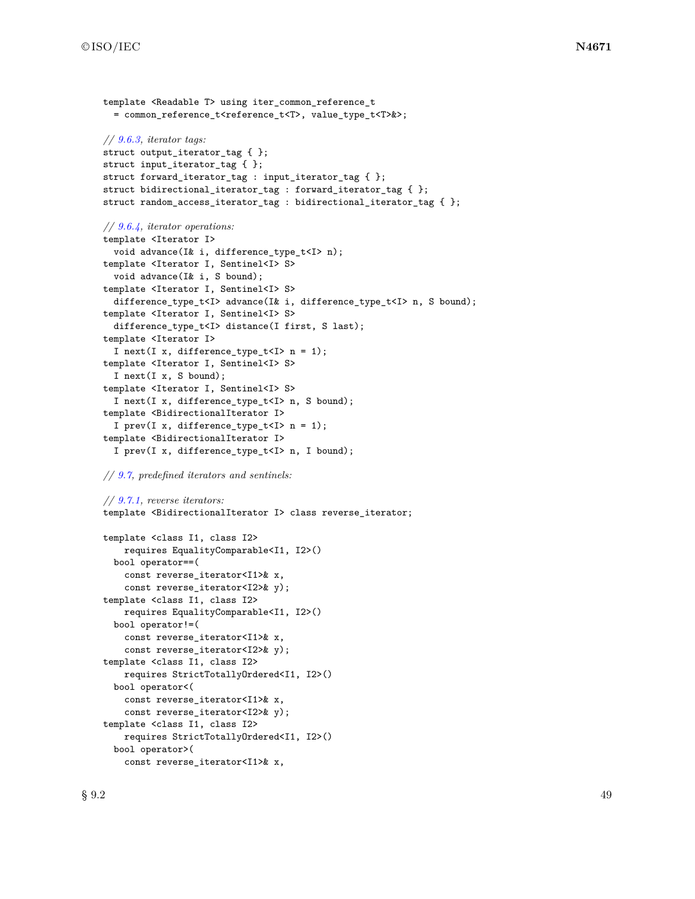```
template <Readable T> using iter_common_reference_t
  = common_reference_t<reference_t<T>, value_type_t<T>&>;
// 9.6.3, iterator tags:
struct output_iterator_tag { };
struct input_iterator_tag { };
struct forward_iterator_tag : input_iterator_tag { };
struct bidirectional_iterator_tag : forward_iterator_tag { };
struct random_access_iterator_tag : bidirectional_iterator_tag { };
// 9.6.4, iterator operations:
template <Iterator I>
  void advance(I& i, difference_type_t<I> n);
template <Iterator I, Sentinel<I> S>
  void advance(I& i, S bound);
template <Iterator I, Sentinel<I> S>
  difference_type_t<I> advance(I& i, difference_type_t<I> n, S bound);
template <Iterator I, Sentinel<I> S>
  difference_type_t<I> distance(I first, S last);
template <Iterator I>
  I next(I x, difference_type_t<I> n = 1);
template <Iterator I, Sentinel<I> S>
  I next(I x, S bound);
template <Iterator I, Sentinel<I> S>
  I next(I x, difference_type_t<I> n, S bound);
template <BidirectionalIterator I>
  I prev(I x, difference_type_t<I> n = 1);
template <BidirectionalIterator I>
  I prev(I x, difference_type_t<I> n, I bound);
```
*// [9.7,](#page-78-0) predefined iterators and sentinels:*

```
// 9.7.1, reverse iterators:
template <BidirectionalIterator I> class reverse_iterator;
```

```
template <class I1, class I2>
    requires EqualityComparable<I1, I2>()
 bool operator==(
    const reverse_iterator<I1>& x,
    const reverse_iterator<I2>& y);
template <class I1, class I2>
   requires EqualityComparable<I1, I2>()
 bool operator!=(
   const reverse_iterator<I1>& x,
    const reverse_iterator<I2>& y);
template <class I1, class I2>
   requires StrictTotallyOrdered<I1, I2>()
 bool operator<(
    const reverse_iterator<I1>& x,
    const reverse_iterator<I2>& y);
template <class I1, class I2>
    requires StrictTotallyOrdered<I1, I2>()
 bool operator>(
    const reverse_iterator<I1>& x,
```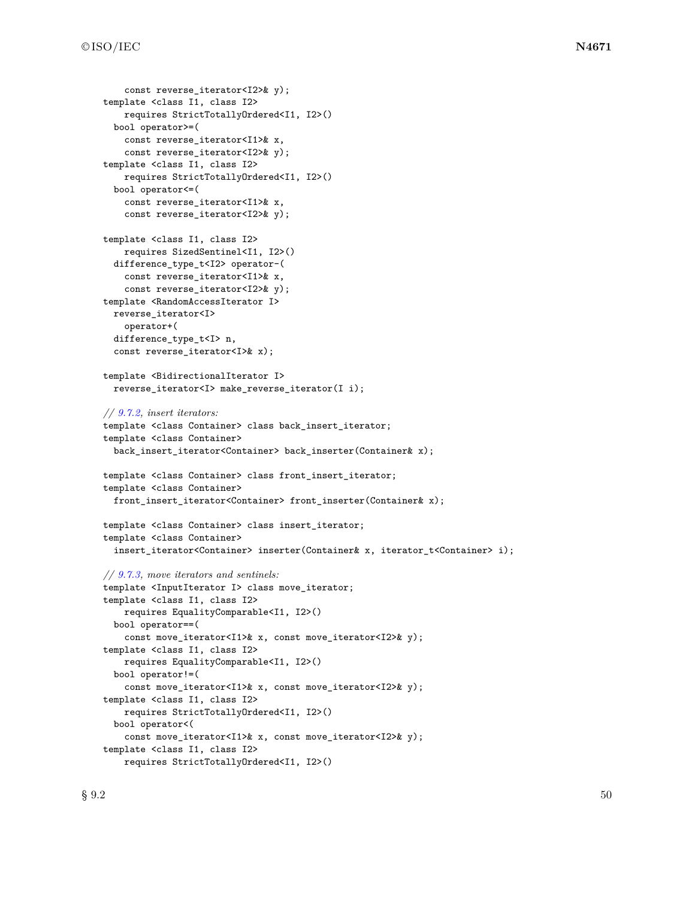```
const reverse iterator<I2>& y);
template <class I1, class I2>
    requires StrictTotallyOrdered<I1, I2>()
  bool operator>=(
    const reverse_iterator<I1>& x,
    const reverse_iterator<I2>& y);
template <class I1, class I2>
    requires StrictTotallyOrdered<I1, I2>()
  bool operator<=(
    const reverse_iterator<I1>& x,
    const reverse_iterator<I2>& y);
template <class I1, class I2>
    requires SizedSentinel<I1, I2>()
  difference_type_t<I2> operator-(
    const reverse_iterator<I1>& x,
    const reverse_iterator<I2>& y);
template <RandomAccessIterator I>
 reverse_iterator<I>
    operator+(
  difference_type_t<I> n,
  const reverse_iterator<I>& x);
template <BidirectionalIterator I>
  reverse_iterator<I> make_reverse_iterator(I i);
// 9.7.2, insert iterators:
template <class Container> class back_insert_iterator;
template <class Container>
  back_insert_iterator<Container> back_inserter(Container& x);
template <class Container> class front_insert_iterator;
template <class Container>
  front_insert_iterator<Container> front_inserter(Container& x);
template <class Container> class insert_iterator;
template <class Container>
  insert_iterator<Container> inserter(Container& x, iterator_t<Container> i);
// 9.7.3, move iterators and sentinels:
template <InputIterator I> class move_iterator;
template <class I1, class I2>
    requires EqualityComparable<I1, I2>()
  bool operator==(
    const move_iterator<I1>& x, const move_iterator<I2>& y);
template <class I1, class I2>
    requires EqualityComparable<I1, I2>()
  bool operator!=(
    const move_iterator<I1>& x, const move_iterator<I2>& y);
template <class I1, class I2>
    requires StrictTotallyOrdered<I1, I2>()
  bool operator<(
    const move_iterator<I1>& x, const move_iterator<I2>& y);
template <class I1, class I2>
    requires StrictTotallyOrdered<I1, I2>()
```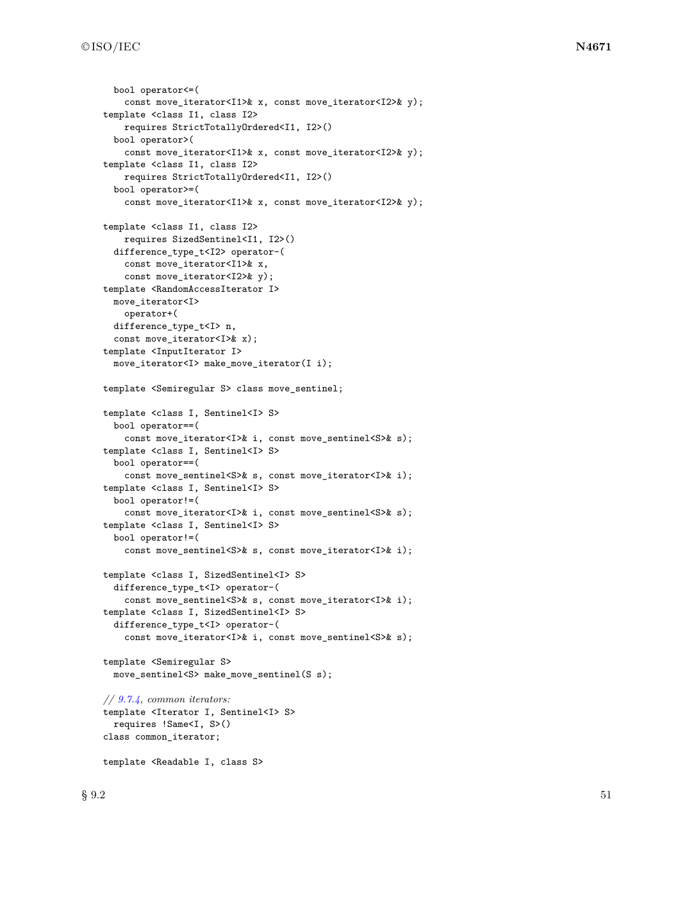```
bool operator<=(
    const move_iterator<I1>& x, const move_iterator<I2>& y);
template <class I1, class I2>
    requires StrictTotallyOrdered<I1, I2>()
  bool operator>(
    const move_iterator<I1>& x, const move_iterator<I2>& y);
template <class I1, class I2>
    requires StrictTotallyOrdered<I1, I2>()
  bool operator>=(
    const move_iterator<I1>& x, const move_iterator<I2>& y);
template <class I1, class I2>
    requires SizedSentinel<I1, I2>()
  difference_type_t<I2> operator-(
    const move_iterator<I1>& x,
    const move_iterator<I2>& y);
template <RandomAccessIterator I>
 move_iterator<I>
    operator+(
  difference_type_t<I> n,
  const move_iterator<I>& x);
template <InputIterator I>
 move_iterator<I> make_move_iterator(I i);
template <Semiregular S> class move_sentinel;
template <class I, Sentinel<I> S>
  bool operator==(
    const move_iterator<I>& i, const move_sentinel<S>& s);
template <class I, Sentinel<I> S>
  bool operator==(
    const move_sentinel<S>& s, const move_iterator<I>& i);
template <class I, Sentinel<I> S>
  bool operator!=(
    const move_iterator<I>& i, const move_sentinel<S>& s);
template <class I, Sentinel<I> S>
  bool operator!=(
    const move_sentinel<S>& s, const move_iterator<I>& i);
template <class I, SizedSentinel<I> S>
  difference_type_t<I> operator-(
    const move_sentinel<S>& s, const move_iterator<I>& i);
template <class I, SizedSentinel<I> S>
  difference_type_t<I> operator-(
    const move_iterator<I>& i, const move_sentinel<S>& s);
template <Semiregular S>
  move_sentinel<S> make_move_sentinel(S s);
// 9.7.4, common iterators:
template <Iterator I, Sentinel<I> S>
  requires !Same<I, S>()
class common_iterator;
template <Readable I, class S>
```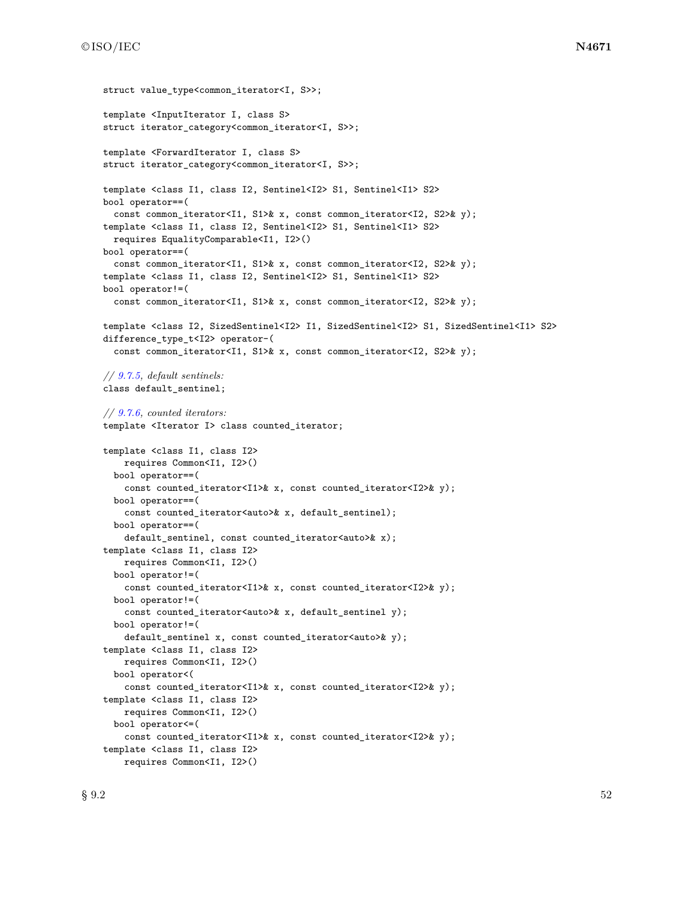```
struct value type<common iterator<I, S>>;
template <InputIterator I, class S>
struct iterator_category<common_iterator<I, S>>;
template <ForwardIterator I, class S>
struct iterator_category<common_iterator<I, S>>;
template <class I1, class I2, Sentinel<I2> S1, Sentinel<I1> S2>
bool operator==(
  const common_iterator<I1, S1>& x, const common_iterator<I2, S2>& y);
template <class I1, class I2, Sentinel<I2> S1, Sentinel<I1> S2>
  requires EqualityComparable<I1, I2>()
bool operator==(
  const common_iterator<I1, S1>& x, const common_iterator<I2, S2>& y);
template <class I1, class I2, Sentinel<I2> S1, Sentinel<I1> S2>
bool operator!=(
  const common_iterator<I1, S1>& x, const common_iterator<I2, S2>& y);
template <class I2, SizedSentinel<I2> I1, SizedSentinel<I2> S1, SizedSentinel<I1> S2>
difference_type_t<I2> operator-(
  const common_iterator<I1, S1>& x, const common_iterator<I2, S2>& y);
// 9.7.5, default sentinels:
class default_sentinel;
// 9.7.6, counted iterators:
template <Iterator I> class counted_iterator;
template <class I1, class I2>
    requires Common<I1, I2>()
  bool operator==(
    const counted_iterator<I1>& x, const counted_iterator<I2>& y);
  bool operator==(
    const counted_iterator<auto>& x, default_sentinel);
  bool operator==(
    default_sentinel, const counted_iterator<auto>& x);
template <class I1, class I2>
    requires Common<I1, I2>()
  bool operator!=(
    const counted_iterator<I1>& x, const counted_iterator<I2>& y);
  bool operator!=(
    const counted_iterator<auto>& x, default_sentinel y);
  bool operator!=(
    default_sentinel x, const counted_iterator<auto>& y);
template <class I1, class I2>
   requires Common<I1, I2>()
  bool operator<(
    const counted_iterator<I1>& x, const counted_iterator<I2>& y);
template <class I1, class I2>
    requires Common<I1, I2>()
  bool operator<=(
    const counted_iterator<I1>& x, const counted_iterator<I2>& y);
template <class I1, class I2>
    requires Common<I1, I2>()
```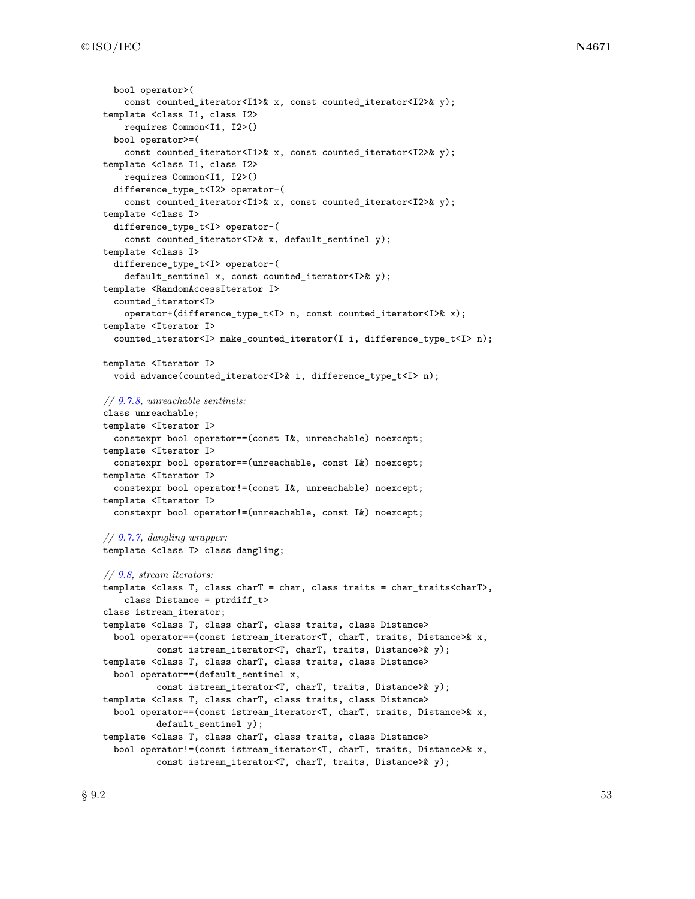```
bool operator>(
    const counted_iterator<I1>& x, const counted_iterator<I2>& y);
template <class I1, class I2>
    requires Common<I1, I2>()
  bool operator>=(
    const counted_iterator<I1>& x, const counted_iterator<I2>& y);
template <class I1, class I2>
    requires Common<I1, I2>()
  difference_type_t<I2> operator-(
    const counted_iterator<I1>& x, const counted_iterator<I2>& y);
template <class I>
  difference_type_t<I> operator-(
    const counted_iterator<I>& x, default_sentinel y);
template <class I>
  difference_type_t<I> operator-(
    default_sentinel x, const counted_iterator<I>& y);
template <RandomAccessIterator I>
  counted_iterator<I>
    operator+(difference_type_t<I> n, const counted_iterator<I>& x);
template <Iterator I>
  counted_iterator<I> make_counted_iterator(I i, difference_type_t<I> n);
template <Iterator I>
  void advance(counted_iterator<I>& i, difference_type_t<I> n);
// 9.7.8, unreachable sentinels:
class unreachable;
template <Iterator I>
  constexpr bool operator==(const I&, unreachable) noexcept;
template <Iterator I>
  constexpr bool operator==(unreachable, const I&) noexcept;
template <Iterator I>
  constexpr bool operator!=(const I&, unreachable) noexcept;
template <Iterator I>
  constexpr bool operator!=(unreachable, const I&) noexcept;
// 9.7.7, dangling wrapper:
template <class T> class dangling;
// 9.8, stream iterators:
template <class T, class charT = char, class traits = char_traits<charT>,
    class Distance = ptrdiff_t>
class istream_iterator;
template <class T, class charT, class traits, class Distance>
  bool operator==(const istream_iterator<T, charT, traits, Distance>& x,
          const istream_iterator<T, charT, traits, Distance>& y);
template <class T, class charT, class traits, class Distance>
  bool operator==(default_sentinel x,
          const istream_iterator<T, charT, traits, Distance>& y);
template <class T, class charT, class traits, class Distance>
  bool operator==(const istream_iterator<T, charT, traits, Distance>& x,
          default_sentinel y);
template <class T, class charT, class traits, class Distance>
  bool operator!=(const istream_iterator<T, charT, traits, Distance>& x,
          const istream_iterator<T, charT, traits, Distance>& y);
```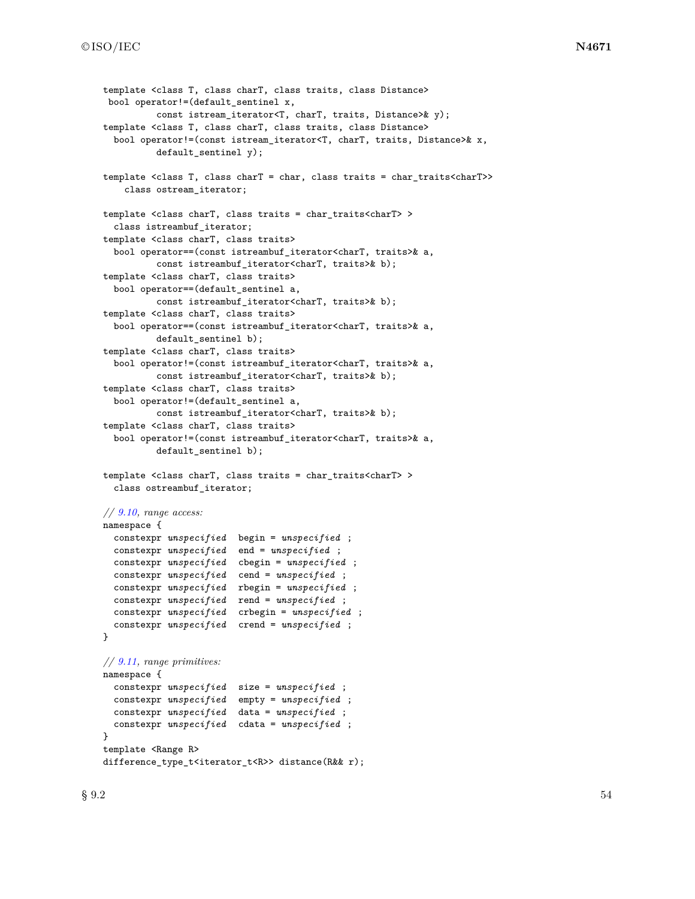```
template <class T, class charT, class traits, class Distance>
 bool operator!=(default_sentinel x,
          const istream_iterator<T, charT, traits, Distance>& y);
template <class T, class charT, class traits, class Distance>
  bool operator!=(const istream_iterator<T, charT, traits, Distance>& x,
          default_sentinel y);
template <class T, class charT = char, class traits = char_traits<charT>>
    class ostream_iterator;
template <class charT, class traits = char_traits<charT> >
  class istreambuf_iterator;
template <class charT, class traits>
  bool operator==(const istreambuf_iterator<charT, traits>& a,
          const istreambuf_iterator<charT, traits>& b);
template <class charT, class traits>
  bool operator==(default_sentinel a,
         const istreambuf_iterator<charT, traits>& b);
template <class charT, class traits>
  bool operator==(const istreambuf_iterator<charT, traits>& a,
         default_sentinel b);
template <class charT, class traits>
  bool operator!=(const istreambuf_iterator<charT, traits>& a,
          const istreambuf_iterator<charT, traits>& b);
template <class charT, class traits>
  bool operator!=(default_sentinel a,
          const istreambuf_iterator<charT, traits>& b);
template <class charT, class traits>
  bool operator!=(const istreambuf_iterator<charT, traits>& a,
          default_sentinel b);
template <class charT, class traits = char_traits<charT> >
  class ostreambuf_iterator;
// 9.10, range access:
namespace {
  constexpr unspecified begin = unspecified ;
  constexpr unspecified end = unspecified ;
  constexpr unspecified cbegin = unspecified ;
  constexpr unspecified cend = unspecified ;
  constexpr unspecified rbegin = unspecified ;
  constexpr unspecified rend = unspecified ;
  constexpr unspecified crbegin = unspecified ;
  constexpr unspecified crend = unspecified ;
\mathbf{r}// 9.11, range primitives:
namespace {
  constexpr unspecified size = unspecified ;
  constexpr unspecified empty = unspecified ;
  constexpr unspecified data = unspecified ;
  constexpr unspecified cdata = unspecified ;
}
template <Range R>
difference_type_t<iterator_t<R>> distance(R&& r);
```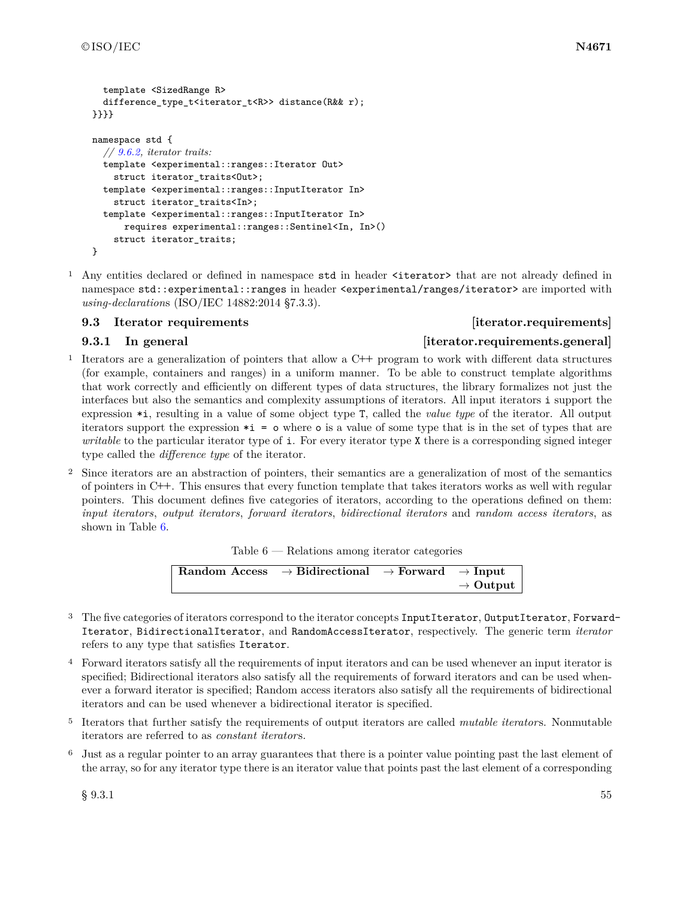```
template <SizedRange R>
 difference_type_t<iterator_t<R>> distance(R&& r);
}}}}
namespace std {
  // 9.6.2, iterator traits:
  template <experimental::ranges::Iterator Out>
    struct iterator_traits<Out>;
  template <experimental::ranges::InputIterator In>
    struct iterator_traits<In>;
  template <experimental::ranges::InputIterator In>
      requires experimental::ranges::Sentinel<In, In>()
    struct iterator_traits;
}
```
<sup>1</sup> Any entities declared or defined in namespace std in header <iterator> that are not already defined in namespace std::experimental::ranges in header <experimental/ranges/iterator> are imported with *using-declaration*s (ISO/IEC 14882:2014 §7.3.3).

### <span id="page-58-0"></span>**9.3** Iterator requirements **and iterator** [iterator.requirements]

### **9.3.1** In general **implements.general** *iterator.requirements.general*

- <sup>1</sup> Iterators are a generalization of pointers that allow a C**++** program to work with different data structures (for example, containers and ranges) in a uniform manner. To be able to construct template algorithms that work correctly and efficiently on different types of data structures, the library formalizes not just the interfaces but also the semantics and complexity assumptions of iterators. All input iterators i support the expression \*i, resulting in a value of some object type T, called the *value type* of the iterator. All output iterators support the expression \*i = o where o is a value of some type that is in the set of types that are *writable* to the particular iterator type of **i**. For every iterator type X there is a corresponding signed integer type called the *difference type* of the iterator.
- <sup>2</sup> Since iterators are an abstraction of pointers, their semantics are a generalization of most of the semantics of pointers in C**++**. This ensures that every function template that takes iterators works as well with regular pointers. This document defines five categories of iterators, according to the operations defined on them: *input iterators*, *output iterators*, *forward iterators*, *bidirectional iterators* and *random access iterators*, as shown in Table [6.](#page-58-1)

<span id="page-58-1"></span>

| Table $6$ — Relations among iterator categories |  |  |  |  |
|-------------------------------------------------|--|--|--|--|
|-------------------------------------------------|--|--|--|--|

| Random Access $\rightarrow$ Bidirectional $\rightarrow$ Forward $\rightarrow$ Input |  |                      |
|-------------------------------------------------------------------------------------|--|----------------------|
|                                                                                     |  | $\rightarrow$ Output |

- <sup>3</sup> The five categories of iterators correspond to the iterator concepts InputIterator, OutputIterator, Forward-Iterator, BidirectionalIterator, and RandomAccessIterator, respectively. The generic term *iterator* refers to any type that satisfies Iterator.
- <sup>4</sup> Forward iterators satisfy all the requirements of input iterators and can be used whenever an input iterator is specified; Bidirectional iterators also satisfy all the requirements of forward iterators and can be used whenever a forward iterator is specified; Random access iterators also satisfy all the requirements of bidirectional iterators and can be used whenever a bidirectional iterator is specified.
- <sup>5</sup> Iterators that further satisfy the requirements of output iterators are called *mutable iterator*s. Nonmutable iterators are referred to as *constant iterator*s.
- <sup>6</sup> Just as a regular pointer to an array guarantees that there is a pointer value pointing past the last element of the array, so for any iterator type there is an iterator value that points past the last element of a corresponding

 $\S~9.3.1$  55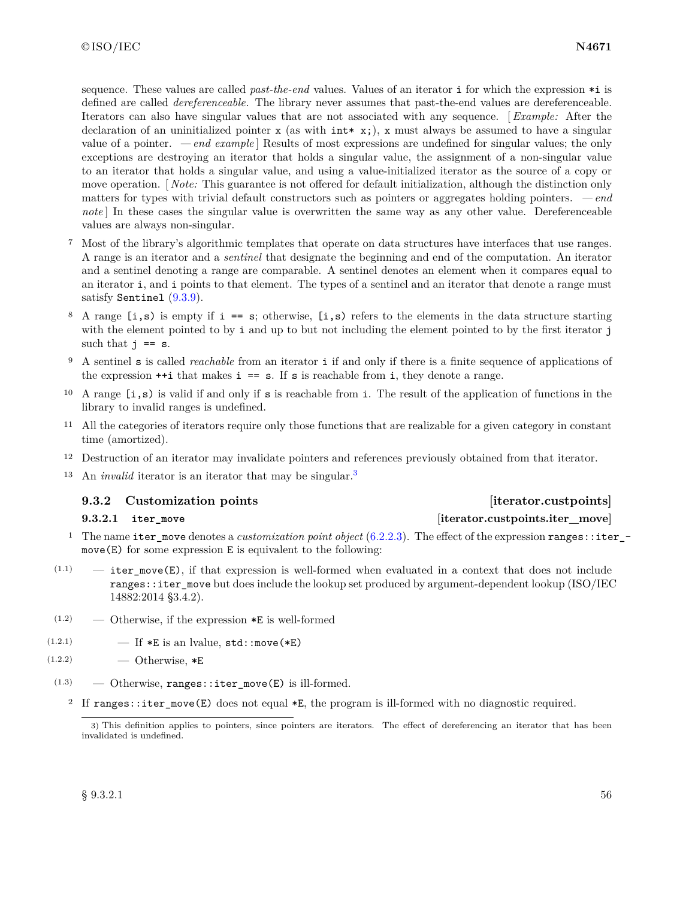sequence. These values are called *past-the-end* values. Values of an iterator i for which the expression \*i is defined are called *dereferenceable*. The library never assumes that past-the-end values are dereferenceable. Iterators can also have singular values that are not associated with any sequence. [ *Example:* After the declaration of an uninitialized pointer x (as with  $int* x$ ;), x must always be assumed to have a singular value of a pointer. *— end example* ] Results of most expressions are undefined for singular values; the only exceptions are destroying an iterator that holds a singular value, the assignment of a non-singular value to an iterator that holds a singular value, and using a value-initialized iterator as the source of a copy or move operation. [ *Note:* This guarantee is not offered for default initialization, although the distinction only matters for types with trivial default constructors such as pointers or aggregates holding pointers. *— end note* In these cases the singular value is overwritten the same way as any other value. Dereferenceable values are always non-singular.

- <sup>7</sup> Most of the library's algorithmic templates that operate on data structures have interfaces that use ranges. A range is an iterator and a *sentinel* that designate the beginning and end of the computation. An iterator and a sentinel denoting a range are comparable. A sentinel denotes an element when it compares equal to an iterator i, and i points to that element. The types of a sentinel and an iterator that denote a range must satisfy Sentinel [\(9.3.9\)](#page-64-2).
- <sup>8</sup> A range  $[i, s)$  is empty if  $i == s$ ; otherwise,  $[i, s)$  refers to the elements in the data structure starting with the element pointed to by i and up to but not including the element pointed to by the first iterator j such that  $j == s$ .
- <sup>9</sup> A sentinel s is called *reachable* from an iterator i if and only if there is a finite sequence of applications of the expression  $++i$  that makes  $i == s$ . If s is reachable from i, they denote a range.
- <sup>10</sup> A range  $[i, s)$  is valid if and only if s is reachable from i. The result of the application of functions in the library to invalid ranges is undefined.
- <sup>11</sup> All the categories of iterators require only those functions that are realizable for a given category in constant time (amortized).
- <sup>12</sup> Destruction of an iterator may invalidate pointers and references previously obtained from that iterator.
- <sup>13</sup> An *invalid* iterator is an iterator that may be singular.[3](#page-59-2)

### <span id="page-59-0"></span>**9.3.2 Customization points [iterator.custpoints]**

### <span id="page-59-1"></span>**9.3.2.1 iter\_move [iterator.custpoints.iter\_move]**

- <sup>1</sup> The name iter\_move denotes a *customization point object* [\(6.2.2.3\)](#page-12-0). The effect of the expression ranges::iter\_ move(E) for some expression E is equivalent to the following:
- $(1.1)$  iter move(E), if that expression is well-formed when evaluated in a context that does not include ranges::iter\_move but does include the lookup set produced by argument-dependent lookup (ISO/IEC 14882:2014 §3.4.2).
- $(1.2)$  Otherwise, if the expression  $*E$  is well-formed
- (1.2.1)  $\qquad \qquad \text{If } *E \text{ is an lvalue, std: :move (*E)}$
- $(1.2.2)$   $\qquad$   $\qquad$  Otherwise,  $*E$
- $(1.3)$  Otherwise, ranges::iter move(E) is ill-formed.
	- <sup>2</sup> If ranges::iter\_move(E) does not equal \*E, the program is ill-formed with no diagnostic required.

<span id="page-59-2"></span><sup>3)</sup> This definition applies to pointers, since pointers are iterators. The effect of dereferencing an iterator that has been invalidated is undefined.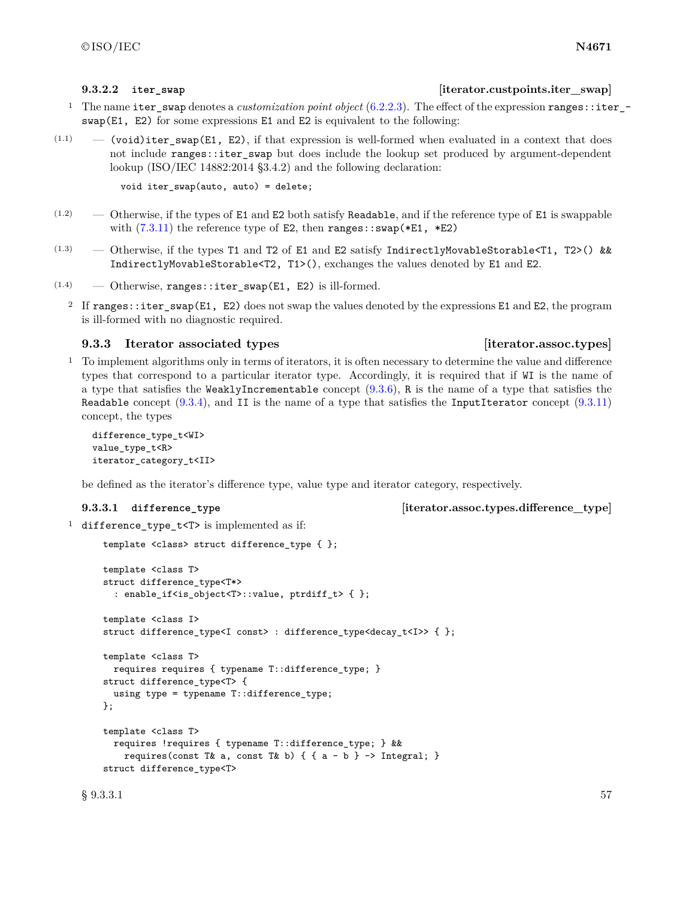### <span id="page-60-0"></span>**9.3.2.2** iter swap **b iterator.custpoints.iter** swap

- <sup>1</sup> The name iter\_swap denotes a *customization point object* [\(6.2.2.3\)](#page-12-0). The effect of the expression ranges::iter\_ swap(E1, E2) for some expressions E1 and E2 is equivalent to the following:
- $(1.1)$  (void) iter swap(E1, E2), if that expression is well-formed when evaluated in a context that does not include ranges::iter\_swap but does include the lookup set produced by argument-dependent lookup (ISO/IEC 14882:2014 §3.4.2) and the following declaration:

void iter\_swap(auto, auto) = delete;

- $(1.2)$  Otherwise, if the types of E1 and E2 both satisfy Readable, and if the reference type of E1 is swappable with  $(7.3.11)$  the reference type of E2, then ranges::swap(\*E1, \*E2)
- $(1.3)$  Otherwise, if the types T1 and T2 of E1 and E2 satisfy IndirectlyMovableStorable<T1, T2>() && IndirectlyMovableStorable<T2, T1>(), exchanges the values denoted by E1 and E2.
- $(1.4)$  Otherwise, ranges::iter\_swap(E1, E2) is ill-formed.
	- <sup>2</sup> If ranges::iter\_swap(E1, E2) does not swap the values denoted by the expressions E1 and E2, the program is ill-formed with no diagnostic required.

### <span id="page-60-1"></span>**9.3.3 Iterator associated types [iterator.assoc.types]**

<sup>1</sup> To implement algorithms only in terms of iterators, it is often necessary to determine the value and difference types that correspond to a particular iterator type. Accordingly, it is required that if WI is the name of a type that satisfies the WeaklyIncrementable concept  $(9.3.6)$ , R is the name of a type that satisfies the Readable concept  $(9.3.4)$ , and II is the name of a type that satisfies the InputIterator concept  $(9.3.11)$ concept, the types

```
difference_type_t<WI>
value_type_t<R>
iterator_category_t<II>
```
be defined as the iterator's difference type, value type and iterator category, respectively.

<span id="page-60-2"></span>**9.3.3.1 difference\_type [iterator.assoc.types.difference\_type]**

<sup>1</sup> difference\_type\_t<T> is implemented as if:

```
template <class> struct difference_type { };
template <class T>
struct difference_type<T*>
  : enable_if<is_object<T>::value, ptrdiff_t> { };
template <class I>
struct difference_type<I const> : difference_type<decay_t<I>> { };
template <class T>
 requires requires { typename T::difference_type; }
struct difference_type<T> {
  using type = typename T::difference_type;
};
template <class T>
  requires !requires { typename T::difference_type; } &&
    requires(const T& a, const T& b) { { a - b } -> Integral; }
struct difference_type<T>
```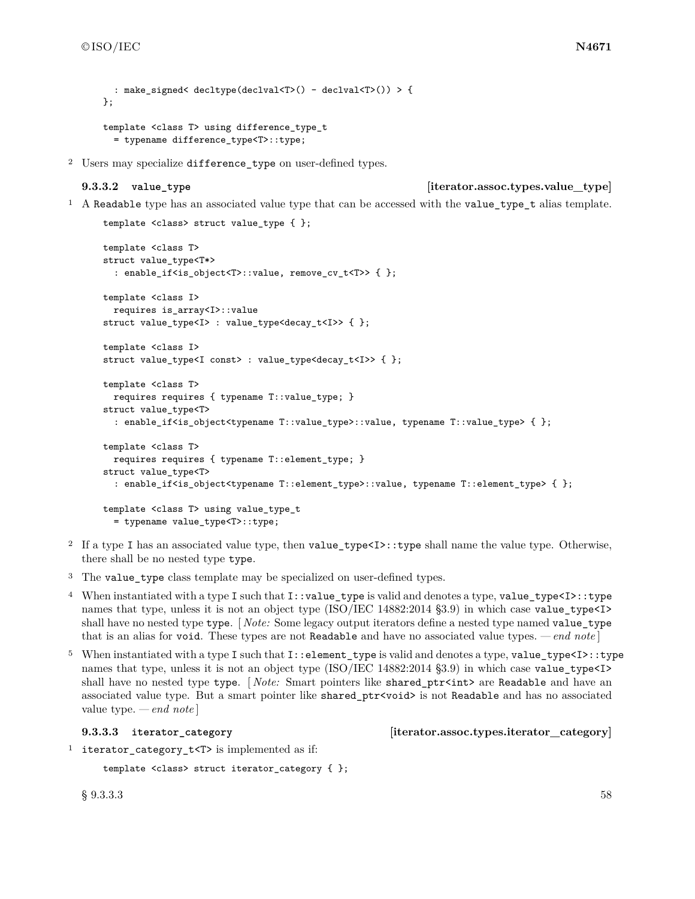```
: make_signed< decltype(declval<T>() - declval<T>()) > {
};
template <class T> using difference_type_t
```
= typename difference\_type<T>::type;

<sup>2</sup> Users may specialize difference\_type on user-defined types.

### <span id="page-61-0"></span>**9.3.3.2 value\_type [iterator.assoc.types.value\_type]**

<sup>1</sup> A Readable type has an associated value type that can be accessed with the value\_type\_t alias template.

```
template <class> struct value_type { };
template <class T>
struct value_type<T*>
  : enable_if<is_object<T>::value, remove_cv_t<T>> { };
template <class I>
 requires is_array<I>::value
struct value_type<I> : value_type<decay_t<I>> { };
template <class I>
struct value_type<I const> : value_type<decay_t<I>> { };
template <class T>
 requires requires { typename T::value_type; }
struct value_type<T>
 : enable_if<is_object<typename T::value_type>::value, typename T::value_type> { };
template <class T>
 requires requires { typename T::element_type; }
struct value_type<T>
  : enable_if<is_object<typename T::element_type>::value, typename T::element_type> { };
template <class T> using value_type_t
  = typename value_type<T>::type;
```
- <sup>2</sup> If a type I has an associated value type, then value\_type<I>::type shall name the value type. Otherwise, there shall be no nested type type.
- <sup>3</sup> The value\_type class template may be specialized on user-defined types.
- <sup>4</sup> When instantiated with a type I such that I::value type is valid and denotes a type, value type<I>::type names that type, unless it is not an object type (ISO/IEC 14882:2014 §3.9) in which case value\_type<I> shall have no nested type type. [ *Note:* Some legacy output iterators define a nested type named value\_type that is an alias for void. These types are not Readable and have no associated value types. *— end note* ]
- <sup>5</sup> When instantiated with a type I such that I::element\_type is valid and denotes a type, value\_type<I>::type names that type, unless it is not an object type (ISO/IEC 14882:2014 §3.9) in which case value\_type<I> shall have no nested type type. [*Note:* Smart pointers like shared\_ptr<int> are Readable and have an associated value type. But a smart pointer like shared\_ptr<void> is not Readable and has no associated value type. *— end note* ]

<span id="page-61-1"></span>**9.3.3.3 iterator\_category [iterator.assoc.types.iterator\_category]**

<sup>1</sup> iterator\_category\_t<T> is implemented as if:

```
template <class> struct iterator_category { };
```
 $\S~9.3.3.3$  58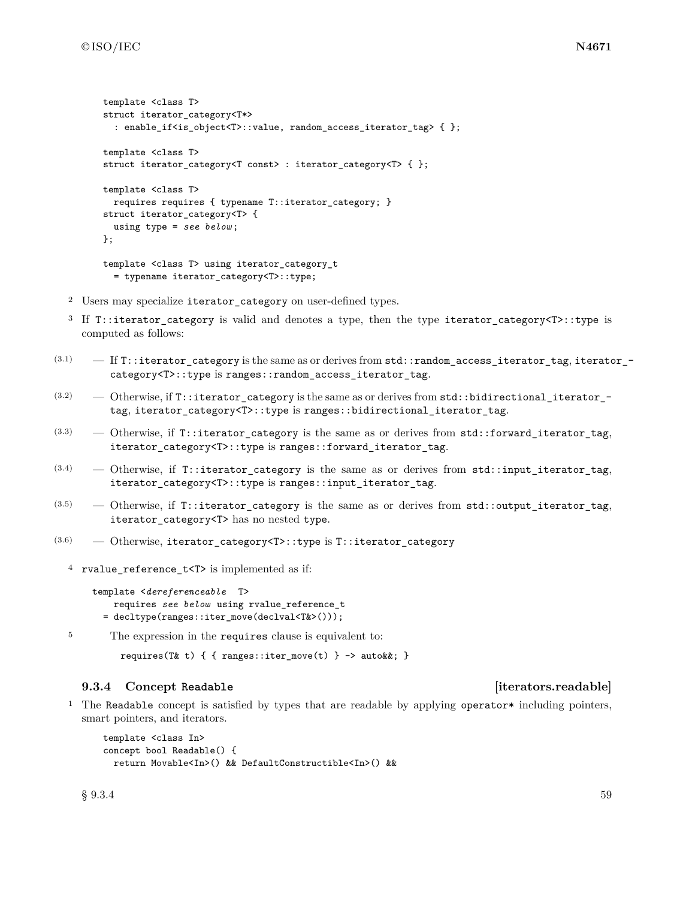```
template <class T>
struct iterator_category<T*>
  : enable_if<is_object<T>::value, random_access_iterator_tag> { };
template <class T>
struct iterator_category<T const> : iterator_category<T> { };
template <class T>
 requires requires { typename T::iterator_category; }
struct iterator_category<T> {
  using type = see below ;
};
template <class T> using iterator_category_t
  = typename iterator_category<T>::type;
```
- <sup>2</sup> Users may specialize iterator\_category on user-defined types.
- <sup>3</sup> If T::iterator\_category is valid and denotes a type, then the type iterator\_category<T>::type is computed as follows:
- $(3.1)$   $-$  If T::iterator\_category is the same as or derives from std::random\_access\_iterator\_tag, iterator\_category<T>::type is ranges::random\_access\_iterator\_tag.
- $(3.2)$  Otherwise, if T::iterator\_category is the same as or derives from std::bidirectional\_iterator\_tag, iterator\_category<T>::type is ranges::bidirectional\_iterator\_tag.
- $(3.3)$  Otherwise, if T::iterator\_category is the same as or derives from std::forward\_iterator\_tag, iterator\_category<T>::type is ranges::forward\_iterator\_tag.
- $(3.4)$  Otherwise, if T::iterator\_category is the same as or derives from std::input\_iterator\_tag, iterator\_category<T>::type is ranges::input\_iterator\_tag.
- $(3.5)$  Otherwise, if T::iterator\_category is the same as or derives from std::output\_iterator\_tag, iterator\_category<T> has no nested type.
- (3.6) Otherwise, iterator\_category<T>::type is T::iterator\_category
	- <sup>4</sup> rvalue reference  $t$ <T> is implemented as if:

```
template <dereferenceable T>
   requires see below using rvalue_reference_t
 = decltype(ranges::iter_move(declval<T&>()));
```
<sup>5</sup> The expression in the requires clause is equivalent to:

```
requires(T& t) { { ranges::iter_move(t) } -> auto&&; }
```
### <span id="page-62-0"></span>**9.3.4 Concept Readable [iterators.readable]**

<sup>1</sup> The Readable concept is satisfied by types that are readable by applying operator\* including pointers, smart pointers, and iterators.

```
template <class In>
concept bool Readable() {
 return Movable<In>() && DefaultConstructible<In>() &&
```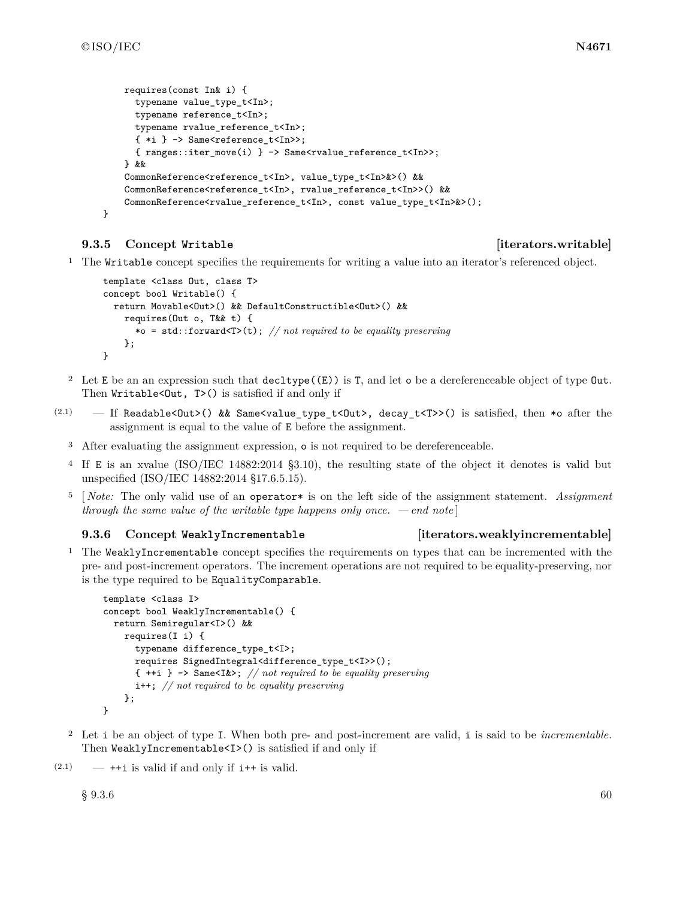```
requires(const In& i) {
  typename value_type_t<In>;
  typename reference_t<In>;
  typename rvalue_reference_t<In>;
  \{ *i \} -> Same<reference_t<In>>;
  { ranges::iter_move(i) } -> Same<rvalue_reference_t<In>>;
} &&
CommonReference<reference_t<In>, value_type_t<In>&>() &&
CommonReference<reference_t<In>, rvalue_reference_t<In>>() &&
CommonReference<rvalue_reference_t<In>, const value_type_t<In>&>();
```

```
}
```
### <span id="page-63-0"></span>**9.3.5 Concept Writable [iterators.writable]**

<sup>1</sup> The Writable concept specifies the requirements for writing a value into an iterator's referenced object.

```
template <class Out, class T>
concept bool Writable() {
  return Movable<Out>() && DefaultConstructible<Out>() &&
    requires(Out o, T&& t) {
      *o = std::forward<T>(t); // not required to be equality preserving
    };
}
```
- <sup>2</sup> Let E be an an expression such that decltype((E)) is T, and let o be a dereferenceable object of type Out. Then Writable<Out, T>() is satisfied if and only if
- (2.1) If Readable<Out>() && Same<value\_type\_t<Out>, decay\_t<T>>() is satisfied, then \*o after the assignment is equal to the value of E before the assignment.
	- <sup>3</sup> After evaluating the assignment expression, o is not required to be dereferenceable.
	- <sup>4</sup> If E is an xvalue (ISO/IEC 14882:2014 §3.10), the resulting state of the object it denotes is valid but unspecified (ISO/IEC 14882:2014 §17.6.5.15).
	- <sup>5</sup> [ *Note:* The only valid use of an operator\* is on the left side of the assignment statement. *Assignment through the same value of the writable type happens only once. — end note* ]

### <span id="page-63-1"></span>**9.3.6 Concept WeaklyIncrementable [iterators.weaklyincrementable]**

<sup>1</sup> The WeaklyIncrementable concept specifies the requirements on types that can be incremented with the pre- and post-increment operators. The increment operations are not required to be equality-preserving, nor is the type required to be EqualityComparable.

```
template <class I>
concept bool WeaklyIncrementable() {
  return Semiregular<I>() &&
    requires(I i) {
      typename difference_type_t<I>;
      requires SignedIntegral<difference_type_t<I>>();
      { ++i } -> Same<I&>; // not required to be equality preserving
      i++; // not required to be equality preserving
    };
}
```
<sup>2</sup> Let i be an object of type I. When both pre- and post-increment are valid, i is said to be *incrementable*. Then WeaklyIncrementable<I>() is satisfied if and only if

 $(2.1)$  —  $++i$  is valid if and only if  $i++$  is valid.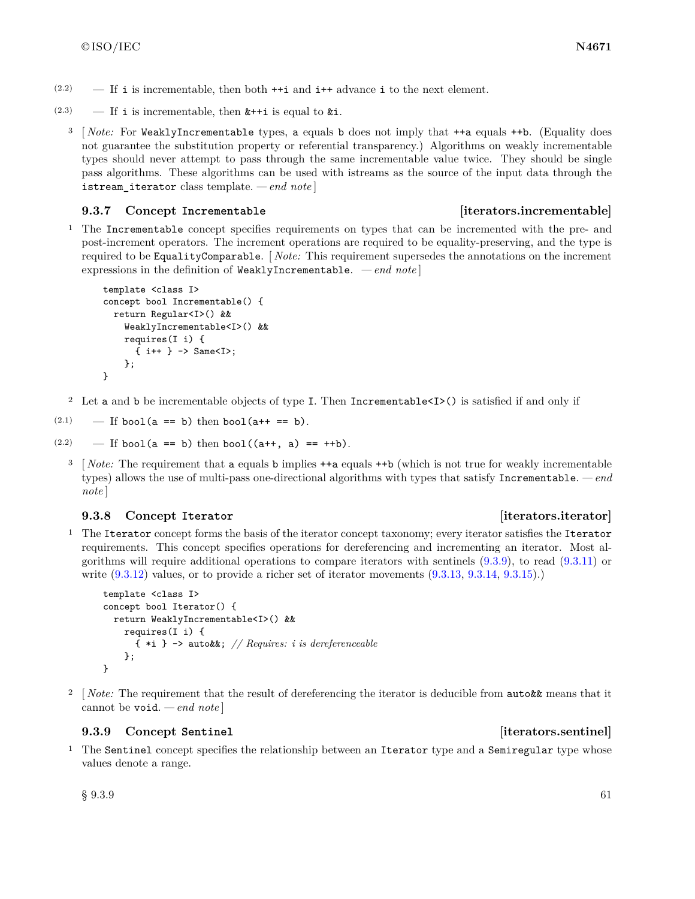- $(2.2)$  If i is incrementable, then both  $++i$  and  $i++$  advance i to the next element.
- (2.3) If i is incrementable, then  $k++i$  is equal to  $k'i$ .
	- <sup>3</sup> [ *Note:* For WeaklyIncrementable types, a equals b does not imply that ++a equals ++b. (Equality does not guarantee the substitution property or referential transparency.) Algorithms on weakly incrementable types should never attempt to pass through the same incrementable value twice. They should be single pass algorithms. These algorithms can be used with istreams as the source of the input data through the istream\_iterator class template. *— end note* ]

### <span id="page-64-0"></span>**9.3.7 Concept Incrementable [iterators.incrementable]**

<sup>1</sup> The Incrementable concept specifies requirements on types that can be incremented with the pre- and post-increment operators. The increment operations are required to be equality-preserving, and the type is required to be EqualityComparable. [ *Note:* This requirement supersedes the annotations on the increment expressions in the definition of WeaklyIncrementable. *— end note* ]

```
template <class I>
concept bool Incrementable() {
 return Regular<I>() &&
    WeaklyIncrementable<I>() &&
   requires(I i) {
      { i++ } -> Same<I>;
    };
}
```
<sup>2</sup> Let a and b be incrementable objects of type I. Then Incrementable<I>() is satisfied if and only if

(2.1) — If bool(a == b) then bool(a++ == b).

```
(2.2) — If bool(a == b) then bool((a++, a) == ++b).
```
<sup>3</sup> [*Note:* The requirement that a equals b implies  $++a$  equals  $++b$  (which is not true for weakly incrementable types) allows the use of multi-pass one-directional algorithms with types that satisfy Incrementable. *— end note* ]

### <span id="page-64-1"></span>**9.3.8 Concept Iterator [iterators.iterator]**

<sup>1</sup> The Iterator concept forms the basis of the iterator concept taxonomy; every iterator satisfies the Iterator requirements. This concept specifies operations for dereferencing and incrementing an iterator. Most algorithms will require additional operations to compare iterators with sentinels [\(9.3.9\)](#page-64-2), to read [\(9.3.11\)](#page-65-1) or write [\(9.3.12\)](#page-66-0) values, or to provide a richer set of iterator movements [\(9.3.13,](#page-66-1) [9.3.14,](#page-66-2) [9.3.15\)](#page-67-0).)

```
template <class I>
concept bool Iterator() {
  return WeaklyIncrementable<I>() &&
    requires(I i) {
      { *i } -> auto&&; // Requires: i is dereferenceable
    };
}
```
<sup>2</sup> [*Note:* The requirement that the result of dereferencing the iterator is deducible from **auto&&** means that it cannot be void. *— end note* ]

### <span id="page-64-2"></span>**9.3.9 Concept Sentinel [iterators.sentinel]**

<sup>1</sup> The Sentinel concept specifies the relationship between an Iterator type and a Semiregular type whose values denote a range.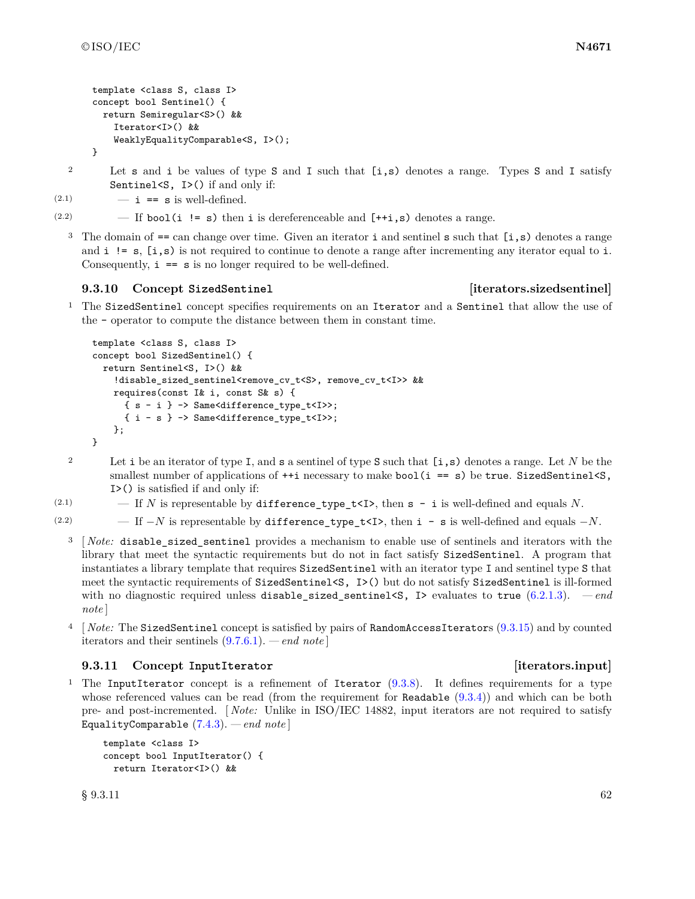```
template <class S, class I>
concept bool Sentinel() {
  return Semiregular<S>() &&
    Iterator<I>() &&
    WeaklyEqualityComparable<S, I>();
}
```
<sup>2</sup> Let s and i be values of type S and I such that [i,s) denotes a range. Types S and I satisfy Sentinel<S, I>() if and only if:

(2.1)  $- i == s$  is well-defined.

(2.2)  $-$  If bool(i != s) then i is dereferenceable and  $[++i,s)$  denotes a range.

<sup>3</sup> The domain of  $==$  can change over time. Given an iterator **i** and sentinel **s** such that  $[i, s)$  denotes a range and  $i := s$ ,  $[i, s)$  is not required to continue to denote a range after incrementing any iterator equal to i. Consequently,  $i == s$  is no longer required to be well-defined.

### <span id="page-65-0"></span>**9.3.10 Concept SizedSentinel [iterators.sizedsentinel]**

<sup>1</sup> The SizedSentinel concept specifies requirements on an Iterator and a Sentinel that allow the use of the - operator to compute the distance between them in constant time.

```
template <class S, class I>
concept bool SizedSentinel() {
  return Sentinel<S, I>() &&
    !disable_sized_sentinel<remove_cv_t<S>, remove_cv_t<I>> &&
    requires(const I& i, const S& s) {
      { s - i } -> Same<difference_type_t<I>>;
      { i - s } -> Same<difference_type_t<I>>;
    };
}
```
- <sup>2</sup> Let i be an iterator of type I, and s a sentinel of type S such that [i,s) denotes a range. Let *N* be the smallest number of applications of  $++i$  necessary to make bool( $i == s$ ) be true. SizedSentinel $\leq$ S, I>() is satisfied if and only if:
- (2.1)  $-$  If *N* is representable by difference\_type\_t<I>, then  $s i$  is well-defined and equals *N*.
- (2.2) If  $-N$  is representable by difference\_type\_t<I>, then i s is well-defined and equals  $-N$ .
	- <sup>3</sup> [ *Note:* disable\_sized\_sentinel provides a mechanism to enable use of sentinels and iterators with the library that meet the syntactic requirements but do not in fact satisfy SizedSentinel. A program that instantiates a library template that requires SizedSentinel with an iterator type I and sentinel type S that meet the syntactic requirements of SizedSentinel<S, I>() but do not satisfy SizedSentinel is ill-formed with no diagnostic required unless disable sized sentinels, I evaluates to true  $(6.2.1.3).$  $(6.2.1.3).$  *— end note* ]
	- <sup>4</sup> [ *Note:* The SizedSentinel concept is satisfied by pairs of RandomAccessIterators [\(9.3.15\)](#page-67-0) and by counted iterators and their sentinels [\(9.7.6.1\)](#page-98-2). *— end note* ]

### <span id="page-65-1"></span>**9.3.11 Concept InputIterator [iterators.input]**

<sup>1</sup> The InputIterator concept is a refinement of Iterator [\(9.3.8\)](#page-64-1). It defines requirements for a type whose referenced values can be read (from the requirement for Readable  $(9.3.4)$ ) and which can be both pre- and post-incremented. [ *Note:* Unlike in ISO/IEC 14882, input iterators are not required to satisfy EqualityComparable [\(7.4.3\)](#page-25-0). *— end note* ]

```
template <class I>
concept bool InputIterator() {
 return Iterator<I>() &&
```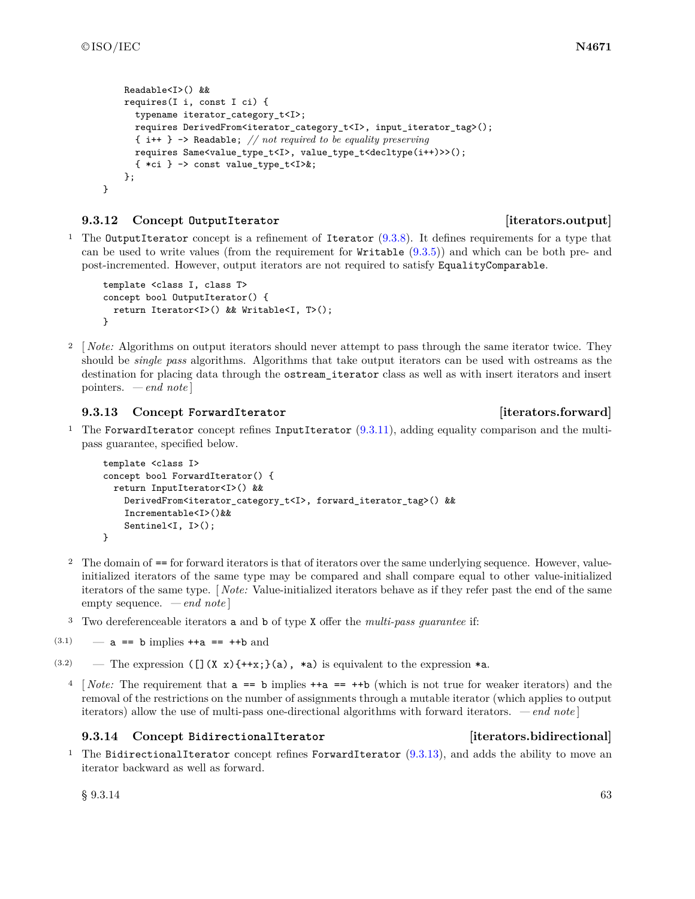}

```
Readable<I>() &&
requires(I i, const I ci) {
  typename iterator_category_t<I>;
  requires DerivedFrom<iterator_category_t<I>, input_iterator_tag>();
  { i++ } -> Readable; // not required to be equality preserving
  requires Same<value_type_t<I>, value_type_t<decltype(i++)>>();
  \{ *ci \} -> const value_type_t<I>&;
};
```
### <span id="page-66-0"></span>**9.3.12 Concept OutputIterator [iterators.output]**

<sup>1</sup> The OutputIterator concept is a refinement of Iterator  $(9.3.8)$ . It defines requirements for a type that can be used to write values (from the requirement for Writable [\(9.3.5\)](#page-63-0)) and which can be both pre- and post-incremented. However, output iterators are not required to satisfy EqualityComparable.

```
template <class I, class T>
concept bool OutputIterator() {
 return Iterator<I>() && Writable<I, T>();
}
```
<sup>2</sup> [*Note:* Algorithms on output iterators should never attempt to pass through the same iterator twice. They should be *single pass* algorithms. Algorithms that take output iterators can be used with ostreams as the destination for placing data through the ostream\_iterator class as well as with insert iterators and insert pointers. *— end note* ]

# <span id="page-66-1"></span>**9.3.13 Concept ForwardIterator [iterators.forward]**

<sup>1</sup> The ForwardIterator concept refines InputIterator  $(9.3.11)$ , adding equality comparison and the multipass guarantee, specified below.

```
template <class I>
concept bool ForwardIterator() {
 return InputIterator<I>() &&
    DerivedFrom<iterator_category_t<I>, forward_iterator_tag>() &&
    Incrementable<I>()&&
    Sentinel<I, I>();
}
```
- <sup>2</sup> The domain of == for forward iterators is that of iterators over the same underlying sequence. However, valueinitialized iterators of the same type may be compared and shall compare equal to other value-initialized iterators of the same type. [ *Note:* Value-initialized iterators behave as if they refer past the end of the same empty sequence. *— end note* ]
- <sup>3</sup> Two dereferenceable iterators a and b of type X offer the *multi-pass guarantee* if:

```
(3.1) — a == b implies ++a == ++b and
```
- $(3.2)$  The expression  $\left(\begin{bmatrix} 1 \end{bmatrix} (X \times Y + x; \cdot)$  (a), \*a) is equivalent to the expression \*a.
	- <sup>4</sup> [ *Note:* The requirement that a == b implies ++a == ++b (which is not true for weaker iterators) and the removal of the restrictions on the number of assignments through a mutable iterator (which applies to output iterators) allow the use of multi-pass one-directional algorithms with forward iterators. *— end note* ]

# <span id="page-66-2"></span>**9.3.14 Concept BidirectionalIterator [iterators.bidirectional]**

<sup>1</sup> The BidirectionalIterator concept refines ForwardIterator  $(9.3.13)$ , and adds the ability to move an iterator backward as well as forward.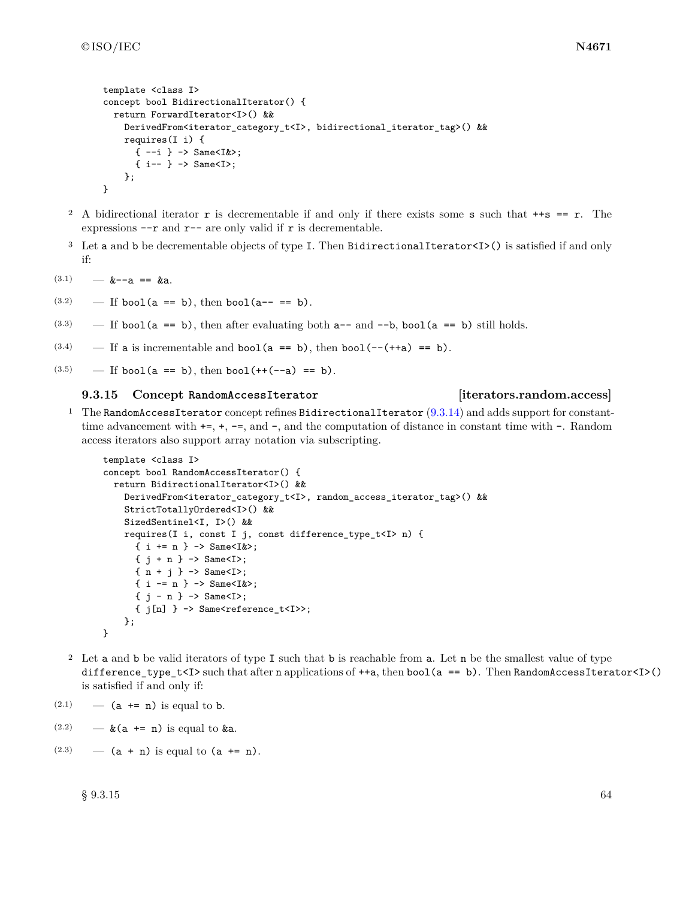```
template <class I>
concept bool BidirectionalIterator() {
  return ForwardIterator<I>() &&
    DerivedFrom<iterator_category_t<I>, bidirectional_iterator_tag>() &&
    requires(I i) {
      {-i} \rightarrow Same<I&>;
      \{ i-- \} -> Same<I>;
    };
}
```
- <sup>2</sup> A bidirectional iterator **r** is decrementable if and only if there exists some **s** such that  $+s == r$ . The expressions  $\neg\neg$  and  $\neg\neg$  are only valid if  $\tau$  is decrementable.
- <sup>3</sup> Let a and b be decrementable objects of type I. Then BidirectionalIterator<I>() is satisfied if and only if:
- $(3.1)$   $k=-a == ka$ .
- $(3.2)$  If bool(a == b), then bool(a-- == b).
- $(3.3)$  If bool(a == b), then after evaluating both a-- and --b, bool(a == b) still holds.
- $(3.4)$  If a is incrementable and bool(a == b), then bool(--(++a) == b).
- $(3.5)$  If bool(a == b), then bool(++(--a) == b).

### <span id="page-67-0"></span>**9.3.15 Concept RandomAccessIterator [iterators.random.access]**

<sup>1</sup> The RandomAccessIterator concept refines BidirectionalIterator  $(9.3.14)$  and adds support for constanttime advancement with  $+=, +, -=$ , and  $-$ , and the computation of distance in constant time with  $-$ . Random access iterators also support array notation via subscripting.

```
template <class I>
concept bool RandomAccessIterator() {
  return BidirectionalIterator<I>() &&
    DerivedFrom<iterator_category_t<I>, random_access_iterator_tag>() &&
    StrictTotallyOrdered<I>() &&
    SizedSentinel<I, I>() &&
    requires(I i, const I j, const difference_type_t<I> n) {
      { i += n } -> Same<I&>;
      { j + n } -> Same<I>;
      \{ n + j \} \rightarrow Same<I>;
      \{ i = n \} \rightarrow Same<I&>;
      \{ i - n \} \rightarrow Same\{ I \};
      {j[n]} > -> Same<reference_t<I>>;
    };
}
```
- <sup>2</sup> Let a and b be valid iterators of type I such that b is reachable from a. Let n be the smallest value of type difference\_type\_t<I> such that after n applications of  $++a$ , then  $bool(a == b)$ . Then  $RandomAccessIterator < I>()$ is satisfied if and only if:
- $(2.1)$  (a += n) is equal to b.
- $(2.2)$   $\&$  (a += n) is equal to  $\&$ a.
- (2.3)  $(a + n)$  is equal to  $(a + n)$ .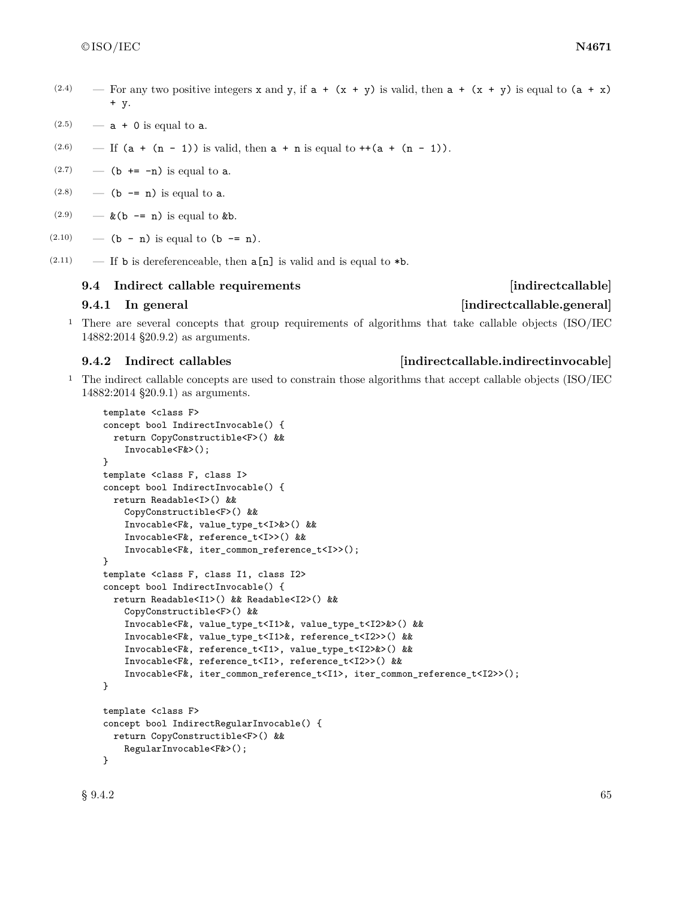- (2.4) For any two positive integers x and y, if  $a + (x + y)$  is valid, then  $a + (x + y)$  is equal to  $(a + x)$ + y.
- $(2.5)$  a + 0 is equal to a.
- (2.6) If  $(a + (n 1))$  is valid, then  $a + n$  is equal to  $++(a + (n 1))$ .
- $(2.7)$  (b += -n) is equal to a.
- $(2.8)$  (b -= n) is equal to a.
- $(2.9)$   $\&$  (b -= n) is equal to  $&$  b.
- (2.10) (b n) is equal to (b -= n).
- (2.11) If **b** is dereferenceable, then  $a[n]$  is valid and is equal to  $*b$ .

### <span id="page-68-0"></span>**9.4 Indirect callable requirements [indirectcallable]**

### **9.4.1** In general **indirectcallable.general**

<sup>1</sup> There are several concepts that group requirements of algorithms that take callable objects (ISO/IEC 14882:2014 §20.9.2) as arguments.

<sup>1</sup> The indirect callable concepts are used to constrain those algorithms that accept callable objects (ISO/IEC 14882:2014 §20.9.1) as arguments.

```
template <class F>
concept bool IndirectInvocable() {
  return CopyConstructible<F>() &&
    Invocable<F&>();
}
template <class F, class I>
concept bool IndirectInvocable() {
  return Readable<I>() &&
    CopyConstructible<F>() &&
    Invocable<F&, value_type_t<I>&>() &&
    Invocable<F&, reference_t<I>>() &&
    Invocable<F&, iter_common_reference_t<I>>();
}
template <class F, class I1, class I2>
concept bool IndirectInvocable() {
  return Readable<I1>() && Readable<I2>() &&
    CopyConstructible<F>() &&
    Invocable<F&, value_type_t<I1>&, value_type_t<I2>&>() &&
    Invocable<F&, value_type_t<I1>&, reference_t<I2>>() &&
    Invocable<F&, reference_t<I1>, value_type_t<I2>&>() &&
    Invocable<F&, reference_t<I1>, reference_t<I2>>() &&
    Invocable<F&, iter_common_reference_t<I1>, iter_common_reference_t<I2>>();
}
template <class F>
concept bool IndirectRegularInvocable() {
  return CopyConstructible<F>() &&
    RegularInvocable<F&>();
}
```
### <span id="page-68-1"></span>**9.4.2 Indirect callables [indirectcallable.indirectinvocable]**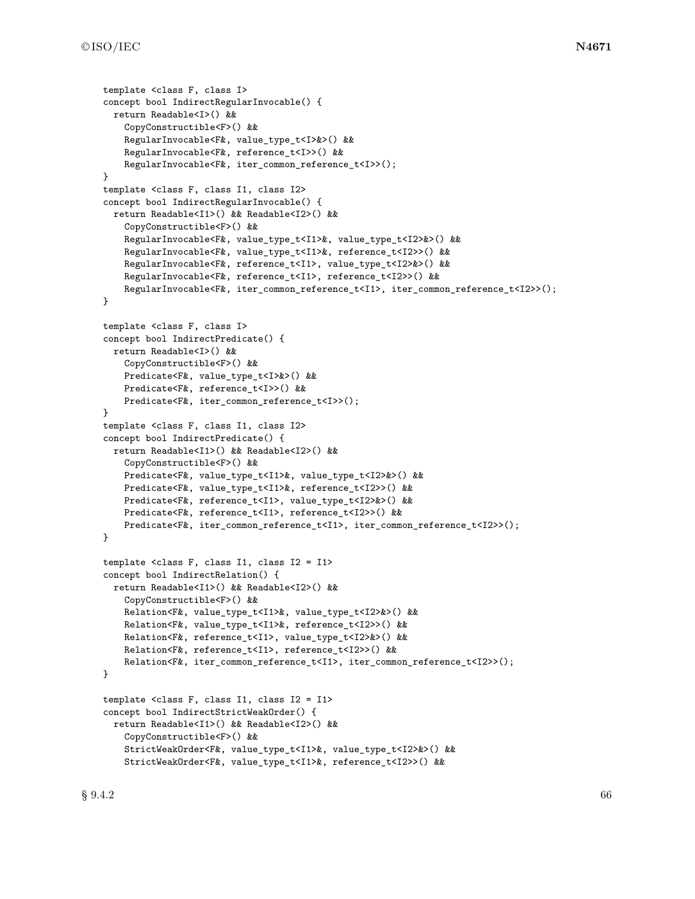```
template <class F, class I>
concept bool IndirectRegularInvocable() {
  return Readable<I>() &&
    CopyConstructible<F>() &&
    RegularInvocable<F&, value_type_t<I>&>() &&
    RegularInvocable<F&, reference_t<I>>() &&
    RegularInvocable<F&, iter_common_reference_t<I>>();
}
template <class F, class I1, class I2>
concept bool IndirectRegularInvocable() {
  return Readable<I1>() && Readable<I2>() &&
    CopyConstructible<F>() &&
    RegularInvocable<F&, value_type_t<I1>&, value_type_t<I2>&>() &&
    RegularInvocable<F&, value_type_t<I1>&, reference_t<I2>>() &&
    RegularInvocable<F&, reference_t<I1>, value_type_t<I2>&>() &&
    RegularInvocable<F&, reference_t<I1>, reference_t<I2>>() &&
    RegularInvocable<F&, iter_common_reference_t<I1>, iter_common_reference_t<I2>>();
}
template <class F, class I>
concept bool IndirectPredicate() {
  return Readable<I>() &&
    CopyConstructible<F>() &&
    Predicate<F&, value_type_t<I>&>() &&
    Predicate<F&, reference_t<I>>() &&
    Predicate<F&, iter_common_reference_t<I>>();
}
template <class F, class I1, class I2>
concept bool IndirectPredicate() {
  return Readable<I1>() && Readable<I2>() &&
    CopyConstructible<F>() &&
    Predicate<F&, value_type_t<I1>&, value_type_t<I2>&>() &&
    Predicate<F&, value_type_t<I1>&, reference_t<I2>>() &&
    Predicate<F&, reference_t<I1>, value_type_t<I2>&>() &&
    Predicate<F&, reference_t<I1>, reference_t<I2>>() &&
    Predicate<F&, iter_common_reference_t<I1>, iter_common_reference_t<I2>>();
}
template <class F, class I1, class I2 = I1>
concept bool IndirectRelation() {
  return Readable<I1>() && Readable<I2>() &&
    CopyConstructible<F>() &&
    Relation<F&, value_type_t<I1>&, value_type_t<I2>&>() &&
    Relation<F&, value_type_t<I1>&, reference_t<I2>>() &&
    Relation<F&, reference_t<I1>, value_type_t<I2>&>() &&
    Relation<F&, reference_t<I1>, reference_t<I2>>() &&
    Relation<F&, iter_common_reference_t<I1>, iter_common_reference_t<I2>>();
}
template <class F, class I1, class I2 = I1>
concept bool IndirectStrictWeakOrder() {
  return Readable<I1>() && Readable<I2>() &&
    CopyConstructible<F>() &&
    StrictWeakOrder<F&, value_type_t<I1>&, value_type_t<I2>&>() &&
    StrictWeakOrder<F&, value_type_t<I1>&, reference_t<I2>>() &&
```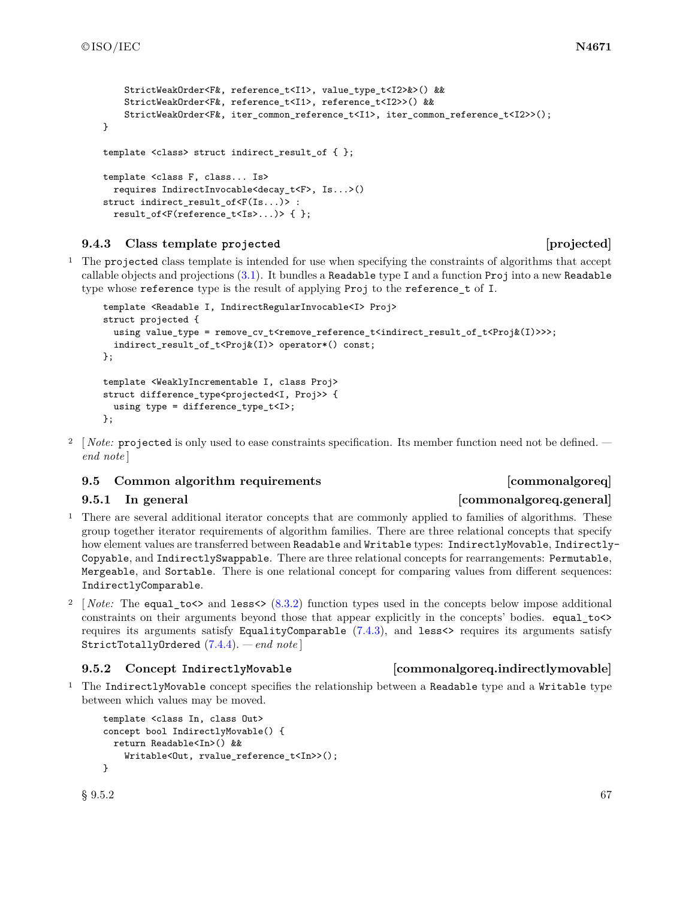```
StrictWeakOrder<F&, reference t<I1>, value type t<I2>&>() &&
    StrictWeakOrder<F&, reference_t<I1>, reference_t<I2>>() &&
    StrictWeakOrder<F&, iter_common_reference_t<I1>, iter_common_reference_t<I2>>();
}
template <class> struct indirect_result_of { };
template <class F, class... Is>
 requires IndirectInvocable<decay_t<F>, Is...>()
struct indirect_result_of<F(Is...)> :
 result_of<F(reference_t<Is>...)> { };
```
# <span id="page-70-1"></span>**9.4.3 Class template projected [projected]**

<sup>1</sup> The projected class template is intended for use when specifying the constraints of algorithms that accept callable objects and projections [\(3.1\)](#page-6-0). It bundles a Readable type I and a function Proj into a new Readable type whose reference type is the result of applying Proj to the reference\_t of I.

```
template <Readable I, IndirectRegularInvocable<I> Proj>
struct projected {
 using value_type = remove_cv_t<remove_reference_t<indirect_result_of_t<Proj&(I)>>>;
  indirect_result_of_t<Proj&(I)> operator*() const;
};
template <WeaklyIncrementable I, class Proj>
struct difference_type<projected<I, Proj>> {
 using type = difference_type_t<I>;
};
```
<sup>2</sup> [ *Note:* projected is only used to ease constraints specification. Its member function need not be defined.  *end note* ]

# <span id="page-70-0"></span>**9.5 Common algorithm requirements [commonalgoreq]**

# **9.5.1** In general **and the common contract of the common contract of the common contract of the common contract of the contract of the contract of the contract of the contract of the contract of the contract of the contra**

- <sup>1</sup> There are several additional iterator concepts that are commonly applied to families of algorithms. These group together iterator requirements of algorithm families. There are three relational concepts that specify how element values are transferred between Readable and Writable types: IndirectlyMovable, Indirectly-Copyable, and IndirectlySwappable. There are three relational concepts for rearrangements: Permutable, Mergeable, and Sortable. There is one relational concept for comparing values from different sequences: IndirectlyComparable.
- <sup>2</sup> [*Note:* The equal\_to<> and less<> [\(8.3.2\)](#page-34-0) function types used in the concepts below impose additional constraints on their arguments beyond those that appear explicitly in the concepts' bodies. equal\_to<> requires its arguments satisfy EqualityComparable  $(7.4.3)$ , and less<> requires its arguments satisfy StrictTotallyOrdered [\(7.4.4\)](#page-25-1). *— end note* ]

<sup>1</sup> The IndirectlyMovable concept specifies the relationship between a Readable type and a Writable type between which values may be moved.

```
template <class In, class Out>
concept bool IndirectlyMovable() {
 return Readable<In>() &&
    Writable<Out, rvalue_reference_t<In>>();
}
```
# <span id="page-70-2"></span>**9.5.2 Concept IndirectlyMovable [commonalgoreq.indirectlymovable]**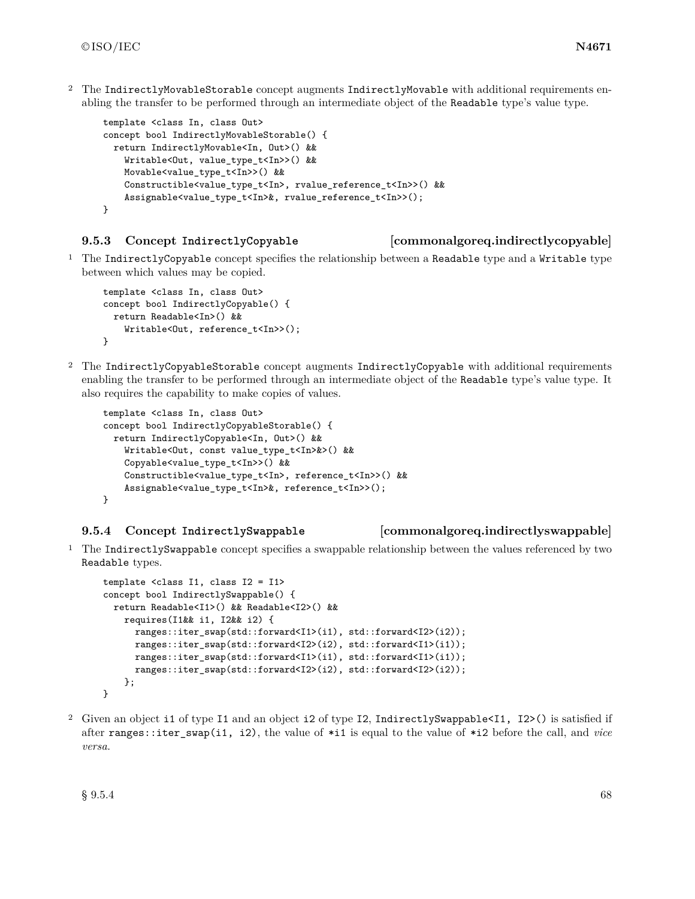<sup>2</sup> The IndirectlyMovableStorable concept augments IndirectlyMovable with additional requirements enabling the transfer to be performed through an intermediate object of the Readable type's value type.

```
template <class In, class Out>
concept bool IndirectlyMovableStorable() {
 return IndirectlyMovable<In, Out>() &&
    Writable<Out, value_type_t<In>>() &&
   Movable<value_type_t<In>>() &&
    Constructible<value_type_t<In>, rvalue_reference_t<In>>() &&
    Assignable<value_type_t<In>&, rvalue_reference_t<In>>();
}
```
### <span id="page-71-0"></span>**9.5.3 Concept IndirectlyCopyable [commonalgoreq.indirectlycopyable]**

<sup>1</sup> The IndirectlyCopyable concept specifies the relationship between a Readable type and a Writable type between which values may be copied.

```
template <class In, class Out>
concept bool IndirectlyCopyable() {
  return Readable<In>() &&
    Writable<Out, reference_t<In>>();
}
```
<sup>2</sup> The IndirectlyCopyableStorable concept augments IndirectlyCopyable with additional requirements enabling the transfer to be performed through an intermediate object of the Readable type's value type. It also requires the capability to make copies of values.

```
template <class In, class Out>
concept bool IndirectlyCopyableStorable() {
 return IndirectlyCopyable<In, Out>() &&
    Writable<Out, const value_type_t<In>&>() &&
    Copyable<value_type_t<In>>() &&
    Constructible<value_type_t<In>, reference_t<In>>() &&
    Assignable<value_type_t<In>&, reference_t<In>>();
}
```
### <span id="page-71-1"></span>**9.5.4 Concept IndirectlySwappable [commonalgoreq.indirectlyswappable]**

<sup>1</sup> The IndirectlySwappable concept specifies a swappable relationship between the values referenced by two Readable types.

```
template <class I1, class I2 = I1>
concept bool IndirectlySwappable() {
 return Readable<I1>() && Readable<I2>() &&
   requires(I1&& i1, I2&& i2) {
      ranges::iter_swap(std::forward<I1>(i1), std::forward<I2>(i2));
      ranges::iter_swap(std::forward<I2>(i2), std::forward<I1>(i1));
      ranges::iter_swap(std::forward<I1>(i1), std::forward<I1>(i1));
      ranges::iter_swap(std::forward<I2>(i2), std::forward<I2>(i2));
   };
}
```
<sup>2</sup> Given an object i1 of type I1 and an object i2 of type I2, IndirectlySwappable<I1, I2>() is satisfied if after ranges::iter\_swap(i1, i2), the value of \*i1 is equal to the value of \*i2 before the call, and *vice versa*.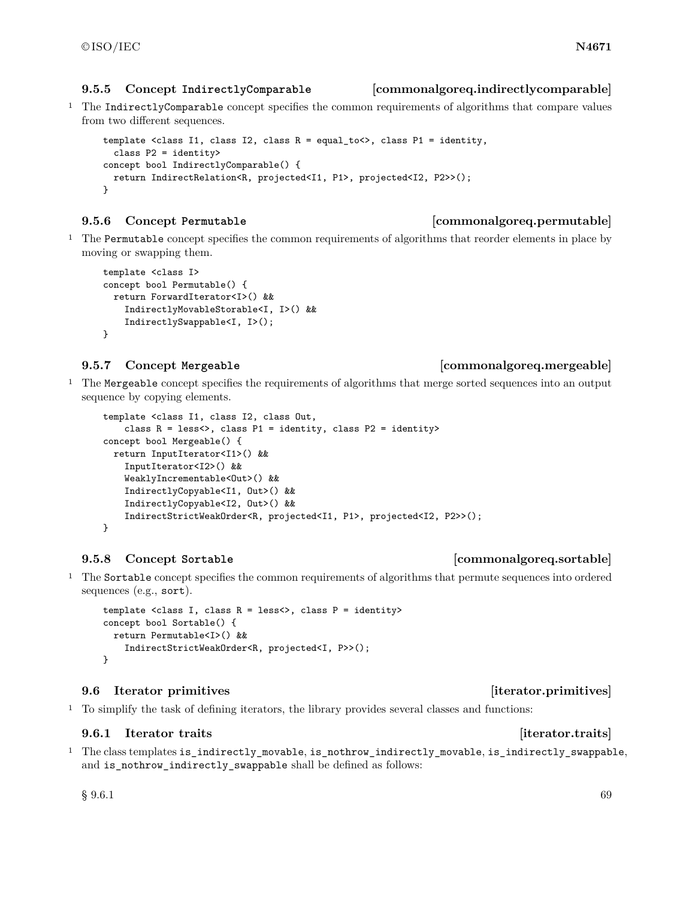### **9.5.5 Concept IndirectlyComparable [commonalgoreq.indirectlycomparable]**

<sup>1</sup> The IndirectlyComparable concept specifies the common requirements of algorithms that compare values from two different sequences.

```
template <class I1, class I2, class R = equal_to<>, class P1 = identity,
  class P2 = identity>
concept bool IndirectlyComparable() {
 return IndirectRelation<R, projected<I1, P1>, projected<I2, P2>>();
}
```
- **9.5.6 Concept Permutable [commonalgoreq.permutable]**
- <sup>1</sup> The Permutable concept specifies the common requirements of algorithms that reorder elements in place by moving or swapping them.

```
template <class I>
concept bool Permutable() {
 return ForwardIterator<I>() &&
    IndirectlyMovableStorable<I, I>() &&
    IndirectlySwappable<I, I>();
}
```
<sup>1</sup> The Mergeable concept specifies the requirements of algorithms that merge sorted sequences into an output sequence by copying elements.

```
template <class I1, class I2, class Out,
    class R = less<>, class P1 = identity, class P2 = identity>
concept bool Mergeable() {
 return InputIterator<I1>() &&
    InputIterator<I2>() &&
    WeaklyIncrementable<Out>() &&
    IndirectlyCopyable<I1, Out>() &&
    IndirectlyCopyable<I2, Out>() &&
    IndirectStrictWeakOrder<R, projected<I1, P1>, projected<I2, P2>>();
}
```
# **9.5.8 Concept Sortable [commonalgoreq.sortable]**

<sup>1</sup> The Sortable concept specifies the common requirements of algorithms that permute sequences into ordered sequences (e.g., sort).

```
template <class I, class R = less<>, class P = identity>
concept bool Sortable() {
 return Permutable<I>() &&
    IndirectStrictWeakOrder<R, projected<I, P>>();
}
```
## **9.6 Iterator primitives [iterator.primitives]**

<sup>1</sup> To simplify the task of defining iterators, the library provides several classes and functions:

# **9.6.1** Iterator traits **in the set of the set of the set of the set of the set of the set of the set of the set of the set of the set of the set of the set of the set of the set of the set of the set of the set of the set**

<sup>1</sup> The class templates is\_indirectly\_movable, is\_nothrow\_indirectly\_movable, is\_indirectly\_swappable, and is\_nothrow\_indirectly\_swappable shall be defined as follows:

 $\S~9.6.1$  69

# **9.5.7 Concept Mergeable [commonalgoreq.mergeable]**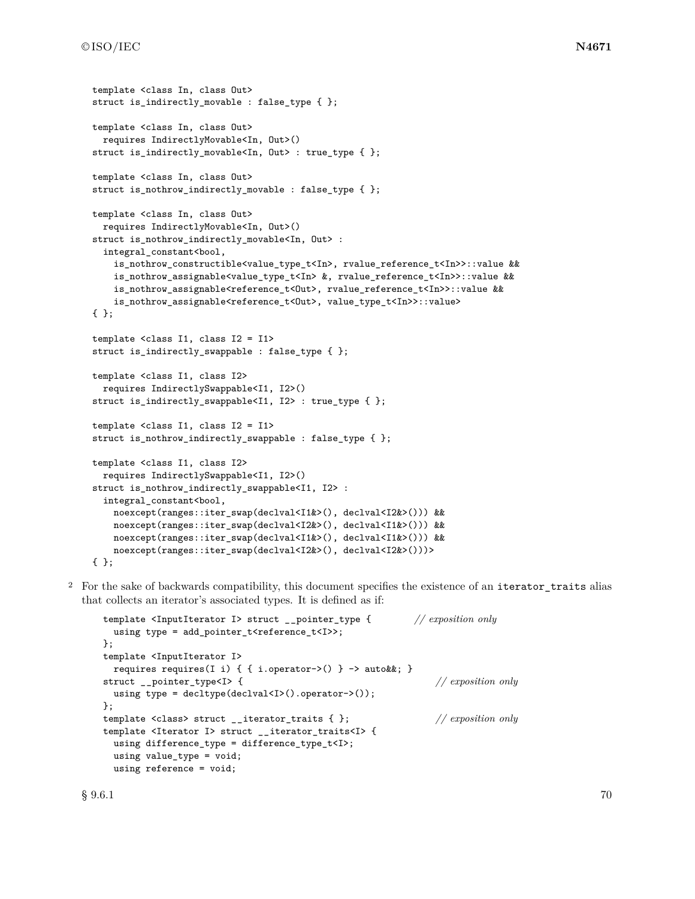```
template <class In, class Out>
struct is_indirectly_movable : false_type { };
template <class In, class Out>
  requires IndirectlyMovable<In, Out>()
struct is_indirectly_movable<In, Out> : true_type { };
template <class In, class Out>
struct is_nothrow_indirectly_movable : false_type { };
template <class In, class Out>
  requires IndirectlyMovable<In, Out>()
struct is_nothrow_indirectly_movable<In, Out> :
  integral_constant<bool,
    is_nothrow_constructible<value_type_t<In>, rvalue_reference_t<In>>::value &&
    is_nothrow_assignable<value_type_t<In> &, rvalue_reference_t<In>>::value &&
    is_nothrow_assignable<reference_t<Out>, rvalue_reference_t<In>>::value &&
    is_nothrow_assignable<reference_t<Out>, value_type_t<In>>::value>
{ };
template <class I1, class I2 = I1>
struct is_indirectly_swappable : false_type { };
template <class I1, class I2>
 requires IndirectlySwappable<I1, I2>()
struct is_indirectly_swappable<I1, I2> : true_type { };
template <class I1, class I2 = I1>
struct is_nothrow_indirectly_swappable : false_type { };
template <class I1, class I2>
  requires IndirectlySwappable<I1, I2>()
struct is_nothrow_indirectly_swappable<I1, I2> :
  integral_constant<bool,
   noexcept(ranges::iter_swap(declval<I1&>(), declval<I2&>())) &&
    noexcept(ranges::iter_swap(declval<I2&>(), declval<I1&>())) &&
    noexcept(ranges::iter_swap(declval<I1&>(), declval<I1&>())) &&
    noexcept(ranges::iter_swap(declval<I2&>(), declval<I2&>()))>
{ };
```
<sup>2</sup> For the sake of backwards compatibility, this document specifies the existence of an iterator\_traits alias that collects an iterator's associated types. It is defined as if:

```
template <InputIterator I> struct __pointer_type { // exposition only
 using type = add_pointer_t<reference_t<I>>;
};
template <InputIterator I>
 requires requires(I i) { { i.operator->() } -> auto&&; }
struct __pointer_type<I> { // exposition only
 using type = decltype(declval<I>().operator->());
};
template <class> struct __iterator_traits { }; // exposition only
template <Iterator I> struct __iterator_traits<I> {
 using difference_type = difference_type_t<I>;
 using value_type = void;
 using reference = void;
```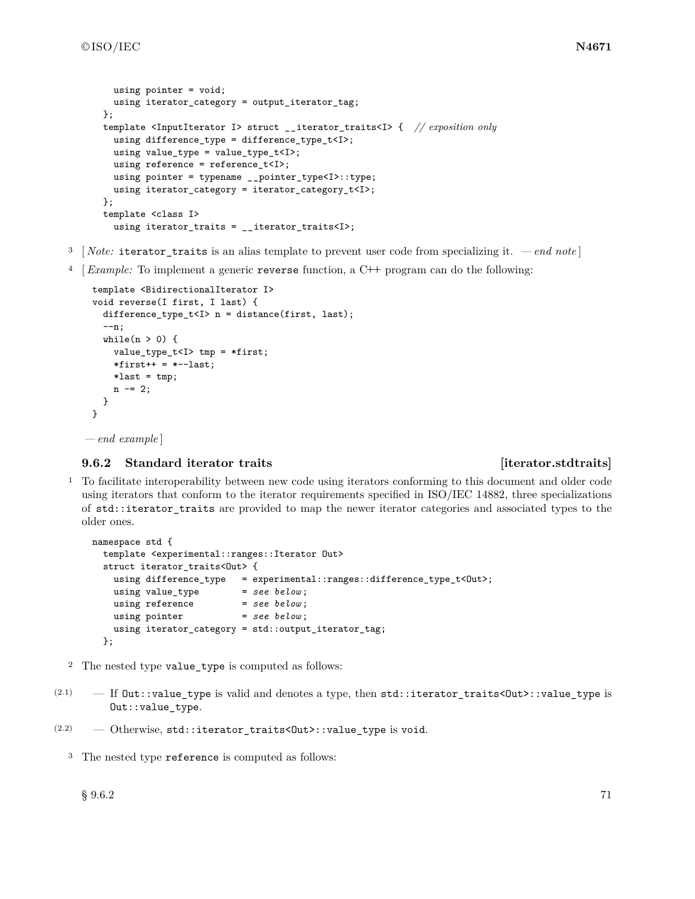```
using pointer = void;
 using iterator_category = output_iterator_tag;
};
template <InputIterator I> struct __iterator_traits<I> { // exposition only
 using difference_type = difference_type_t<I>;
 using value_type = value_type_t < I;
 using reference = reference_t<I>;
 using pointer = typename __pointer_type<I>::type;
 using iterator_category = iterator_category_t<I>;
};
template <class I>
  using iterator_traits = __iterator_traits<I>;
```
- <sup>3</sup> [ *Note:* iterator\_traits is an alias template to prevent user code from specializing it.  *end note* ]
- <sup>4</sup> [*Example:* To implement a generic reverse function, a C**++** program can do the following:

```
template <BidirectionalIterator I>
void reverse(I first, I last) {
 difference_type_t<I> n = distance(first, last);--n;
  while(n > 0) {
    value_type_t<I> tmp = *first;
    *first++ = *--last;*last = tmp;n -= 2;
  }
}
```
*— end example* ]

# **9.6.2 Standard iterator traits [iterator.stdtraits]**

<sup>1</sup> To facilitate interoperability between new code using iterators conforming to this document and older code using iterators that conform to the iterator requirements specified in ISO/IEC 14882, three specializations of std::iterator\_traits are provided to map the newer iterator categories and associated types to the older ones.

```
namespace std {
  template <experimental::ranges::Iterator Out>
  struct iterator_traits<Out> {
    using difference_type = experimental::ranges::difference_type_t<Out>;<br>using value_type = see below;
    using value_type = see below ;
    using reference = see below;
    using pointer = see below;
    using iterator_category = std::output_iterator_tag;
  };
```
- <sup>2</sup> The nested type value\_type is computed as follows:
- (2.1)  $-$  If  $Out::value_type$  is valid and denotes a type, then  $std::iterator_traints@ut>:value_type$  is Out::value\_type.

 $(2.2)$  – Otherwise, std::iterator\_traits<Out>::value\_type is void.

<sup>3</sup> The nested type reference is computed as follows: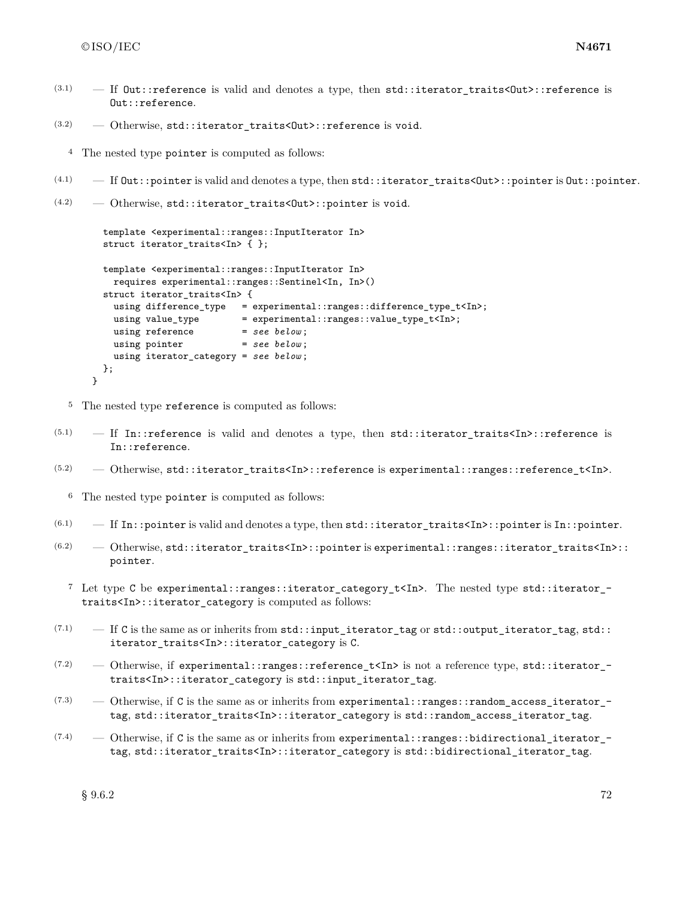}

- (3.1)  $-$  If Out::reference is valid and denotes a type, then std::iterator traits<Out>::reference is Out::reference.
- $(3.2)$  Otherwise, std::iterator\_traits<Out>::reference is void.

<sup>4</sup> The nested type pointer is computed as follows:

- $(4.1)$  If Out::pointer is valid and denotes a type, then std::iterator\_traits<Out>::pointer is Out::pointer.
- $(4.2)$  Otherwise, std::iterator traits<Out>::pointer is void.

```
template <experimental::ranges::InputIterator In>
struct iterator_traits<In> { };
template <experimental::ranges::InputIterator In>
 requires experimental::ranges::Sentinel<In, In>()
struct iterator_traits<In> {
 using difference_type = experimental::ranges::difference_type_t<In>;
 using value_type = experimental::ranges::value_type_t<In>;
 using reference = see below;
 using pointer = see below;
 using iterator_category = see below ;
};
```
<sup>5</sup> The nested type reference is computed as follows:

- $(5.1)$  If In::reference is valid and denotes a type, then std::iterator traits<In>::reference is In::reference.
- $(5.2)$  Otherwise, std::iterator\_traits<In>::reference is experimental::ranges::reference\_t<In>.

<sup>6</sup> The nested type pointer is computed as follows:

- $(6.1)$  If In::pointer is valid and denotes a type, then std::iterator\_traits<In>::pointer is In::pointer.
- $(6.2)$  Otherwise, std::iterator\_traits<In>::pointer is experimental::ranges::iterator\_traits<In>:: pointer.
	- <sup>7</sup> Let type C be experimental::ranges::iterator\_category\_t<In>. The nested type std::iterator\_ traits<In>::iterator\_category is computed as follows:
- $(7.1)$  If C is the same as or inherits from std::input\_iterator\_tag or std::output\_iterator\_tag, std:: iterator\_traits<In>::iterator\_category is C.
- $(7.2)$  Otherwise, if experimental::ranges::reference\_t<In> is not a reference type, std::iterator\_traits<In>::iterator\_category is std::input\_iterator\_tag.
- $(7.3)$  Otherwise, if C is the same as or inherits from experimental:: ranges:: random access iterator tag, std::iterator\_traits<In>::iterator\_category is std::random\_access\_iterator\_tag.
- $(7.4)$  Otherwise, if C is the same as or inherits from experimental::ranges::bidirectional\_iterator\_tag, std::iterator\_traits<In>::iterator\_category is std::bidirectional\_iterator\_tag.

 $\S~9.6.2$  72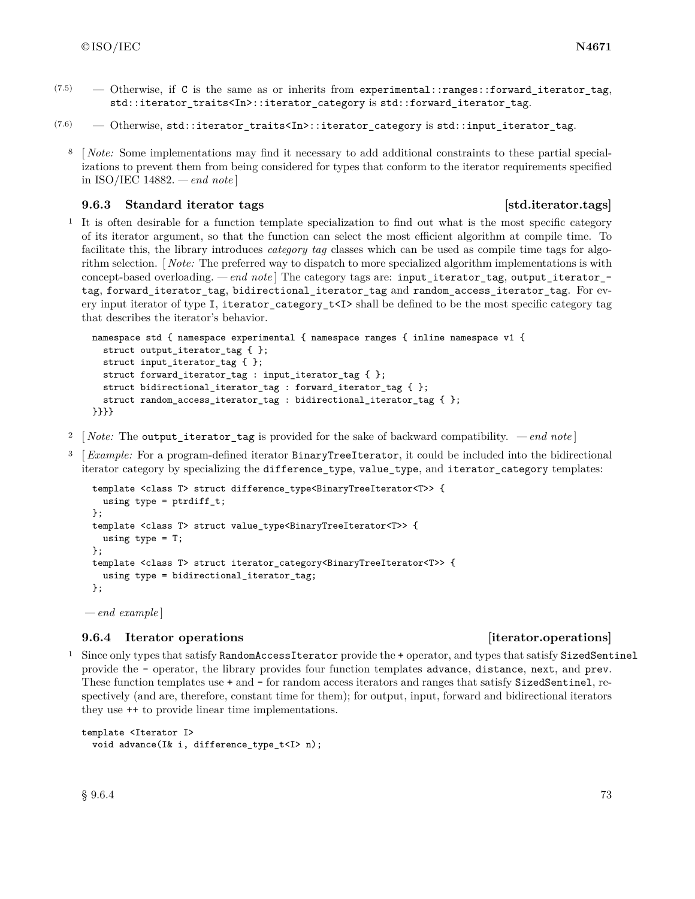$(7.5)$  — Otherwise, if C is the same as or inherits from experimental::ranges::forward iterator tag, std::iterator\_traits<In>::iterator\_category is std::forward\_iterator\_tag.

 $(7.6)$  — Otherwise, std::iterator\_traits<In>::iterator\_category is std::input\_iterator\_tag.

<sup>8</sup> [ *Note:* Some implementations may find it necessary to add additional constraints to these partial specializations to prevent them from being considered for types that conform to the iterator requirements specified in ISO/IEC 14882. *— end note* ]

# **9.6.3** Standard iterator tags **business** [std.iterator.tags]

<sup>1</sup> It is often desirable for a function template specialization to find out what is the most specific category of its iterator argument, so that the function can select the most efficient algorithm at compile time. To facilitate this, the library introduces *category tag* classes which can be used as compile time tags for algorithm selection. [ *Note:* The preferred way to dispatch to more specialized algorithm implementations is with concept-based overloading. *— end note* ] The category tags are: input\_iterator\_tag, output\_iterator\_ tag, forward\_iterator\_tag, bidirectional\_iterator\_tag and random\_access\_iterator\_tag. For every input iterator of type I, iterator\_category\_t<I> shall be defined to be the most specific category tag that describes the iterator's behavior.

```
namespace std { namespace experimental { namespace ranges { inline namespace v1 {
  struct output_iterator_tag { };
 struct input_iterator_tag { };
  struct forward_iterator_tag : input_iterator_tag { };
  struct bidirectional_iterator_tag : forward_iterator_tag { };
  struct random_access_iterator_tag : bidirectional_iterator_tag { };
}}}}
```
- <sup>2</sup> [*Note:* The output\_iterator\_tag is provided for the sake of backward compatibility.  *end note* ]
- <sup>3</sup> [*Example:* For a program-defined iterator BinaryTreeIterator, it could be included into the bidirectional iterator category by specializing the difference\_type, value\_type, and iterator\_category templates:

```
template <class T> struct difference_type<BinaryTreeIterator<T>> {
  using type = ptrdiff_t;};
template <class T> struct value_type<BinaryTreeIterator<T>> {
 using type = T;
};
template <class T> struct iterator_category<BinaryTreeIterator<T>> {
  using type = bidirectional_iterator_tag;
};
```
*— end example* ]

# **9.6.4 Iterator operations [iterator.operations]**

<sup>1</sup> Since only types that satisfy RandomAccessIterator provide the + operator, and types that satisfy SizedSentinel provide the - operator, the library provides four function templates advance, distance, next, and prev. These function templates use  $+$  and  $-$  for random access iterators and ranges that satisfy SizedSentinel, respectively (and are, therefore, constant time for them); for output, input, forward and bidirectional iterators they use ++ to provide linear time implementations.

```
template <Iterator I>
 void advance(I& i, difference_type_t<I> n);
```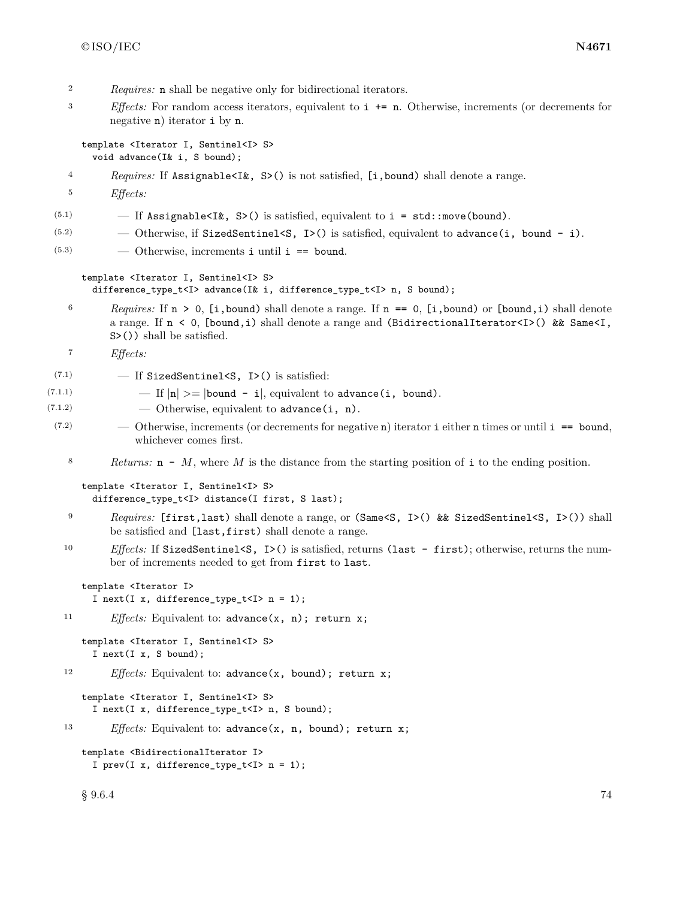- <sup>2</sup> *Requires:* n shall be negative only for bidirectional iterators.
- <sup>3</sup> *Effects:* For random access iterators, equivalent to i += n. Otherwise, increments (or decrements for negative n) iterator i by n.

template <Iterator I, Sentinel<I> S> void advance(I& i, S bound);

- <sup>4</sup> *Requires:* If Assignable<I&, S>() is not satisfied, [i,bound) shall denote a range.
- <sup>5</sup> *Effects:*
- (5.1)  $-$  If Assignable <Ik, S>() is satisfied, equivalent to i = std::move(bound).
- $(5.2)$  Otherwise, if SizedSentinel<S, I>() is satisfied, equivalent to advance(i, bound i).
- $(5.3)$   $\qquad$   $\qquad$  Otherwise, increments i until i == bound.

## template <Iterator I, Sentinel<I> S>

difference\_type\_t<I> advance(I& i, difference\_type\_t<I> n, S bound);

<sup>6</sup> *Requires:* If  $n > 0$ , [i, bound) shall denote a range. If  $n == 0$ , [i, bound) or [bound, i) shall denote a range. If n < 0, [bound,i) shall denote a range and (BidirectionalIterator<I>() && Same<I, S>()) shall be satisfied.

<sup>7</sup> *Effects:*

- $(7.1)$   $-$  If SizedSentinel<S, I>() is satisfied:
- (7.1.1)  $-If |n| > = |bound i|$ , equivalent to advance(i, bound).
- $(7.1.2)$   $\qquad \qquad$  Otherwise, equivalent to advance (i, n).
- $(7.2)$  Otherwise, increments (or decrements for negative n) iterator i either n times or until i == bound, whichever comes first.
	- <sup>8</sup> *Returns:* n *M*, where *M* is the distance from the starting position of i to the ending position.

```
template <Iterator I, Sentinel<I> S>
  difference_type_t<I> distance(I first, S last);
```
- <sup>9</sup> *Requires:* [first,last) shall denote a range, or (Same<S, I>() && SizedSentinel<S, I>()) shall be satisfied and [last,first) shall denote a range.
- 10 *Effects:* If SizedSentinel<S, I>() is satisfied, returns (last first); otherwise, returns the number of increments needed to get from first to last.

```
template <Iterator I>
  I next(I x, difference_type_t<I> n = 1);
```

```
11 Effects: Equivalent to: advance(x, n); return x;
```

```
template <Iterator I, Sentinel<I> S>
  I next(I x, S bound);
```

```
12 Effects: Equivalent to: advance(x, bound); return x;
```

```
template <Iterator I, Sentinel<I> S>
  I next(I x, difference_type_t<I> n, S bound);
```
<sup>13</sup> *Effects:* Equivalent to: advance(x, n, bound); return x;

template <BidirectionalIterator I> I prev(I x, difference\_type\_t<I>  $n = 1$ );

 $\S~9.6.4$  74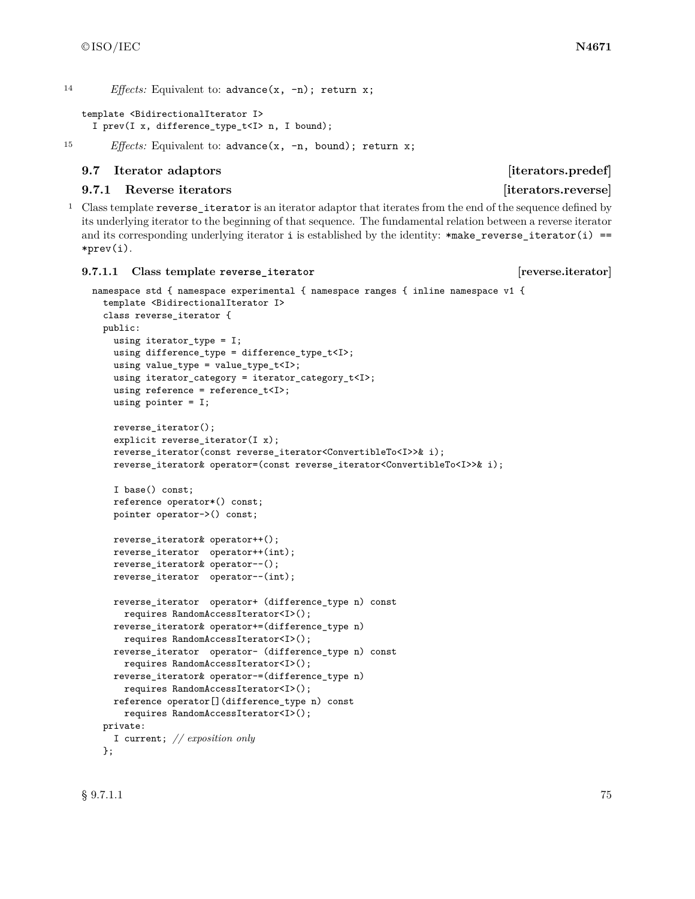<sup>14</sup> *Effects:* Equivalent to: advance(x, -n); return x;

```
template <BidirectionalIterator I>
  I prev(I x, difference_type_t<I> n, I bound);
```
15 *Effects:* Equivalent to: advance(x, -n, bound); return x;

### **9.7** Iterator adaptors **in the set of the set of the set of the set of the set of the set of the set of the set of the set of the set of the set of the set of the set of the set of the set of the set of the set of the set**

# **9.7.1** Reverse iterators [iterators.reverse]

<sup>1</sup> Class template reverse\_iterator is an iterator adaptor that iterates from the end of the sequence defined by its underlying iterator to the beginning of that sequence. The fundamental relation between a reverse iterator and its corresponding underlying iterator  $i$  is established by the identity: \*make\_reverse\_iterator( $i$ ) == \*prev(i).

#### **9.7.1.1 Class template reverse\_iterator [reverse.iterator]**

```
namespace std { namespace experimental { namespace ranges { inline namespace v1 {
  template <BidirectionalIterator I>
  class reverse_iterator {
 public:
    using iterator_type = I;
    using difference_type = difference_type_t<I>;
    using value_type = value_type_t<I>;
    using iterator_category = iterator_category_t<I>;
    using reference = reference_t<I>;
    using pointer = I;
    reverse_iterator();
    explicit reverse_iterator(I x);
    reverse_iterator(const reverse_iterator<ConvertibleTo<I>>& i);
   reverse_iterator& operator=(const reverse_iterator<ConvertibleTo<I>>& i);
    I base() const;
    reference operator*() const;
    pointer operator->() const;
    reverse iterator& operator++();
    reverse_iterator operator++(int);
    reverse_iterator& operator--();
   reverse_iterator operator--(int);
   reverse_iterator operator+ (difference_type n) const
     requires RandomAccessIterator<I>();
   reverse_iterator& operator+=(difference_type n)
     requires RandomAccessIterator<I>();
    reverse_iterator operator- (difference_type n) const
     requires RandomAccessIterator<I>();
    reverse_iterator& operator-=(difference_type n)
      requires RandomAccessIterator<I>();
    reference operator[](difference_type n) const
      requires RandomAccessIterator<I>();
  private:
    I current; // exposition only
  };
```
 $\S~9.7.1.1$   $75$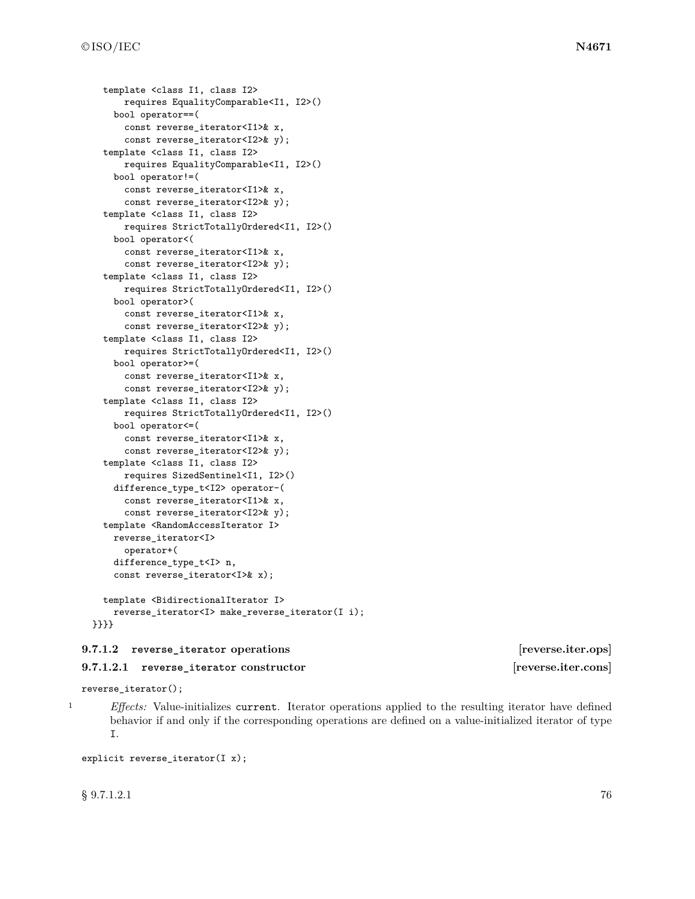```
template <class I1, class I2>
      requires EqualityComparable<I1, I2>()
    bool operator==(
      const reverse_iterator<I1>& x,
      const reverse_iterator<I2>& y);
  template <class I1, class I2>
      requires EqualityComparable<I1, I2>()
    bool operator!=(
      const reverse_iterator<I1>& x,
      const reverse_iterator<I2>& y);
  template <class I1, class I2>
      requires StrictTotallyOrdered<I1, I2>()
    bool operator<(
      const reverse_iterator<I1>& x,
      const reverse_iterator<I2>& y);
  template <class I1, class I2>
      requires StrictTotallyOrdered<I1, I2>()
    bool operator>(
      const reverse_iterator<I1>& x,
      const reverse_iterator<I2>& y);
 template <class I1, class I2>
      requires StrictTotallyOrdered<I1, I2>()
    bool operator>=(
      const reverse_iterator<I1>& x,
      const reverse_iterator<I2>& y);
  template <class I1, class I2>
      requires StrictTotallyOrdered<I1, I2>()
    bool operator<=(
      const reverse_iterator<I1>& x,
      const reverse_iterator<I2>& y);
 template <class I1, class I2>
      requires SizedSentinel<I1, I2>()
    difference_type_t<I2> operator-(
      const reverse_iterator<I1>& x,
      const reverse_iterator<I2>& y);
 template <RandomAccessIterator I>
    reverse_iterator<I>
      operator+(
    difference_type_t<I> n,
    const reverse_iterator<I>& x);
 template <BidirectionalIterator I>
    reverse_iterator<I> make_reverse_iterator(I i);
}}}}
```
## **9.7.1.2 reverse\_iterator operations [reverse.iter.ops]**

### **9.7.1.2.1 reverse\_iterator constructor [reverse.iter.cons]**

reverse\_iterator();

<sup>1</sup> *Effects:* Value-initializes current. Iterator operations applied to the resulting iterator have defined behavior if and only if the corresponding operations are defined on a value-initialized iterator of type I.

explicit reverse\_iterator(I x);

 $\S~9.7.1.2.1$  76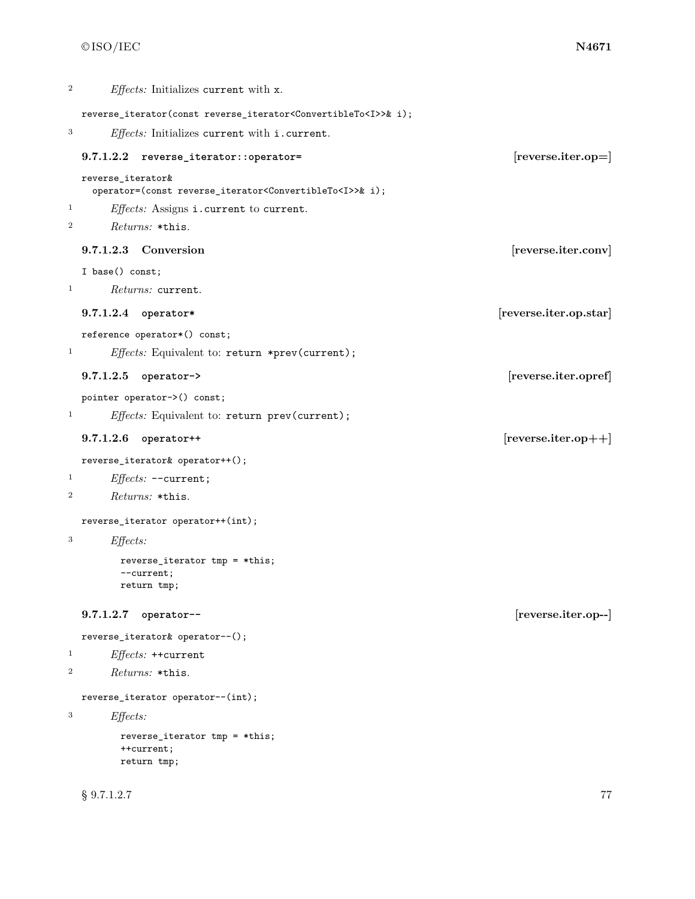```
2 Effects: Initializes current with x.
 reverse_iterator(const reverse_iterator<ConvertibleTo<I>>& i);
3 Effects: Initializes current with i.current.
 9.7.1.2.2 reverse_iterator::operator= [reverse.iter.op=]
 reverse_iterator&
   operator=(const reverse_iterator<ConvertibleTo<I>>& i);
1 Effects: Assigns i.current to current.
2 Returns: *this.
 9.7.1.2.3 Conversion [reverse.iter.conv]
 I base() const;
1 Returns: current.
 9.7.1.2.4 operator* [reverse.iter.op.star]
 reference operator*() const;
<sup>1</sup> Effects: Equivalent to: return *prev(current);
 9.7.1.2.5 operator-> [reverse.iter.opref]
 pointer operator->() const;
<sup>1</sup> Effects: Equivalent to: return prev(current);
 9.7.1.2.6 operator++ [reverse.iter.op++]
 reverse_iterator& operator++();
1 Effects: --current;
2 Returns: *this.
 reverse_iterator operator++(int);
3 Effects:
       reverse_iterator tmp = *this;
       --current;
       return tmp;
 9.7.1.2.7 operator-- [reverse.iter.op--]
 reverse_iterator& operator--();
1 Effects: ++current
2 Returns: *this.
 reverse_iterator operator--(int);
3 Effects:
       reverse_iterator tmp = *this;
       ++current;
       return tmp;
```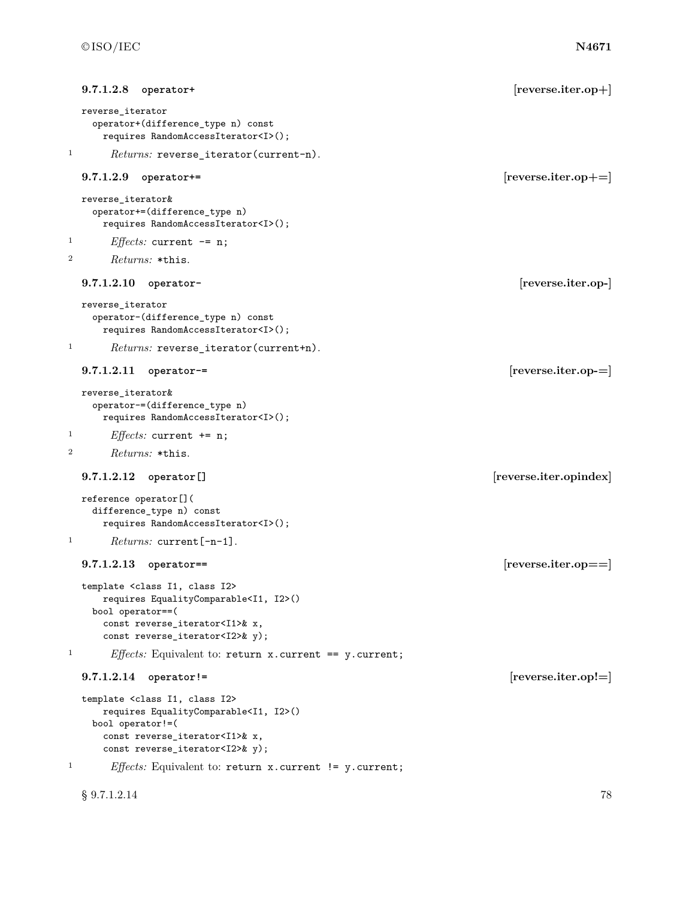| reverse_iterator<br>operator+(difference_type n) const<br>requires RandomAccessIterator <i>();<br/><math>\mathbf{1}</math><br/><i>Returns:</i> reverse_iterator(current-n).<br/>9.7.1.2.9<br/><math>[reverse.iter.op+=]</math><br/>operator+=<br/><math display="block">{\tt reverse\_iterator} \&amp;</math><br/>operator+=(difference_type n)<br/>requires RandomAccessIterator<i>();<br/>1<br/><i>Effects:</i> current <math>-</math> = n;<br/>2<br/>Returns: *this.<br/>[reverse.iter.op-]<br/>9.7.1.2.10<br/>operator-<br/>reverse_iterator<br/>operator-(difference_type n) const<br/>requires RandomAccessIterator<i>();<br/>1<br/>Returns: reverse_iterator(current+n).<br/><math>[reverse.iter.op=]</math><br/><math>9.7.1.2.11</math> operator-=<br/>reverse_iterator&amp;<br/>operator-=(difference_type n)<br/>requires RandomAccessIterator<i>();<br/>1<br/><i>Effects:</i> current <math>+= n;</math><br/>2<br/><i>Returns:</i> *this.<br/>[reverse.iter.opindex]<br/><math>9.7.1.2.12</math> operator []<br/>reference operator[](<br/>difference_type n) const<br/>requires RandomAccessIterator<i>();<br/>1<br/><math>Returns: current[-n-1].</math><br/><math>[reverse.iter.open]=]</math><br/><math>9.7.1.2.13</math> operator==<br/>template <class class="" i1,="" i2=""><br/>requires EqualityComparable<i1, i2="">()<br/>bool operator==(<br/>const reverse_iterator<i1>&amp; x,<br/>const reverse_iterator<i2>&amp; y);<br/><math>\mathbf{1}</math><br/><i>Effects:</i> Equivalent to: return <math>x</math>. current == <math>y</math>. current;<br/><math>[reverse.iter.op! =]</math><br/><math>9.7.1.2.14</math> operator!=<br/>template <class class="" i1,="" i2=""><br/>requires EqualityComparable<i1, i2="">()<br/>bool operator!=(<br/>const reverse_iterator<i1>&amp; x,<br/>const reverse_iterator<i2>&amp; y);<br/>1<br/><i>Effects:</i> Equivalent to: return <math>x</math>. current <math>!= y</math>. current;</i2></i1></i1,></class></i2></i1></i1,></class></i></i></i></i></i> | 9.7.1.2.8<br>operator+ | $[reverse.iter.op+]$ |
|----------------------------------------------------------------------------------------------------------------------------------------------------------------------------------------------------------------------------------------------------------------------------------------------------------------------------------------------------------------------------------------------------------------------------------------------------------------------------------------------------------------------------------------------------------------------------------------------------------------------------------------------------------------------------------------------------------------------------------------------------------------------------------------------------------------------------------------------------------------------------------------------------------------------------------------------------------------------------------------------------------------------------------------------------------------------------------------------------------------------------------------------------------------------------------------------------------------------------------------------------------------------------------------------------------------------------------------------------------------------------------------------------------------------------------------------------------------------------------------------------------------------------------------------------------------------------------------------------------------------------------------------------------------------------------------------------------------------------------------------------------------------------------------------------------------------------------------------------------------------------------------------------------------------------------------------------------------------------------------------------------------------------|------------------------|----------------------|
|                                                                                                                                                                                                                                                                                                                                                                                                                                                                                                                                                                                                                                                                                                                                                                                                                                                                                                                                                                                                                                                                                                                                                                                                                                                                                                                                                                                                                                                                                                                                                                                                                                                                                                                                                                                                                                                                                                                                                                                                                            |                        |                      |
|                                                                                                                                                                                                                                                                                                                                                                                                                                                                                                                                                                                                                                                                                                                                                                                                                                                                                                                                                                                                                                                                                                                                                                                                                                                                                                                                                                                                                                                                                                                                                                                                                                                                                                                                                                                                                                                                                                                                                                                                                            |                        |                      |
|                                                                                                                                                                                                                                                                                                                                                                                                                                                                                                                                                                                                                                                                                                                                                                                                                                                                                                                                                                                                                                                                                                                                                                                                                                                                                                                                                                                                                                                                                                                                                                                                                                                                                                                                                                                                                                                                                                                                                                                                                            |                        |                      |
|                                                                                                                                                                                                                                                                                                                                                                                                                                                                                                                                                                                                                                                                                                                                                                                                                                                                                                                                                                                                                                                                                                                                                                                                                                                                                                                                                                                                                                                                                                                                                                                                                                                                                                                                                                                                                                                                                                                                                                                                                            |                        |                      |
|                                                                                                                                                                                                                                                                                                                                                                                                                                                                                                                                                                                                                                                                                                                                                                                                                                                                                                                                                                                                                                                                                                                                                                                                                                                                                                                                                                                                                                                                                                                                                                                                                                                                                                                                                                                                                                                                                                                                                                                                                            |                        |                      |
|                                                                                                                                                                                                                                                                                                                                                                                                                                                                                                                                                                                                                                                                                                                                                                                                                                                                                                                                                                                                                                                                                                                                                                                                                                                                                                                                                                                                                                                                                                                                                                                                                                                                                                                                                                                                                                                                                                                                                                                                                            |                        |                      |
|                                                                                                                                                                                                                                                                                                                                                                                                                                                                                                                                                                                                                                                                                                                                                                                                                                                                                                                                                                                                                                                                                                                                                                                                                                                                                                                                                                                                                                                                                                                                                                                                                                                                                                                                                                                                                                                                                                                                                                                                                            |                        |                      |
|                                                                                                                                                                                                                                                                                                                                                                                                                                                                                                                                                                                                                                                                                                                                                                                                                                                                                                                                                                                                                                                                                                                                                                                                                                                                                                                                                                                                                                                                                                                                                                                                                                                                                                                                                                                                                                                                                                                                                                                                                            |                        |                      |
|                                                                                                                                                                                                                                                                                                                                                                                                                                                                                                                                                                                                                                                                                                                                                                                                                                                                                                                                                                                                                                                                                                                                                                                                                                                                                                                                                                                                                                                                                                                                                                                                                                                                                                                                                                                                                                                                                                                                                                                                                            |                        |                      |
|                                                                                                                                                                                                                                                                                                                                                                                                                                                                                                                                                                                                                                                                                                                                                                                                                                                                                                                                                                                                                                                                                                                                                                                                                                                                                                                                                                                                                                                                                                                                                                                                                                                                                                                                                                                                                                                                                                                                                                                                                            |                        |                      |
|                                                                                                                                                                                                                                                                                                                                                                                                                                                                                                                                                                                                                                                                                                                                                                                                                                                                                                                                                                                                                                                                                                                                                                                                                                                                                                                                                                                                                                                                                                                                                                                                                                                                                                                                                                                                                                                                                                                                                                                                                            |                        |                      |
|                                                                                                                                                                                                                                                                                                                                                                                                                                                                                                                                                                                                                                                                                                                                                                                                                                                                                                                                                                                                                                                                                                                                                                                                                                                                                                                                                                                                                                                                                                                                                                                                                                                                                                                                                                                                                                                                                                                                                                                                                            |                        |                      |
|                                                                                                                                                                                                                                                                                                                                                                                                                                                                                                                                                                                                                                                                                                                                                                                                                                                                                                                                                                                                                                                                                                                                                                                                                                                                                                                                                                                                                                                                                                                                                                                                                                                                                                                                                                                                                                                                                                                                                                                                                            |                        |                      |
|                                                                                                                                                                                                                                                                                                                                                                                                                                                                                                                                                                                                                                                                                                                                                                                                                                                                                                                                                                                                                                                                                                                                                                                                                                                                                                                                                                                                                                                                                                                                                                                                                                                                                                                                                                                                                                                                                                                                                                                                                            |                        |                      |
|                                                                                                                                                                                                                                                                                                                                                                                                                                                                                                                                                                                                                                                                                                                                                                                                                                                                                                                                                                                                                                                                                                                                                                                                                                                                                                                                                                                                                                                                                                                                                                                                                                                                                                                                                                                                                                                                                                                                                                                                                            |                        |                      |
|                                                                                                                                                                                                                                                                                                                                                                                                                                                                                                                                                                                                                                                                                                                                                                                                                                                                                                                                                                                                                                                                                                                                                                                                                                                                                                                                                                                                                                                                                                                                                                                                                                                                                                                                                                                                                                                                                                                                                                                                                            |                        |                      |
|                                                                                                                                                                                                                                                                                                                                                                                                                                                                                                                                                                                                                                                                                                                                                                                                                                                                                                                                                                                                                                                                                                                                                                                                                                                                                                                                                                                                                                                                                                                                                                                                                                                                                                                                                                                                                                                                                                                                                                                                                            |                        |                      |
|                                                                                                                                                                                                                                                                                                                                                                                                                                                                                                                                                                                                                                                                                                                                                                                                                                                                                                                                                                                                                                                                                                                                                                                                                                                                                                                                                                                                                                                                                                                                                                                                                                                                                                                                                                                                                                                                                                                                                                                                                            |                        |                      |
|                                                                                                                                                                                                                                                                                                                                                                                                                                                                                                                                                                                                                                                                                                                                                                                                                                                                                                                                                                                                                                                                                                                                                                                                                                                                                                                                                                                                                                                                                                                                                                                                                                                                                                                                                                                                                                                                                                                                                                                                                            |                        |                      |
|                                                                                                                                                                                                                                                                                                                                                                                                                                                                                                                                                                                                                                                                                                                                                                                                                                                                                                                                                                                                                                                                                                                                                                                                                                                                                                                                                                                                                                                                                                                                                                                                                                                                                                                                                                                                                                                                                                                                                                                                                            |                        |                      |
|                                                                                                                                                                                                                                                                                                                                                                                                                                                                                                                                                                                                                                                                                                                                                                                                                                                                                                                                                                                                                                                                                                                                                                                                                                                                                                                                                                                                                                                                                                                                                                                                                                                                                                                                                                                                                                                                                                                                                                                                                            |                        |                      |
|                                                                                                                                                                                                                                                                                                                                                                                                                                                                                                                                                                                                                                                                                                                                                                                                                                                                                                                                                                                                                                                                                                                                                                                                                                                                                                                                                                                                                                                                                                                                                                                                                                                                                                                                                                                                                                                                                                                                                                                                                            |                        |                      |

§ 9.7.1.2.14 78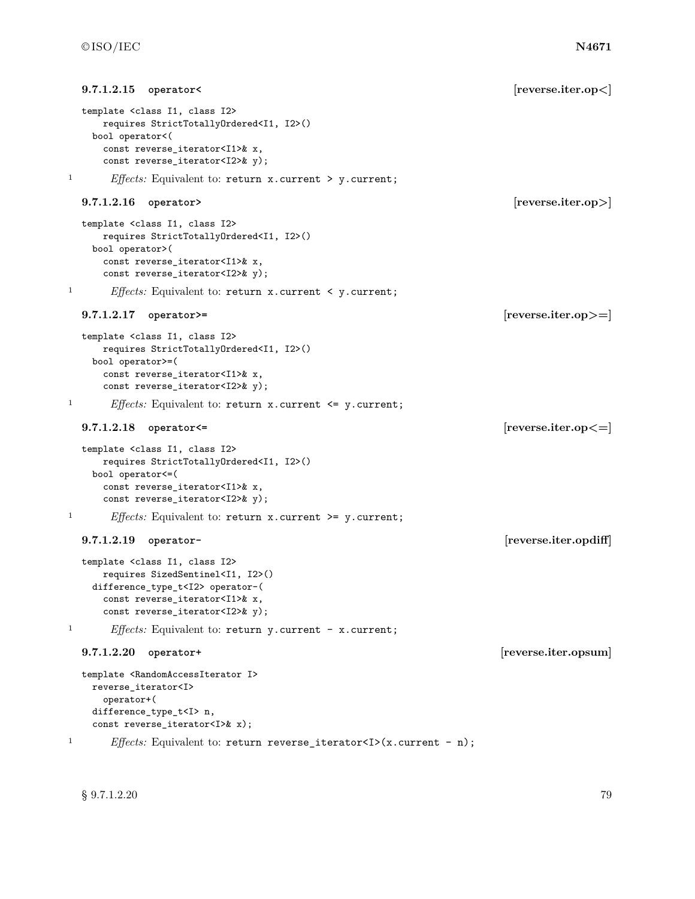```
9.7.1.2.15 operator< [reverse.iter.op<]
  template <class I1, class I2>
     requires StrictTotallyOrdered<I1, I2>()
   bool operator<(
     const reverse_iterator<I1>& x,
     const reverse_iterator<I2>& y);
1 Effects: Equivalent to: return x.current > y.current;
  9.7.1.2.16 operator> [reverse.iter.op>]
  template <class I1, class I2>
     requires StrictTotallyOrdered<I1, I2>()
   bool operator>(
     const reverse_iterator<I1>& x,
     const reverse_iterator<I2>& y);
1 Effects: Equivalent to: return x.current < y.current;
  9.7.1.2.17 operator>= [reverse.iter.op>=]
  template <class I1, class I2>
     requires StrictTotallyOrdered<I1, I2>()
   bool operator>=(
     const reverse_iterator<I1>& x,
     const reverse_iterator<I2>& y);
1 Effects: Equivalent to: return x.current <= y.current;
  9.7.1.2.18 operator<= [reverse.iter.op<=]
  template <class I1, class I2>
     requires StrictTotallyOrdered<I1, I2>()
   bool operator<=(
     const reverse_iterator<I1>& x,
     const reverse_iterator<I2>& y);
1 Effects: Equivalent to: return x.current >= y.current;
  9.7.1.2.19 operator- [reverse.iter.opdiff]
  template <class I1, class I2>
     requires SizedSentinel<I1, I2>()
   difference_type_t<I2> operator-(
     const reverse_iterator<I1>& x,
     const reverse_iterator<I2>& y);
1 Effects: Equivalent to: return y.current - x.current;
  9.7.1.2.20 operator+ [reverse.iter.opsum]
  template <RandomAccessIterator I>
   reverse_iterator<I>
     operator+(
   difference_type_t<I> n,
   const reverse_iterator<I>& x);
<sup>1</sup> Effects: Equivalent to: return reverse_iterator<I>(x.current - n);
```
 $\S~9.7.1.2.20$  79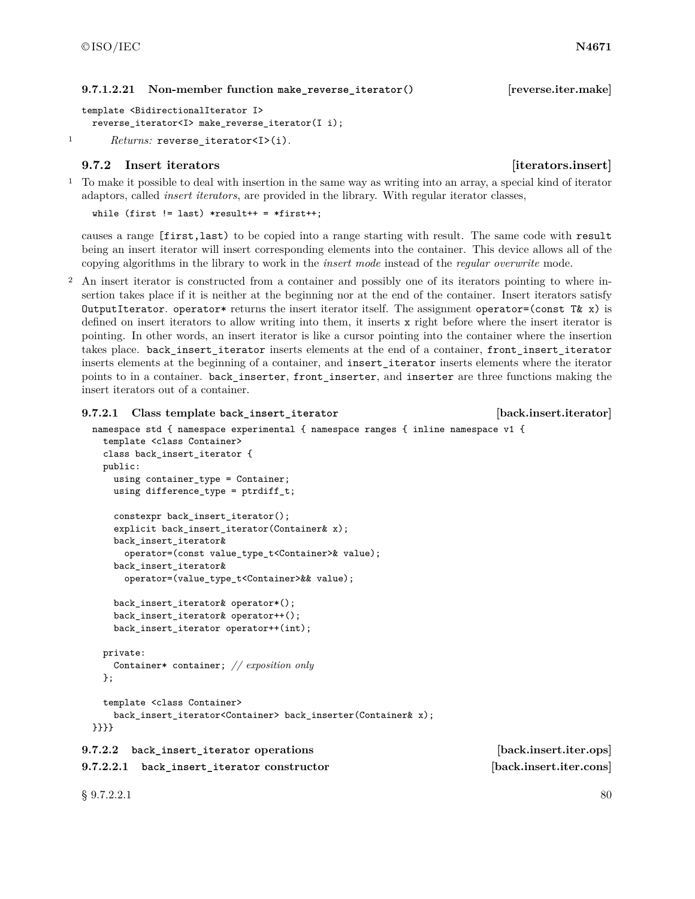### **9.7.1.2.21 Non-member function make\_reverse\_iterator() [reverse.iter.make]**

```
template <BidirectionalIterator I>
 reverse_iterator<I> make_reverse_iterator(I i);
```

```
1 Returns: reverse_iterator<I>(i).
```
# **9.7.2** Insert iterators **is a set of the set of the set of the set of the set of the set of the set of the set of the set of the set of the set of the set of the set of the set of the set of the set of the set of the set**

<sup>1</sup> To make it possible to deal with insertion in the same way as writing into an array, a special kind of iterator adaptors, called *insert iterators*, are provided in the library. With regular iterator classes,

```
while (first != last) *result++ = *first++;
```
causes a range [first,last) to be copied into a range starting with result. The same code with result being an insert iterator will insert corresponding elements into the container. This device allows all of the copying algorithms in the library to work in the *insert mode* instead of the *regular overwrite* mode.

<sup>2</sup> An insert iterator is constructed from a container and possibly one of its iterators pointing to where insertion takes place if it is neither at the beginning nor at the end of the container. Insert iterators satisfy OutputIterator. operator\* returns the insert iterator itself. The assignment operator=(const T& x) is defined on insert iterators to allow writing into them, it inserts x right before where the insert iterator is pointing. In other words, an insert iterator is like a cursor pointing into the container where the insertion takes place. back\_insert\_iterator inserts elements at the end of a container, front\_insert\_iterator inserts elements at the beginning of a container, and insert\_iterator inserts elements where the iterator points to in a container. back\_inserter, front\_inserter, and inserter are three functions making the insert iterators out of a container.

```
9.7.2.1 Class template back_insert_iterator [back.insert.iterator]
 namespace std { namespace experimental { namespace ranges { inline namespace v1 {
   template <class Container>
   class back_insert_iterator {
   public:
     using container_type = Container;
     using difference_type = ptrdiff_t;
     constexpr back_insert_iterator();
     explicit back_insert_iterator(Container& x);
     back_insert_iterator&
       operator=(const value_type_t<Container>& value);
     back_insert_iterator&
       operator=(value_type_t<Container>&& value);
     back_insert_iterator& operator*();
     back_insert_iterator& operator++();
     back_insert_iterator operator++(int);
   private:
     Container* container; // exposition only
   };
   template <class Container>
     back_insert_iterator<Container> back_inserter(Container& x);
 }}}}
9.7.2.2 back_insert_iterator operations [back.insert.iter.ops]
9.7.2.2.1 back_insert_iterator constructor [back.insert.iter.cons]
```
 $\S~9.7.2.2.1$  80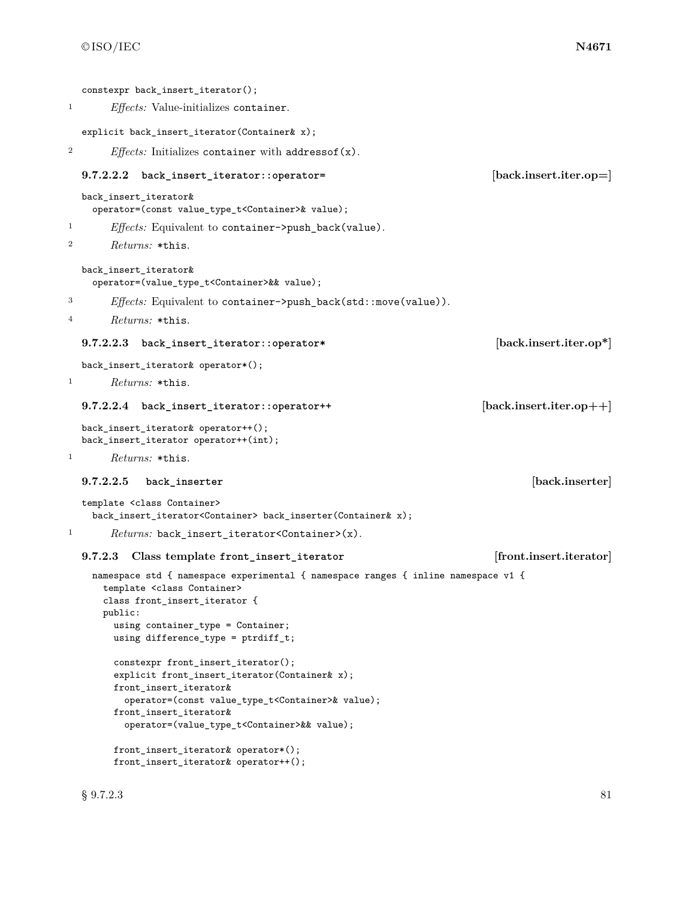|                | constexpr back_insert_iterator();                                                                                                                                                                                                                                                |                            |
|----------------|----------------------------------------------------------------------------------------------------------------------------------------------------------------------------------------------------------------------------------------------------------------------------------|----------------------------|
| 1              | <i>Effects:</i> Value-initializes container.                                                                                                                                                                                                                                     |                            |
|                | explicit back_insert_iterator(Container& x);                                                                                                                                                                                                                                     |                            |
| $\overline{2}$ | <i>Effects:</i> Initializes container with address of $(x)$ .                                                                                                                                                                                                                    |                            |
|                | 9.7.2.2.2<br>back_insert_iterator::operator=                                                                                                                                                                                                                                     | [back.insert.iter.op=]     |
|                | back_insert_iterator&<br>operator=(const value_type_t <container>&amp; value);</container>                                                                                                                                                                                       |                            |
| 1              | <i>Effects:</i> Equivalent to container->push_back(value).                                                                                                                                                                                                                       |                            |
| 2              | <i>Returns:</i> *this.                                                                                                                                                                                                                                                           |                            |
|                | back_insert_iterator&<br>operator=(value_type_t <container>&amp;&amp; value);</container>                                                                                                                                                                                        |                            |
| 3              | <i>Effects:</i> Equivalent to container->push_back(std::move(value)).                                                                                                                                                                                                            |                            |
| $\overline{4}$ | Returns: *this.                                                                                                                                                                                                                                                                  |                            |
|                | 9.7.2.2.3<br>back_insert_iterator::operator*                                                                                                                                                                                                                                     | [back.insert.iter.op*]     |
|                | back_insert_iterator& operator*();                                                                                                                                                                                                                                               |                            |
| 1              | $Returns: *this.$                                                                                                                                                                                                                                                                |                            |
|                | 9.7.2.2.4 back_insert_iterator::operator++                                                                                                                                                                                                                                       | $[back.insert.iter.open+]$ |
|                | back_insert_iterator& operator++();<br>back_insert_iterator operator++(int);                                                                                                                                                                                                     |                            |
| 1              | $Returns: *this.$                                                                                                                                                                                                                                                                |                            |
|                | 9.7.2.2.5<br>back_inserter                                                                                                                                                                                                                                                       | [back.inserter]            |
|                | template <class container=""><br/>back_insert_iterator<container> back_inserter(Container&amp; x);</container></class>                                                                                                                                                           |                            |
| 1              | $Returns: back_insort\_iterator \leq Container \geq (x).$                                                                                                                                                                                                                        |                            |
|                | Class template front_insert_iterator<br>9.7.2.3                                                                                                                                                                                                                                  | [front.insert.iterator]    |
|                | namespace std { namespace experimental { namespace ranges { inline namespace v1 {<br>template <class container=""><br/>class front_insert_iterator {<br/>public:<br/>using container_type = Container;<br/>using difference_type = <math>ptrdiff_t;</math></class>               |                            |
|                | constexpr front_insert_iterator();<br>explicit front_insert_iterator(Container& x);<br>front_insert_iterator&<br>operator=(const value_type_t <container> walue);<br/>front_insert_iterator&amp;<br/>operator=(value_type_t<container>&amp;&amp; value);</container></container> |                            |

front\_insert\_iterator& operator\*(); front\_insert\_iterator& operator++();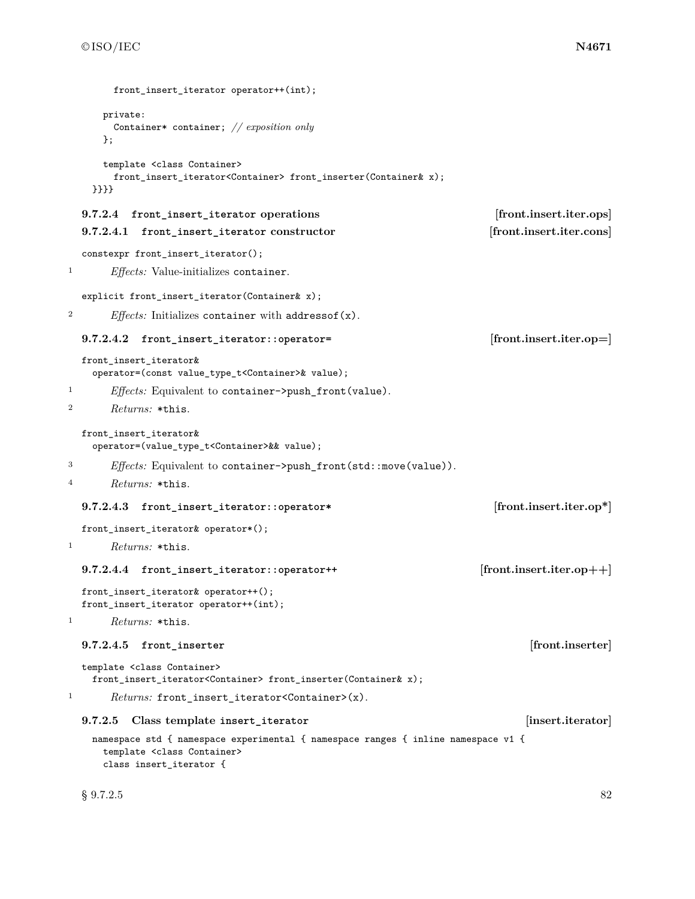|                  | front_insert_iterator operator++(int);                                                                                                                 |                             |
|------------------|--------------------------------------------------------------------------------------------------------------------------------------------------------|-----------------------------|
|                  | private:<br>Container* container; // $exposition$ only<br>};                                                                                           |                             |
|                  | template <class container=""><br/>front_insert_iterator<container> front_inserter(Container&amp; x);<br/><math>\}</math>}}}}</container></class>       |                             |
|                  | 9.7.2.4 front_insert_iterator operations                                                                                                               | [front.insert.iter.ops]     |
|                  | 9.7.2.4.1<br>front_insert_iterator constructor                                                                                                         | [front.insert.iter.cons]    |
|                  | constexpr front_insert_iterator();                                                                                                                     |                             |
| $\mathbf{1}$     | <i>Effects:</i> Value-initializes container.                                                                                                           |                             |
|                  | explicit front_insert_iterator(Container& x);                                                                                                          |                             |
| $\boldsymbol{2}$ | <i>Effects:</i> Initializes container with address of $(x)$ .                                                                                          |                             |
|                  | 9.7.2.4.2<br>front_insert_iterator::operator=                                                                                                          | [front.insert.iter.op=]     |
|                  | front_insert_iterator&<br>operator=(const value_type_t <container>&amp; value);</container>                                                            |                             |
| 1                | <i>Effects:</i> Equivalent to container->push_front(value).                                                                                            |                             |
| $\boldsymbol{2}$ | Returns: *this.                                                                                                                                        |                             |
|                  | front_insert_iterator&<br>operator=(value_type_t <container>&amp;&amp; value);</container>                                                             |                             |
| 3                | <i>Effects:</i> Equivalent to container->push_front(std::move(value)).                                                                                 |                             |
| 4                | <i>Returns:</i> *this.                                                                                                                                 |                             |
|                  | 9.7.2.4.3<br>front_insert_iterator::operator*                                                                                                          | [front.insert.iter.op*]     |
|                  | front_insert_iterator& operator*();                                                                                                                    |                             |
| 1                | <i>Returns:</i> *this.                                                                                                                                 |                             |
|                  | 9.7.2.4.4 front_insert_iterator::operator++                                                                                                            | $[front.insert.iter.open+]$ |
|                  | front_insert_iterator& operator++();<br>front_insert_iterator operator++(int);                                                                         |                             |
| 1                | Returns: *this.                                                                                                                                        |                             |
|                  | 9.7.2.4.5<br>front inserter                                                                                                                            | [front.inserter]            |
|                  | template <class container=""><br/>front_insert_iterator<container> front_inserter(Container&amp; x);</container></class>                               |                             |
| 1                | $Returns:$ front_insert_iterator <container>(x).</container>                                                                                           |                             |
|                  | Class template insert_iterator<br>9.7.2.5                                                                                                              | [insert.iterator]           |
|                  | namespace std { namespace experimental { namespace ranges { inline namespace v1 {<br>template <class container=""><br/>class insert_iterator {</class> |                             |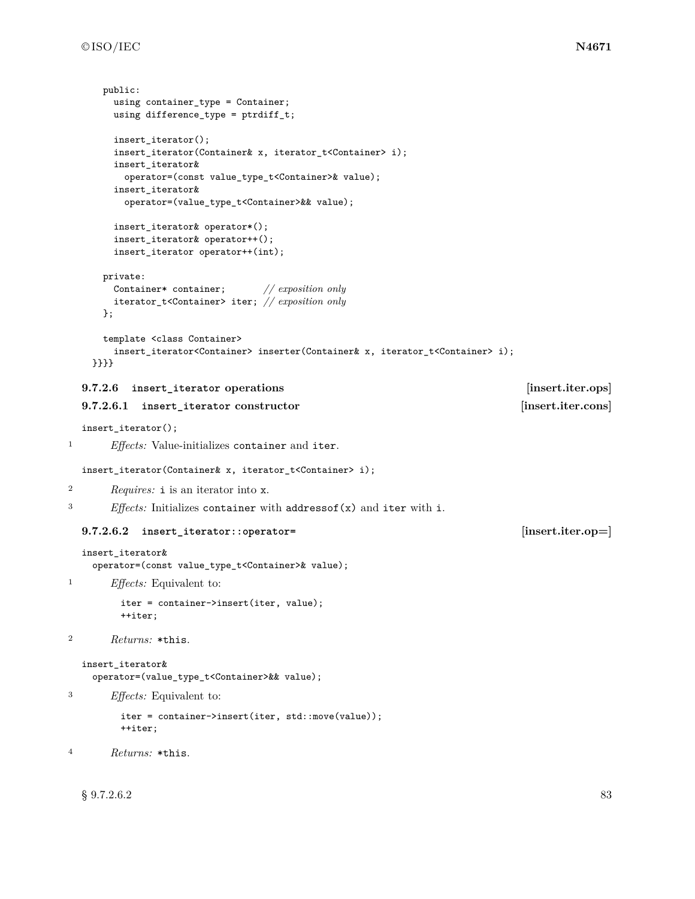```
public:
       using container_type = Container;
       using difference_type = ptrdiff_t;
       insert_iterator();
       insert_iterator(Container& x, iterator_t<Container> i);
       insert_iterator&
         operator=(const value_type_t<Container>& value);
       insert_iterator&
         operator=(value_type_t<Container>&& value);
       insert_iterator& operator*();
       insert_iterator& operator++();
       insert_iterator operator++(int);
     private:
       Container* container; // exposition only
       iterator_t<Container> iter; // exposition only
     };
     template <class Container>
       insert_iterator<Container> inserter(Container& x, iterator_t<Container> i);
    }}}}
  9.7.2.6 insert_iterator operations [insert.iter.ops]
  9.7.2.6.1 insert_iterator constructor [insert.iter.cons]
  insert_iterator();
1 Effects: Value-initializes container and iter.
  insert_iterator(Container& x, iterator_t<Container> i);
2 Requires: i is an iterator into x.
3 Effects: Initializes container with addressof(x) and iter with i.
  9.7.2.6.2 insert_iterator::operator= [insert.iter.op=]
  insert_iterator&
    operator=(const value_type_t<Container>& value);
1 Effects: Equivalent to:
        iter = container->insert(iter, value);
        ++iter;
2 Returns: *this.
  insert_iterator&
    operator=(value_type_t<Container>&& value);
3 Effects: Equivalent to:
        iter = container->insert(iter, std::move(value));
        ++iter;
4 Returns: *this.
```
 $\S~9.7.2.6.2$  83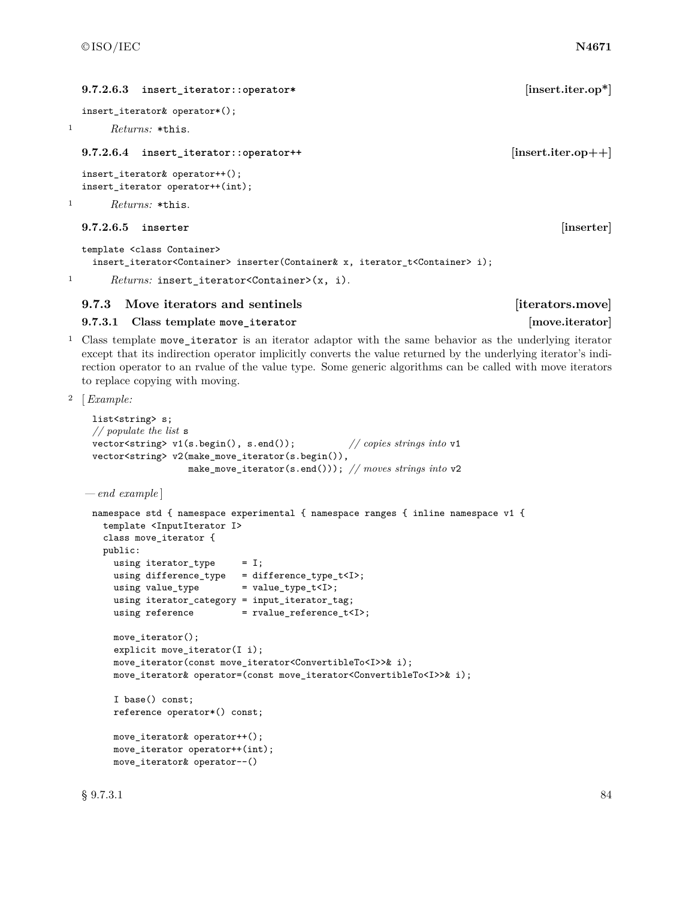# **9.7.2.6.3 insert\_iterator::operator\* [insert.iter.op\*]** insert iterator& operator\*(); <sup>1</sup> *Returns:* \*this. **9.7.2.6.4 insert** iterator::operator++ *insert.iter.op++* insert\_iterator& operator++(); insert\_iterator operator++(int); <sup>1</sup> *Returns:* \*this. **9.7.2.6.5 inserter [inserter]** template <class Container> insert\_iterator<Container> inserter(Container& x, iterator\_t<Container> i);

1 Returns: insert\_iterator<Container>(x, i).

# **9.7.3** Move iterators and sentinels **example in the sense is example to the sense in the sense is example to the sense is example to the sense is example to the sense is expected to the sense is expected to the sense is e**

**9.7.3.1 Class template move\_iterator [move.iterator]**

<sup>1</sup> Class template move\_iterator is an iterator adaptor with the same behavior as the underlying iterator except that its indirection operator implicitly converts the value returned by the underlying iterator's indirection operator to an rvalue of the value type. Some generic algorithms can be called with move iterators to replace copying with moving.

```
2 [Example:
```

```
list<string> s;
 // populate the list s
 vector<string> v1(s.begin(), s.end()); // copies strings into v1
 vector<string> v2(make_move_iterator(s.begin()),
                   make_move_iterator(s.end())); // moves strings into v2
— end example ]
 namespace std { namespace experimental { namespace ranges { inline namespace v1 {
   template <InputIterator I>
   class move_iterator {
   public:
     using iterator_type = I;
     using difference_type = difference_type_t<I>;
     using value_type = value_type_t<I>;
     using iterator_category = input_iterator_tag;
     using reference = rvalue_reference_t<I>;
     move_iterator();
     explicit move_iterator(I i);
     move_iterator(const move_iterator<ConvertibleTo<I>>& i);
     move_iterator& operator=(const move_iterator<ConvertibleTo<I>>& i);
     I base() const;
     reference operator*() const;
     move_iterator& operator++();
     move_iterator operator++(int);
     move_iterator& operator--()
```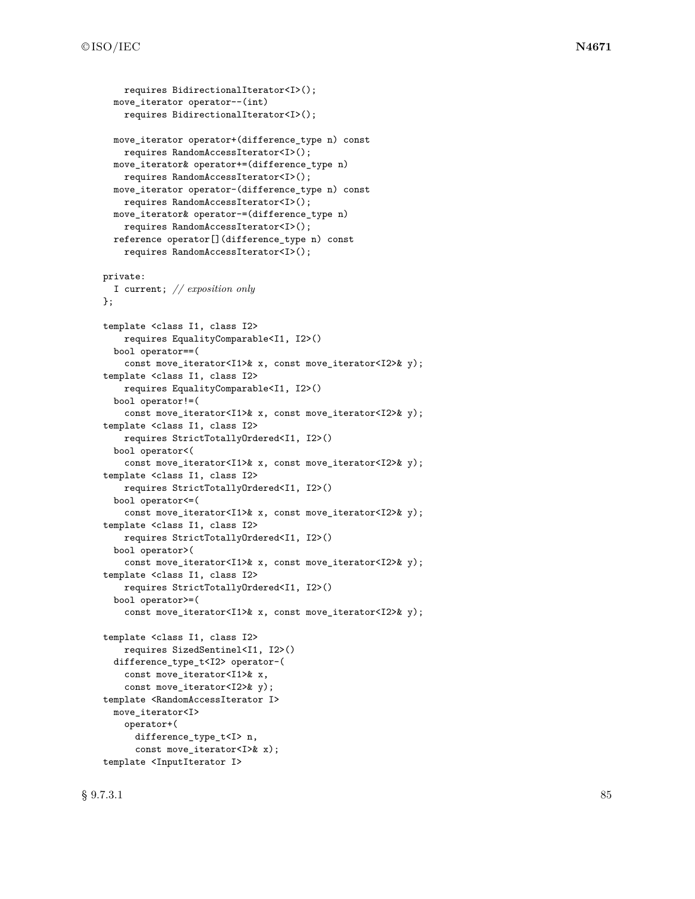```
requires BidirectionalIterator<I>();
 move_iterator operator--(int)
    requires BidirectionalIterator<I>();
  move_iterator operator+(difference_type n) const
    requires RandomAccessIterator<I>();
 move_iterator& operator+=(difference_type n)
    requires RandomAccessIterator<I>();
  move_iterator operator-(difference_type n) const
    requires RandomAccessIterator<I>();
  move_iterator& operator-=(difference_type n)
    requires RandomAccessIterator<I>();
  reference operator[](difference_type n) const
    requires RandomAccessIterator<I>();
private:
  I current; // exposition only
};
template <class I1, class I2>
    requires EqualityComparable<I1, I2>()
  bool operator==(
    const move_iterator<I1>& x, const move_iterator<I2>& y);
template <class I1, class I2>
    requires EqualityComparable<I1, I2>()
  bool operator!=(
    const move_iterator<I1>& x, const move_iterator<I2>& y);
template <class I1, class I2>
    requires StrictTotallyOrdered<I1, I2>()
  bool operator<(
    const move_iterator<I1>& x, const move_iterator<I2>& y);
template <class I1, class I2>
    requires StrictTotallyOrdered<I1, I2>()
  bool operator<=(
    const move_iterator<I1>& x, const move_iterator<I2>& y);
template <class I1, class I2>
    requires StrictTotallyOrdered<I1, I2>()
  bool operator>(
    const move_iterator<I1>& x, const move_iterator<I2>& y);
template <class I1, class I2>
    requires StrictTotallyOrdered<I1, I2>()
  bool operator>=(
    const move_iterator<I1>& x, const move_iterator<I2>& y);
template <class I1, class I2>
    requires SizedSentinel<I1, I2>()
  difference_type_t<I2> operator-(
    const move_iterator<I1>& x,
    const move_iterator<I2>& y);
template <RandomAccessIterator I>
  move_iterator<I>
    operator+(
      difference_type_t<I> n,
      const move_iterator<I>& x);
template <InputIterator I>
```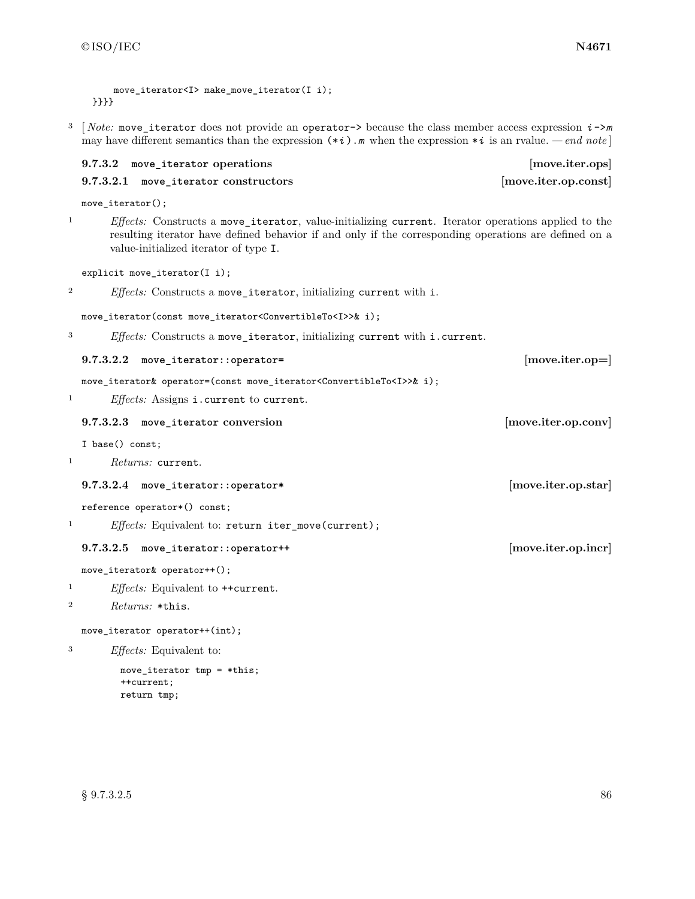}}}}

```
move iterator<I> make move iterator(I i);
```
<sup>3</sup> [ *Note:* move\_iterator does not provide an operator-> because the class member access expression *i* ->*m* may have different semantics than the expression  $(*i)$ . *m* when the expression  $*i$  is an rvalue. *— end note* 

## **9.7.3.2 move\_iterator operations [move.iter.ops]**

# **9.7.3.2.1 move\_iterator constructors [move.iter.op.const]**

move\_iterator();

<sup>1</sup> *Effects:* Constructs a move\_iterator, value-initializing current. Iterator operations applied to the resulting iterator have defined behavior if and only if the corresponding operations are defined on a value-initialized iterator of type I.

explicit move\_iterator(I i);

<sup>2</sup> *Effects:* Constructs a move\_iterator, initializing current with i.

move\_iterator(const move\_iterator<ConvertibleTo<I>>& i);

<sup>3</sup> *Effects:* Constructs a move\_iterator, initializing current with i.current.

### **9.7.3.2.2 move\_iterator::operator= [move.iter.op=]**

move\_iterator& operator=(const move\_iterator<ConvertibleTo<I>>& i);

<sup>1</sup> *Effects:* Assigns i.current to current.

**9.7.3.2.3 move\_iterator conversion [move.iter.op.conv]**

I base() const;

<sup>1</sup> *Returns:* current.

**9.7.3.2.4 move\_iterator::operator\* [move.iter.op.star]**

reference operator\*() const;

<sup>1</sup> *Effects:* Equivalent to: return iter\_move(current);

# **9.7.3.2.5 move\_iterator::operator++ [move.iter.op.incr]**

move\_iterator& operator++();

<sup>1</sup> *Effects:* Equivalent to ++current.

# <sup>2</sup> *Returns:* \*this.

move\_iterator operator++(int);

<sup>3</sup> *Effects:* Equivalent to:

move\_iterator tmp = \*this; ++current; return tmp;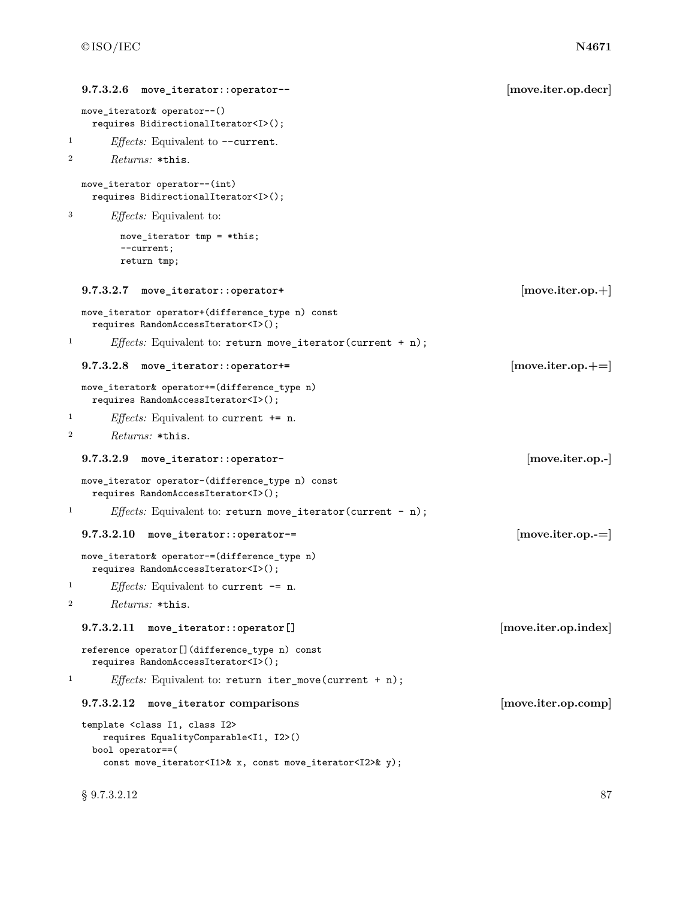```
9.7.3.2.6 move_iterator::operator-- [move.iter.op.decr]
  move_iterator& operator--()
   requires BidirectionalIterator<I>();
<sup>1</sup> Effects: Equivalent to --current.
2 Returns: *this.
 move_iterator operator--(int)
   requires BidirectionalIterator<I>();
3 Effects: Equivalent to:
        move_iterator tmp = *this;
        --current;
        return tmp;
  9.7.3.2.7 move_iterator::operator+ [move.iter.op.+]
 move_iterator operator+(difference_type n) const
   requires RandomAccessIterator<I>();
1 Effects: Equivalent to: return move_iterator(current + n);
  9.7.3.2.8 move_iterator::operator+= [move.iter.op.+=]
 move_iterator& operator+=(difference_type n)
   requires RandomAccessIterator<I>();
1 Effects: Equivalent to current += n.
2 Returns: *this.
  9.7.3.2.9 move_iterator::operator- [move.iter.op.-]
 move_iterator operator-(difference_type n) const
   requires RandomAccessIterator<I>();
<sup>1</sup> Effects: Equivalent to: return move_iterator(current - n);
  9.7.3.2.10 move_iterator::operator-= [move.iter.op.-=]
 move_iterator& operator-=(difference_type n)
   requires RandomAccessIterator<I>();
<sup>1</sup> Effects: Equivalent to current -= n.
2 Returns: *this.
  9.7.3.2.11 move_iterator::operator[] [move.iter.op.index]
 reference operator[](difference_type n) const
   requires RandomAccessIterator<I>();
<sup>1</sup> Effects: Equivalent to: return iter_move(current + n);
  9.7.3.2.12 move_iterator comparisons [move.iter.op.comp]
  template <class I1, class I2>
     requires EqualityComparable<I1, I2>()
   bool operator==(
     const move_iterator<I1>& x, const move_iterator<I2>& y);
```
 $\S~9.7.3.2.12$  87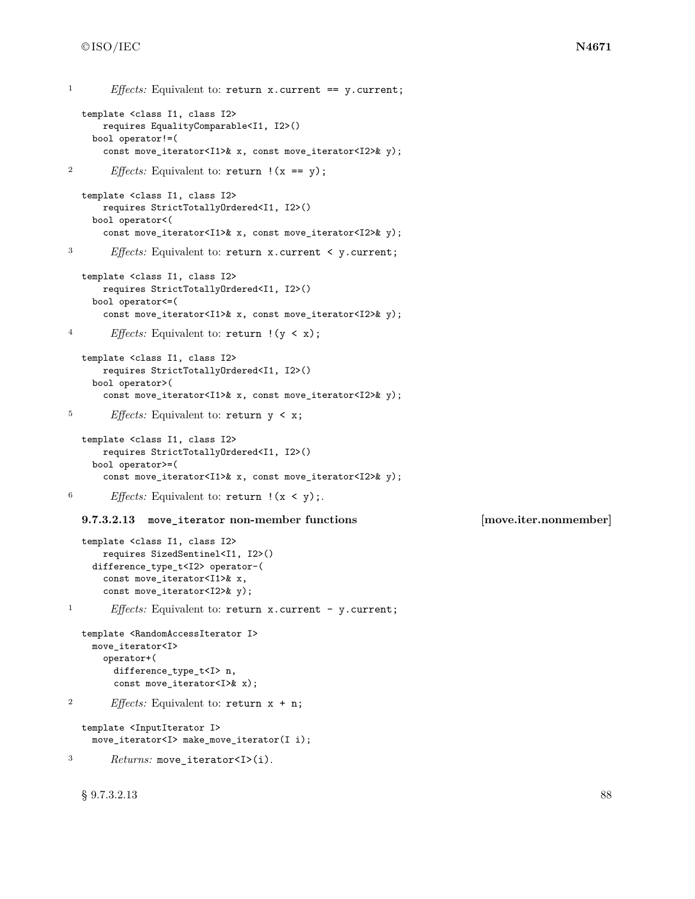```
1 Effects: Equivalent to: return x.current == y.current;
  template <class I1, class I2>
      requires EqualityComparable<I1, I2>()
    bool operator!=(
      const move_iterator<I1>& x, const move_iterator<I2>& y);
<sup>2</sup> Effects: Equivalent to: return !(x == y);
  template <class I1, class I2>
      requires StrictTotallyOrdered<I1, I2>()
    bool operator<(
      const move_iterator<I1>& x, const move_iterator<I2>& y);
3 Effects: Equivalent to: return x.current < y.current;
  template <class I1, class I2>
      requires StrictTotallyOrdered<I1, I2>()
    bool operator<=(
      const move_iterator<I1>& x, const move_iterator<I2>& y);
4 Effects: Equivalent to: return !(y < x);
  template <class I1, class I2>
      requires StrictTotallyOrdered<I1, I2>()
    bool operator>(
      const move_iterator<I1>& x, const move_iterator<I2>& y);
5 Effects: Equivalent to: return y < x;
  template <class I1, class I2>
      requires StrictTotallyOrdered<I1, I2>()
    bool operator>=(
      const move_iterator<I1>& x, const move_iterator<I2>& y);
<sup>6</sup> Effects: Equivalent to: return \, (x < y);
  9.7.3.2.13 move_iterator non-member functions [move.iter.nonmember]
  template <class I1, class I2>
      requires SizedSentinel<I1, I2>()
    difference_type_t<I2> operator-(
      const move_iterator<I1>& x,
      const move_iterator<I2>& y);
<sup>1</sup> Effects: Equivalent to: return x.current - y.current;
  template <RandomAccessIterator I>
    move_iterator<I>
      operator+(
        difference_type_t<I> n,
        const move iterator<I>& x);
2 Effects: Equivalent to: return x + n;
  template <InputIterator I>
    move_iterator<I> make_move_iterator(I i);
3 Returns: move_iterator<I>(i).
```
 $\S~9.7.3.2.13$  88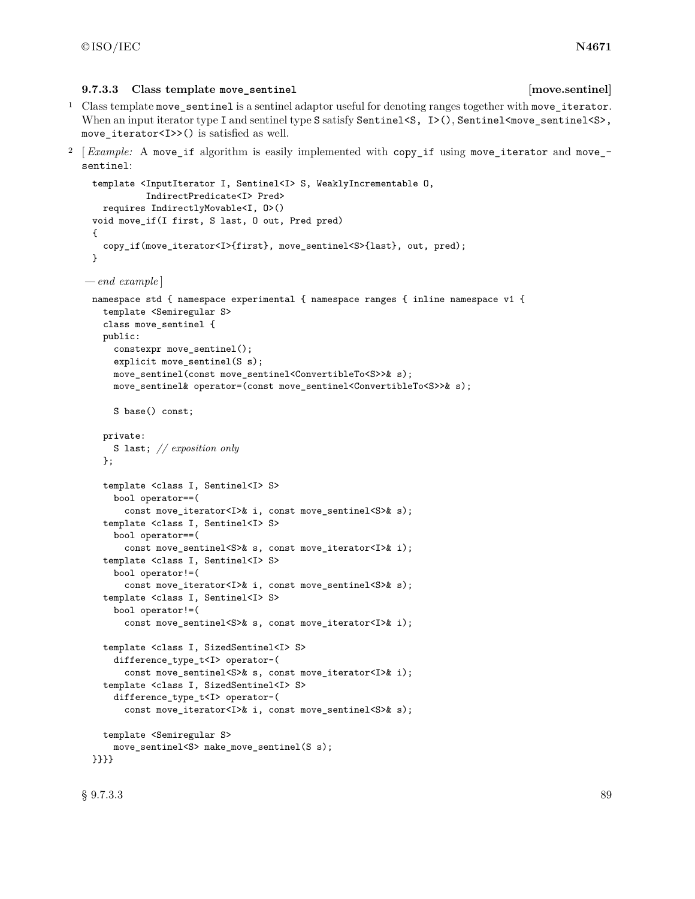### **9.7.3.3 Class template move\_sentinel [move.sentinel]**

<sup>1</sup> Class template move\_sentinel is a sentinel adaptor useful for denoting ranges together with move\_iterator. When an input iterator type I and sentinel type S satisfy Sentinel  $\langle S, I \rangle$  (), Sentinel  $\langle \text{move} \text{sentinel} \langle S \rangle$ , move iterator<I>>() is satisfied as well.

<sup>2</sup> *Example:* A move\_if algorithm is easily implemented with copy\_if using move\_iterator and move\_sentinel:

```
template <InputIterator I, Sentinel<I> S, WeaklyIncrementable O,
           IndirectPredicate<I> Pred>
   requires IndirectlyMovable<I, O>()
 void move_if(I first, S last, O out, Pred pred)
 {
   copy if(move_iterator<I>{first}, move_sentinel<S>{last}, out, pred);
 }
— end example ]
 namespace std { namespace experimental { namespace ranges { inline namespace v1 {
   template <Semiregular S>
   class move_sentinel {
   public:
     constexpr move_sentinel();
     explicit move_sentinel(S s);
     move_sentinel(const move_sentinel<ConvertibleTo<S>>& s);
     move_sentinel& operator=(const move_sentinel<ConvertibleTo<S>>& s);
     S base() const;
   private:
     S last; // exposition only
   };
   template <class I, Sentinel<I> S>
     bool operator==(
       const move_iterator<I>& i, const move_sentinel<S>& s);
   template <class I, Sentinel<I> S>
     bool operator==(
       const move_sentinel<S>& s, const move_iterator<I>& i);
   template <class I, Sentinel<I> S>
     bool operator!=(
       const move_iterator<I>& i, const move_sentinel<S>& s);
   template <class I, Sentinel<I> S>
     bool operator!=(
       const move_sentinel<S>& s, const move_iterator<I>& i);
   template <class I, SizedSentinel<I> S>
     difference_type_t<I> operator-(
       const move_sentinel<S>& s, const move_iterator<I>& i);
   template <class I, SizedSentinel<I> S>
     difference_type_t<I> operator-(
       const move_iterator<I>& i, const move_sentinel<S>& s);
   template <Semiregular S>
     move_sentinel<S> make_move_sentinel(S s);
 }}}}
```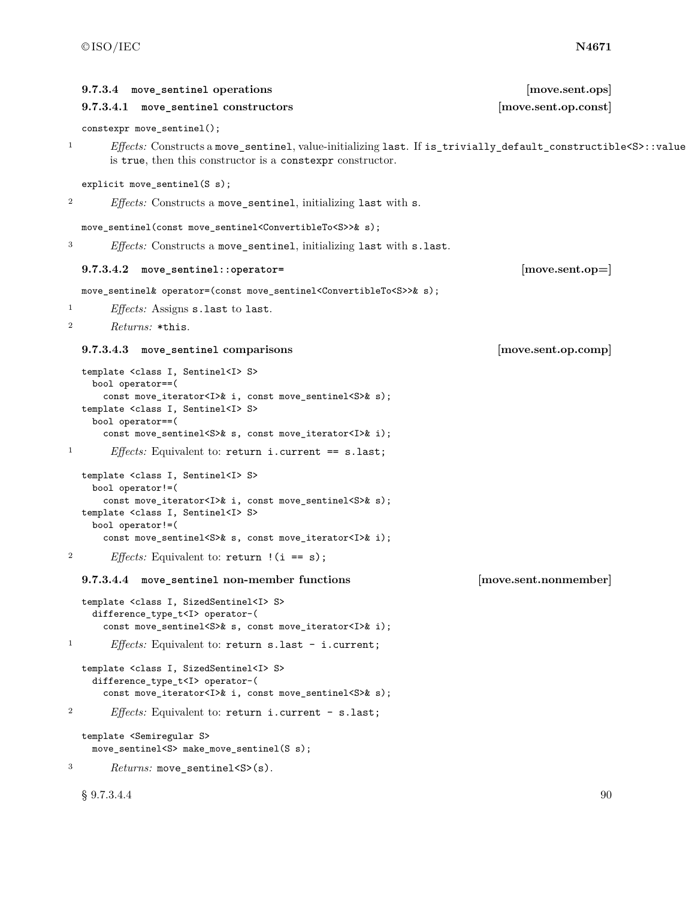|                  | 9.7.3.4 move_sentinel operations<br>9.7.3.4.1 move_sentinel constructors                                                                                                                                                                                                                                  | [move.sent.ops]<br>[move.sent.op.const] |
|------------------|-----------------------------------------------------------------------------------------------------------------------------------------------------------------------------------------------------------------------------------------------------------------------------------------------------------|-----------------------------------------|
|                  | constexpr move_sentinel();                                                                                                                                                                                                                                                                                |                                         |
| $\mathbf{1}$     | Effects: Constructs a move_sentinel, value-initializing last. If is_trivially_default_constructible <s>::value<br/>is true, then this constructor is a constexpr constructor.</s>                                                                                                                         |                                         |
|                  | explicit move_sentinel(S s);                                                                                                                                                                                                                                                                              |                                         |
| $\boldsymbol{2}$ | Effects: Constructs a move_sentinel, initializing last with s.                                                                                                                                                                                                                                            |                                         |
|                  | move_sentinel(const move_sentinel <convertibleto<s>&gt;&amp; s);</convertibleto<s>                                                                                                                                                                                                                        |                                         |
| 3                | <i>Effects:</i> Constructs a move_sentinel, initializing last with s.last.                                                                                                                                                                                                                                |                                         |
|                  | $9.7.3.4.2$ move_sentinel::operator=                                                                                                                                                                                                                                                                      | [move sent.open]                        |
|                  | move_sentinel& operator=(const move_sentinel <convertibleto<s>&gt;&amp; s);</convertibleto<s>                                                                                                                                                                                                             |                                         |
| $\mathbf{1}$     | <i>Effects:</i> Assigns <b>s</b> .last to last.                                                                                                                                                                                                                                                           |                                         |
| $\boldsymbol{2}$ | <i>Returns:</i> *this.                                                                                                                                                                                                                                                                                    |                                         |
|                  | 9.7.3.4.3 move_sentinel comparisons                                                                                                                                                                                                                                                                       | [move.sent.op.comp]                     |
|                  | template <class i,="" sentinel<i=""> S&gt;<br/>bool operator==(<br/>const move_iterator<i>&amp; i, const move_sentinel<s>&amp; s);<br/>template <class i,="" sentinel<i=""> S&gt;<br/>bool operator==(<br/>const move_sentinel<s>&amp; s, const move_iterator<i>&amp; i);</i></s></class></s></i></class> |                                         |
| $\mathbf{1}$     | <i>Effects:</i> Equivalent to: return i.current == $s.last$ ;                                                                                                                                                                                                                                             |                                         |
|                  | template <class i,="" sentinel<i=""> S&gt;<br/>bool operator!=(<br/>const move_iterator<i>&amp; i, const move_sentinel<s>&amp; s);<br/>template <class i,="" sentinel<i=""> S&gt;</class></s></i></class>                                                                                                 |                                         |
|                  | bool operator!=(                                                                                                                                                                                                                                                                                          |                                         |
|                  | const move_sentinel <s>&amp; s, const move_iterator<i>&amp; i);</i></s>                                                                                                                                                                                                                                   |                                         |
| $\boldsymbol{2}$ | <i>Effects:</i> Equivalent to: $return$ $(i == s)$ ;                                                                                                                                                                                                                                                      |                                         |
|                  | 9.7.3.4.4 move_sentinel non-member functions                                                                                                                                                                                                                                                              | [move.sent.nonmember]                   |
|                  | template <class i,="" sizedsentinel<i=""> S&gt;<br/>difference_type_t<i> operator-(<br/>const move_sentinel<s>&amp; s, const move_iterator<i>&amp; i);</i></s></i></class>                                                                                                                                |                                         |
| $\mathbf{1}$     | <i>Effects:</i> Equivalent to: return $s.\n$ last - i.current;                                                                                                                                                                                                                                            |                                         |
|                  | template <class i,="" sizedsentinel<i=""> S&gt;<br/>difference_type_t<i> operator-(<br/>const move_iterator<i>&amp; i, const move_sentinel<s>&amp; s);</s></i></i></class>                                                                                                                                |                                         |
| $\boldsymbol{2}$ | <i>Effects:</i> Equivalent to: return i.current - s.last;                                                                                                                                                                                                                                                 |                                         |
|                  | template <semiregular s=""><br/>move_sentinel<s> make_move_sentinel(S s);</s></semiregular>                                                                                                                                                                                                               |                                         |
| 3                | $Returns: move{\_}sentinel{<}S{>}(s)$ .                                                                                                                                                                                                                                                                   |                                         |

 $\S~9.7.3.4.4$  90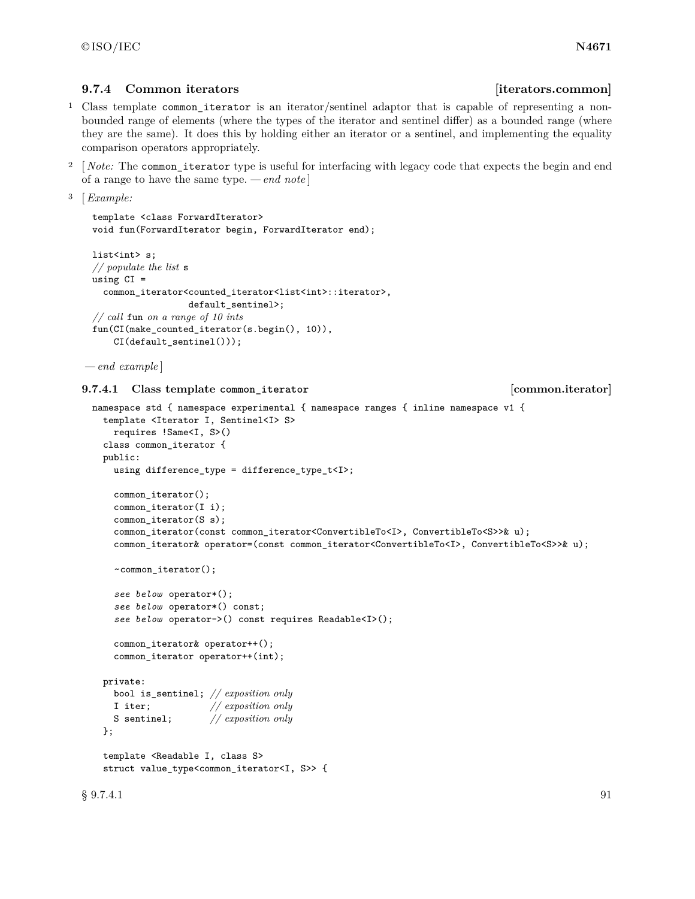# **9.7.4 Common iterators b ignosing** *iterators.common*

- <sup>1</sup> Class template common\_iterator is an iterator/sentinel adaptor that is capable of representing a nonbounded range of elements (where the types of the iterator and sentinel differ) as a bounded range (where they are the same). It does this by holding either an iterator or a sentinel, and implementing the equality comparison operators appropriately.
- <sup>2</sup> [*Note:* The common\_iterator type is useful for interfacing with legacy code that expects the begin and end of a range to have the same type. *— end note* ]

```
3 [Example:
```

```
template <class ForwardIterator>
void fun(ForwardIterator begin, ForwardIterator end);
```

```
list<int> s;
// populate the list s
using CI =common_iterator<counted_iterator<list<int>::iterator>,
                   default_sentinel>;
// call fun on a range of 10 ints
fun(CI(make_counted_iterator(s.begin(), 10)),
    CI(default_sentinel()));
```

```
— end example ]
```
### **9.7.4.1 Class template common\_iterator [common.iterator]**

```
namespace std { namespace experimental { namespace ranges { inline namespace v1 {
  template <Iterator I, Sentinel<I> S>
    requires !Same<I, S>()
  class common_iterator {
  public:
    using difference_type = difference_type_t<I>;
    common_iterator();
    common_iterator(I i);
    common_iterator(S s);
    common_iterator(const common_iterator<ConvertibleTo<I>, ConvertibleTo<S>>& u);
    common_iterator& operator=(const common_iterator<ConvertibleTo<I>, ConvertibleTo<S>>& u);
    ~common_iterator();
    see below operator*();
    see below operator*() const;
    see below operator->() const requires Readable<I>();
    common_iterator& operator++();
    common_iterator operator++(int);
  private:
   bool is_sentinel; // exposition only
    I iter; // exposition only
    S sentinel; // exposition only
  };
  template <Readable I, class S>
  struct value_type<common_iterator<I, S>> {
```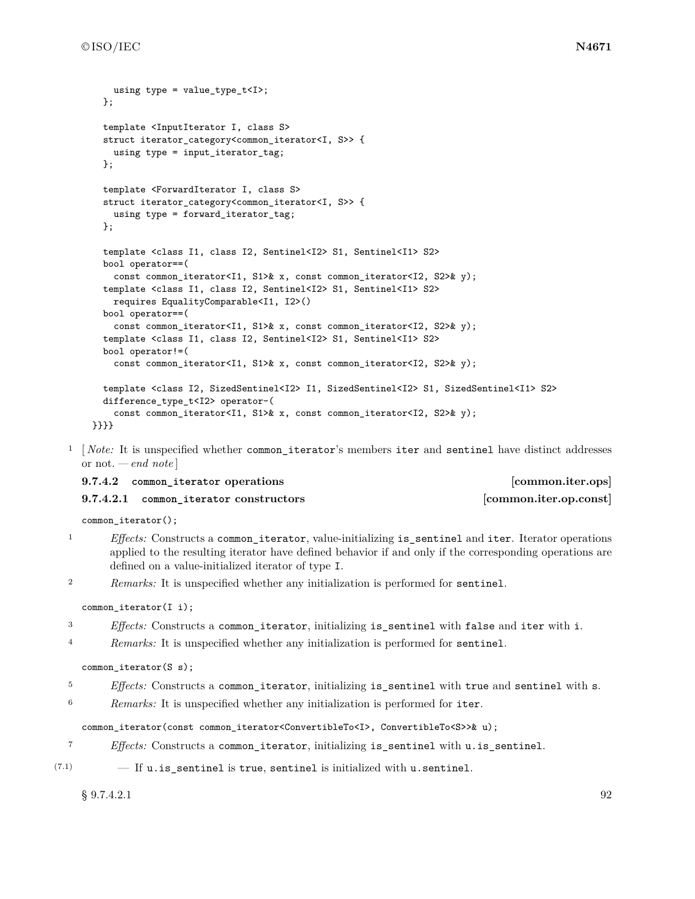```
using type = value type t<I>;
  };
 template <InputIterator I, class S>
  struct iterator_category<common_iterator<I, S>> {
    using type = input_iterator_tag;
  };
 template <ForwardIterator I, class S>
  struct iterator_category<common_iterator<I, S>> {
    using type = forward_iterator_tag;
  };
  template <class I1, class I2, Sentinel<I2> S1, Sentinel<I1> S2>
  bool operator==(
    const common_iterator<I1, S1>& x, const common_iterator<I2, S2>& y);
  template <class I1, class I2, Sentinel<I2> S1, Sentinel<I1> S2>
    requires EqualityComparable<I1, I2>()
  bool operator==(
    const common_iterator<I1, S1>& x, const common_iterator<I2, S2>& y);
  template <class I1, class I2, Sentinel<I2> S1, Sentinel<I1> S2>
 bool operator!=(
    const common_iterator<I1, S1>& x, const common_iterator<I2, S2>& y);
  template <class I2, SizedSentinel<I2> I1, SizedSentinel<I2> S1, SizedSentinel<I1> S2>
  difference_type_t<I2> operator-(
    const common_iterator<I1, S1>& x, const common_iterator<I2, S2>& y);
}}}}
```
<sup>1</sup> [*Note:* It is unspecified whether common\_iterator's members iter and sentinel have distinct addresses or not. *— end note* ]

| 9.7.4.2 common_iterator operations     | [common.iter.ops]      |
|----------------------------------------|------------------------|
| 9.7.4.2.1 common iterator constructors | [common.iter.op.const] |

common iterator();

- <sup>1</sup> *Effects:* Constructs a common iterator, value-initializing is sentinel and iter. Iterator operations applied to the resulting iterator have defined behavior if and only if the corresponding operations are defined on a value-initialized iterator of type I.
- <sup>2</sup> *Remarks:* It is unspecified whether any initialization is performed for sentinel.

### common\_iterator(I i);

- <sup>3</sup> *Effects:* Constructs a common iterator, initializing is sentinel with false and iter with i.
- <sup>4</sup> *Remarks:* It is unspecified whether any initialization is performed for sentinel.

### common\_iterator(S s);

- <sup>5</sup> *Effects:* Constructs a common\_iterator, initializing is\_sentinel with true and sentinel with s.
- <sup>6</sup> *Remarks:* It is unspecified whether any initialization is performed for iter.

#### common\_iterator(const common\_iterator<ConvertibleTo<I>, ConvertibleTo<S>>& u);

- <sup>7</sup> *Effects:* Constructs a common\_iterator, initializing is\_sentinel with u.is\_sentinel.
- $(7.1)$  If u. is sentinel is true, sentinel is initialized with u. sentinel.

### $\S~9.7.4.2.1$  92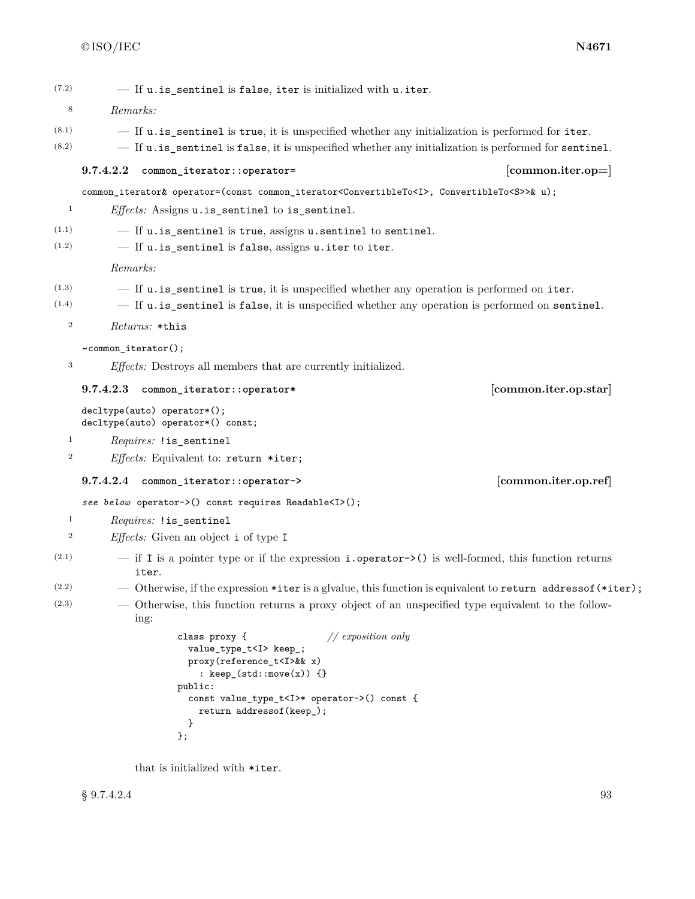$(7.2)$  - If u. is sentinel is false, iter is initialized with u. iter.

- <sup>8</sup> *Remarks:*
- $(8.1)$  If u. is sentinel is true, it is unspecified whether any initialization is performed for iter.
- $(8.2)$  If u.is\_sentinel is false, it is unspecified whether any initialization is performed for sentinel.

### **9.7.4.2.2 common\_iterator::operator= [common.iter.op=]**

common\_iterator& operator=(const common\_iterator<ConvertibleTo<I>, ConvertibleTo<S>>& u);

```
1 Effects: Assigns u.is_sentinel to is_sentinel.
```
 $(1.1)$   $-$  If  $u.is$  sentinel is true, assigns  $u$ **s** $sentinel to sentinel.$ 

 $(1.2)$  - If u.is\_sentinel is false, assigns u.iter to iter.

*Remarks:*

- $(1.3)$   $-$  If  $\mathbf{u}.\mathbf{is}\mathbf{g}$  is true, it is unspecified whether any operation is performed on iter.
- $(1.4)$  If u. is sentinel is false, it is unspecified whether any operation is performed on sentinel.
	- <sup>2</sup> *Returns:* \*this

~common\_iterator();

<sup>3</sup> *Effects:* Destroys all members that are currently initialized.

#### **9.7.4.2.3 common\_iterator::operator\* [common.iter.op.star]**

decltype(auto) operator\*(); decltype(auto) operator\*() const;

- <sup>1</sup> *Requires:* !is\_sentinel
- <sup>2</sup> *Effects:* Equivalent to: return \*iter;

**9.7.4.2.4 common\_iterator::operator-> [common.iter.op.ref]**

*see below* operator->() const requires Readable<I>();

- <sup>1</sup> *Requires:* !is\_sentinel
- <sup>2</sup> *Effects:* Given an object i of type I
- $(2.1)$  if I is a pointer type or if the expression **i**.**operator->()** is well-formed, this function returns iter.
- (2.2)  $-$  Otherwise, if the expression \*iter is a glvalue, this function is equivalent to return address of (\*iter);
- (2.3) Otherwise, this function returns a proxy object of an unspecified type equivalent to the following:

```
class proxy { // exposition only
  value_type_t<I> keep_;
  proxy(reference_t<I>&& x)
    : keep_(std::move(x)) {}
public:
  const value_type_t<I>* operator->() const {
   return addressof(keep_);
  }
};
```
that is initialized with \*iter.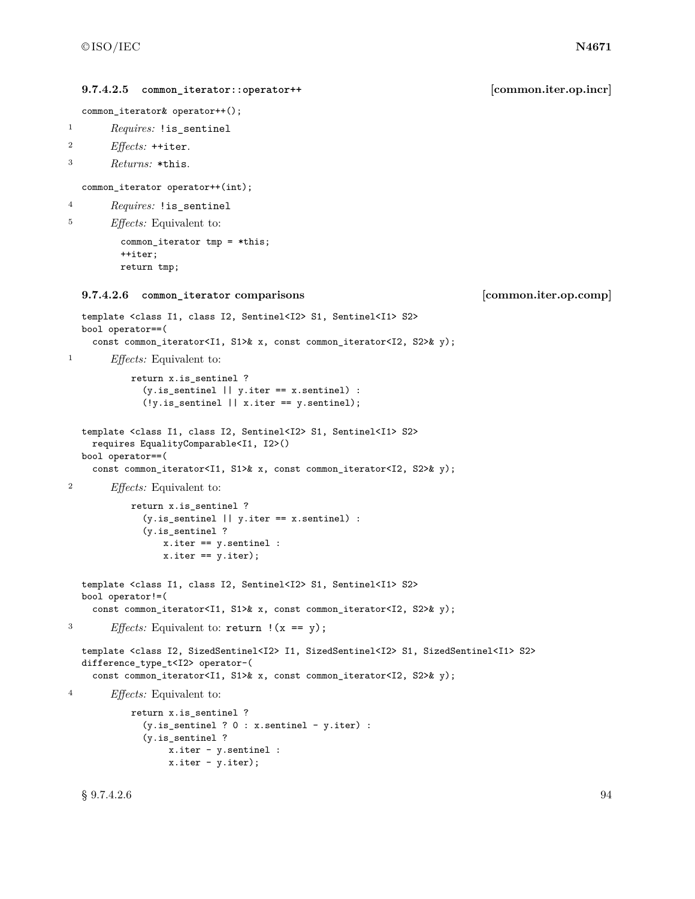```
9.7.4.2.5 common_iterator::operator++ [common.iter.op.incr]
  common_iterator& operator++();
1 Requires: !is_sentinel
2 Effects: ++iter.
3 Returns: *this.
  common_iterator operator++(int);
4 Requires: !is_sentinel
5 Effects: Equivalent to:
         common_iterator tmp = *this;
         ++iter;
         return tmp;
  9.7.4.2.6 common_iterator comparisons [common.iter.op.comp]
  template <class I1, class I2, Sentinel<I2> S1, Sentinel<I1> S2>
  bool operator==(
    const common_iterator<I1, S1>& x, const common_iterator<I2, S2>& y);
1 Effects: Equivalent to:
          return x.is_sentinel ?
             (y.is_sentinel || y.iter == x.sentinel) :
             (!y.is_sentinel || x.iter == y.sentinel);
  template <class I1, class I2, Sentinel<I2> S1, Sentinel<I1> S2>
    requires EqualityComparable<I1, I2>()
  bool operator==(
    const common_iterator<I1, S1>& x, const common_iterator<I2, S2>& y);
2 Effects: Equivalent to:
          return x.is_sentinel ?
             (y.is_sentinel || y.iter == x.sentinel) :
             (y.is_sentinel ?
                x.iter == y.sentinel :
                x.iter == y.iter);
  template <class I1, class I2, Sentinel<I2> S1, Sentinel<I1> S2>
  bool operator!=(
    const common_iterator<I1, S1>& x, const common_iterator<I2, S2>& y);
<sup>3</sup> Effects: Equivalent to: return ! (x == y);
  template <class I2, SizedSentinel<I2> I1, SizedSentinel<I2> S1, SizedSentinel<I1> S2>
  difference_type_t<I2> operator-(
    const common_iterator<I1, S1>& x, const common_iterator<I2, S2>& y);
4 Effects: Equivalent to:
          return x.is_sentinel ?
             (y.is_sentinel ? 0 : x.sentinel - y.iter) :
             (y.is_sentinel ?
                 x.iter - y.sentinel :
                 x.iter - y.iter);
```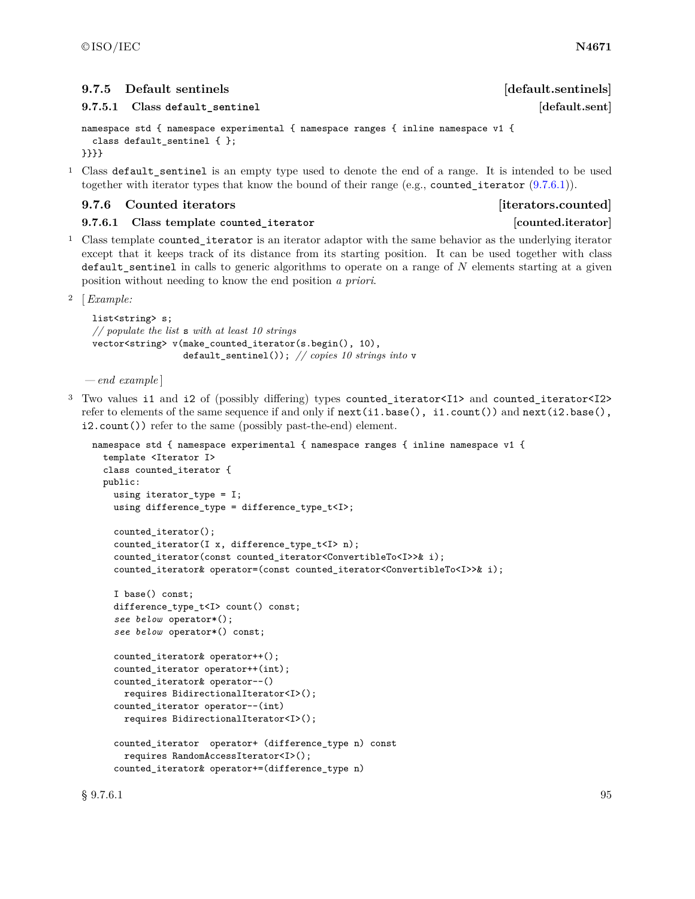**9.7.5** Default sentinels *Default sentinels* 

**9.7.5.1 Class default\_sentinel [default.sent]**

```
namespace std { namespace experimental { namespace ranges { inline namespace v1 {
 class default_sentinel { };
}}}}
```
<sup>1</sup> Class default\_sentinel is an empty type used to denote the end of a range. It is intended to be used together with iterator types that know the bound of their range (e.g., counted\_iterator  $(9.7.6.1)$ ).

### <span id="page-98-1"></span>**9.7.6 Counted iterators [iterators.counted]**

<span id="page-98-0"></span>**9.7.6.1 Class template counted\_iterator [counted.iterator]**

<sup>1</sup> Class template counted iterator is an iterator adaptor with the same behavior as the underlying iterator except that it keeps track of its distance from its starting position. It can be used together with class default\_sentinel in calls to generic algorithms to operate on a range of N elements starting at a given position without needing to know the end position *a priori*.

<sup>2</sup> [*Example:*

```
list<string> s;
// populate the list s with at least 10 strings
vector<string> v(make_counted_iterator(s.begin(), 10),
                  default_sentinel()); // copies 10 strings into v
```
*— end example* ]

<sup>3</sup> Two values i1 and i2 of (possibly differing) types counted\_iterator<I1> and counted\_iterator<I2> refer to elements of the same sequence if and only if next(i1.base(), i1.count()) and next(i2.base(), i2.count()) refer to the same (possibly past-the-end) element.

```
namespace std { namespace experimental { namespace ranges { inline namespace v1 {
  template <Iterator I>
  class counted_iterator {
  public:
    using iterator_type = I;
    using difference_type = difference_type_t<I>;
    counted_iterator();
    counted_iterator(I x, difference_type_t<I> n);
    counted_iterator(const counted_iterator<ConvertibleTo<I>>& i);
    counted_iterator& operator=(const counted_iterator<ConvertibleTo<I>>& i);
    I base() const;
    difference_type_t<I> count() const;
    see below operator*();
    see below operator*() const;
    counted_iterator& operator++();
    counted_iterator operator++(int);
    counted_iterator& operator--()
     requires BidirectionalIterator<I>();
    counted_iterator operator--(int)
      requires BidirectionalIterator<I>();
    counted_iterator operator+ (difference_type n) const
      requires RandomAccessIterator<I>();
    counted_iterator& operator+=(difference_type n)
```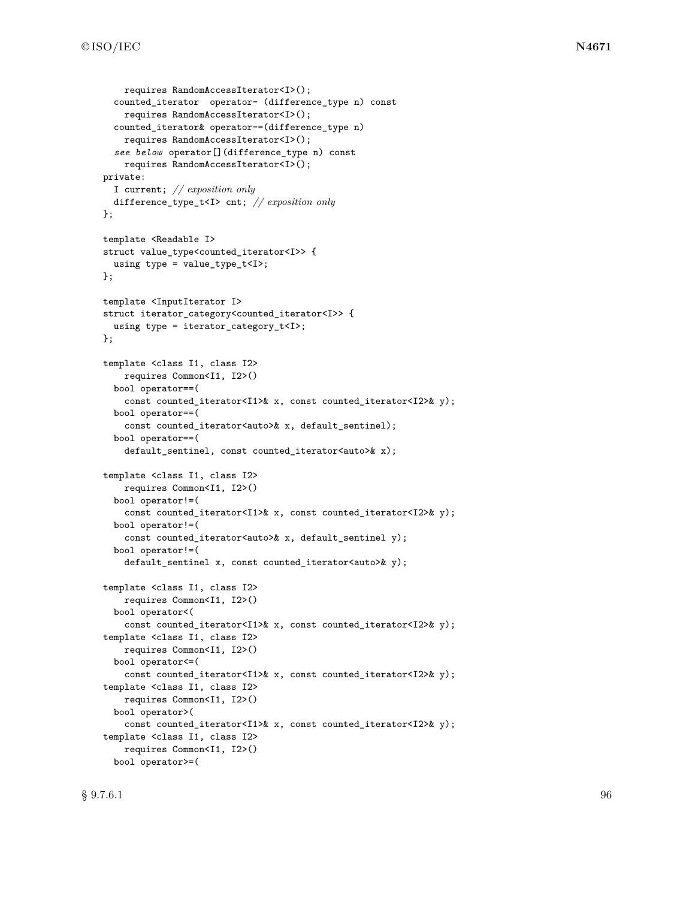```
requires RandomAccessIterator<I>();
  counted_iterator operator- (difference_type n) const
    requires RandomAccessIterator<I>();
  counted_iterator& operator-=(difference_type n)
    requires RandomAccessIterator<I>();
  see below operator[](difference_type n) const
    requires RandomAccessIterator<I>();
private:
 I current; // exposition only
  difference_type_t<I> cnt; // exposition only
};
template <Readable I>
struct value_type<counted_iterator<I>> {
 using type = value_type_t<I>;
};
template <InputIterator I>
struct iterator_category<counted_iterator<I>> {
  using type = iterator_category_t<I>;
};
template <class I1, class I2>
    requires Common<I1, I2>()
  bool operator==(
    const counted_iterator<I1>& x, const counted_iterator<I2>& y);
  bool operator==(
    const counted_iterator<auto>& x, default_sentinel);
  bool operator==(
    default_sentinel, const counted_iterator<auto>& x);
template <class I1, class I2>
   requires Common<I1, I2>()
  bool operator!=(
    const counted_iterator<I1>& x, const counted_iterator<I2>& y);
  bool operator!=(
    const counted_iterator<auto>& x, default_sentinel y);
  bool operator!=(
    default_sentinel x, const counted_iterator<auto>& y);
template <class I1, class I2>
    requires Common<I1, I2>()
  bool operator<(
    const counted_iterator<I1>& x, const counted_iterator<I2>& y);
template <class I1, class I2>
   requires Common<I1, I2>()
  bool operator<=(
    const counted_iterator<I1>& x, const counted_iterator<I2>& y);
template <class I1, class I2>
    requires Common<I1, I2>()
  bool operator>(
    const counted_iterator<I1>& x, const counted_iterator<I2>& y);
template <class I1, class I2>
    requires Common<I1, I2>()
  bool operator>=(
```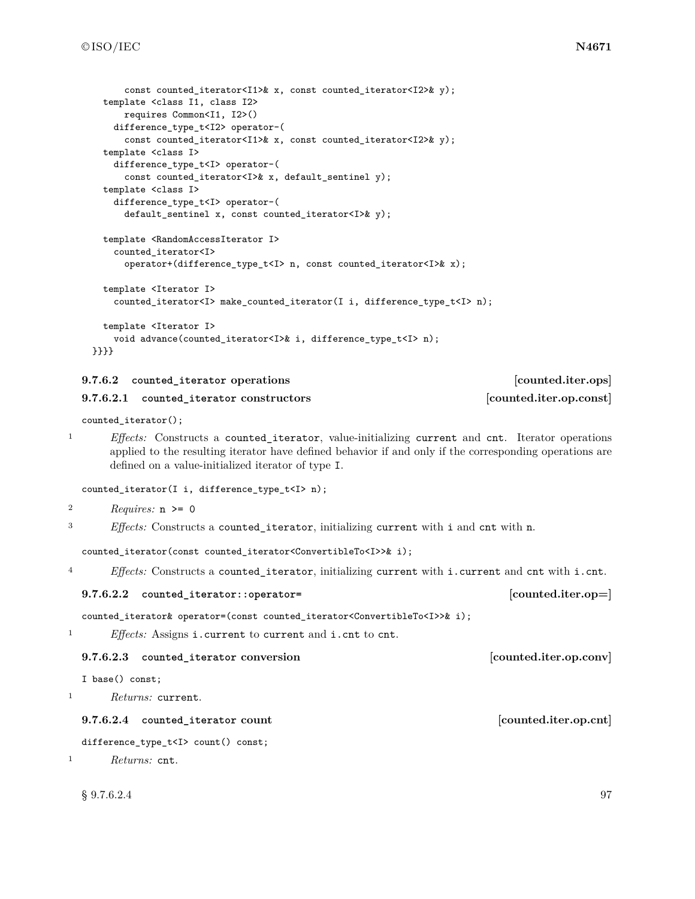```
const counted iterator<I1>& x, const counted iterator<I2>& y);
  template <class I1, class I2>
     requires Common<I1, I2>()
    difference_type_t<I2> operator-(
      const counted_iterator<I1>& x, const counted_iterator<I2>& y);
  template <class I>
    difference_type_t<I> operator-(
      const counted_iterator<I>& x, default_sentinel y);
  template <class I>
    difference_type_t<I> operator-(
      default_sentinel x, const counted_iterator<I>& y);
  template <RandomAccessIterator I>
    counted_iterator<I>
      operator+(difference_type_t<I> n, const counted_iterator<I>& x);
  template <Iterator I>
    counted_iterator<I> make_counted_iterator(I i, difference_type_t<I> n);
 template <Iterator I>
    void advance(counted_iterator<I>& i, difference_type_t<I> n);
}}}}
```

| 9.7.6.2 counted iterator operations     | [counted.iter.ops]      |
|-----------------------------------------|-------------------------|
| 9.7.6.2.1 counted iterator constructors | [counted.iter.op.const] |
|                                         |                         |

```
counted_iterator();
```
<sup>1</sup> *Effects:* Constructs a counted\_iterator, value-initializing current and cnt. Iterator operations applied to the resulting iterator have defined behavior if and only if the corresponding operations are defined on a value-initialized iterator of type I.

counted\_iterator(I i, difference\_type\_t<I> n);

```
2 Requires: n >= 0
```
<sup>3</sup> *Effects:* Constructs a counted\_iterator, initializing current with i and cnt with n.

counted\_iterator(const counted\_iterator<ConvertibleTo<I>>& i);

<sup>4</sup> *Effects:* Constructs a counted\_iterator, initializing current with i.current and cnt with i.cnt.

### **9.7.6.2.2 counted\_iterator::operator= [counted.iter.op=]**

counted\_iterator& operator=(const counted\_iterator<ConvertibleTo<I>>& i);

<sup>1</sup> *Effects:* Assigns i.current to current and i.cnt to cnt.

### **9.7.6.2.3 counted\_iterator conversion [counted.iter.op.conv]**

I base() const;

<sup>1</sup> *Returns:* current.

# **9.7.6.2.4** counted\_iterator count [counted.iter.op.cnt]

difference\_type\_t<I> count() const;

```
1 Returns: cnt.
```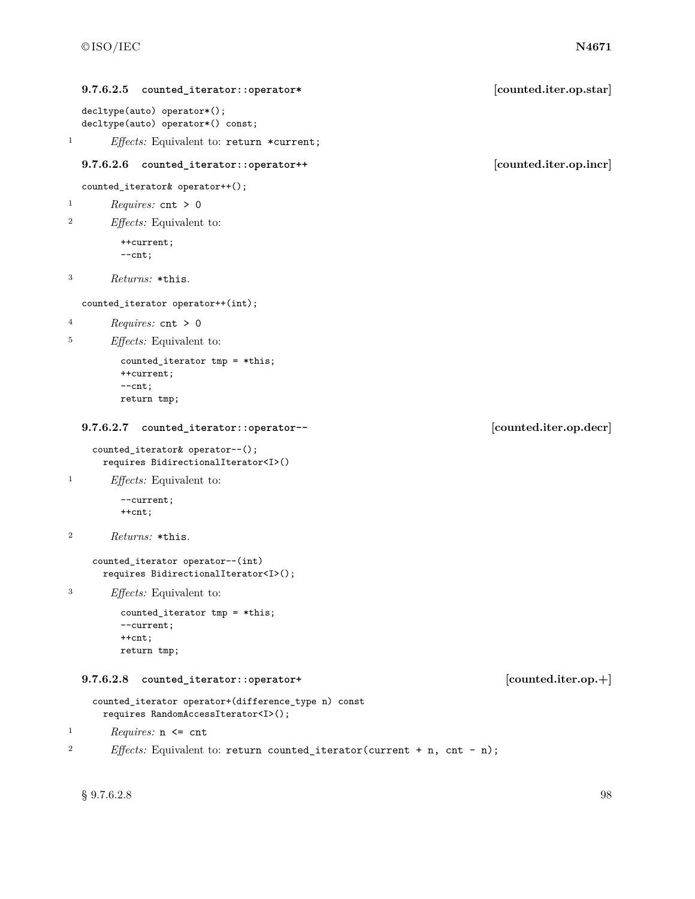|                  | 9.7.6.2.5<br>counted_iterator::operator*                                                        | [counted.iter.op.star] |
|------------------|-------------------------------------------------------------------------------------------------|------------------------|
|                  | decltype(auto) operator*();<br>decltype(auto) operator*() const;                                |                        |
| $\mathbf{1}$     | <i>Effects:</i> Equivalent to: return *current;                                                 |                        |
|                  | 9.7.6.2.6<br>counted_iterator::operator++                                                       | [counted.iter.op.incr] |
|                  | counted_iterator& operator++();                                                                 |                        |
| $\mathbf{1}$     | <i>Requires:</i> $cnt > 0$                                                                      |                        |
| $\boldsymbol{2}$ | <i>Effects:</i> Equivalent to:                                                                  |                        |
|                  | ++current;<br>$--cnt$ ;                                                                         |                        |
| 3                | Returns: *this.                                                                                 |                        |
|                  | counted_iterator operator++(int);                                                               |                        |
| $\overline{4}$   | <i>Requires:</i> $cnt > 0$                                                                      |                        |
| 5                | <i>Effects:</i> Equivalent to:                                                                  |                        |
|                  | counted_iterator $tmp = *this;$<br>++current;<br>$--cnt$ ;<br>return tmp;                       |                        |
|                  |                                                                                                 |                        |
|                  | 9.7.6.2.7<br>counted_iterator::operator--                                                       | [counted.iter.op.decr] |
|                  | counted_iterator& operator--();<br>requires BidirectionalIterator <i>()</i>                     |                        |
| 1                | <i>Effects:</i> Equivalent to:                                                                  |                        |
|                  | --current;<br>$++cnt;$                                                                          |                        |
| 2                | Returns: *this.                                                                                 |                        |
|                  | counted_iterator operator--(int)<br>requires BidirectionalIterator <i>();</i>                   |                        |
| 3                | $E\!f\!f\!e\!cts$ : Equivalent to:                                                              |                        |
|                  | counted_iterator $tmp = *this;$<br>--current;<br>$++$ cnt;                                      |                        |
|                  | return tmp;                                                                                     |                        |
|                  | 9.7.6.2.8<br>counted_iterator::operator+                                                        | $[counted.iter.op.+]$  |
|                  | counted_iterator operator+(difference_type n) const<br>requires RandomAccessIterator <i>();</i> |                        |

<sup>2</sup> *Effects:* Equivalent to: return counted\_iterator(current + n, cnt - n);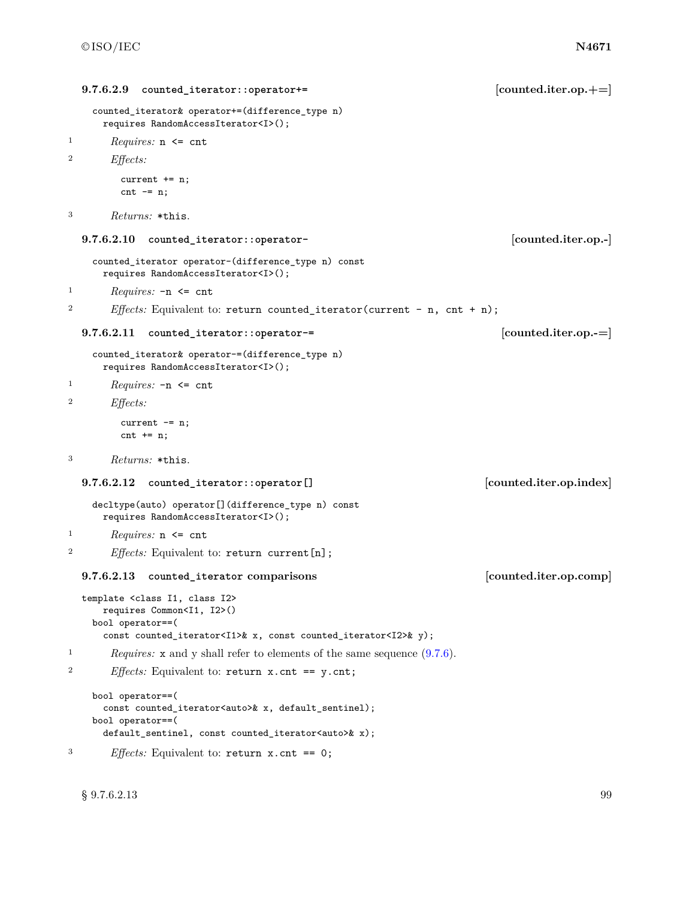```
9.7.6.2.9 counted_iterator::operator+= [counted.iter.op.+=]
   counted_iterator& operator+=(difference_type n)
     requires RandomAccessIterator<I>();
1 Requires: n <= cnt
2 Effects:
        current += n;
        cnt -= n;
3 Returns: *this.
  9.7.6.2.10 counted_iterator::operator- [counted.iter.op.-]
   counted_iterator operator-(difference_type n) const
     requires RandomAccessIterator<I>();
1 Requires: -n <= cnt
2 Effects: Equivalent to: return counted_iterator(current - n, cnt + n);
  9.7.6.2.11 counted_iterator::operator-= [counted.iter.op.-=]
   counted_iterator& operator-=(difference_type n)
     requires RandomAccessIterator<I>();
1 Requires: -n <= cnt
2 Effects:
        current -= n;
        cnt += n;3 Returns: *this.
  9.7.6.2.12 counted_iterator::operator[] [counted.iter.op.index]
   decltype(auto) operator[](difference_type n) const
     requires RandomAccessIterator<I>();
1 Requires: n <= cnt
<sup>2</sup> Effects: Equivalent to: return current[n];
  9.7.6.2.13 counted_iterator comparisons [counted.iter.op.comp]
  template <class I1, class I2>
     requires Common<I1, I2>()
   bool operator==(
     const counted_iterator<I1>& x, const counted_iterator<I2>& y);
<sup>1</sup> Requires: x and y shall refer to elements of the same sequence (9.7.6).
2 Effects: Equivalent to: return x.cnt == y.cnt;
   bool operator==(
     const counted_iterator<auto>& x, default_sentinel);
   bool operator==(
     default_sentinel, const counted_iterator<auto>& x);
```

```
3 Effects: Equivalent to: return x.cnt == 0;
```
 $\S~9.7.6.2.13$  99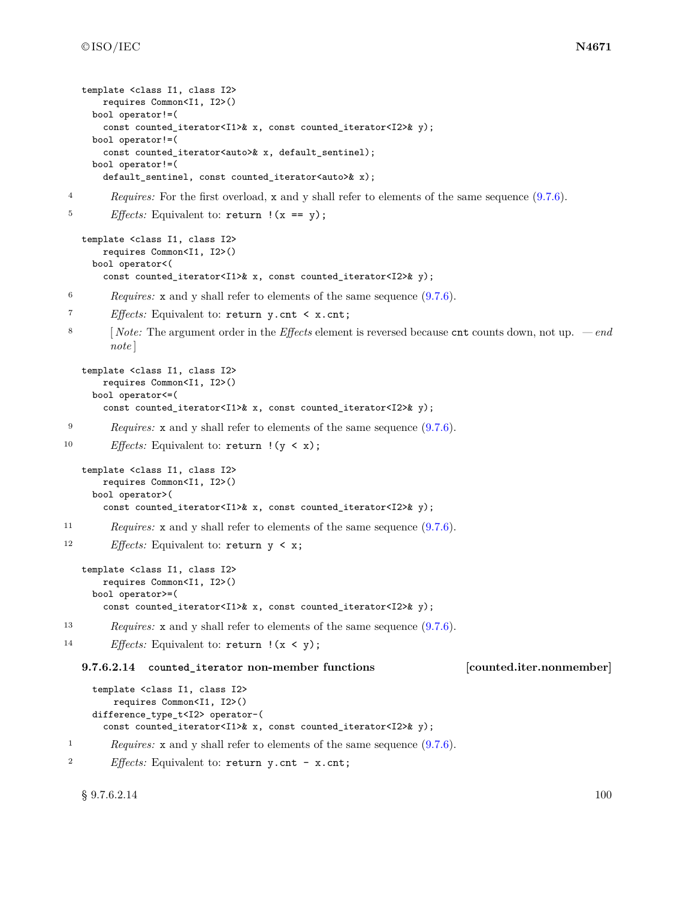```
template <class I1, class I2>
       requires Common<I1, I2>()
     bool operator!=(
       const counted_iterator<I1>& x, const counted_iterator<I2>& y);
     bool operator!=(
       const counted_iterator<auto>& x, default_sentinel);
     bool operator!=(
       default_sentinel, const counted_iterator<auto>& x);
4 Requires: For the first overload, x and y shall refer to elements of the same sequence (9.7.6).
<sup>5</sup> Effects: Equivalent to: return ! (x == y);
   template <class I1, class I2>
       requires Common<I1, I2>()
     bool operator<(
       const counted_iterator<I1>& x, const counted_iterator<I2>& y);
6 Requires: x and y shall refer to elements of the same sequence (9.7.6).
7 Effects: Equivalent to: return y.cnt < x.cnt;
8 [ Note: The argument order in the Effects element is reversed because cnt counts down, not up. — end
         note ]
   template <class I1, class I2>
       requires Common<I1, I2>()
     bool operator<=(
       const counted_iterator<I1>& x, const counted_iterator<I2>& y);
9 Requires: x and y shall refer to elements of the same sequence (9.7.6).
10 Effects: Equivalent to: return !(y < x);
   template <class I1, class I2>
       requires Common<I1, I2>()
     bool operator>(
       const counted_iterator<I1>& x, const counted_iterator<I2>& y);
11 Requires: x and y shall refer to elements of the same sequence (9.7.6).
12 Effects: Equivalent to: return y < x;
   template <class I1, class I2>
       requires Common<I1, I2>()
     bool operator>=(
       const counted_iterator<I1>& x, const counted_iterator<I2>& y);
13 Requires: x and y shall refer to elements of the same sequence (9.7.6).
<sup>14</sup> Effects: Equivalent to: return \, |(x \, \langle \, y);9.7.6.2.14 counted_iterator non-member functions [counted.iter.nonmember]
     template <class I1, class I2>
         requires Common<I1, I2>()
     difference_type_t<I2> operator-(
```

```
2 Effects: Equivalent to: return y.cnt - x.cnt;
```
const counted\_iterator<I1>& x, const counted\_iterator<I2>& y); <sup>1</sup> *Requires:* **x** and **y** shall refer to elements of the same sequence  $(9.7.6)$ .

 $\S~9.7.6.2.14$  100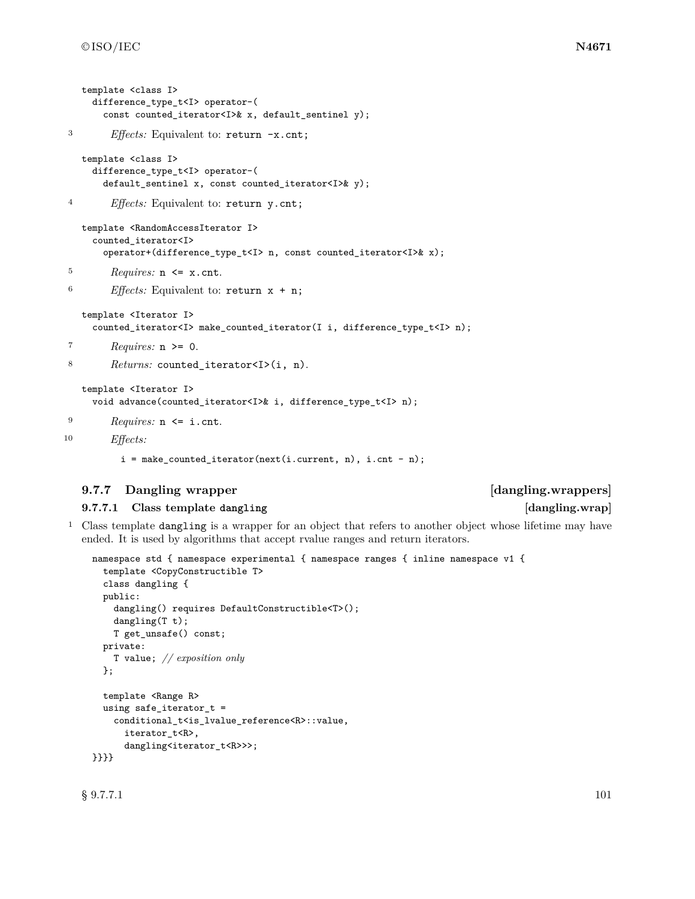```
template <class I>
    difference_type_t<I> operator-(
      const counted_iterator<I>& x, default_sentinel y);
3 Effects: Equivalent to: return -x.cnt;
   template <class I>
    difference_type_t<I> operator-(
      default_sentinel x, const counted_iterator<I>& y);
4 Effects: Equivalent to: return y.cnt;
   template <RandomAccessIterator I>
     counted_iterator<I>
      operator+(difference_type_t<I> n, const counted_iterator<I>& x);
5 Requires: n <= x.cnt.
6 Effects: Equivalent to: return x + n;
   template <Iterator I>
     counted_iterator<I> make_counted_iterator(I i, difference_type_t<I> n);
7 Requires: n >= 0.
8 Returns: counted iterator<I>(i, n).
   template <Iterator I>
     void advance(counted_iterator<I>& i, difference_type_t<I> n);
9 Requires: n <= i.cnt.
10 Effects:
          i = make_counted_iterator(next(i.current, n), i.cnt - n);
```
# **9.7.7 Dangling wrapper [dangling.wrappers]**

# **9.7.7.1 Class template dangling [dangling.wrap]**

# <sup>1</sup> Class template dangling is a wrapper for an object that refers to another object whose lifetime may have ended. It is used by algorithms that accept rvalue ranges and return iterators.

```
namespace std { namespace experimental { namespace ranges { inline namespace v1 {
  template <CopyConstructible T>
  class dangling {
  public:
    dangling() requires DefaultConstructible<T>();
    dangling(T t);
   T get_unsafe() const;
  private:
    T value; // exposition only
  };
  template <Range R>
  using safe_iterator_t =
    conditional_t<is_lvalue_reference<R>::value,
      iterator_t<R>,
      dangling<iterator_t<R>>>;
}}}}
```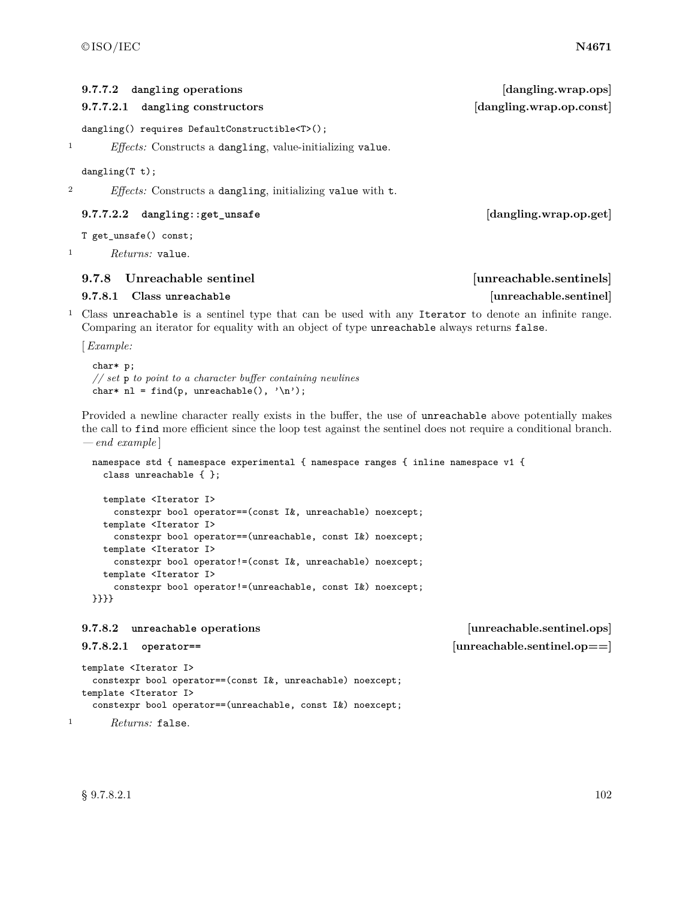|              | dangling operations<br>9.7.7.2                                                                                                                                                                                                                | [dangling.wrap.ops]      |
|--------------|-----------------------------------------------------------------------------------------------------------------------------------------------------------------------------------------------------------------------------------------------|--------------------------|
|              | 9.7.7.2.1<br>dangling constructors                                                                                                                                                                                                            | [dangling.wrap.op.const] |
|              | dangling() requires DefaultConstructible <t>();</t>                                                                                                                                                                                           |                          |
| 1            | <i>Effects:</i> Constructs a dangling, value-initializing value.                                                                                                                                                                              |                          |
|              | dangling(T t);                                                                                                                                                                                                                                |                          |
| 2            | <i>Effects:</i> Constructs a dangling, initializing value with t.                                                                                                                                                                             |                          |
|              | 9.7.7.2.2<br>dangling::get_unsafe                                                                                                                                                                                                             | [dangling.wrap.op.get]   |
|              | T get_unsafe() const;                                                                                                                                                                                                                         |                          |
| $\mathbf 1$  | Returns: value.                                                                                                                                                                                                                               |                          |
|              | Unreachable sentinel<br>9.7.8                                                                                                                                                                                                                 | [unreachable.sentinels]  |
|              | Class unreachable<br>9.7.8.1                                                                                                                                                                                                                  | [unreachable.sentinel]   |
| $\mathbf{1}$ | Class unreachable is a sentinel type that can be used with any Iterator to denote an infinite range.<br>Comparing an iterator for equality with an object of type unreachable always returns false.                                           |                          |
|              | [Example:                                                                                                                                                                                                                                     |                          |
|              | char* p;<br>// set $\mathfrak p$ to point to a character buffer containing newlines<br>char* nl = find(p, unreachable(), $'\n\$ );                                                                                                            |                          |
|              | Provided a newline character really exists in the buffer, the use of unreachable above potentially makes<br>the call to find more efficient since the loop test against the sentinel does not require a conditional branch.<br>$-end example$ |                          |
|              | namespace std { namespace experimental { namespace ranges { inline namespace v1 {<br>class unreachable $\{\}$ ;                                                                                                                               |                          |

template <Iterator I> constexpr bool operator==(const I&, unreachable) noexcept; template <Iterator I> constexpr bool operator==(unreachable, const I&) noexcept; template <Iterator I> constexpr bool operator!=(const I&, unreachable) noexcept; template <Iterator I> constexpr bool operator!=(unreachable, const I&) noexcept; }}}}

## **9.7.8.2 unreachable operations [unreachable.sentinel.ops]**

```
template <Iterator I>
 constexpr bool operator==(const I&, unreachable) noexcept;
template <Iterator I>
 constexpr bool operator==(unreachable, const I&) noexcept;
```
<sup>1</sup> *Returns:* false.

 $\S~9.7.8.2.1$  102

**9.7.8.2.1 operator== [unreachable.sentinel.op==]**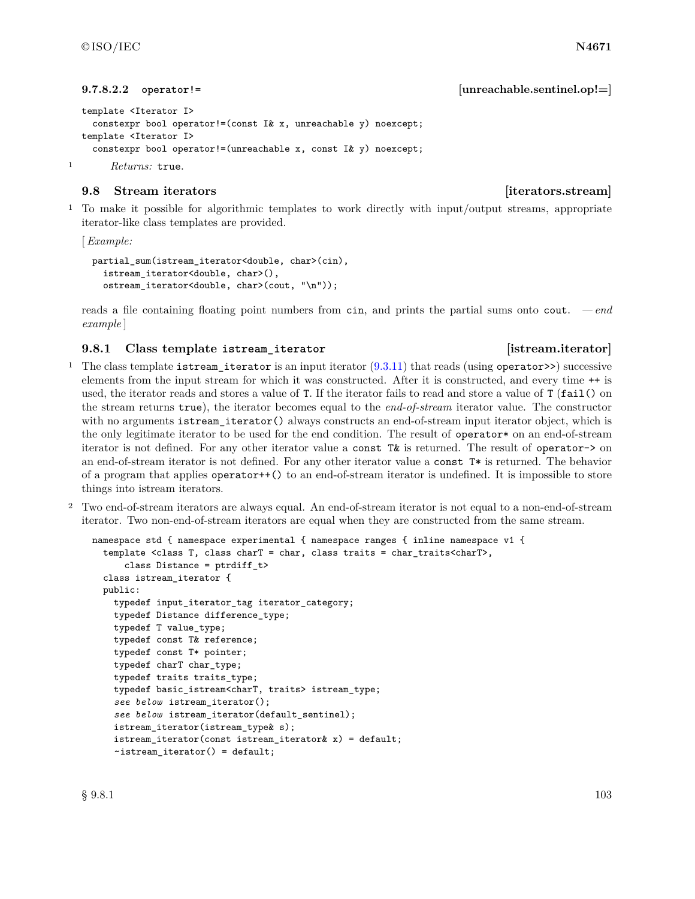**9.7.8.2.2 operator!= [unreachable.sentinel.op!=]**

```
template <Iterator I>
 constexpr bool operator!=(const I& x, unreachable y) noexcept;
template <Iterator I>
  constexpr bool operator!=(unreachable x, const I& y) noexcept;
```
<sup>1</sup> *Returns:* true.

# **9.8 Stream iterators [iterators.stream]**

<sup>1</sup> To make it possible for algorithmic templates to work directly with input/output streams, appropriate iterator-like class templates are provided.

[*Example:*

```
partial_sum(istream_iterator<double, char>(cin),
 istream_iterator<double, char>(),
  ostream_iterator<double, char>(cout, "\n"));
```
reads a file containing floating point numbers from cin, and prints the partial sums onto cout. *— end example* ]

# **9.8.1 Class template istream\_iterator [istream.iterator]**

- <sup>1</sup> The class template istream\_iterator is an input iterator  $(9.3.11)$  that reads (using operator>>) successive elements from the input stream for which it was constructed. After it is constructed, and every time ++ is used, the iterator reads and stores a value of T. If the iterator fails to read and store a value of T (fail() on the stream returns true), the iterator becomes equal to the *end-of-stream* iterator value. The constructor with no arguments istream\_iterator() always constructs an end-of-stream input iterator object, which is the only legitimate iterator to be used for the end condition. The result of operator\* on an end-of-stream iterator is not defined. For any other iterator value a const T& is returned. The result of operator-> on an end-of-stream iterator is not defined. For any other iterator value a const T\* is returned. The behavior of a program that applies operator++() to an end-of-stream iterator is undefined. It is impossible to store things into istream iterators.
- <sup>2</sup> Two end-of-stream iterators are always equal. An end-of-stream iterator is not equal to a non-end-of-stream iterator. Two non-end-of-stream iterators are equal when they are constructed from the same stream.

```
namespace std { namespace experimental { namespace ranges { inline namespace v1 {
  template <class T, class charT = char, class traits = char_traits<charT>,
      class Distance = ptrdiff_t>
  class istream_iterator {
  public:
    typedef input iterator tag iterator category;
    typedef Distance difference_type;
    typedef T value_type;
    typedef const T& reference;
    typedef const T* pointer;
    typedef charT char_type;
    typedef traits traits_type;
    typedef basic_istream<charT, traits> istream_type;
    see below istream_iterator();
    see below istream_iterator(default_sentinel);
    istream_iterator(istream_type& s);
    istream_iterator(const istream_iterator& x) = default;
    ~\simistream_iterator() = default;
```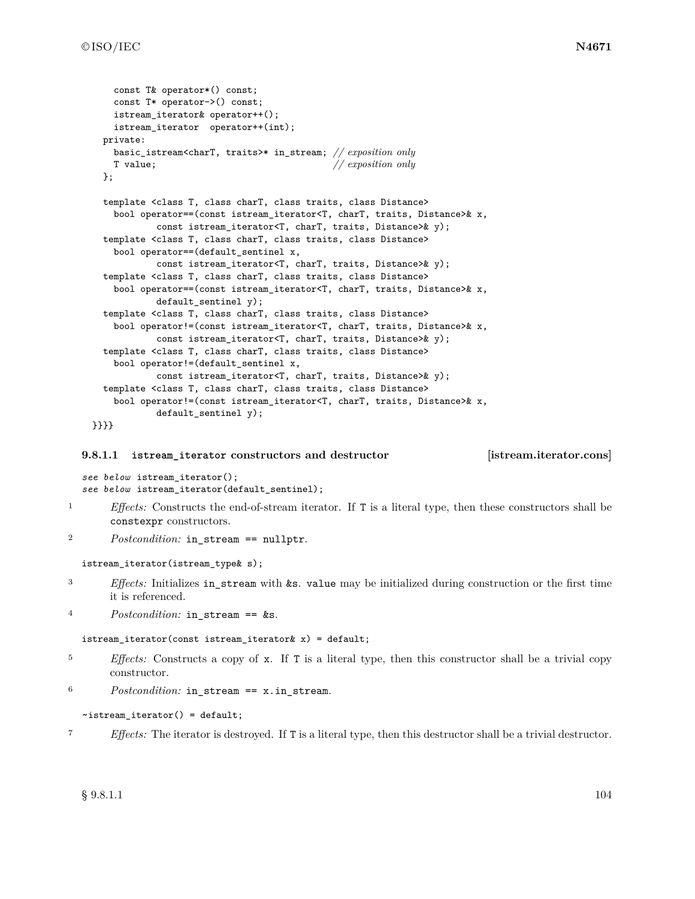```
const T& operator*() const;
   const T* operator->() const;
   istream_iterator& operator++();
   istream_iterator operator++(int);
  private:
   basic_istream<charT, traits>* in_stream; // exposition only
   T value; // exposition only
  };
  template <class T, class charT, class traits, class Distance>
   bool operator==(const istream_iterator<T, charT, traits, Distance>& x,
            const istream_iterator<T, charT, traits, Distance>& y);
  template <class T, class charT, class traits, class Distance>
   bool operator==(default_sentinel x,
           const istream_iterator<T, charT, traits, Distance>& y);
  template <class T, class charT, class traits, class Distance>
   bool operator==(const istream_iterator<T, charT, traits, Distance>& x,
           default_sentinel y);
  template <class T, class charT, class traits, class Distance>
   bool operator!=(const istream_iterator<T, charT, traits, Distance>& x,
           const istream_iterator<T, charT, traits, Distance>& y);
  template <class T, class charT, class traits, class Distance>
    bool operator!=(default_sentinel x,
           const istream_iterator<T, charT, traits, Distance>& y);
  template <class T, class charT, class traits, class Distance>
    bool operator!=(const istream_iterator<T, charT, traits, Distance>& x,
           default_sentinel y);
}}}}
```
### **9.8.1.1 istream\_iterator constructors and destructor [istream.iterator.cons]**

*see below* istream\_iterator(); *see below* istream\_iterator(default\_sentinel);

- <sup>1</sup> *Effects:* Constructs the end-of-stream iterator. If T is a literal type, then these constructors shall be constexpr constructors.
- <sup>2</sup> *Postcondition:* in stream == nullptr.

```
istream_iterator(istream_type& s);
```
- <sup>3</sup> *Effects:* Initializes in\_stream with &s. value may be initialized during construction or the first time it is referenced.
- 4 Postcondition: in stream ==  $\&$ s.

```
istream_iterator(const istream_iterator& x) = default;
```
- <sup>5</sup> *Effects:* Constructs a copy of x. If T is a literal type, then this constructor shall be a trivial copy constructor.
- <sup>6</sup> *Postcondition:* in\_stream == x.in\_stream.

### ~istream\_iterator() = default;

<sup>7</sup> *Effects:* The iterator is destroyed. If T is a literal type, then this destructor shall be a trivial destructor.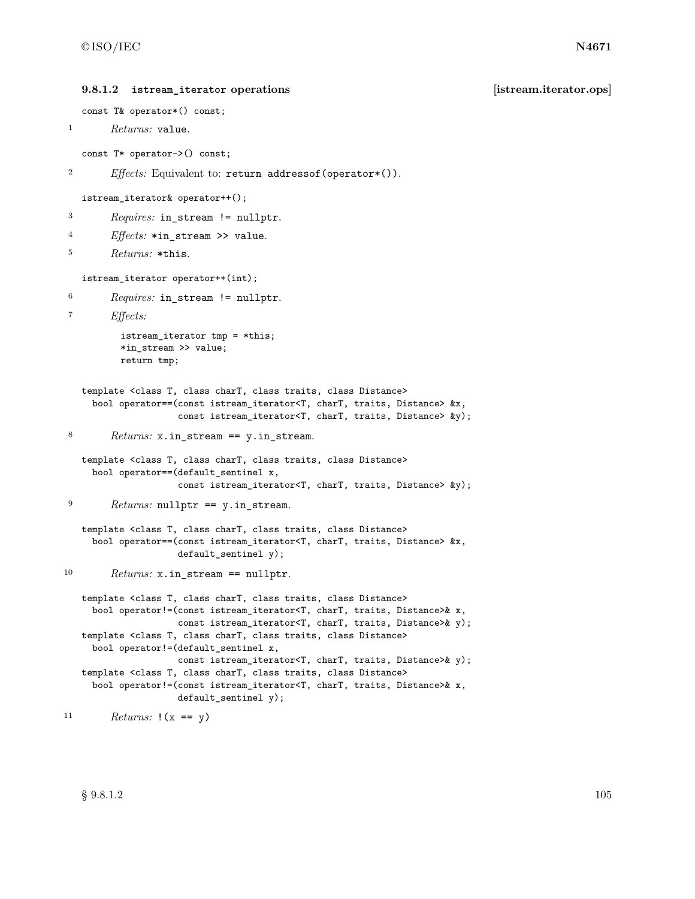```
9.8.1.2 istream_iterator operations [istream.iterator.ops]
   const T& operator*() const;
1 Returns: value.
   const T* operator->() const;
2 Effects: Equivalent to: return addressof(operator*()).
   istream_iterator& operator++();
3 Requires: in_stream != nullptr.
4 Effects: *in_stream >> value.
5 Returns: *this.
   istream_iterator operator++(int);
6 Requires: in_stream != nullptr.
7 Effects:
          istream_iterator tmp = *this;
          *in_stream >> value;
         return tmp;
   template <class T, class charT, class traits, class Distance>
    bool operator==(const istream_iterator<T, charT, traits, Distance> &x,
                    const istream_iterator<T, charT, traits, Distance> &y);
8 Returns: x.in_stream == y.in_stream.
   template <class T, class charT, class traits, class Distance>
    bool operator==(default_sentinel x,
                    const istream_iterator<T, charT, traits, Distance> &y);
9 Returns: nullptr == y.in_stream.
   template <class T, class charT, class traits, class Distance>
    bool operator==(const istream_iterator<T, charT, traits, Distance> &x,
                    default_sentinel y);
10 Returns: x.in_stream == nullptr.
   template <class T, class charT, class traits, class Distance>
    bool operator!=(const istream_iterator<T, charT, traits, Distance>& x,
                    const istream_iterator<T, charT, traits, Distance>& y);
   template <class T, class charT, class traits, class Distance>
    bool operator!=(default_sentinel x,
                   const istream_iterator<T, charT, traits, Distance>& y);
   template <class T, class charT, class traits, class Distance>
    bool operator!=(const istream_iterator<T, charT, traits, Distance>& x,
                    default_sentinel y);
11 Returns: !(x == y)
```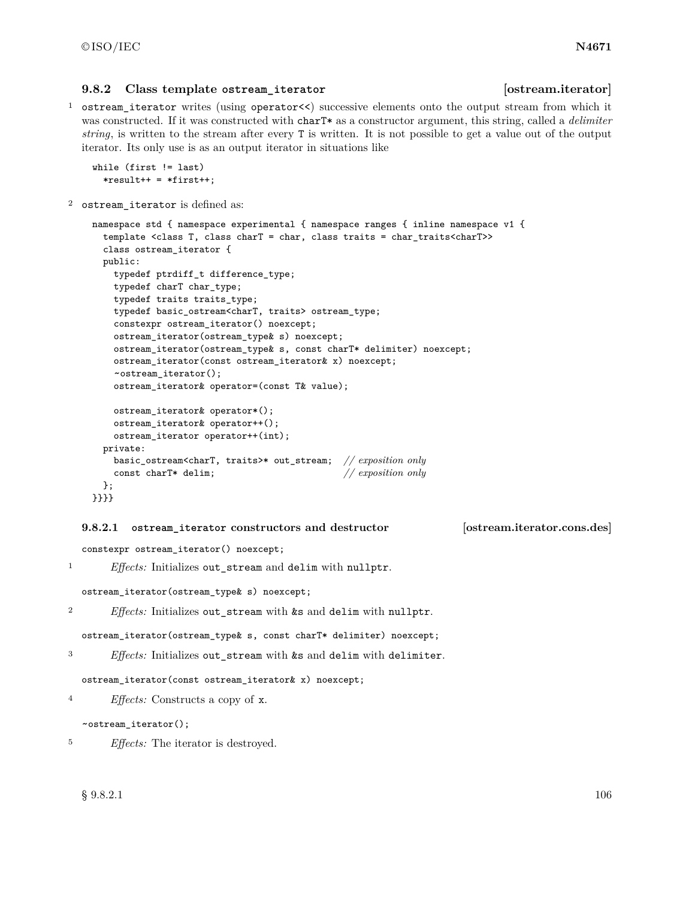### **9.8.2 Class template ostream\_iterator [ostream.iterator]**

<sup>1</sup> ostream\_iterator writes (using operator<<) successive elements onto the output stream from which it was constructed. If it was constructed with charT\* as a constructor argument, this string, called a *delimiter string*, is written to the stream after every T is written. It is not possible to get a value out of the output iterator. Its only use is as an output iterator in situations like

```
while (first != last)
  *result++ = *first++;
```
<sup>2</sup> ostream\_iterator is defined as:

```
namespace std { namespace experimental { namespace ranges { inline namespace v1 {
  template <class T, class charT = char, class traits = char_traits<charT>>
  class ostream_iterator {
 public:
    typedef ptrdiff_t difference_type;
    typedef charT char_type;
   typedef traits traits_type;
   typedef basic_ostream<charT, traits> ostream_type;
   constexpr ostream_iterator() noexcept;
   ostream_iterator(ostream_type& s) noexcept;
   ostream_iterator(ostream_type& s, const charT* delimiter) noexcept;
   ostream_iterator(const ostream_iterator& x) noexcept;
    ~ostream_iterator();
   ostream_iterator& operator=(const T& value);
   ostream_iterator& operator*();
   ostream_iterator& operator++();
   ostream_iterator operator++(int);
  private:
   basic_ostream<charT, traits>* out_stream; // exposition only
    const charT* delim; // exposition only
  };
}}}}
```
### **9.8.2.1 ostream\_iterator constructors and destructor [ostream.iterator.cons.des]**

constexpr ostream\_iterator() noexcept;

<sup>1</sup> *Effects:* Initializes out\_stream and delim with nullptr.

ostream\_iterator(ostream\_type& s) noexcept;

<sup>2</sup> *Effects:* Initializes out\_stream with &s and delim with nullptr.

ostream\_iterator(ostream\_type& s, const charT\* delimiter) noexcept;

```
3 Effects: Initializes out_stream with &s and delim with delimiter.
```
ostream\_iterator(const ostream\_iterator& x) noexcept;

```
4 Effects: Constructs a copy of x.
```
~ostream\_iterator();

<sup>5</sup> *Effects:* The iterator is destroyed.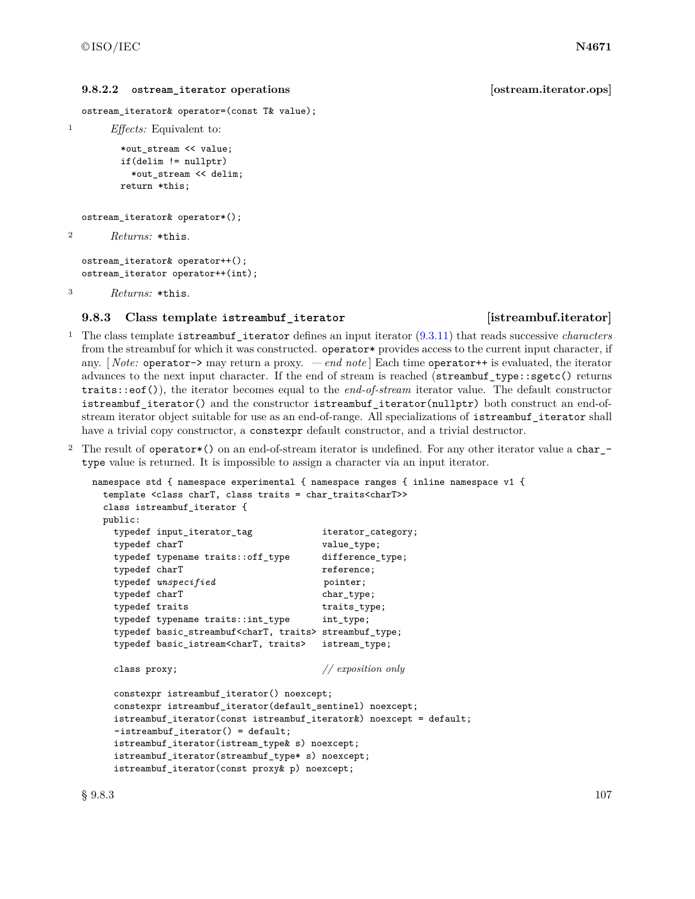### **9.8.2.2 ostream\_iterator operations [ostream.iterator.ops]**

ostream\_iterator& operator=(const T& value);

<sup>1</sup> *Effects:* Equivalent to:

\*out\_stream << value; if(delim != nullptr) \*out\_stream << delim; return \*this;

```
ostream_iterator& operator*();
```

```
2 Returns: *this.
```
ostream\_iterator& operator++(); ostream\_iterator operator++(int);

```
3 Returns: *this.
```
### **9.8.3 Class template istreambuf\_iterator [istreambuf.iterator]**

<sup>1</sup> The class template istreambuf\_iterator defines an input iterator [\(9.3.11\)](#page-65-0) that reads successive *characters* from the streambuf for which it was constructed. operator\* provides access to the current input character, if any. [ *Note:* operator-> may return a proxy. *— end note* ] Each time operator++ is evaluated, the iterator advances to the next input character. If the end of stream is reached (streambuf\_type::sgetc() returns traits::eof()), the iterator becomes equal to the *end-of-stream* iterator value. The default constructor istreambuf\_iterator() and the constructor istreambuf\_iterator(nullptr) both construct an end-ofstream iterator object suitable for use as an end-of-range. All specializations of istreambuf\_iterator shall have a trivial copy constructor, a constexpr default constructor, and a trivial destructor.

<sup>2</sup> The result of operator\*() on an end-of-stream iterator is undefined. For any other iterator value a char\_ type value is returned. It is impossible to assign a character via an input iterator.

```
namespace std { namespace experimental { namespace ranges { inline namespace v1 {
 template <class charT, class traits = char_traits<charT>>
 class istreambuf_iterator {
 public:
   typedef input_iterator_tag iterator_category;
   typedef charT value_type;
   typedef typename traits::off_type difference_type;
   typedef charT reference;
   typedef \textit{unspecified} pointer;
   typedef charT chartype;
   typedef traits traits traits_type;
   typedef typename traits::int_type int_type;
   typedef basic_streambuf<charT, traits> streambuf_type;
   typedef basic_istream<charT, traits> istream_type;
   class proxy; // exposition only
   constexpr istreambuf_iterator() noexcept;
   constexpr istreambuf_iterator(default_sentinel) noexcept;
   istreambuf_iterator(const istreambuf_iterator&) noexcept = default;
   ~istreambuf_iterator() = default;
   istreambuf_iterator(istream_type& s) noexcept;
   istreambuf_iterator(streambuf_type* s) noexcept;
   istreambuf_iterator(const proxy& p) noexcept;
```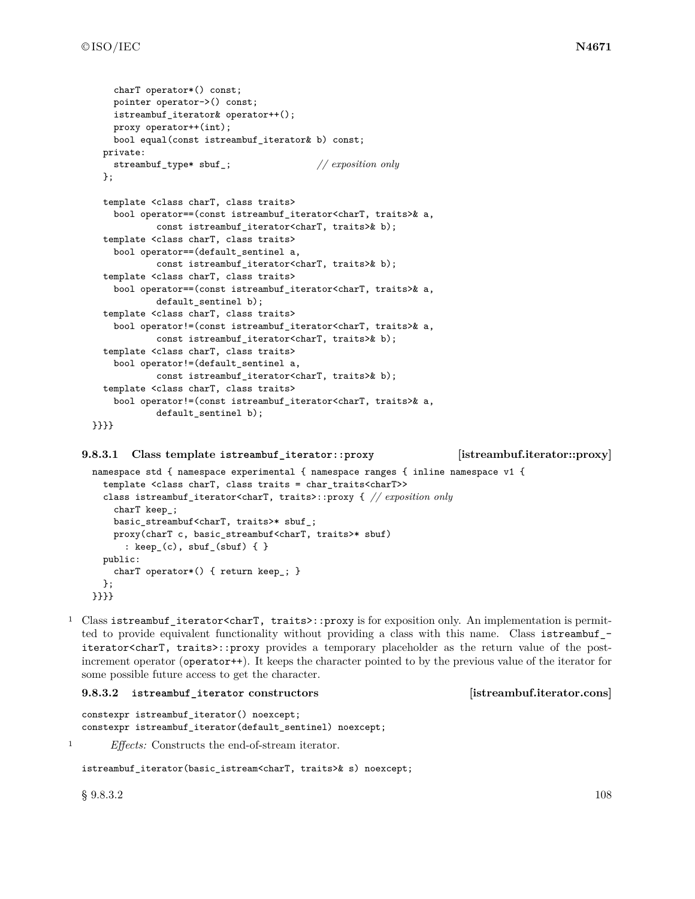```
charT operator*() const;
    pointer operator->() const;
    istreambuf_iterator& operator++();
    proxy operator++(int);
    bool equal(const istreambuf_iterator& b) const;
  private:
    streambuf_type* sbuf_; // exposition only
  };
  template <class charT, class traits>
    bool operator==(const istreambuf_iterator<charT, traits>& a,
            const istreambuf_iterator<charT, traits>& b);
  template <class charT, class traits>
    bool operator==(default_sentinel a,
            const istreambuf_iterator<charT, traits>& b);
  template <class charT, class traits>
    bool operator==(const istreambuf_iterator<charT, traits>& a,
           default_sentinel b);
  template <class charT, class traits>
    bool operator!=(const istreambuf_iterator<charT, traits>& a,
            const istreambuf_iterator<charT, traits>& b);
  template <class charT, class traits>
    bool operator!=(default_sentinel a,
            const istreambuf_iterator<charT, traits>& b);
  template <class charT, class traits>
    bool operator!=(const istreambuf_iterator<charT, traits>& a,
            default_sentinel b);
}}}}
```
### **9.8.3.1 Class template istreambuf\_iterator::proxy [istreambuf.iterator::proxy]**

```
namespace std { namespace experimental { namespace ranges { inline namespace v1 {
  template <class charT, class traits = char_traits<charT>>
  class istreambuf_iterator<charT, traits>::proxy { // exposition only
    charT keep_;
    basic_streambuf<charT, traits>* sbuf_;
    proxy(charT c, basic_streambuf<charT, traits>* sbuf)
      : keep_(c), sbuf_(sbuf) { }
  public:
    charT operator*() { return keep_; }
  };
}}}}
```
<sup>1</sup> Class istreambuf\_iterator<charT, traits>::proxy is for exposition only. An implementation is permitted to provide equivalent functionality without providing a class with this name. Class istreambuf\_ iterator<charT, traits>::proxy provides a temporary placeholder as the return value of the postincrement operator (operator++). It keeps the character pointed to by the previous value of the iterator for some possible future access to get the character.

```
9.8.3.2 istreambuf_iterator constructors [istreambuf.iterator.cons]
```
constexpr istreambuf\_iterator() noexcept; constexpr istreambuf\_iterator(default\_sentinel) noexcept;

```
1 Effects: Constructs the end-of-stream iterator.
```
istreambuf\_iterator(basic\_istream<charT, traits>& s) noexcept;

 $\S~9.8.3.2$  108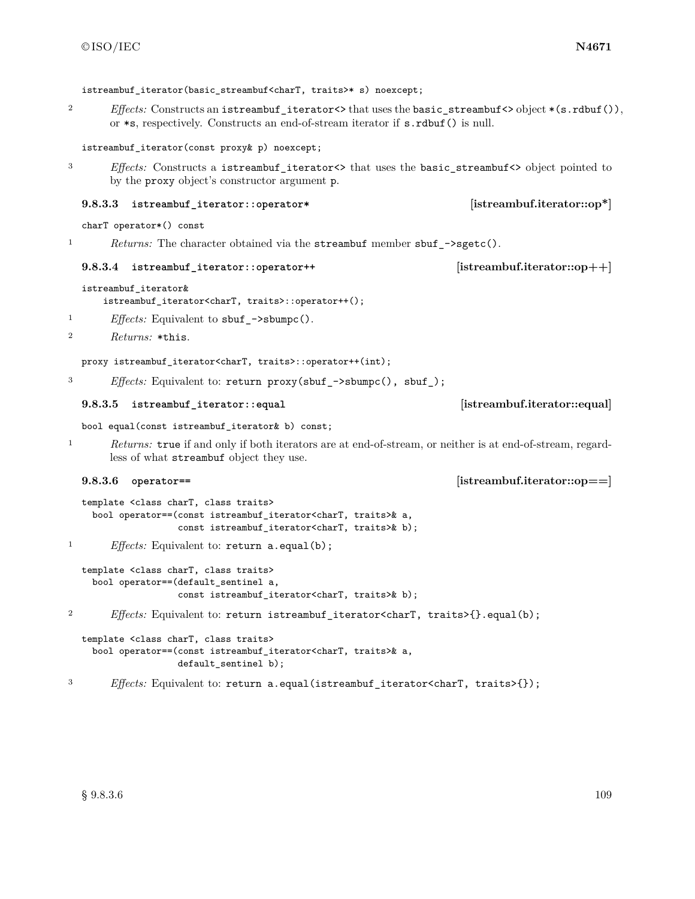istreambuf iterator(basic streambuf<charT, traits>\* s) noexcept; 2 *Effects:* Constructs an istreambuf\_iterator<> that uses the basic\_streambuf<> object \*(s.rdbuf()), or \*s, respectively. Constructs an end-of-stream iterator if s.rdbuf() is null. istreambuf\_iterator(const proxy& p) noexcept; 3 *Effects:* Constructs a istreambuf\_iterator<> that uses the basic\_streambuf<> object pointed to by the proxy object's constructor argument p. **9.8.3.3 istreambuf\_iterator::operator\* [istreambuf.iterator::op\*]** charT operator\*() const 1 *Returns:* The character obtained via the streambuf member sbuf\_->sgetc(). **9.8.3.4 istreambuf\_iterator::operator++ [istreambuf.iterator::op++]** istreambuf\_iterator& istreambuf\_iterator<charT, traits>::operator++(); <sup>1</sup> *Effects:* Equivalent to sbuf\_->sbumpc(). <sup>2</sup> *Returns:* \*this. proxy istreambuf\_iterator<charT, traits>::operator++(int); <sup>3</sup> *Effects:* Equivalent to: return proxy(sbuf\_->sbumpc(), sbuf\_); **9.8.3.5 istreambuf\_iterator::equal [istreambuf.iterator::equal]** bool equal(const istreambuf\_iterator& b) const; <sup>1</sup> *Returns:* true if and only if both iterators are at end-of-stream, or neither is at end-of-stream, regardless of what streambuf object they use. **9.8.3.6 operator== [istreambuf.iterator::op==]** template <class charT, class traits> bool operator==(const istreambuf\_iterator<charT, traits>& a, const istreambuf iterator<charT, traits>& b); <sup>1</sup> *Effects:* Equivalent to: return a.equal(b); template <class charT, class traits> bool operator==(default\_sentinel a, const istreambuf\_iterator<charT, traits>& b); <sup>2</sup> *Effects:* Equivalent to: return istreambuf\_iterator<charT, traits>{}.equal(b); template <class charT, class traits> bool operator==(const istreambuf\_iterator<charT, traits>& a, default\_sentinel b); <sup>3</sup> *Effects:* Equivalent to: return a.equal(istreambuf\_iterator<charT, traits>{});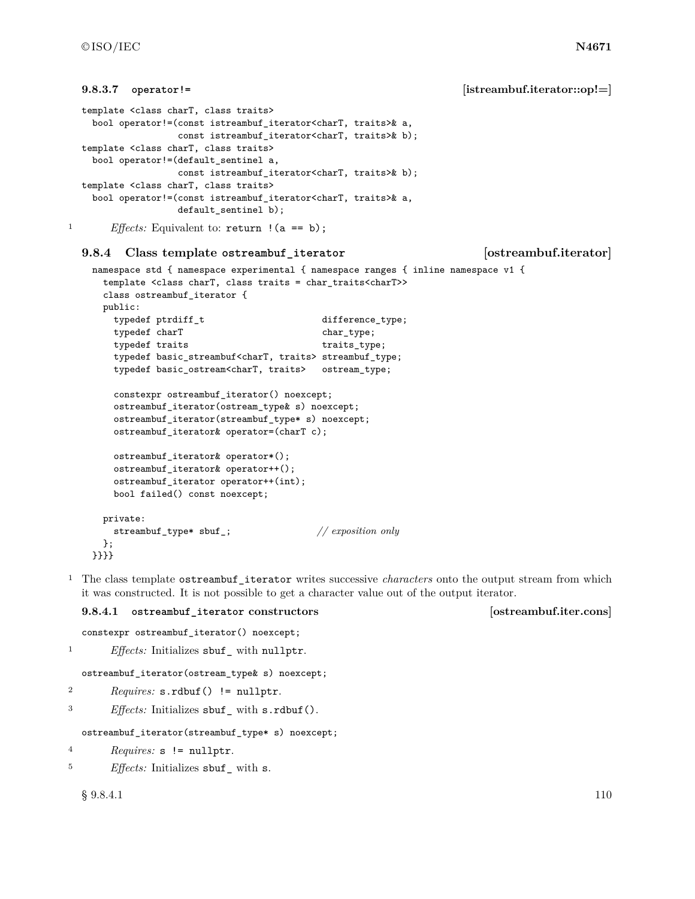```
9.8.3.7 operator!= [istreambuf.iterator::op!=]
  template <class charT, class traits>
   bool operator!=(const istreambuf iterator<charT, traits>& a,
                 const istreambuf_iterator<charT, traits>& b);
  template <class charT, class traits>
   bool operator!=(default_sentinel a,
                 const istreambuf_iterator<charT, traits>& b);
  template <class charT, class traits>
   bool operator!=(const istreambuf_iterator<charT, traits>& a,
                 default_sentinel b);
<sup>1</sup> Effects: Equivalent to: return ! (a == b);
  9.8.4 Class template ostreambuf_iterator [ostreambuf.iterator]
   namespace std { namespace experimental { namespace ranges { inline namespace v1 {
     template <class charT, class traits = char_traits<charT>>
     class ostreambuf_iterator {
     public:
       typedef ptrdiff_t difference_type;
       typedef charT chartype;
       typedef traits traits_type;
       typedef basic_streambuf<charT, traits> streambuf_type;
```

```
typedef basic_ostream<charT, traits> ostream_type;
    constexpr ostreambuf_iterator() noexcept;
    ostreambuf_iterator(ostream_type& s) noexcept;
    ostreambuf_iterator(streambuf_type* s) noexcept;
   ostreambuf_iterator& operator=(charT c);
   ostreambuf_iterator& operator*();
   ostreambuf_iterator& operator++();
   ostreambuf_iterator operator++(int);
   bool failed() const noexcept;
  private:
   streambuf_type* sbuf_; // exposition only
  };
}}}}
```
<sup>1</sup> The class template ostreambuf\_iterator writes successive *characters* onto the output stream from which it was constructed. It is not possible to get a character value out of the output iterator.

### **9.8.4.1 ostreambuf\_iterator constructors [ostreambuf.iter.cons]**

```
constexpr ostreambuf_iterator() noexcept;
```

```
<sup>1</sup> Effects: Initializes sbuf<sub>_</sub> with nullptr.
```

```
ostreambuf_iterator(ostream_type& s) noexcept;
```
- <sup>2</sup> *Requires:* s.rdbuf() != nullptr.
- <sup>3</sup> *Effects:* Initializes sbuf\_ with s.rdbuf().

ostreambuf\_iterator(streambuf\_type\* s) noexcept;

- <sup>4</sup> *Requires:* s != nullptr.
- <sup>5</sup> *Effects:* Initializes sbuf\_ with s.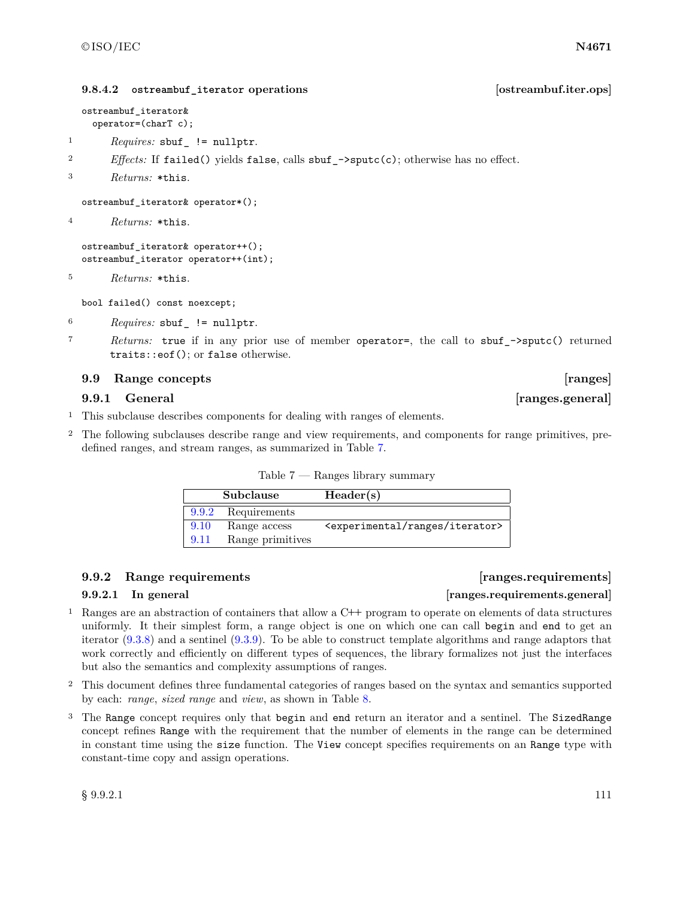### **9.8.4.2 ostreambuf\_iterator operations [ostreambuf.iter.ops]**

ostreambuf\_iterator& operator=(charT c);

- <sup>1</sup> *Requires:* sbuf\_ != nullptr.
- <sup>2</sup> *Effects:* If failed() yields false, calls sbuf\_->sputc(c); otherwise has no effect.
- <sup>3</sup> *Returns:* \*this.

ostreambuf\_iterator& operator\*();

<sup>4</sup> *Returns:* \*this.

```
ostreambuf_iterator& operator++();
ostreambuf_iterator operator++(int);
```
<sup>5</sup> *Returns:* \*this.

bool failed() const noexcept;

<sup>6</sup> *Requires:* sbuf\_ != nullptr.

<sup>7</sup> *Returns:* true if in any prior use of member operator=, the call to sbuf\_->sputc() returned traits::eof(); or false otherwise.

### **9.9 Range concepts** [ranges]

### **9.9.1 General**  *General Constanting Constanting Constanting Constanting Constanting Constanting Constanting Constanting Constanting Constanting Constanting Constanting Constanting Constanting Constanting Constanting*

- <sup>1</sup> This subclause describes components for dealing with ranges of elements.
- <sup>2</sup> The following subclauses describe range and view requirements, and components for range primitives, predefined ranges, and stream ranges, as summarized in Table [7.](#page-114-0)

<span id="page-114-0"></span>

| Table 7 |  |  | Ranges library summary |
|---------|--|--|------------------------|
|---------|--|--|------------------------|

| Subclause |                  | Header(s)                                           |  |
|-----------|------------------|-----------------------------------------------------|--|
| 9.9.2     | Requirements     |                                                     |  |
| 9.10      | Range access     | <experimental iterator="" ranges=""></experimental> |  |
| 9.11      | Range primitives |                                                     |  |

### <span id="page-114-1"></span>**9.9.2 Range requirements [ranges.requirements]**

### **9.9.2.1 In general [ranges.requirements.general]**

- <sup>1</sup> Ranges are an abstraction of containers that allow a C**++** program to operate on elements of data structures uniformly. It their simplest form, a range object is one on which one can call begin and end to get an iterator [\(9.3.8\)](#page-64-0) and a sentinel [\(9.3.9\)](#page-64-1). To be able to construct template algorithms and range adaptors that work correctly and efficiently on different types of sequences, the library formalizes not just the interfaces but also the semantics and complexity assumptions of ranges.
- <sup>2</sup> This document defines three fundamental categories of ranges based on the syntax and semantics supported by each: *range*, *sized range* and *view*, as shown in Table [8.](#page-115-0)
- <sup>3</sup> The Range concept requires only that begin and end return an iterator and a sentinel. The SizedRange concept refines Range with the requirement that the number of elements in the range can be determined in constant time using the size function. The View concept specifies requirements on an Range type with constant-time copy and assign operations.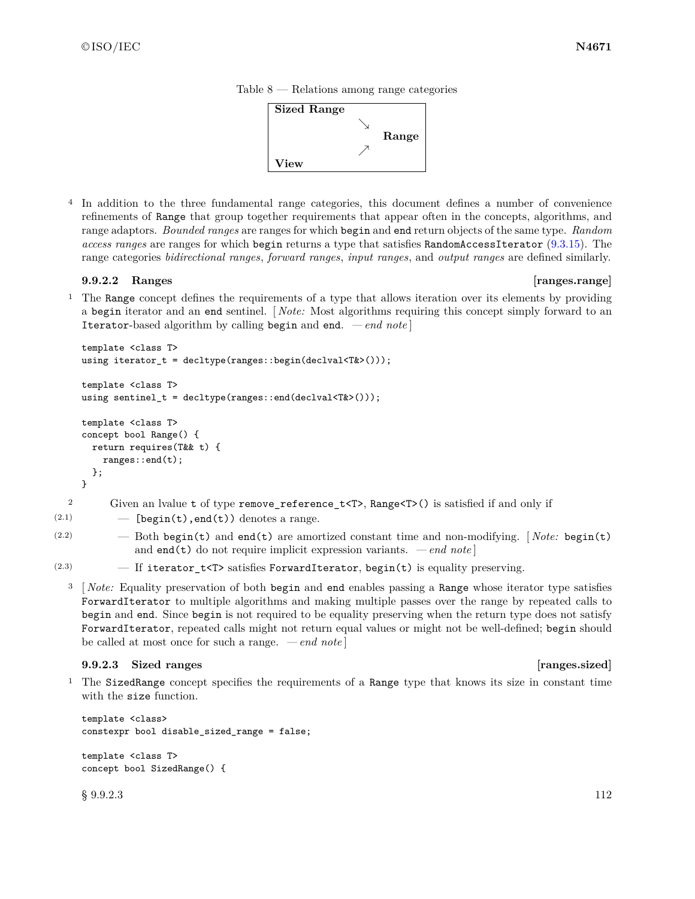

<span id="page-115-0"></span>

<sup>4</sup> In addition to the three fundamental range categories, this document defines a number of convenience refinements of Range that group together requirements that appear often in the concepts, algorithms, and range adaptors. *Bounded ranges* are ranges for which begin and end return objects of the same type. *Random access ranges* are ranges for which begin returns a type that satisfies RandomAccessIterator [\(9.3.15\)](#page-67-0). The range categories *bidirectional ranges*, *forward ranges*, *input ranges*, and *output ranges* are defined similarly.

### <span id="page-115-2"></span>**9.9.2.2 Ranges [ranges.range]**

<sup>1</sup> The Range concept defines the requirements of a type that allows iteration over its elements by providing a begin iterator and an end sentinel. [ *Note:* Most algorithms requiring this concept simply forward to an Iterator-based algorithm by calling begin and end. *— end note* ]

```
template <class T>
     using iterator_t = decltype(ranges::begin(declval<T&>()));
     template <class T>
     using sentinel_t = decltype(ranges::end(declval<T&>()));
     template <class T>
     concept bool Range() {
       return requires(T&& t) {
         ranges::end(t);
       };
     }
  2 Given an lvalue t of type remove_reference_t<T>, Range<T>() is satisfied if and only if
(2.1) - [begin(t), end(t)) denotes a range.
```
(2.2) — Both begin(t) and end(t) are amortized constant time and non-modifying. [ *Note:* begin(t) and **end(t)** do not require implicit expression variants.  $\,-\,end$  note

<sup>3</sup> [ *Note:* Equality preservation of both begin and end enables passing a Range whose iterator type satisfies ForwardIterator to multiple algorithms and making multiple passes over the range by repeated calls to begin and end. Since begin is not required to be equality preserving when the return type does not satisfy ForwardIterator, repeated calls might not return equal values or might not be well-defined; begin should be called at most once for such a range. *— end note* ]

### <span id="page-115-1"></span>**9.9.2.3 Sized ranges [ranges.sized]**

<sup>1</sup> The SizedRange concept specifies the requirements of a Range type that knows its size in constant time with the size function.

```
template <class>
constexpr bool disable_sized_range = false;
template <class T>
```

```
concept bool SizedRange() {
```
 $\S~9.9.2.3$  112

<sup>(2.3)</sup> — If iterator\_t<T> satisfies ForwardIterator, begin(t) is equality preserving.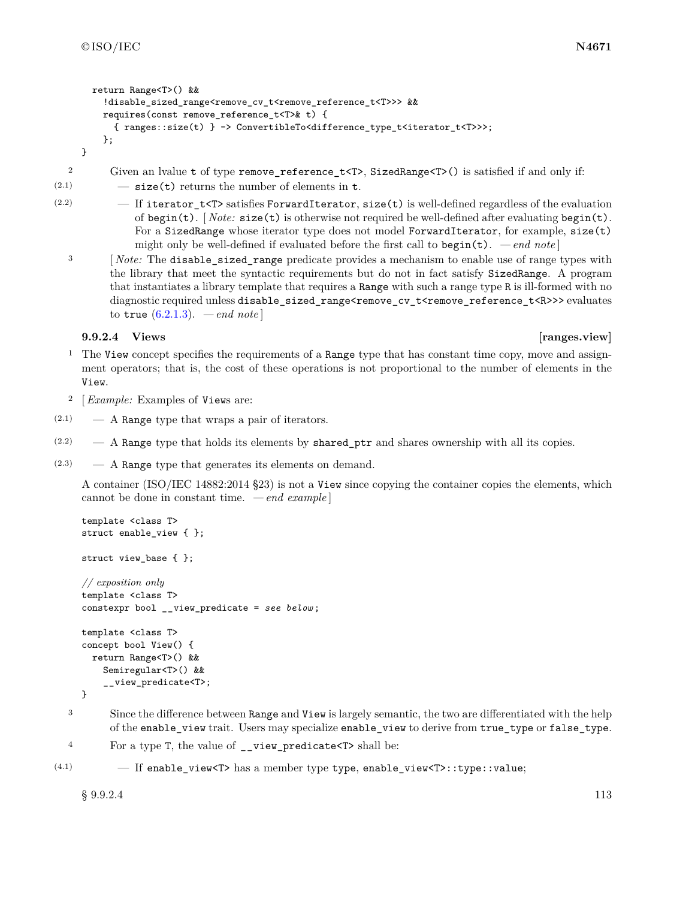}

```
return Range<T>() &&
  !disable_sized_range<remove_cv_t<remove_reference_t<T>>> &&
 requires(const remove_reference_t<T>& t) {
    { ranges::size(t) } -> ConvertibleTo<difference_type_t<iterator_t<T>>>;
  };
```
<sup>2</sup> Given an lvalue t of type remove\_reference\_t<T>, SizedRange<T>() is satisfied if and only if:  $(2.1)$   $-$  size(t) returns the number of elements in t.

- (2.2)  $-$  If iterator\_t<T> satisfies ForwardIterator, size(t) is well-defined regardless of the evaluation of begin(t). [ *Note:* size(t) is otherwise not required be well-defined after evaluating begin(t). For a SizedRange whose iterator type does not model ForwardIterator, for example, size(t) might only be well-defined if evaluated before the first call to  $begin(t)$ . *— end note* 
	- <sup>3</sup> [*Note:* The **disable\_sized\_range** predicate provides a mechanism to enable use of range types with the library that meet the syntactic requirements but do not in fact satisfy SizedRange. A program that instantiates a library template that requires a Range with such a range type R is ill-formed with no diagnostic required unless disable\_sized\_range<remove\_cv\_t<remove\_reference\_t<R>>> evaluates to **true**  $(6.2.1.3)$ . *— end note*

### **9.9.2.4 Views [ranges.view]**

- <sup>1</sup> The View concept specifies the requirements of a Range type that has constant time copy, move and assignment operators; that is, the cost of these operations is not proportional to the number of elements in the View.
- <sup>2</sup> [*Example:* Examples of Views are:
- $(2.1)$  A Range type that wraps a pair of iterators.
- $(2.2)$  A Range type that holds its elements by shared\_ptr and shares ownership with all its copies.
- $(2.3)$  A Range type that generates its elements on demand.

A container (ISO/IEC 14882:2014 §23) is not a View since copying the container copies the elements, which cannot be done in constant time. *— end example* ]

```
template <class T>
struct enable_view { };
struct view_base { };
// exposition only
template <class T>
constexpr bool __view_predicate = see below ;
template <class T>
concept bool View() {
 return Range<T>() &&
    Semiregular<T>() &&
    __view_predicate<T>;
```

```
}
```
<sup>3</sup> Since the difference between Range and View is largely semantic, the two are differentiated with the help of the enable\_view trait. Users may specialize enable\_view to derive from true\_type or false\_type.

```
4 For a type T, the value of view predicate <T> shall be:
```
 $(4.1)$  - If enable\_view<T> has a member type type, enable\_view<T>::type::value;

 $§$  9.9.2.4 113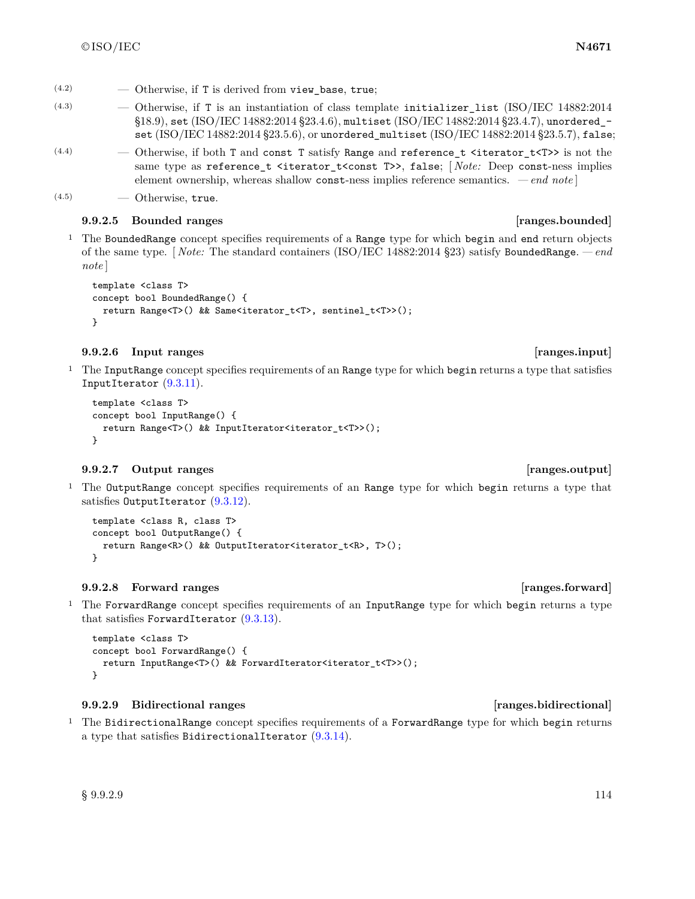- $(4.2)$  Otherwise, if T is derived from view base, true;
- $(4.3)$  Otherwise, if T is an instantiation of class template initializer\_list (ISO/IEC 14882:2014 §18.9), set (ISO/IEC 14882:2014 §23.4.6), multiset (ISO/IEC 14882:2014 §23.4.7), unordered\_ set  $(ISO/IEC 14882:2014 \frac{6}{3}23.5.6)$ , or unordered\_multiset  $(ISO/IEC 14882:2014 \frac{6}{3}23.5.7)$ , false;
- $(4.4)$   $\qquad -$  Otherwise, if both T and const T satisfy Range and reference<sub>t</sub> <iterator\_t<T>> is not the same type as reference<sub>\_</sub>t <iterator\_t<const T>>, false; [*Note:* Deep const-ness implies element ownership, whereas shallow const-ness implies reference semantics. *— end note* ]
- (4.5) Otherwise, true.

### **9.9.2.5 Bounded ranges [ranges.bounded]**

<sup>1</sup> The BoundedRange concept specifies requirements of a Range type for which begin and end return objects of the same type. [ *Note:* The standard containers (ISO/IEC 14882:2014 §23) satisfy BoundedRange. *— end note* ]

```
template <class T>
concept bool BoundedRange() {
  return Range<T>() && Same<iterator_t<T>, sentinel_t<T>>();
}
```
### **9.9.2.6 Input ranges [ranges.input]**

<sup>1</sup> The InputRange concept specifies requirements of an Range type for which begin returns a type that satisfies InputIterator [\(9.3.11\)](#page-65-0).

```
template <class T>
concept bool InputRange() {
  return Range<T>() && InputIterator<iterator_t<T>>();
}
```
### **9.9.2.7 Output ranges [ranges.output]**

<sup>1</sup> The OutputRange concept specifies requirements of an Range type for which begin returns a type that satisfies OutputIterator [\(9.3.12\)](#page-66-0).

```
template <class R, class T>
concept bool OutputRange() {
  return Range<R>() && OutputIterator<iterator_t<R>, T>();
}
```
### **9.9.2.8 Forward ranges [ranges.forward]**

<sup>1</sup> The ForwardRange concept specifies requirements of an InputRange type for which begin returns a type that satisfies ForwardIterator [\(9.3.13\)](#page-66-1).

```
template <class T>
concept bool ForwardRange() {
  return InputRange<T>() && ForwardIterator<iterator_t<T>>();
}
```
### **9.9.2.9 Bidirectional ranges [ranges.bidirectional]**

<sup>1</sup> The BidirectionalRange concept specifies requirements of a ForwardRange type for which begin returns a type that satisfies BidirectionalIterator  $(9.3.14)$ .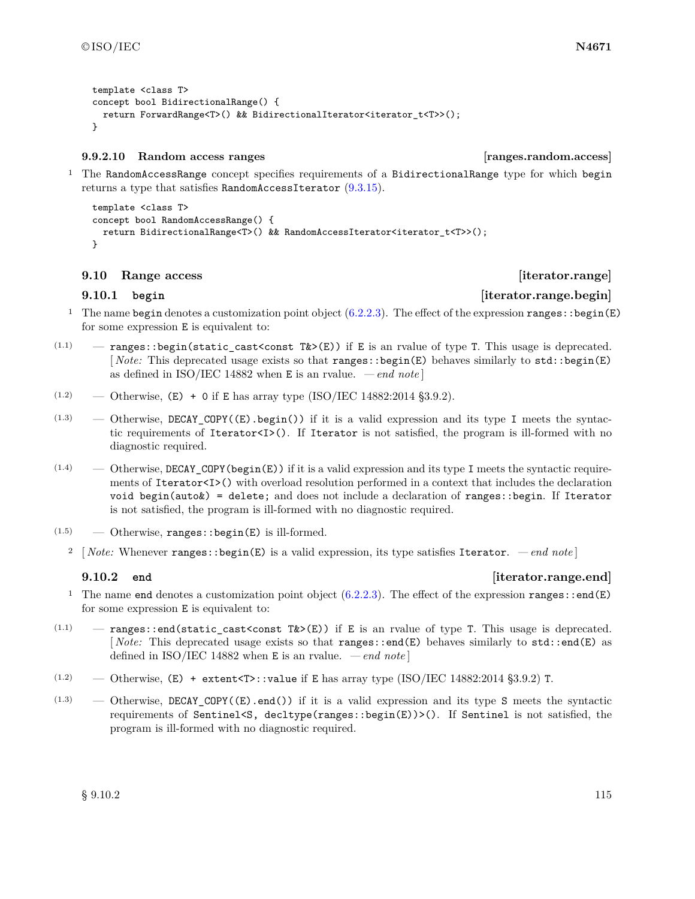```
template <class T>
concept bool BidirectionalRange() {
 return ForwardRange<T>() && BidirectionalIterator<iterator_t<T>>();
}
```
### **9.9.2.10 Random access ranges [ranges.random.access]**

<sup>1</sup> The RandomAccessRange concept specifies requirements of a BidirectionalRange type for which begin returns a type that satisfies RandomAccessIterator  $(9.3.15)$ .

```
template <class T>
concept bool RandomAccessRange() {
  return BidirectionalRange<T>() && RandomAccessIterator<iterator_t<T>>();
}
```
### <span id="page-118-0"></span>**9.10 Range access [iterator.range]**

# **9.10.1 begin [iterator.range.begin]**

- <sup>1</sup> The name begin denotes a customization point object  $(6.2.2.3)$ . The effect of the expression ranges: : begin(E) for some expression E is equivalent to:
- $(1.1)$  ranges: begin(static\_cast<const T&>(E)) if E is an rvalue of type T. This usage is deprecated. [ *Note:* This deprecated usage exists so that ranges::begin(E) behaves similarly to std::begin(E) as defined in ISO/IEC 14882 when  $E$  is an rvalue.  $\,-\,end$  note
- $(1.2)$  Otherwise,  $(E) + 0$  if E has array type (ISO/IEC 14882:2014 §3.9.2).
- $(1.3)$  Otherwise, DECAY\_COPY( $(E)$ .begin()) if it is a valid expression and its type I meets the syntactic requirements of Iterator<I>(). If Iterator is not satisfied, the program is ill-formed with no diagnostic required.
- $(1.4)$  Otherwise, DECAY\_COPY(begin(E)) if it is a valid expression and its type I meets the syntactic requirements of Iterator<I>() with overload resolution performed in a context that includes the declaration void begin(auto&) = delete; and does not include a declaration of ranges::begin. If Iterator is not satisfied, the program is ill-formed with no diagnostic required.
- $(1.5)$  Otherwise, ranges: : begin(E) is ill-formed.
	- <sup>2</sup> [ *Note:* Whenever ranges::begin(E) is a valid expression, its type satisfies Iterator.  *end note* ]

### **9.10.2 end [iterator.range.end]**

- <sup>1</sup> The name end denotes a customization point object  $(6.2.2.3)$ . The effect of the expression ranges::end(E) for some expression E is equivalent to:
- $(1.1)$  ranges::end(static\_cast<const T&>(E)) if E is an rvalue of type T. This usage is deprecated. [ *Note:* This deprecated usage exists so that ranges::end(E) behaves similarly to std::end(E) as defined in ISO/IEC 14882 when E is an rvalue. *— end note* ]
- $(1.2)$  Otherwise,  $(E)$  + extent<T>::value if E has array type (ISO/IEC 14882:2014 §3.9.2) T.
- $(1.3)$  Otherwise, DECAY COPY( $(E)$ .end()) if it is a valid expression and its type S meets the syntactic requirements of Sentinel<S, decltype(ranges::begin(E))>(). If Sentinel is not satisfied, the program is ill-formed with no diagnostic required.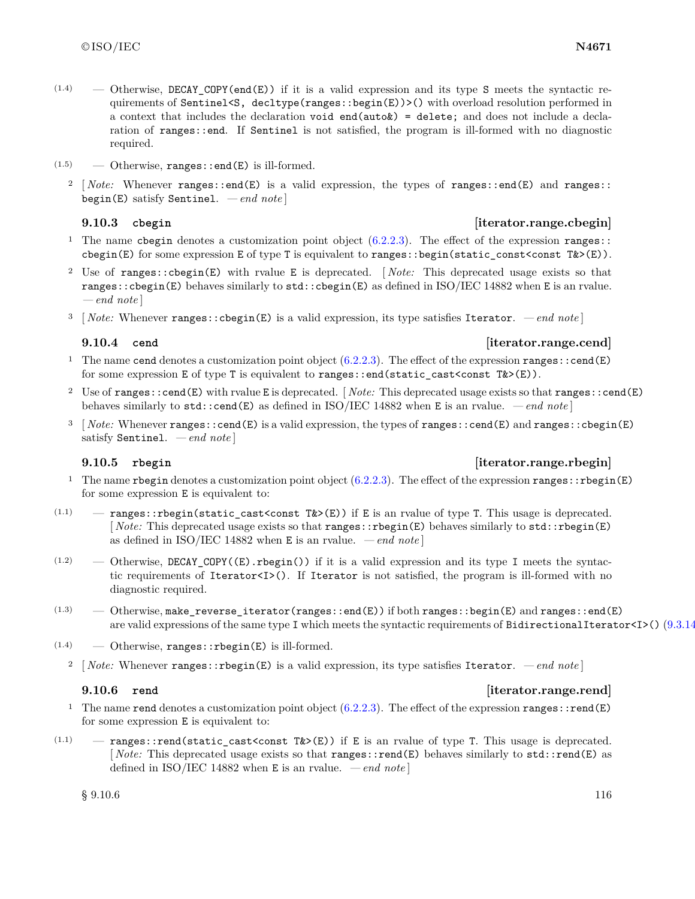- $(1.4)$  Otherwise, DECAY COPY(end(E)) if it is a valid expression and its type S meets the syntactic requirements of Sentinel<S, decltype(ranges::begin(E))>() with overload resolution performed in a context that includes the declaration void end( $auto x$ ) = delete; and does not include a declaration of ranges::end. If Sentinel is not satisfied, the program is ill-formed with no diagnostic required.
- $(1.5)$  Otherwise, ranges::end(E) is ill-formed.
	- <sup>2</sup> [*Note:* Whenever ranges::end(E) is a valid expression, the types of ranges::end(E) and ranges:: begin(E) satisfy Sentinel. *— end note* ]

### **9.10.3 cbegin [iterator.range.cbegin]**

- <sup>1</sup> The name cbegin denotes a customization point object  $(6.2.2.3)$ . The effect of the expression ranges:: cbegin(E) for some expression E of type T is equivalent to ranges::begin(static\_const<const T&>(E)).
- <sup>2</sup> Use of ranges::cbegin(E) with rvalue E is deprecated. [ *Note:* This deprecated usage exists so that ranges::cbegin(E) behaves similarly to std::cbegin(E) as defined in ISO/IEC 14882 when E is an rvalue. *— end note* ]
- <sup>3</sup> [ *Note:* Whenever ranges::cbegin(E) is a valid expression, its type satisfies Iterator.  *end note* ]

### **9.10.4 cend [iterator.range.cend]**

- <sup>1</sup> The name cend denotes a customization point object  $(6.2.2.3)$ . The effect of the expression ranges::cend(E) for some expression E of type T is equivalent to ranges::end(static\_cast<const T&>(E)).
- <sup>2</sup> Use of ranges::cend(E) with rvalue E is deprecated. [ *Note:* This deprecated usage exists so that ranges::cend(E) behaves similarly to std::cend(E) as defined in ISO/IEC 14882 when E is an rvalue. *— end note* ]
- <sup>3</sup> [ *Note:* Whenever ranges::cend(E) is a valid expression, the types of ranges::cend(E) and ranges::cbegin(E) satisfy Sentinel. *— end note* ]

### **9.10.5 rbegin [iterator.range.rbegin]**

- <sup>1</sup> The name rbegin denotes a customization point object  $(6.2.2.3)$ . The effect of the expression ranges::rbegin(E) for some expression E is equivalent to:
- $(1.1)$  ranges::rbegin(static\_cast<const T&>(E)) if E is an rvalue of type T. This usage is deprecated. [ *Note:* This deprecated usage exists so that ranges::rbegin(E) behaves similarly to std::rbegin(E) as defined in ISO/IEC 14882 when  $E$  is an rvalue.  $\,-$  *end note* ]
- $(1.2)$  Otherwise, DECAY\_COPY( $(E)$ . rbegin()) if it is a valid expression and its type I meets the syntactic requirements of Iterator<I>(). If Iterator is not satisfied, the program is ill-formed with no diagnostic required.
- $(1.3)$   $-$  Otherwise, make\_reverse\_iterator(ranges::end(E)) if both ranges::begin(E) and ranges::end(E) are valid expressions of the same type I which meets the syntactic requirements of BidirectionalIterator<I>() [\(9.3.14\)](#page-66-2).
- $(1.4)$  Otherwise, ranges:: rbegin(E) is ill-formed.
	- <sup>2</sup> [ *Note:* Whenever ranges::rbegin(E) is a valid expression, its type satisfies Iterator.  *end note* ]

### **9.10.6 rend [iterator.range.rend]**

- <sup>1</sup> The name rend denotes a customization point object  $(6.2.2.3)$ . The effect of the expression ranges::rend(E) for some expression E is equivalent to:
- $(1.1)$  ranges::rend(static\_cast<const T& $>(E)$ ) if E is an rvalue of type T. This usage is deprecated. [*Note:* This deprecated usage exists so that ranges::rend(E) behaves similarly to std::rend(E) as defined in ISO/IEC 14882 when E is an rvalue. *— end note* ]

 $\frac{116}{9.10.6}$  9.10.6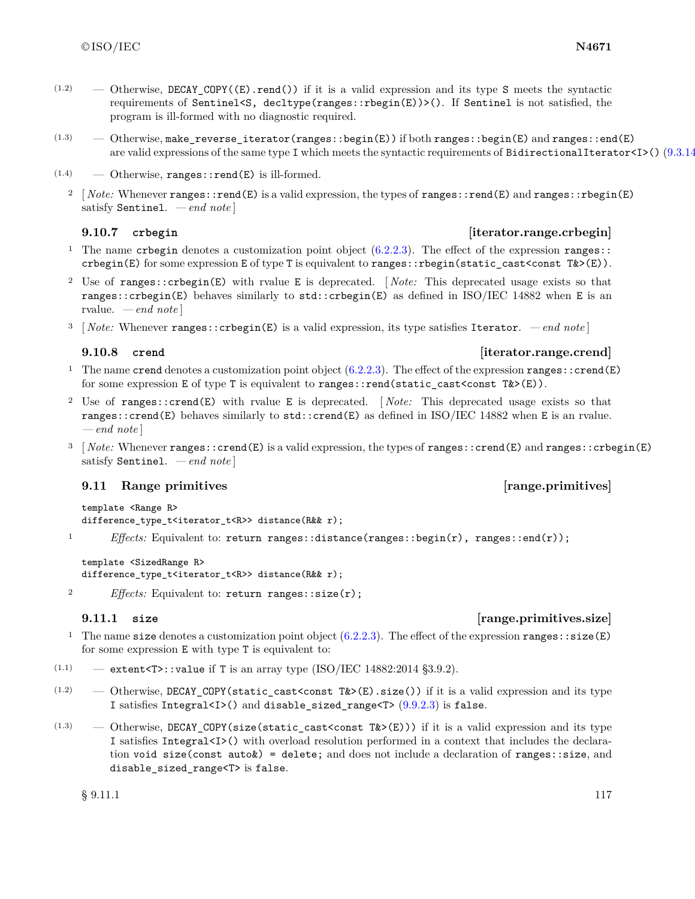- $(1.2)$  Otherwise, DECAY COPY((E).rend()) if it is a valid expression and its type S meets the syntactic requirements of Sentinel<S, decltype(ranges::rbegin(E))>(). If Sentinel is not satisfied, the program is ill-formed with no diagnostic required.
- $(1.3)$   $-$  Otherwise, make\_reverse\_iterator(ranges::begin(E)) if both ranges::begin(E) and ranges::end(E) are valid expressions of the same type I which meets the syntactic requirements of BidirectionalIterator <I>()  $(9.3.14)$
- $(1.4)$  Otherwise, ranges::rend(E) is ill-formed.
	- <sup>2</sup> [*Note:* Whenever ranges::rend(E) is a valid expression, the types of ranges::rend(E) and ranges::rbegin(E) satisfy Sentinel. *— end note* ]

- **9.10.7 crbegin [iterator.range.crbegin]**
- <sup>1</sup> The name crosegin denotes a customization point object  $(6.2.2.3)$ . The effect of the expression ranges:: crbegin(E) for some expression E of type T is equivalent to ranges::rbegin(static\_cast<const T&>(E)).
- <sup>2</sup> Use of ranges::crbegin(E) with rvalue E is deprecated. [ *Note:* This deprecated usage exists so that ranges::crbegin(E) behaves similarly to std::crbegin(E) as defined in ISO/IEC 14882 when E is an rvalue. *— end note* ]
- <sup>3</sup> [ *Note:* Whenever ranges::crbegin(E) is a valid expression, its type satisfies Iterator.  *end note* ]

- <sup>1</sup> The name crend denotes a customization point object  $(6.2.2.3)$ . The effect of the expression ranges::crend(E) for some expression E of type T is equivalent to ranges::rend(static\_cast<const  $T&>(E)$ ).
- <sup>2</sup> Use of ranges::crend(E) with rvalue E is deprecated. [ *Note:* This deprecated usage exists so that ranges::crend(E) behaves similarly to std::crend(E) as defined in ISO/IEC 14882 when E is an rvalue. *— end note* ]
- <sup>3</sup> [ *Note:* Whenever ranges::crend(E) is a valid expression, the types of ranges::crend(E) and ranges::crbegin(E) satisfy Sentinel. *— end note* ]

### <span id="page-120-0"></span>**9.11 Range primitives and the contract of the contract of the contract of the contract of the contract of the contract of the contract of the contract of the contract of the contract of the contract of the contract of t**

template <Range R> difference\_type\_t<iterator\_t<R>> distance(R&& r);

1 *Effects:* Equivalent to: return ranges::distance(ranges::begin(r), ranges::end(r));

template <SizedRange R> difference\_type\_t<iterator\_t<R>> distance(R&& r);

2 *Effects:* Equivalent to: return ranges::size(r);

### **9.11.1 size [range.primitives.size]**

- <sup>1</sup> The name size denotes a customization point object  $(6.2.2.3)$ . The effect of the expression ranges: : size(E) for some expression E with type T is equivalent to:
- $(1.1)$  extent<T>::value if T is an array type (ISO/IEC 14882:2014 §3.9.2).
- $(1.2)$  Otherwise, DECAY\_COPY(static\_cast<const T&>(E).size()) if it is a valid expression and its type I satisfies Integral<I>() and disable\_sized\_range<T> $(9.9.2.3)$  is false.
- $(1.3)$  Otherwise, DECAY\_COPY(size(static\_cast<const T&>(E))) if it is a valid expression and its type I satisfies Integral<I>() with overload resolution performed in a context that includes the declaration void size(const auto $\&$ ) = delete; and does not include a declaration of ranges::size, and disable\_sized\_range<T> is false.

 $\S$  9.11.1 117

# **9.10.8 crend [iterator.range.crend]**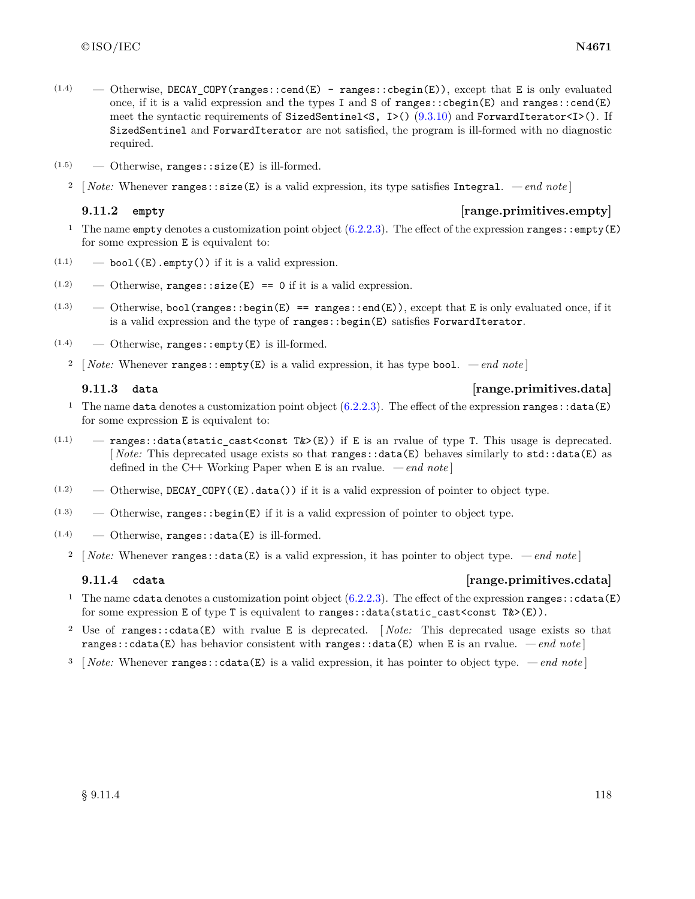- $(1.4)$  Otherwise, DECAY\_COPY(ranges::cend(E) ranges::cbegin(E)), except that E is only evaluated once, if it is a valid expression and the types I and S of ranges::cbegin(E) and ranges::cend(E) meet the syntactic requirements of SizedSentinel<S,  $I>()$  [\(9.3.10\)](#page-65-1) and ForwardIterator<I $>()$ . If SizedSentinel and ForwardIterator are not satisfied, the program is ill-formed with no diagnostic required.
- $(1.5)$  Otherwise, ranges::size(E) is ill-formed.
	- <sup>2</sup> [ *Note:* Whenever ranges::size(E) is a valid expression, its type satisfies Integral.  *end note* ]

### **9.11.2 empty [range.primitives.empty]**

- <sup>1</sup> The name empty denotes a customization point object  $(6.2.2.3)$ . The effect of the expression ranges::empty(E) for some expression E is equivalent to:
- $(1.1)$   $\qquad -$  bool((E).empty()) if it is a valid expression.
- $(1.2)$  Otherwise, ranges: : size(E) == 0 if it is a valid expression.
- $(1.3)$  Otherwise, bool(ranges::begin(E) == ranges::end(E)), except that E is only evaluated once, if it is a valid expression and the type of ranges::begin(E) satisfies ForwardIterator.
- $(1.4)$  Otherwise, ranges::empty(E) is ill-formed.
	- <sup>2</sup> [ *Note:* Whenever ranges::empty(E) is a valid expression, it has type bool.  *end note* ]

## **9.11.3 data [range.primitives.data]**

- <sup>1</sup> The name data denotes a customization point object  $(6.2.2.3)$ . The effect of the expression ranges: :data(E) for some expression E is equivalent to:
- $(1.1)$  ranges::data(static\_cast<const T& $>(E)$ ) if E is an rvalue of type T. This usage is deprecated. [*Note:* This deprecated usage exists so that **ranges**::data(E) behaves similarly to std::data(E) as defined in the C**++** Working Paper when E is an rvalue. *— end note* ]
- $(1.2)$  Otherwise, DECAY\_COPY( $(E)$ .data()) if it is a valid expression of pointer to object type.
- $(1.3)$  Otherwise, ranges: : begin(E) if it is a valid expression of pointer to object type.
- $(1.4)$  Otherwise, ranges: : data(E) is ill-formed.
	- <sup>2</sup> [ *Note:* Whenever ranges::data(E) is a valid expression, it has pointer to object type.  *end note* ]

# **9.11.4 cdata [range.primitives.cdata]**

- <sup>1</sup> The name cdata denotes a customization point object  $(6.2.2.3)$ . The effect of the expression ranges: : cdata(E) for some expression E of type T is equivalent to ranges::data(static\_cast<const  $T\&>(E)$ ).
- <sup>2</sup> Use of ranges::cdata(E) with rvalue E is deprecated. [ *Note:* This deprecated usage exists so that ranges::cdata(E) has behavior consistent with ranges::data(E) when E is an rvalue. *— end note* ]
- <sup>3</sup> [ *Note:* Whenever ranges::cdata(E) is a valid expression, it has pointer to object type.  *end note* ]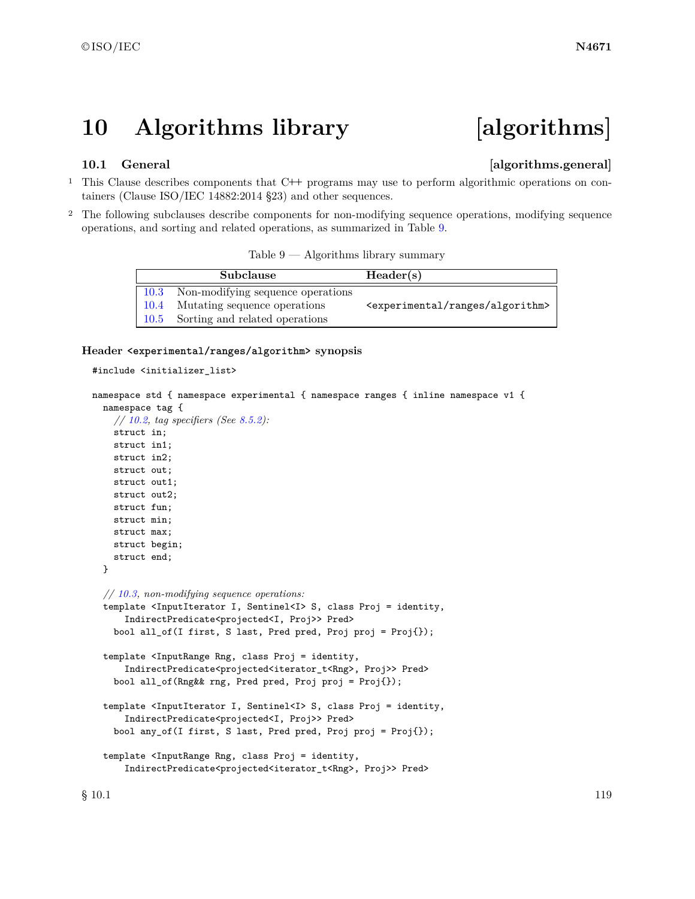# **10 Algorithms library [algorithms]**

### **10.1 General 10.1** General *algorithms.general*

- <sup>1</sup> This Clause describes components that C**++** programs may use to perform algorithmic operations on containers (Clause ISO/IEC 14882:2014 §23) and other sequences.
- <sup>2</sup> The following subclauses describe components for non-modifying sequence operations, modifying sequence operations, and sorting and related operations, as summarized in Table [9.](#page-122-0)

<span id="page-122-0"></span>

| Table 9 | Algorithms library summary |  |
|---------|----------------------------|--|
|         |                            |  |

| Subclause                              | Header(s)                                            |
|----------------------------------------|------------------------------------------------------|
| 10.3 Non-modifying sequence operations |                                                      |
| 10.4 Mutating sequence operations      | <experimental algorithm="" ranges=""></experimental> |
| 10.5 Sorting and related operations    |                                                      |

### **Header <experimental/ranges/algorithm> synopsis**

```
#include <initializer_list>
```

```
namespace std { namespace experimental { namespace ranges { inline namespace v1 {
  namespace tag {
    // 10.2, tag specifiers (See 8.5.2):
    struct in;
    struct in1;
    struct in2;
    struct out;
    struct out1;
    struct out2;
    struct fun;
    struct min;
    struct max;
    struct begin;
    struct end;
  }
  // 10.3, non-modifying sequence operations:
  template <InputIterator I, Sentinel<I> S, class Proj = identity,
      IndirectPredicate<projected<I, Proj>> Pred>
    bool all_of(I first, S last, Pred pred, Proj proj = Proj{});
  template <InputRange Rng, class Proj = identity,
      IndirectPredicate<projected<iterator_t<Rng>, Proj>> Pred>
    bool all_of(Rng&& rng, Pred pred, Proj proj = Proj{});
  template <InputIterator I, Sentinel<I> S, class Proj = identity,
      IndirectPredicate<projected<I, Proj>> Pred>
    bool any_of(I first, S last, Pred pred, Proj proj = Proj{});
  template <InputRange Rng, class Proj = identity,
      IndirectPredicate<projected<iterator_t<Rng>, Proj>> Pred>
```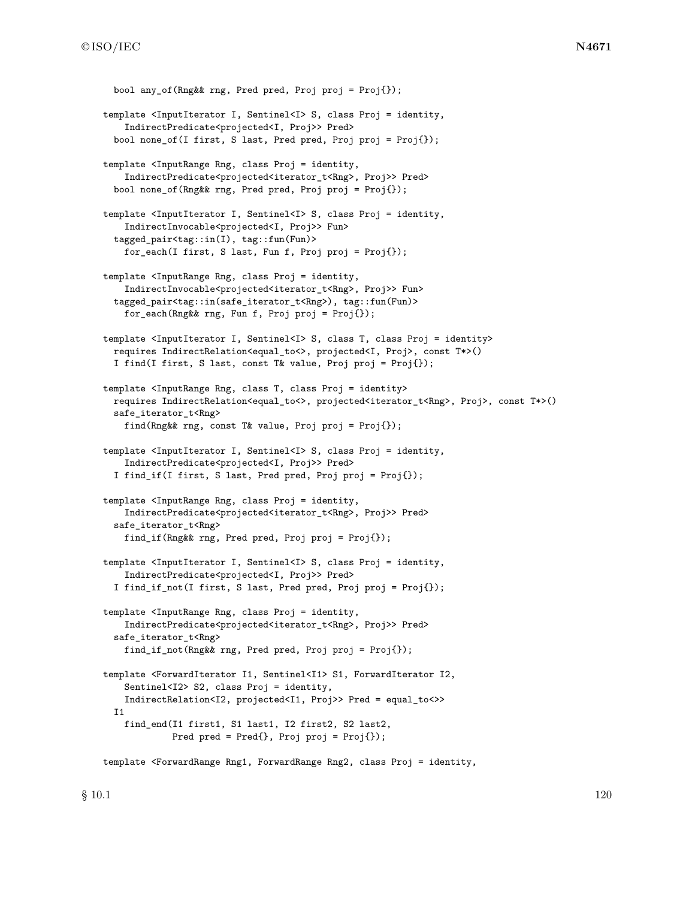```
bool any of(Rng&& rng, Pred pred, Proj proj = Proj{});
template <InputIterator I, Sentinel<I> S, class Proj = identity,
    IndirectPredicate<projected<I, Proj>> Pred>
  bool none_of(I first, S last, Pred pred, Proj proj = Proj{});
template <InputRange Rng, class Proj = identity,
    IndirectPredicate<projected<iterator_t<Rng>, Proj>> Pred>
  bool none_of(Rng&& rng, Pred pred, Proj proj = Proj{});
template <InputIterator I, Sentinel<I> S, class Proj = identity,
    IndirectInvocable<projected<I, Proj>> Fun>
  tagged_pair<tag::in(I), tag::fun(Fun)>
    for_each(I first, S last, Fun f, Proj proj = Proj{});
template <InputRange Rng, class Proj = identity,
    IndirectInvocable<projected<iterator_t<Rng>, Proj>> Fun>
  tagged_pair<tag::in(safe_iterator_t<Rng>), tag::fun(Fun)>
    for_each(Rng&& rng, Fun f, Proj proj = Proj{});
template <InputIterator I, Sentinel<I> S, class T, class Proj = identity>
  requires IndirectRelation<equal_to<>, projected<I, Proj>, const T*>()
  I find(I first, S last, const T& value, Proj proj = Proj{});
template <InputRange Rng, class T, class Proj = identity>
  requires IndirectRelation<equal_to<>, projected<iterator_t<Rng>, Proj>, const T*>()
  safe_iterator_t<Rng>
    find(Rng&& rng, const T& value, Proj proj = Proj{});
template <InputIterator I, Sentinel<I> S, class Proj = identity,
    IndirectPredicate<projected<I, Proj>> Pred>
  I find_if(I first, S last, Pred pred, Proj proj = Proj{});
template <InputRange Rng, class Proj = identity,
    IndirectPredicate<projected<iterator_t<Rng>, Proj>> Pred>
  safe_iterator_t<Rng>
    find_if(Rng&& rng, Pred pred, Proj proj = Proj{});
template <InputIterator I, Sentinel<I> S, class Proj = identity,
    IndirectPredicate<projected<I, Proj>> Pred>
  I find_if_not(I first, S last, Pred pred, Proj proj = Proj{});
template <InputRange Rng, class Proj = identity,
    IndirectPredicate<projected<iterator_t<Rng>, Proj>> Pred>
  safe_iterator_t<Rng>
    find_if_not(Rng&& rng, Pred pred, Proj proj = Proj{});
template <ForwardIterator I1, Sentinel<I1> S1, ForwardIterator I2,
    Sentinel<I2> S2, class Proj = identity,
    IndirectRelation<I2, projected<I1, Proj>> Pred = equal_to<>>
  I1
    find_end(I1 first1, S1 last1, I2 first2, S2 last2,
             Pred pred = Pred{}; Proj proj = Proj{};
template <ForwardRange Rng1, ForwardRange Rng2, class Proj = identity,
```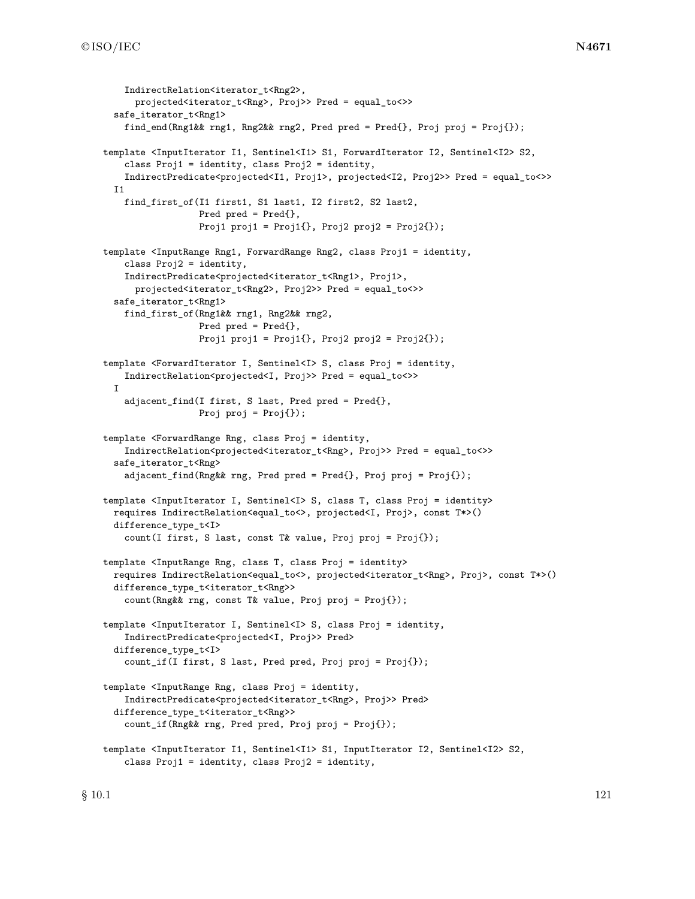```
IndirectRelation<iterator t<Rng2>,
      projected<iterator_t<Rng>, Proj>> Pred = equal_to<>>
  safe_iterator_t<Rng1>
    find_end(Rng1&& rng1, Rng2&& rng2, Pred pred = Pred{}, Proj proj = Proj{});
template <InputIterator I1, Sentinel<I1> S1, ForwardIterator I2, Sentinel<I2> S2,
    class Proj1 = identity, class Proj2 = identity,
    IndirectPredicate<projected<I1, Proj1>, projected<I2, Proj2>> Pred = equal_to<>>
  I1
    find_first_of(I1 first1, S1 last1, I2 first2, S2 last2,
                  Pred pred = Pred{},
                  Proj1 proj1 = Proj1\{ \}, Proj2 proj2 = Proj2\{ \});
template <InputRange Rng1, ForwardRange Rng2, class Proj1 = identity,
    class Proj2 = identity,
    IndirectPredicate<projected<iterator_t<Rng1>, Proj1>,
      projected<iterator_t<Rng2>, Proj2>> Pred = equal_to<>>
  safe_iterator_t<Rng1>
    find_first_of(Rng1&& rng1, Rng2&& rng2,
                  Pred pred = Pred{},
                  Proj1 proj1 = Proj1\{ \}, Proj2 proj2 = Proj2\{ \});
template <ForwardIterator I, Sentinel<I> S, class Proj = identity,
    IndirectRelation<projected<I, Proj>> Pred = equal_to<>>
  I
    adjacent_find(I first, S last, Pred pred = Pred{},
                  Proj proj = Proj();
template <ForwardRange Rng, class Proj = identity,
    IndirectRelation<projected<iterator_t<Rng>, Proj>> Pred = equal_to<>>
  safe_iterator_t<Rng>
    adjacent_find(Rng&& rng, Pred pred = Pred{}, Proj proj = Proj{});
template <InputIterator I, Sentinel<I> S, class T, class Proj = identity>
  requires IndirectRelation<equal_to<>, projected<I, Proj>, const T*>()
  difference_type_t<I>
    count(I first, S last, const T& value, Proj proj = Proj{});
template <InputRange Rng, class T, class Proj = identity>
  requires IndirectRelation<equal_to<>, projected<iterator_t<Rng>, Proj>, const T*>()
  difference_type_t<iterator_t<Rng>>
    count(Rng&& rng, const T& value, Proj proj = Proj{});
template <InputIterator I, Sentinel<I> S, class Proj = identity,
    IndirectPredicate<projected<I, Proj>> Pred>
  difference_type_t<I>
    count_if(I first, S last, Pred pred, Proj proj = Proj{});
template <InputRange Rng, class Proj = identity,
    IndirectPredicate<projected<iterator_t<Rng>, Proj>> Pred>
  difference_type_t<iterator_t<Rng>>
    count_if(Rng&& rng, Pred pred, Proj proj = Proj{});
template <InputIterator I1, Sentinel<I1> S1, InputIterator I2, Sentinel<I2> S2,
    class Proj1 = identity, class Proj2 = identity,
```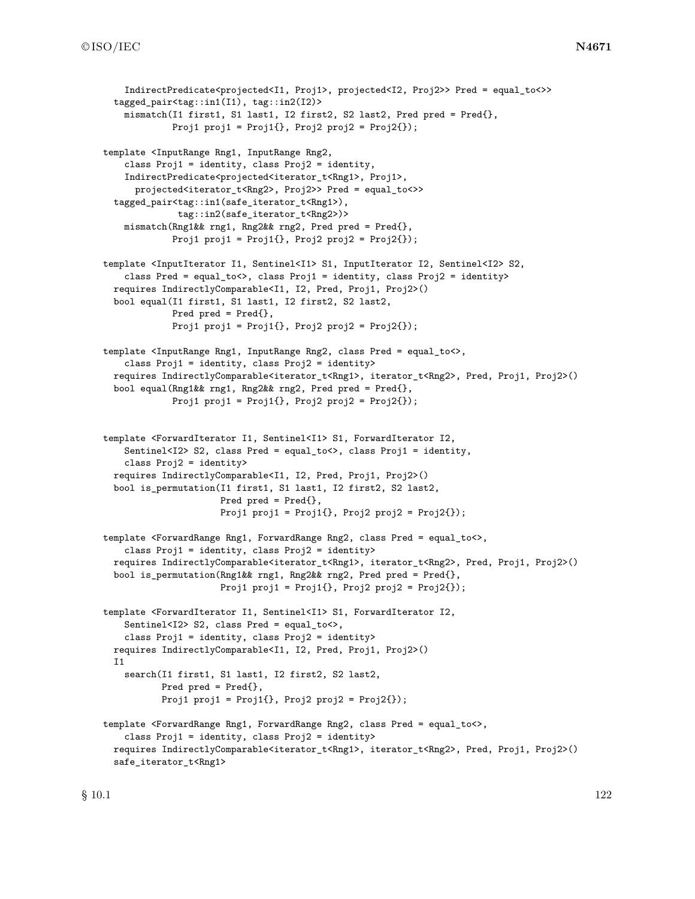```
IndirectPredicate<projected<I1, Proj1>, projected<I2, Proj2>> Pred = equal_to<>>
  tagged_pair<tag::in1(I1), tag::in2(I2)>
    mismatch(I1 first1, S1 last1, I2 first2, S2 last2, Pred pred = Pred{},
             Proj1 proj1 = Proj1\; Proj2 proj2 = Proj2\);
template <InputRange Rng1, InputRange Rng2,
    class Proj1 = identity, class Proj2 = identity,
    IndirectPredicate<projected<iterator_t<Rng1>, Proj1>,
      projected<iterator_t<Rng2>, Proj2>> Pred = equal_to<>>
  tagged_pair<tag::in1(safe_iterator_t<Rng1>),
              tag::in2(safe_iterator_t<Rng2>)>
    mismatch(Rng1&& rng1, Rng2&& rng2, Pred pred = Pred{},
             Proj1 proj1 = Proj1\{ \}, Proj2 proj2 = Proj2\{ \});
template <InputIterator I1, Sentinel<I1> S1, InputIterator I2, Sentinel<I2> S2,
    class Pred = equal_to<>, class Proj1 = identity, class Proj2 = identity>
  requires IndirectlyComparable<I1, I2, Pred, Proj1, Proj2>()
  bool equal(I1 first1, S1 last1, I2 first2, S2 last2,
             Pred pred = Pred{},
             Proj1 proj1 = Proj1\{ \}, Proj2 proj2 = Proj2\{ \});
template <InputRange Rng1, InputRange Rng2, class Pred = equal_to<>,
    class Proj1 = identity, class Proj2 = identity>
  requires IndirectlyComparable<iterator_t<Rng1>, iterator_t<Rng2>, Pred, Proj1, Proj2>()
  bool equal(Rng1&& rng1, Rng2&& rng2, Pred pred = Pred{},
             Proj1 proj1 = Proj1\{ \}, Proj2 proj2 = Proj2\{ \});
template <ForwardIterator I1, Sentinel<I1> S1, ForwardIterator I2,
    Sentinel<I2> S2, class Pred = equal_to<>, class Proj1 = identity,
    class Proj2 = identity>
  requires IndirectlyComparable<I1, I2, Pred, Proj1, Proj2>()
  bool is_permutation(I1 first1, S1 last1, I2 first2, S2 last2,
                      Pred pred = Pred{},
                      Proj1 proj1 = Proj1\{ \}, Proj2 proj2 = Proj2\{ \});
template <ForwardRange Rng1, ForwardRange Rng2, class Pred = equal_to<>,
    class Proj1 = identity, class Proj2 = identity>
  requires IndirectlyComparable<iterator_t<Rng1>, iterator_t<Rng2>, Pred, Proj1, Proj2>()
  bool is_permutation(Rng1&& rng1, Rng2&& rng2, Pred pred = Pred{},
                      Proj1 proj1 = Proj1\{ \}, Proj2 proj2 = Proj2\{ \});
template <ForwardIterator I1, Sentinel<I1> S1, ForwardIterator I2,
    Sentinel<I2> S2, class Pred = equal_to<>,
    class Proj1 = identity, class Proj2 = identity>
  requires IndirectlyComparable<I1, I2, Pred, Proj1, Proj2>()
  T<sub>1</sub>
    search(I1 first1, S1 last1, I2 first2, S2 last2,
           Pred pred = Pred{},
           Proj1 proj1 = Proj1\{ \}, Proj2 proj2 = Proj2\{ \});
template <ForwardRange Rng1, ForwardRange Rng2, class Pred = equal_to<>,
    class Proj1 = identity, class Proj2 = identity>
  requires IndirectlyComparable<iterator_t<Rng1>, iterator_t<Rng2>, Pred, Proj1, Proj2>()
  safe_iterator_t<Rng1>
```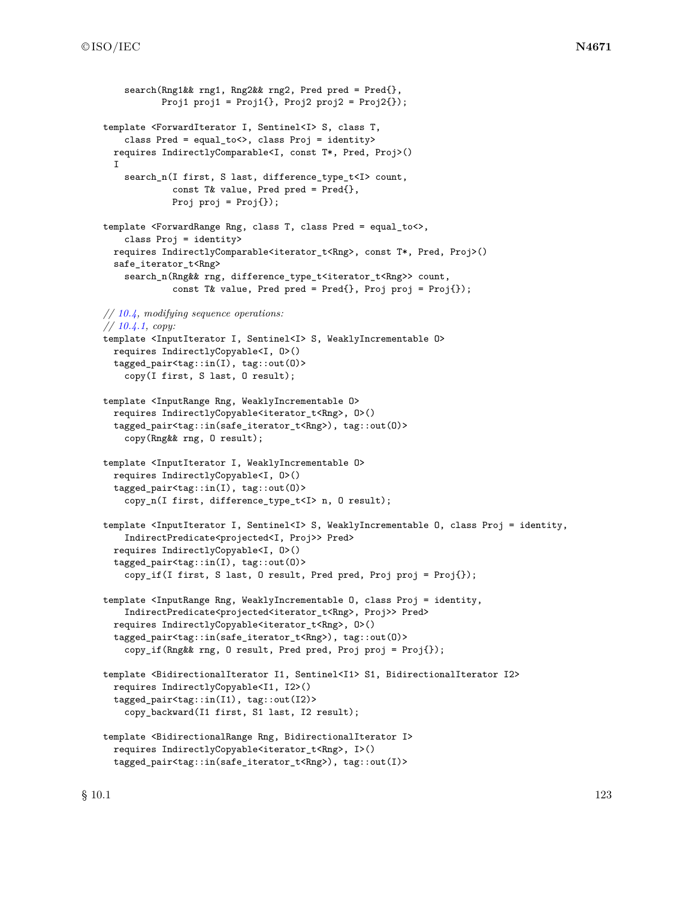```
search(Rng1&& rng1, Rng2&& rng2, Pred pred = Pred{},
           Proj1 proj1 = Proj1\{\}, Proj2 proj2 = Proj2\{\});
template <ForwardIterator I, Sentinel<I> S, class T,
    class Pred = equal_to<>, class Proj = identity>
 requires IndirectlyComparable<I, const T*, Pred, Proj>()
 I
    search_n(I first, S last, difference_type_t<I> count,
             const T& value, Pred pred = Pred{},
             Proj proj = Proj });
template <ForwardRange Rng, class T, class Pred = equal_to<>,
    class Proj = identity>
 requires IndirectlyComparable<iterator_t<Rng>, const T*, Pred, Proj>()
 safe_iterator_t<Rng>
    search_n(Rng&& rng, difference_type_t<iterator_t<Rng>> count,
             const T& value, Pred pred = Pred{}, Proj proj = Proj{});
// 10.4, modifying sequence operations:
// 10.4.1, copy:
template <InputIterator I, Sentinel<I> S, WeaklyIncrementable O>
 requires IndirectlyCopyable<I, O>()
 tagged_pair<tag::in(I), tag::out(O)>
    copy(I first, S last, O result);
template <InputRange Rng, WeaklyIncrementable O>
 requires IndirectlyCopyable<iterator_t<Rng>, O>()
 tagged_pair<tag::in(safe_iterator_t<Rng>), tag::out(O)>
    copy(Rng&& rng, O result);
template <InputIterator I, WeaklyIncrementable O>
 requires IndirectlyCopyable<I, O>()
  tagged_pair<tag::in(I), tag::out(O)>
    copy_n(I first, difference_type_t<I> n, O result);
template <InputIterator I, Sentinel<I> S, WeaklyIncrementable O, class Proj = identity,
    IndirectPredicate<projected<I, Proj>> Pred>
 requires IndirectlyCopyable<I, O>()
  tagged_pair<tag::in(I), tag::out(O)>
    copy_if(I first, S last, O result, Pred pred, Proj proj = Proj{});
template <InputRange Rng, WeaklyIncrementable O, class Proj = identity,
    IndirectPredicate<projected<iterator_t<Rng>, Proj>> Pred>
 requires IndirectlyCopyable<iterator_t<Rng>, O>()
  tagged_pair<tag::in(safe_iterator_t<Rng>), tag::out(O)>
    copy_if(Rng&& rng, O result, Pred pred, Proj proj = Proj{});
template <BidirectionalIterator I1, Sentinel<I1> S1, BidirectionalIterator I2>
 requires IndirectlyCopyable<I1, I2>()
 tagged_pair<tag::in(I1), tag::out(I2)>
    copy_backward(I1 first, S1 last, I2 result);
template <BidirectionalRange Rng, BidirectionalIterator I>
 requires IndirectlyCopyable<iterator_t<Rng>, I>()
  tagged_pair<tag::in(safe_iterator_t<Rng>), tag::out(I)>
```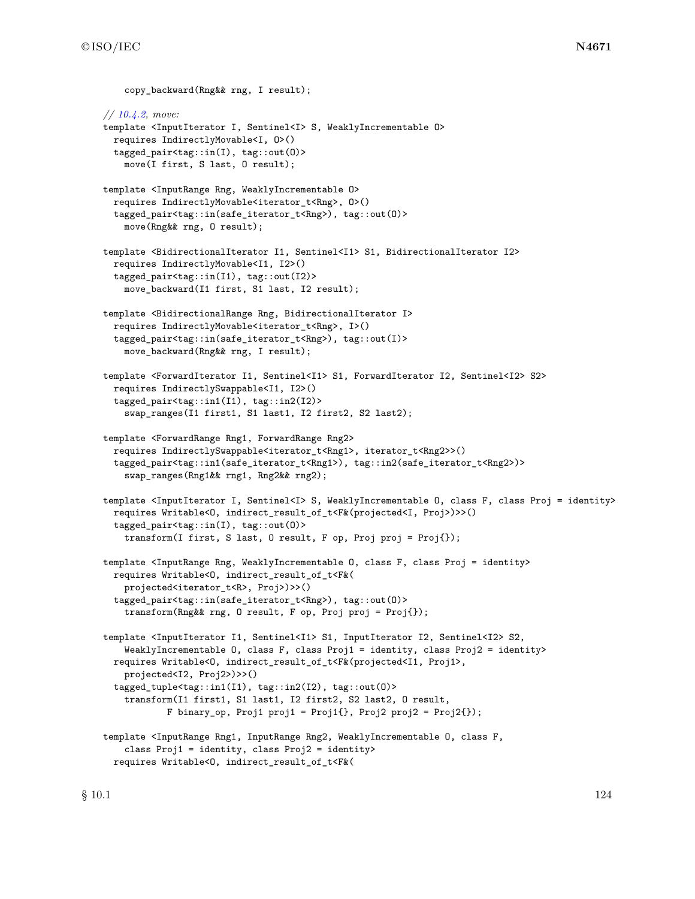```
copy_backward(Rng&& rng, I result);
// 10.4.2, move:
template <InputIterator I, Sentinel<I> S, WeaklyIncrementable O>
  requires IndirectlyMovable<I, O>()
  tagged_pair<tag::in(I), tag::out(O)>
    move(I first, S last, O result);
template <InputRange Rng, WeaklyIncrementable O>
  requires IndirectlyMovable<iterator_t<Rng>, O>()
  tagged_pair<tag::in(safe_iterator_t<Rng>), tag::out(O)>
    move(Rng&& rng, O result);
template <BidirectionalIterator I1, Sentinel<I1> S1, BidirectionalIterator I2>
  requires IndirectlyMovable<I1, I2>()
  tagged_pair<tag::in(I1), tag::out(I2)>
    move_backward(I1 first, S1 last, I2 result);
template <BidirectionalRange Rng, BidirectionalIterator I>
  requires IndirectlyMovable<iterator_t<Rng>, I>()
  tagged_pair<tag::in(safe_iterator_t<Rng>), tag::out(I)>
    move_backward(Rng&& rng, I result);
template <ForwardIterator I1, Sentinel<I1> S1, ForwardIterator I2, Sentinel<I2> S2>
  requires IndirectlySwappable<I1, I2>()
  tagged_pair<tag::in1(I1), tag::in2(I2)>
    swap_ranges(I1 first1, S1 last1, I2 first2, S2 last2);
template <ForwardRange Rng1, ForwardRange Rng2>
  requires IndirectlySwappable<iterator_t<Rng1>, iterator_t<Rng2>>()
  tagged_pair<tag::in1(safe_iterator_t<Rng1>), tag::in2(safe_iterator_t<Rng2>)>
    swap_ranges(Rng1&& rng1, Rng2&& rng2);
template <InputIterator I, Sentinel<I> S, WeaklyIncrementable O, class F, class Proj = identity>
  requires Writable<O, indirect_result_of_t<F&(projected<I, Proj>)>>()
  tagged_pair<tag::in(I), tag::out(O)>
    transform(I first, S last, O result, F op, Proj proj = Proj{});
template <InputRange Rng, WeaklyIncrementable O, class F, class Proj = identity>
  requires Writable<O, indirect_result_of_t<F&(
    projected<iterator_t<R>, Proj>)>>()
  tagged_pair<tag::in(safe_iterator_t<Rng>), tag::out(O)>
    transform(Rng&& rng, O result, F op, Proj proj = Proj{});
template <InputIterator I1, Sentinel<I1> S1, InputIterator I2, Sentinel<I2> S2,
    WeaklyIncrementable O, class F, class Proj1 = identity, class Proj2 = identity>
  requires Writable<O, indirect_result_of_t<F&(projected<I1, Proj1>,
    projected<I2, Proj2>)>>()
  tagged_tuple<tag::in1(I1), tag::in2(I2), tag::out(O)>
    transform(I1 first1, S1 last1, I2 first2, S2 last2, O result,
            F binary_op, Proj1 proj1 = Proj1\{ \}, Proj2 proj2 = Proj2\{ \});
template <InputRange Rng1, InputRange Rng2, WeaklyIncrementable O, class F,
    class Proj1 = identity, class Proj2 = identity>
  requires Writable<O, indirect_result_of_t<F&(
```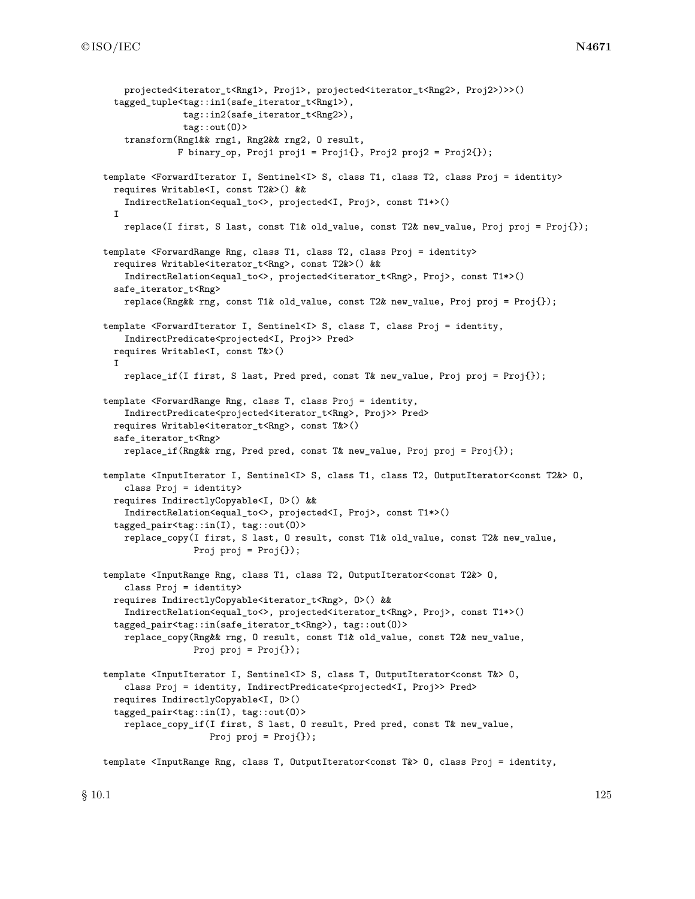```
projected<iterator t<Rng1>, Proj1>, projected<iterator t<Rng2>, Proj2>)>>()
  tagged_tuple<tag::in1(safe_iterator_t<Rng1>),
               tag::in2(safe_iterator_t<Rng2>),
               tag::out(O)>
    transform(Rng1&& rng1, Rng2&& rng2, O result,
              F binary_op, Proj1 proj1 = Proj1{}, Proj2 proj2 = Proj2{});
template <ForwardIterator I, Sentinel<I> S, class T1, class T2, class Proj = identity>
 requires Writable<I, const T2&>() &&
    IndirectRelation<equal_to<>, projected<I, Proj>, const T1*>()
 I
    replace(I first, S last, const T1& old_value, const T2& new_value, Proj proj = Proj{});
template <ForwardRange Rng, class T1, class T2, class Proj = identity>
 requires Writable<iterator_t<Rng>, const T2&>() &&
    IndirectRelation<equal_to<>, projected<iterator_t<Rng>, Proj>, const T1*>()
 safe_iterator_t<Rng>
   replace(Rng&& rng, const T1& old_value, const T2& new_value, Proj proj = Proj{});
template <ForwardIterator I, Sentinel<I> S, class T, class Proj = identity,
   IndirectPredicate<projected<I, Proj>> Pred>
 requires Writable<I, const T&>()
 I
   replace_if(I first, S last, Pred pred, const T& new_value, Proj proj = Proj{});
template <ForwardRange Rng, class T, class Proj = identity,
    IndirectPredicate<projected<iterator_t<Rng>, Proj>> Pred>
 requires Writable<iterator_t<Rng>, const T&>()
 safe_iterator_t<Rng>
    replace_if(Rng&& rng, Pred pred, const T& new_value, Proj proj = Proj{});
template <InputIterator I, Sentinel<I> S, class T1, class T2, OutputIterator<const T2&> O,
    class Proj = identity>
 requires IndirectlyCopyable<I, O>() &&
    IndirectRelation<equal_to<>, projected<I, Proj>, const T1*>()
 tagged_pair<tag::in(I), tag::out(O)>
   replace_copy(I first, S last, O result, const T1& old_value, const T2& new_value,
                 Proj proj = Proj();
template <InputRange Rng, class T1, class T2, OutputIterator<const T2&> O,
    class Proj = identity>
 requires IndirectlyCopyable<iterator_t<Rng>, O>() &&
    IndirectRelation<equal_to<>, projected<iterator_t<Rng>, Proj>, const T1*>()
  tagged_pair<tag::in(safe_iterator_t<Rng>), tag::out(O)>
   replace_copy(Rng&& rng, O result, const T1& old_value, const T2& new_value,
                 Proj proj = Proj {});
template <InputIterator I, Sentinel<I> S, class T, OutputIterator<const T&> O,
    class Proj = identity, IndirectPredicate<projected<I, Proj>> Pred>
 requires IndirectlyCopyable<I, O>()
 tagged_pair<tag::in(I), tag::out(O)>
    replace_copy_if(I first, S last, O result, Pred pred, const T& new_value,
                    Proj proj = Proj{});
```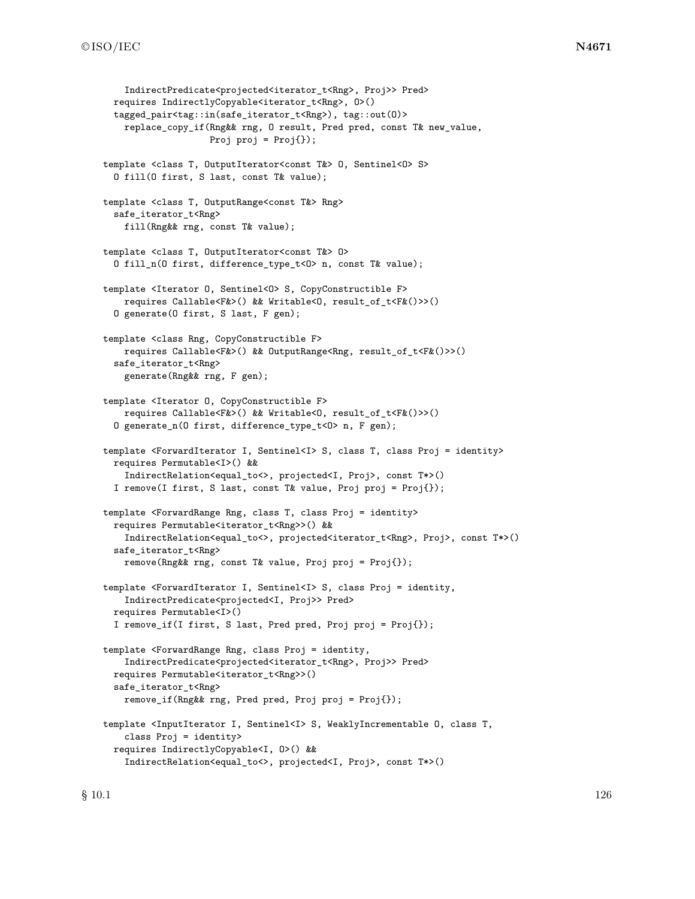```
IndirectPredicate<projected<iterator t<Rng>, Proj>> Pred>
  requires IndirectlyCopyable<iterator_t<Rng>, O>()
  tagged_pair<tag::in(safe_iterator_t<Rng>), tag::out(O)>
    replace_copy_if(Rng&& rng, O result, Pred pred, const T& new_value,
                    Proj proj = Proj();
template <class T, OutputIterator<const T&> O, Sentinel<O> S>
  O fill(O first, S last, const T& value);
template <class T, OutputRange<const T&> Rng>
  safe_iterator_t<Rng>
    fill(Rng&& rng, const T& value);
template <class T, OutputIterator<const T&> O>
  O fill_n(O first, difference_type_t<O> n, const T& value);
template <Iterator 0, Sentinel<0> S, CopyConstructible F>
    requires Callable<F&>() && Writable<O, result_of_t<F&()>>()
  O generate(O first, S last, F gen);
template <class Rng, CopyConstructible F>
    requires Callable<F&>() && OutputRange<Rng, result_of_t<F&()>>()
  safe_iterator_t<Rng>
    generate(Rng&& rng, F gen);
template <Iterator O, CopyConstructible F>
    requires Callable<F&>() && Writable<O, result_of_t<F&()>>()
  O generate_n(O first, difference_type_t<O> n, F gen);
template <ForwardIterator I, Sentinel<I> S, class T, class Proj = identity>
  requires Permutable<I>() &&
    IndirectRelation<equal_to<>, projected<I, Proj>, const T*>()
  I remove(I first, S last, const T& value, Proj proj = Proj{});
template <ForwardRange Rng, class T, class Proj = identity>
  requires Permutable<iterator_t<Rng>>() &&
    IndirectRelation<equal_to<>, projected<iterator_t<Rng>, Proj>, const T*>()
  safe_iterator_t<Rng>
    remove(Rng&& rng, const T& value, Proj proj = Proj{});
template <ForwardIterator I, Sentinel<I> S, class Proj = identity,
    IndirectPredicate<projected<I, Proj>> Pred>
  requires Permutable<I>()
  I remove_if(I first, S last, Pred pred, Proj proj = Proj{});
template <ForwardRange Rng, class Proj = identity,
    IndirectPredicate<projected<iterator_t<Rng>, Proj>> Pred>
  requires Permutable<iterator_t<Rng>>()
  safe_iterator_t<Rng>
    remove_if(Rng&& rng, Pred pred, Proj proj = Proj{});
template <InputIterator I, Sentinel<I> S, WeaklyIncrementable O, class T,
    class Proj = identity>
  requires IndirectlyCopyable<I, O>() &&
    IndirectRelation<equal_to<>, projected<I, Proj>, const T*>()
```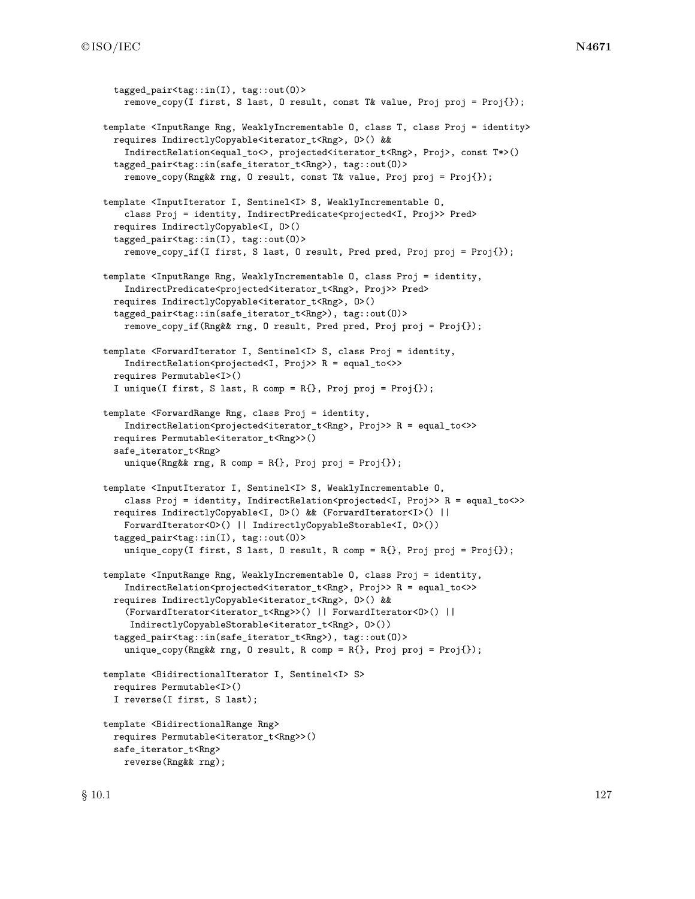```
tagged pair < tag::in(I), tag::out(0)>
    remove_copy(I first, S last, O result, const T& value, Proj proj = Proj{});
template <InputRange Rng, WeaklyIncrementable O, class T, class Proj = identity>
  requires IndirectlyCopyable<iterator_t<Rng>, 0>() &&
    IndirectRelation<equal_to<>, projected<iterator_t<Rng>, Proj>, const T*>()
  tagged_pair<tag::in(safe_iterator_t<Rng>), tag::out(O)>
    remove_copy(Rng&& rng, O result, const T& value, Proj proj = Proj{});
template <InputIterator I, Sentinel<I> S, WeaklyIncrementable O,
    class Proj = identity, IndirectPredicate<projected<I, Proj>> Pred>
  requires IndirectlyCopyable<I, O>()
  tagged_pair<tag::in(I), tag::out(O)>
    remove_copy_if(I first, S last, O result, Pred pred, Proj proj = Proj{});
template <InputRange Rng, WeaklyIncrementable O, class Proj = identity,
    IndirectPredicate<projected<iterator_t<Rng>, Proj>> Pred>
  requires IndirectlyCopyable<iterator_t<Rng>, 0>()
  tagged_pair<tag::in(safe_iterator_t<Rng>), tag::out(O)>
    remove_copy_if(Rng&& rng, O result, Pred pred, Proj proj = Proj{});
template <ForwardIterator I, Sentinel<I> S, class Proj = identity,
    IndirectRelation<projected<I, Proj>> R = equal_to<>>
  requires Permutable<I>()
  I unique(I first, S last, R comp = R{}, Proj proj = Proj{});
template <ForwardRange Rng, class Proj = identity,
    IndirectRelation<projected<iterator_t<Rng>, Proj>> R = equal_to<>>
  requires Permutable<iterator_t<Rng>>()
  safe_iterator_t<Rng>
    unique(Rng&& rng, R comp = R{}, Proj proj = Proj{});
template <InputIterator I, Sentinel<I> S, WeaklyIncrementable O,
    class Proj = identity, IndirectRelation<projected<I, Proj>> R = equal_to<>>
  requires IndirectlyCopyable<I, O>() && (ForwardIterator<I>() ||
    ForwardIterator<O>() || IndirectlyCopyableStorable<I, O>())
  tagged_pair<tag::in(I), tag::out(O)>
    unique_copy(I first, S last, O result, R comp = R{}, Proj proj = Proj{});
template <InputRange Rng, WeaklyIncrementable O, class Proj = identity,
    IndirectRelation<projected<iterator_t<Rng>, Proj>> R = equal_to<>>
  requires IndirectlyCopyable<iterator_t<Rng>, O>() &&
    (ForwardIterator<iterator_t<Rng>>() || ForwardIterator<O>() ||
     IndirectlyCopyableStorable<iterator_t<Rng>, O>())
  tagged_pair<tag::in(safe_iterator_t<Rng>), tag::out(O)>
    unique_copy(Rng&& rng, 0 result, R comp = R{}, Proj proj = Proj{});
template <BidirectionalIterator I, Sentinel<I> S>
  requires Permutable<I>()
  I reverse(I first, S last);
template <BidirectionalRange Rng>
  requires Permutable<iterator_t<Rng>>()
  safe_iterator_t<Rng>
    reverse(Rng&& rng);
```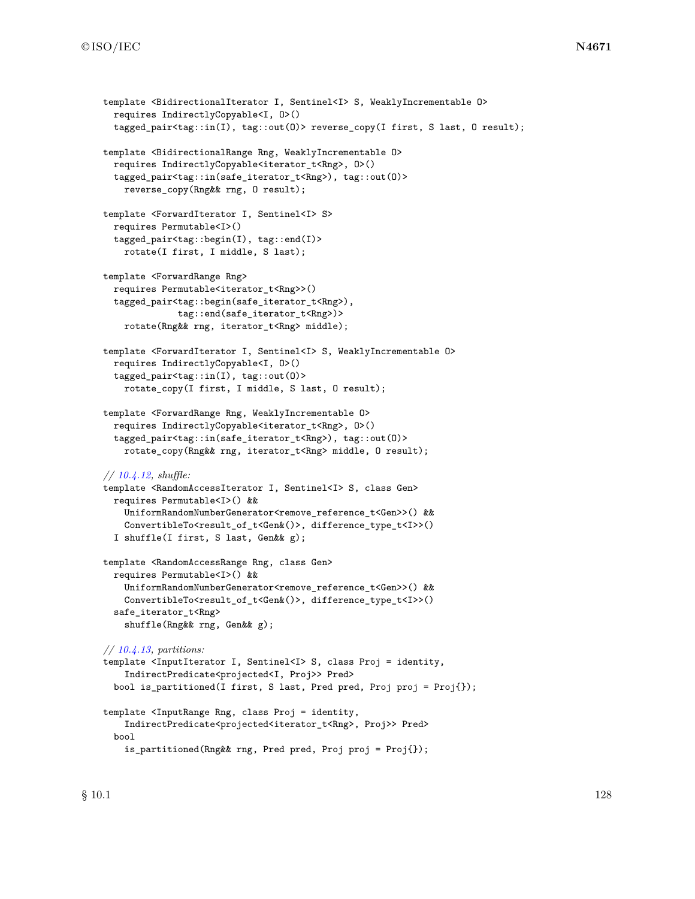```
template <BidirectionalIterator I, Sentinel<I> S, WeaklyIncrementable O>
  requires IndirectlyCopyable<I, O>()
  tagged_pair<tag::in(I), tag::out(O)> reverse_copy(I first, S last, O result);
template <BidirectionalRange Rng, WeaklyIncrementable O>
  requires IndirectlyCopyable<iterator_t<Rng>, 0>()
  tagged_pair<tag::in(safe_iterator_t<Rng>), tag::out(O)>
    reverse_copy(Rng&& rng, O result);
template <ForwardIterator I, Sentinel<I> S>
  requires Permutable<I>()
  tagged_pair<tag::begin(I), tag::end(I)>
    rotate(I first, I middle, S last);
template <ForwardRange Rng>
  requires Permutable<iterator_t<Rng>>()
  tagged_pair<tag::begin(safe_iterator_t<Rng>),
              tag::end(safe_iterator_t<Rng>)>
    rotate(Rng&& rng, iterator_t<Rng> middle);
template <ForwardIterator I, Sentinel<I> S, WeaklyIncrementable O>
  requires IndirectlyCopyable<I, O>()
  tagged_pair<tag::in(I), tag::out(O)>
    rotate_copy(I first, I middle, S last, O result);
template <ForwardRange Rng, WeaklyIncrementable O>
  requires IndirectlyCopyable<iterator_t<Rng>, O>()
  tagged_pair<tag::in(safe_iterator_t<Rng>), tag::out(O)>
    rotate_copy(Rng&& rng, iterator_t<Rng> middle, O result);
// 10.4.12, shuffle:
template <RandomAccessIterator I, Sentinel<I> S, class Gen>
  requires Permutable<I>() &&
    UniformRandomNumberGenerator<remove_reference_t<Gen>>() &&
    ConvertibleTo<result_of_t<Gen&()>, difference_type_t<I>>()
  I shuffle(I first, S last, Gen&& g);
template <RandomAccessRange Rng, class Gen>
  requires Permutable<I>() &&
    UniformRandomNumberGenerator<remove_reference_t<Gen>>() &&
    ConvertibleTo<result_of_t<Gen&()>, difference_type_t<I>>()
  safe_iterator_t<Rng>
    shuffle(Rng&& rng, Gen&& g);
// 10.4.13, partitions:
template <InputIterator I, Sentinel<I> S, class Proj = identity,
    IndirectPredicate<projected<I, Proj>> Pred>
  bool is_partitioned(I first, S last, Pred pred, Proj proj = Proj{});
template <InputRange Rng, class Proj = identity,
    IndirectPredicate<projected<iterator_t<Rng>, Proj>> Pred>
  bool
    is_partitioned(Rng&& rng, Pred pred, Proj proj = Proj{});
```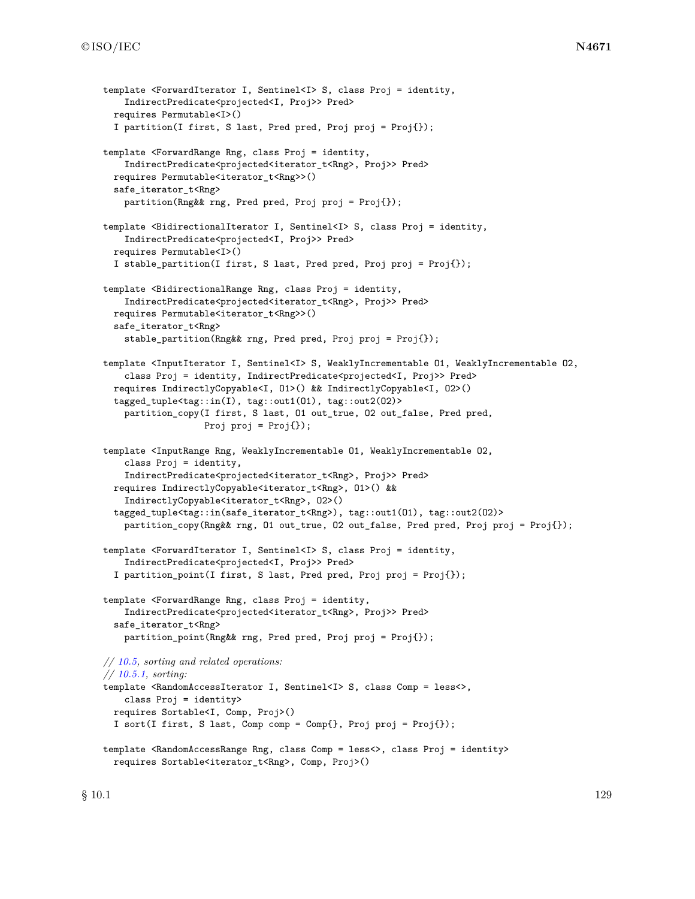```
template <ForwardIterator I, Sentinel<I> S, class Proj = identity,
    IndirectPredicate<projected<I, Proj>> Pred>
 requires Permutable<I>()
 I partition(I first, S last, Pred pred, Proj proj = Proj{});
template <ForwardRange Rng, class Proj = identity,
    IndirectPredicate<projected<iterator_t<Rng>, Proj>> Pred>
 requires Permutable<iterator_t<Rng>>()
 safe_iterator_t<Rng>
    partition(Rng&& rng, Pred pred, Proj proj = Proj{});
template <BidirectionalIterator I, Sentinel<I> S, class Proj = identity,
    IndirectPredicate<projected<I, Proj>> Pred>
 requires Permutable<I>()
 I stable_partition(I first, S last, Pred pred, Proj proj = Proj{});
template <BidirectionalRange Rng, class Proj = identity,
    IndirectPredicate<projected<iterator_t<Rng>, Proj>> Pred>
 requires Permutable<iterator_t<Rng>>()
 safe_iterator_t<Rng>
    stable_partition(Rng&& rng, Pred pred, Proj proj = Proj{});
template <InputIterator I, Sentinel<I> S, WeaklyIncrementable O1, WeaklyIncrementable O2,
    class Proj = identity, IndirectPredicate<projected<I, Proj>> Pred>
 requires IndirectlyCopyable<I, O1>() && IndirectlyCopyable<I, O2>()
  tagged_tuple<tag::in(I), tag::out1(O1), tag::out2(O2)>
    partition_copy(I first, S last, O1 out_true, O2 out_false, Pred pred,
                   Proj proj = Proj });
template <InputRange Rng, WeaklyIncrementable O1, WeaklyIncrementable O2,
    class Proj = identity,
    IndirectPredicate<projected<iterator_t<Rng>, Proj>> Pred>
 requires IndirectlyCopyable<iterator_t<Rng>, O1>() &&
    IndirectlyCopyable<iterator_t<Rng>, O2>()
 tagged_tuple<tag::in(safe_iterator_t<Rng>), tag::out1(O1), tag::out2(O2)>
   partition_copy(Rng&& rng, O1 out_true, O2 out_false, Pred pred, Proj proj = Proj{});
template <ForwardIterator I, Sentinel<I> S, class Proj = identity,
    IndirectPredicate<projected<I, Proj>> Pred>
  I partition_point(I first, S last, Pred pred, Proj proj = Proj{});
template <ForwardRange Rng, class Proj = identity,
    IndirectPredicate<projected<iterator_t<Rng>, Proj>> Pred>
  safe_iterator_t<Rng>
   partition_point(Rng&& rng, Pred pred, Proj proj = Proj{});
// 10.5, sorting and related operations:
// 10.5.1, sorting:
template <RandomAccessIterator I, Sentinel<I> S, class Comp = less<>,
    class Proj = identity>
 requires Sortable<I, Comp, Proj>()
 I sort(I first, S last, Comp comp = Comp{}, Proj proj = Proj{});
template <RandomAccessRange Rng, class Comp = less<>, class Proj = identity>
 requires Sortable<iterator_t<Rng>, Comp, Proj>()
```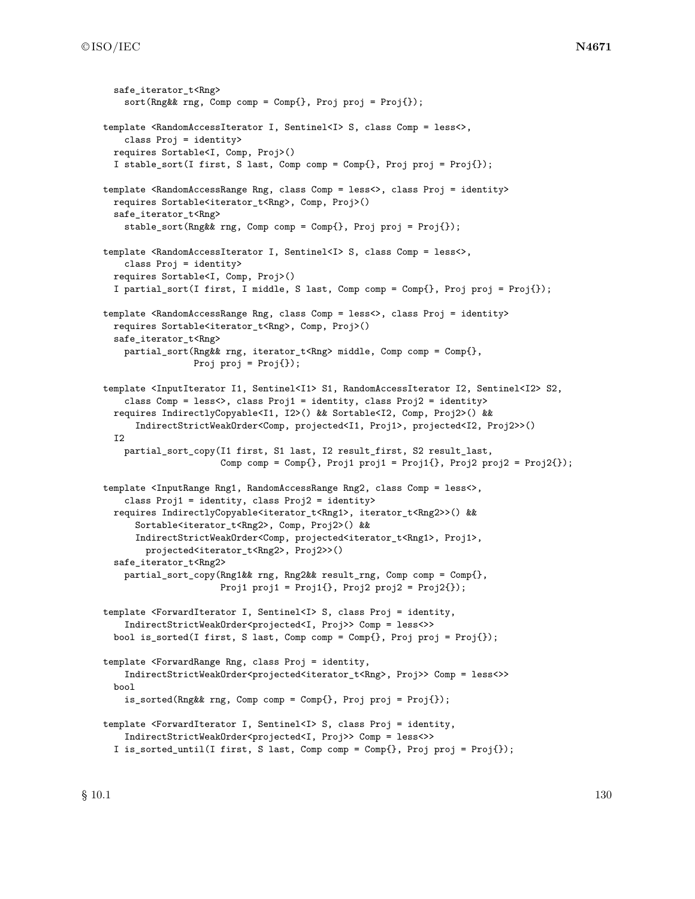```
safe_iterator_t<Rng>
    sort(Rng&& rng, Comp comp = Comp{}, Proj proj = Proj{});
template <RandomAccessIterator I, Sentinel<I>>S<>, class Comp = less<>,
    class Proj = identity>
 requires Sortable<I, Comp, Proj>()
  I stable_sort(I first, S last, Comp comp = Comp{}, Proj proj = Proj{});
template <RandomAccessRange Rng, class Comp = less<>, class Proj = identity>
 requires Sortable<iterator_t<Rng>, Comp, Proj>()
 safe_iterator_t<Rng>
    stable_sort(Rng&& rng, Comp comp = Comp{}, Proj proj = Proj{});
template <RandomAccessIterator I, Sentinel<I> S, class Comp = less<>,
   class Proj = identity>
 requires Sortable<I, Comp, Proj>()
 I partial_sort(I first, I middle, S last, Comp comp = Comp{}, Proj proj = Proj{});
template <RandomAccessRange Rng, class Comp = less<>, class Proj = identity>
 requires Sortable<iterator_t<Rng>, Comp, Proj>()
 safe_iterator_t<Rng>
   partial_sort(Rng&& rng, iterator_t<Rng> middle, Comp comp = Comp{},
                 Proj proj = Proj();
template <InputIterator I1, Sentinel<I1> S1, RandomAccessIterator I2, Sentinel<I2> S2,
    class Comp = less<>, class Proj1 = identity, class Proj2 = identity>
 requires IndirectlyCopyable<I1, I2>() && Sortable<I2, Comp, Proj2>() &&
      IndirectStrictWeakOrder<Comp, projected<I1, Proj1>, projected<I2, Proj2>>()
 T<sub>2</sub>
    partial_sort_copy(I1 first, S1 last, I2 result_first, S2 result_last,
                      Comp comp = Comp\{\}, Propij proj1 = Proj1\{\}, Propij proj2 proj2 = Proj2\{\});
template <InputRange Rng1, RandomAccessRange Rng2, class Comp = less<>,
    class Proj1 = identity, class Proj2 = identity>
 requires IndirectlyCopyable<iterator_t<Rng1>, iterator_t<Rng2>>() &&
      Sortable<iterator_t<Rng2>, Comp, Proj2>() &&
      IndirectStrictWeakOrder<Comp, projected<iterator_t<Rng1>, Proj1>,
        projected<iterator_t<Rng2>, Proj2>>()
  safe_iterator_t<Rng2>
   partial_sort_copy(Rng1&& rng, Rng2&& result_rng, Comp comp = Comp{},
                      Proj1 proj1 = Proj1\{ \}, Proj2 proj2 = Proj2\{ \});
template <ForwardIterator I, Sentinel<I> S, class Proj = identity,
    IndirectStrictWeakOrder<projected<I, Proj>> Comp = less<>>
 bool is_sorted(I first, S last, Comp comp = Comp{}, Proj proj = Proj{});
template <ForwardRange Rng, class Proj = identity,
   IndirectStrictWeakOrder<projected<iterator_t<Rng>, Proj>> Comp = less<>>
 bool
    is_sorted(Rng&& rng, Comp comp = Comp{}, Proj proj = Proj{});
template <ForwardIterator I, Sentinel<I> S, class Proj = identity,
    IndirectStrictWeakOrder<projected<I, Proj>> Comp = less<>>
  I is_sorted_until(I first, S last, Comp comp = Comp{}, Proj proj = Proj{});
```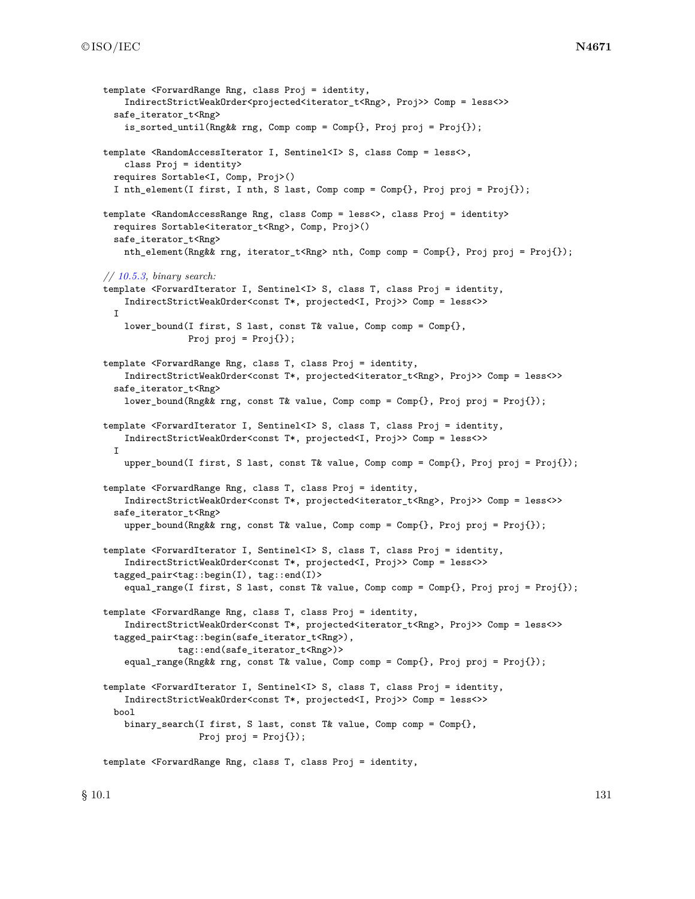```
template <ForwardRange Rng, class Proj = identity,
    IndirectStrictWeakOrder<projected<iterator_t<Rng>, Proj>> Comp = less<>>
 safe_iterator_t<Rng>
    is_sorted_until(Rng&& rng, Comp comp = Comp{}, Proj proj = Proj{});
template <RandomAccessIterator I, Sentinel<I>>S<>
, class Comp = less<>
,
    class Proj = identity>
 requires Sortable<I, Comp, Proj>()
 I nth_element(I first, I nth, S last, Comp comp = Comp{}, Proj proj = Proj{});
template <RandomAccessRange Rng, class Comp = less<>, class Proj = identity>
 requires Sortable<iterator_t<Rng>, Comp, Proj>()
  safe_iterator_t<Rng>
   nth_element(Rng&& rng, iterator_t<Rng> nth, Comp comp = Comp{}, Proj proj = Proj{});
// 10.5.3, binary search:
template <ForwardIterator I, Sentinel<I> S, class T, class Proj = identity,
   IndirectStrictWeakOrder<const T*, projected<I, Proj>> Comp = less<>>
 \mathbf{T}lower_bound(I first, S last, const T& value, Comp comp = Comp\{\},Proj proj = Proj();
template <ForwardRange Rng, class T, class Proj = identity,
    IndirectStrictWeakOrder<const T*, projected<iterator_t<Rng>, Proj>> Comp = less<>>
  safe_iterator_t<Rng>
    lower_bound(Rng&& rng, const T& value, Comp comp = Comp{}, Proj proj = Proj{});
template <ForwardIterator I, Sentinel<I> S, class T, class Proj = identity,
    IndirectStrictWeakOrder<const T*, projected<I, Proj>> Comp = less<>>
 I
    upper_bound(I first, S last, const T& value, Comp comp = Comp{}, Proj proj = Proj{});
template <ForwardRange Rng, class T, class Proj = identity,
    IndirectStrictWeakOrder<const T*, projected<iterator_t<Rng>, Proj>> Comp = less<>>
 safe_iterator_t<Rng>
    upper_bound(Rng&& rng, const T& value, Comp comp = Comp{}, Proj proj = Proj{});
template <ForwardIterator I, Sentinel<I> S, class T, class Proj = identity,
    IndirectStrictWeakOrder<const T*, projected<I, Proj>> Comp = less<>>
  tagged_pair<tag::begin(I), tag::end(I)>
    equal_range(I first, S last, const T& value, Comp comp = Comp{}, Proj proj = Proj{});
template <ForwardRange Rng, class T, class Proj = identity,
    IndirectStrictWeakOrder<const T*, projected<iterator_t<Rng>, Proj>> Comp = less<>>
  tagged_pair<tag::begin(safe_iterator_t<Rng>),
              tag::end(safe_iterator_t<Rng>)>
    equal_range(Rng&& rng, const T& value, Comp comp = Comp{}, Proj proj = Proj{});
template <ForwardIterator I, Sentinel<I> S, class T, class Proj = identity,
   IndirectStrictWeakOrder<const T*, projected<I, Proj>> Comp = less<>>
 bool
    binary_search(I first, S last, const T& value, Comp comp = Comp{},
                  Proj proj = Proj });
template <ForwardRange Rng, class T, class Proj = identity,
```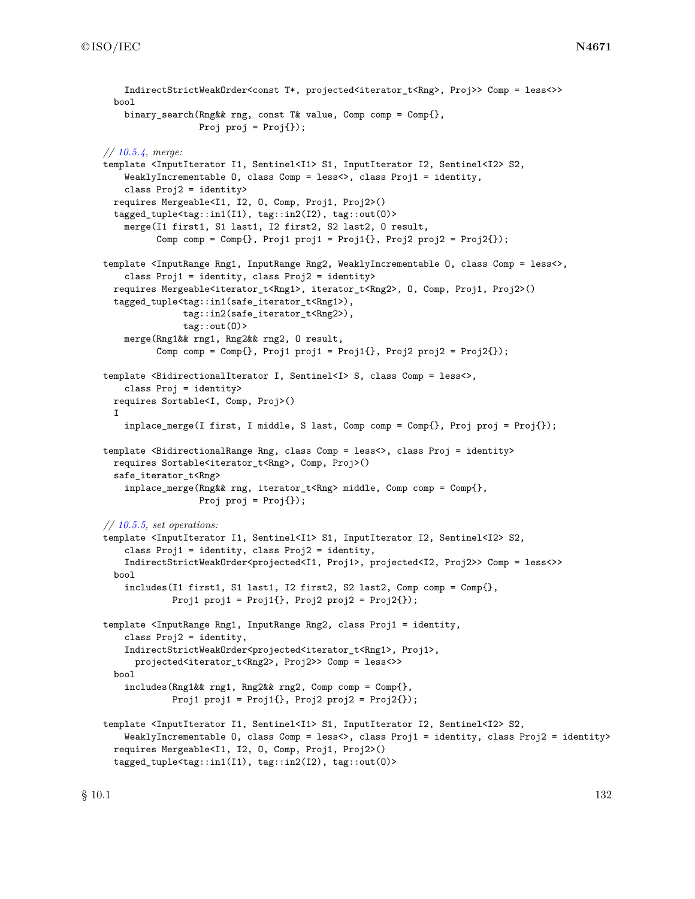```
IndirectStrictWeakOrder<const T*, projected<iterator_t<Rng>, Proj>> Comp = less<>>
 bool
    binary_search(Rng&& rng, const T& value, Comp comp = Comp{},
                  Proj proj = Proj();
// 10.5.4, merge:
template <InputIterator I1, Sentinel<I1> S1, InputIterator I2, Sentinel<I2> S2,
    WeaklyIncrementable O, class Comp = less<>, class Proj1 = identity,
    class Proj2 = identity>
 requires Mergeable<I1, I2, O, Comp, Proj1, Proj2>()
  tagged_tuple<tag::in1(I1), tag::in2(I2), tag::out(O)>
    merge(I1 first1, S1 last1, I2 first2, S2 last2, O result,
          Comp comp = Comp\{\}, Prop1 = proj1 = Proj1\}, Prop2 = Proj2\});
template <InputRange Rng1, InputRange Rng2, WeaklyIncrementable O, class Comp = less<>,
    class Proj1 = identity, class Proj2 = identity>
 requires Mergeable<iterator_t<Rng1>, iterator_t<Rng2>, O, Comp, Proj1, Proj2>()
 tagged_tuple<tag::in1(safe_iterator_t<Rng1>),
               tag::in2(safe_iterator_t<Rng2>),
               tag::out(O)>
   merge(Rng1&& rng1, Rng2&& rng2, O result,
          Comp comp = Comp\{\}, Prop1 = proj1 = Proj1\}, Prop2 = Proj2\});
template <BidirectionalIterator I, Sentinel<I>><>>> S, class Comp = less<>,
    class Proj = identity>
 requires Sortable<I, Comp, Proj>()
 I
    inplace_merge(I first, I middle, S last, Comp comp = Comp{}, Proj proj = Proj{});
template <BidirectionalRange Rng, class Comp = less<>, class Proj = identity>
 requires Sortable<iterator_t<Rng>, Comp, Proj>()
 safe_iterator_t<Rng>
    inplace_merge(Rng&& rng, iterator_t<Rng> middle, Comp comp = Comp{},
                  Proj proj = Proj);
// 10.5.5, set operations:
template <InputIterator I1, Sentinel<I1> S1, InputIterator I2, Sentinel<I2> S2,
    class Proj1 = identity, class Proj2 = identity,
    IndirectStrictWeakOrder<projected<I1, Proj1>, projected<I2, Proj2>> Comp = less<>>
 bool
    includes(I1 first1, S1 last1, I2 first2, S2 last2, Comp comp = Comp{},
            Proj1 proj1 = Proj1\{\}, Proj2 proj2 = Proj2\{\});
template <InputRange Rng1, InputRange Rng2, class Proj1 = identity,
    class Proj2 = identity,
    IndirectStrictWeakOrder<projected<iterator_t<Rng1>, Proj1>,
      projected<iterator_t<Rng2>, Proj2>> Comp = less<>>
 bool
    includes(Rng1&& rng1, Rng2&& rng2, Comp comp = Comp{},
             Proj1 proj1 = Proj1\{\}, Proj2 proj2 = Proj2\{\});
template <InputIterator I1, Sentinel<I1> S1, InputIterator I2, Sentinel<I2> S2,
    WeaklyIncrementable 0, class Comp = less<>, class Proj1 = identity, class Proj2 = identity>
 requires Mergeable<I1, I2, O, Comp, Proj1, Proj2>()
  tagged_tuple<tag::in1(I1), tag::in2(I2), tag::out(O)>
```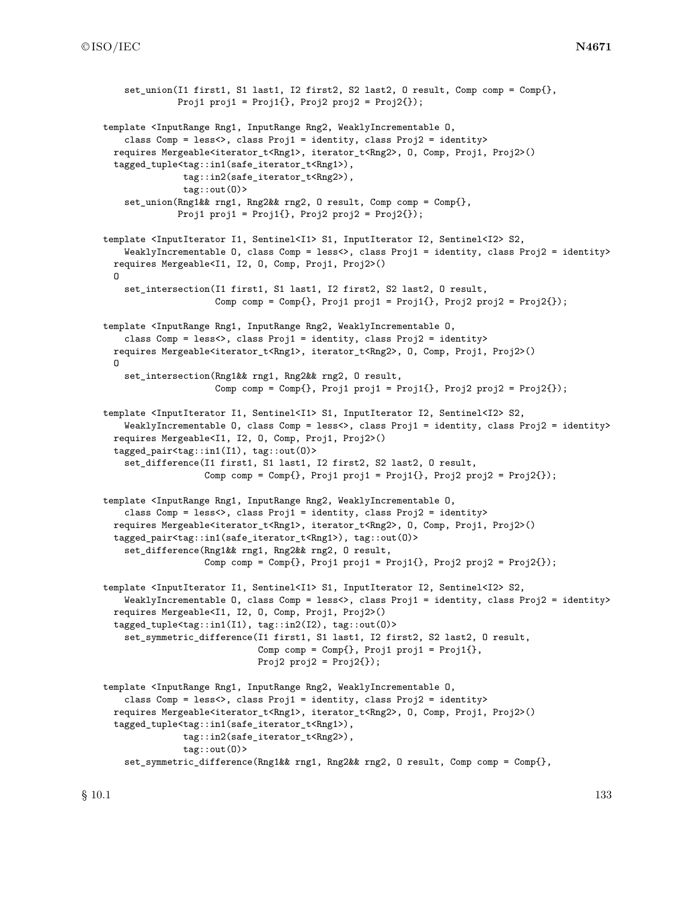```
set union(I1 first1, S1 last1, I2 first2, S2 last2, O result, Comp comp = Comp{},
              Proj1 proj1 = Proj1\{ \}, Proj2 proj2 = Proj2\{ \});
template <InputRange Rng1, InputRange Rng2, WeaklyIncrementable O,
    class Comp = less<>, class Proj1 = identity, class Proj2 = identity>
 requires Mergeable<iterator_t<Rng1>, iterator_t<Rng2>, O, Comp, Proj1, Proj2>()
  tagged_tuple<tag::in1(safe_iterator_t<Rng1>),
              tag::in2(safe_iterator_t<Rng2>),
               tag::out(O)>
    set_union(Rng1&& rng1, Rng2&& rng2, O result, Comp comp = Comp{},
              Proj1 proj1 = Proj1\{ \}, Proj2 proj2 = Proj2\{ \});
template <InputIterator I1, Sentinel<I1> S1, InputIterator I2, Sentinel<I2> S2,
    WeaklyIncrementable 0, class Comp = less<>, class Proj1 = identity, class Proj2 = identity>
 requires Mergeable<I1, I2, O, Comp, Proj1, Proj2>()
  O
    set_intersection(I1 first1, S1 last1, I2 first2, S2 last2, O result,
                     Comp comp = Comp\{, Proj1 proj1 = Proj1\{, Proj2 proj2 = Proj2\{};
template <InputRange Rng1, InputRange Rng2, WeaklyIncrementable O,
   class Comp = less<>, class Proj1 = identity, class Proj2 = identity>
 requires Mergeable<iterator_t<Rng1>, iterator_t<Rng2>, O, Comp, Proj1, Proj2>()
 O
    set_intersection(Rng1&& rng1, Rng2&& rng2, O result,
                     Comp comp = Comp\{\}, Prop1 = proj1 = Proj1\}, Prop2 = Proj2\});
template <InputIterator I1, Sentinel<I1> S1, InputIterator I2, Sentinel<I2> S2,
    WeaklyIncrementable 0, class Comp = less<>, class Proj1 = identity, class Proj2 = identity>
 requires Mergeable<I1, I2, O, Comp, Proj1, Proj2>()
 tagged_pair<tag::in1(I1), tag::out(O)>
    set_difference(I1 first1, S1 last1, I2 first2, S2 last2, O result,
                   Comp comp = Comp\{\}, Propiji = Proj1\}, Propiji = Proj1\}.template <InputRange Rng1, InputRange Rng2, WeaklyIncrementable O,
    class Comp = less<>, class Proj1 = identity, class Proj2 = identity>
 requires Mergeable<iterator_t<Rng1>, iterator_t<Rng2>, O, Comp, Proj1, Proj2>()
 tagged_pair<tag::in1(safe_iterator_t<Rng1>), tag::out(O)>
    set_difference(Rng1&& rng1, Rng2&& rng2, O result,
                   Comp comp = Comp\{\}, Prop1 = proj1 = Proj1\}, Prop2 = Proj2\});
template <InputIterator I1, Sentinel<I1> S1, InputIterator I2, Sentinel<I2> S2,
    WeaklyIncrementable O, class Comp = less<>, class Proj1 = identity, class Proj2 = identity>
 requires Mergeable<I1, I2, O, Comp, Proj1, Proj2>()
 tagged_tuple<tag::in1(I1), tag::in2(I2), tag::out(O)>
    set_symmetric_difference(I1 first1, S1 last1, I2 first2, S2 last2, O result,
                             Comp comp = Comp\{\}, Prop\ proj1 = Proj1\{\},Proj2 proj2 = Proj2{\};
template <InputRange Rng1, InputRange Rng2, WeaklyIncrementable O,
    class Comp = less<>, class Proj1 = identity, class Proj2 = identity>
 requires Mergeable<iterator_t<Rng1>, iterator_t<Rng2>, O, Comp, Proj1, Proj2>()
  tagged_tuple<tag::in1(safe_iterator_t<Rng1>),
               tag::in2(safe_iterator_t<Rng2>),
               tag::out(O)>
    set_symmetric_difference(Rng1&& rng1, Rng2&& rng2, O result, Comp comp = Comp{},
```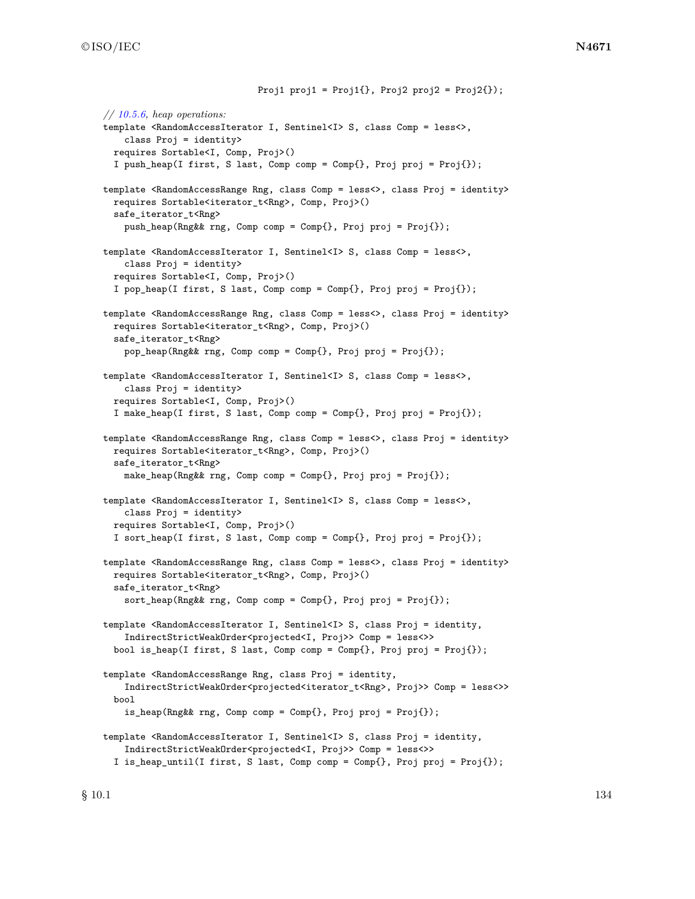Proj1 proj1 =  $Proj1\{}$ , Proj2 proj2 =  $Proj2\{}$ ); *// [10.5.6,](#page-166-0) heap operations:* template <RandomAccessIterator I, Sentinel<I>>S<>, class Comp = less<>, class Proj = identity> requires Sortable<I, Comp, Proj>() I push heap(I first, S last, Comp comp = Comp{}, Proj proj = Proj{}); template <RandomAccessRange Rng, class Comp = less<>, class Proj = identity> requires Sortable<iterator\_t<Rng>, Comp, Proj>() safe\_iterator\_t<Rng> push\_heap(Rng&& rng, Comp comp = Comp{}, Proj proj = Proj{}); template <RandomAccessIterator I, Sentinel<I> S, class Comp = less<>, class Proj = identity> requires Sortable<I, Comp, Proj>() I pop\_heap(I first, S last, Comp comp = Comp{}, Proj proj = Proj{}); template <RandomAccessRange Rng, class Comp = less<>, class Proj = identity> requires Sortable<iterator\_t<Rng>, Comp, Proj>() safe\_iterator\_t<Rng> pop\_heap(Rng&& rng, Comp comp = Comp{}, Proj proj = Proj{}); template <RandomAccessIterator I, Sentinel<I>S, class Comp = less<>, class Proj = identity> requires Sortable<I, Comp, Proj>() I make\_heap(I first, S last, Comp comp = Comp{}, Proj proj = Proj{}); template <RandomAccessRange Rng, class Comp = less<>, class Proj = identity> requires Sortable<iterator\_t<Rng>, Comp, Proj>() safe\_iterator\_t<Rng> make\_heap(Rng&& rng, Comp comp = Comp{}, Proj proj = Proj{}); template <RandomAccessIterator I, Sentinel<I>S, class Comp = less<>, class Proj = identity> requires Sortable<I, Comp, Proj>() I sort\_heap(I first, S last, Comp comp = Comp{}, Proj proj = Proj{}); template <RandomAccessRange Rng, class Comp = less<>, class Proj = identity> requires Sortable<iterator\_t<Rng>, Comp, Proj>() safe\_iterator\_t<Rng> sort\_heap(Rng&& rng, Comp comp = Comp{}, Proj proj = Proj{}); template <RandomAccessIterator I, Sentinel<I>>S, class Proj = identity, IndirectStrictWeakOrder<projected<I, Proj>> Comp = less<>> bool is\_heap(I first, S last, Comp comp = Comp{}, Proj proj = Proj{}); template <RandomAccessRange Rng, class Proj = identity, IndirectStrictWeakOrder<projected<iterator\_t<Rng>, Proj>> Comp = less<>> bool is\_heap(Rng&& rng, Comp comp = Comp{}, Proj proj = Proj{}); template <RandomAccessIterator I, Sentinel<I>>S, class Proj = identity, IndirectStrictWeakOrder<projected<I, Proj>> Comp = less<>> I is\_heap\_until(I first, S last, Comp comp = Comp{}, Proj proj = Proj{});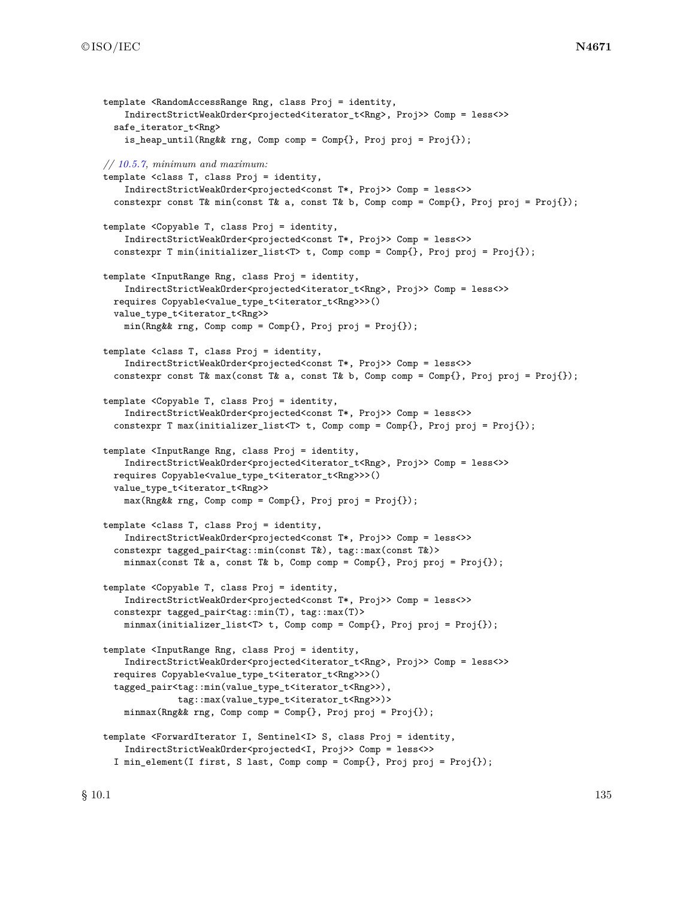```
template <RandomAccessRange Rng, class Proj = identity,
    IndirectStrictWeakOrder<projected<iterator_t<Rng>, Proj>> Comp = less<>>
  safe_iterator_t<Rng>
    is_heap_until(Rng&& rng, Comp comp = Comp{}, Proj proj = Proj{});
// 10.5.7, minimum and maximum:
template <class T, class Proj = identity,
    IndirectStrictWeakOrder<projected<const T*, Proj>> Comp = less<>>
  constexpr const T& min(const T& a, const T& b, Comp comp = Comp{}, Proj proj = Proj{});
template <Copyable T, class Proj = identity,
    IndirectStrictWeakOrder<projected<const T*, Proj>> Comp = less<>>
  constexpr T min(initializer_list<T> t, Comp comp = Comp{}, Proj proj = Proj{});
template <InputRange Rng, class Proj = identity,
    IndirectStrictWeakOrder<projected<iterator_t<Rng>, Proj>> Comp = less<>>
  requires Copyable<value_type_t<iterator_t<Rng>>>()
  value_type_t<iterator_t<Rng>>
    min(Rng\&rng, Comp comp = Comp{}, Proj proj = Proj{});
template <class T, class Proj = identity,
    IndirectStrictWeakOrder<projected<const T*, Proj>> Comp = less<>>
  constexpr const T& max(const T& a, const T& b, Comp comp = Comp{}, Proj proj = Proj{});
template <Copyable T, class Proj = identity,
    IndirectStrictWeakOrder<projected<const T*, Proj>> Comp = less<>>
  constexpr T max(initializer_list<T> t, Comp comp = Comp{}, Proj proj = Proj{});
template <InputRange Rng, class Proj = identity,
    IndirectStrictWeakOrder<projected<iterator_t<Rng>, Proj>> Comp = less<>>
  requires Copyable<value_type_t<iterator_t<Rng>>>()
  value_type_t<iterator_t<Rng>>
    max(Rng&& rng, Comp comp = Comp{}, Proj proj = Proj{});
template <class T, class Proj = identity,
    IndirectStrictWeakOrder<projected<const T*, Proj>> Comp = less<>>
  constexpr tagged_pair<tag::min(const T&), tag::max(const T&)>
    minmax(const T& a, const T& b, Comp comp = Comp{}, Proj proj = Proj{});
template <Copyable T, class Proj = identity,
    IndirectStrictWeakOrder<projected<const T*, Proj>> Comp = less<>>
  constexpr tagged_pair<tag::min(T), tag::max(T)>
    minmax(initializer_list<T> t, Comp comp = Comp{}, Proj proj = Proj{});
template <InputRange Rng, class Proj = identity,
    IndirectStrictWeakOrder<projected<iterator_t<Rng>, Proj>> Comp = less<>>
  requires Copyable<value_type_t<iterator_t<Rng>>>()
  tagged_pair<tag::min(value_type_t<iterator_t<Rng>>),
              tag::max(value_type_t<iterator_t<Rng>>)>
    minmax(Rng&& rng, Comp comp = Comp{}, Proj proj = Proj{});
template <ForwardIterator I, Sentinel<I> S, class Proj = identity,
    IndirectStrictWeakOrder<projected<I, Proj>> Comp = less<>>
  I min_element(I first, S last, Comp comp = Comp{}, Proj proj = Proj{});
```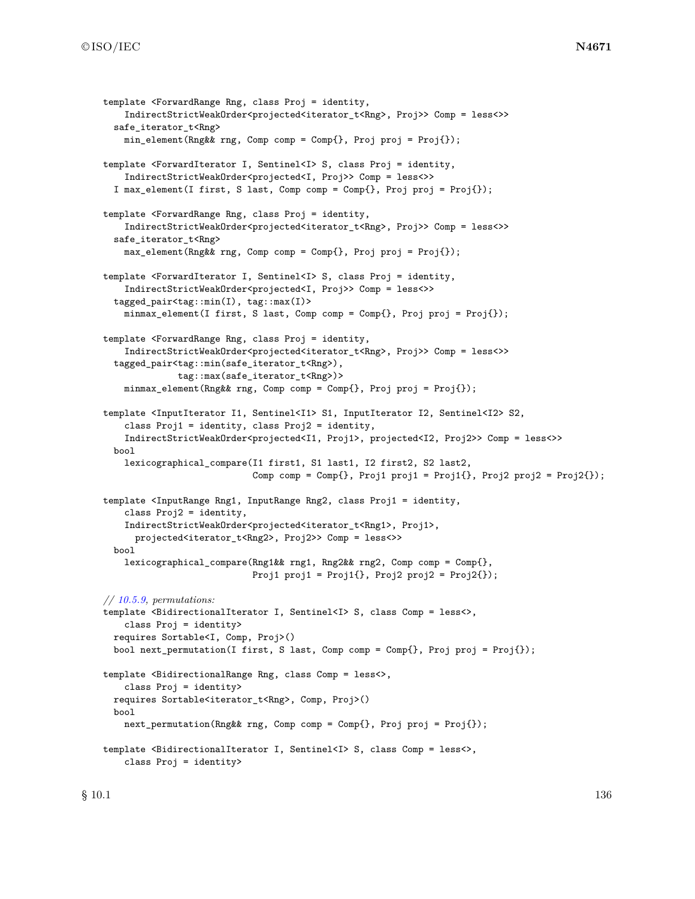```
template <ForwardRange Rng, class Proj = identity,
    IndirectStrictWeakOrder<projected<iterator_t<Rng>, Proj>> Comp = less<>>
 safe_iterator_t<Rng>
   min_element(Rng&& rng, Comp comp = Comp{}, Proj proj = Proj{});
template <ForwardIterator I, Sentinel<I> S, class Proj = identity,
   IndirectStrictWeakOrder<projected<I, Proj>> Comp = less<>>
 I max_element(I first, S last, Comp comp = Comp{}, Proj proj = Proj{});
template <ForwardRange Rng, class Proj = identity,
    IndirectStrictWeakOrder<projected<iterator_t<Rng>, Proj>> Comp = less<>>
  safe_iterator_t<Rng>
    max_element(Rng&& rng, Comp comp = Comp{}, Proj proj = Proj{});
template <ForwardIterator I, Sentinel<I> S, class Proj = identity,
    IndirectStrictWeakOrder<projected<I, Proj>> Comp = less<>>
  tagged_pair<tag::min(I), tag::max(I)>
   minmax_element(I first, S last, Comp comp = Comp{}, Proj proj = Proj{});
template <ForwardRange Rng, class Proj = identity,
    IndirectStrictWeakOrder<projected<iterator_t<Rng>, Proj>> Comp = less<>>
  tagged_pair<tag::min(safe_iterator_t<Rng>),
              tag::max(safe_iterator_t<Rng>)>
    minmax_element(Rng&& rng, Comp comp = Comp{}, Proj proj = Proj{});
template <InputIterator I1, Sentinel<I1> S1, InputIterator I2, Sentinel<I2> S2,
    class Proj1 = identity, class Proj2 = identity,
    IndirectStrictWeakOrder<projected<I1, Proj1>, projected<I2, Proj2>> Comp = less<>>
 bool
    lexicographical_compare(I1 first1, S1 last1, I2 first2, S2 last2,
                            Comp comp = Comp\{\}, Prop\{1 \text{ proj1 = Proj1}\}, Prop\{2 \text{ proj2 = Proj2}\}\);
template <InputRange Rng1, InputRange Rng2, class Proj1 = identity,
   class Proj2 = identity,
    IndirectStrictWeakOrder<projected<iterator_t<Rng1>, Proj1>,
      projected<iterator_t<Rng2>, Proj2>> Comp = less<>>
 bool
    lexicographical_compare(Rng1&& rng1, Rng2&& rng2, Comp comp = Comp{},
                            Proj1 proj1 = Proj1{}, Proj2 proj2 = Proj2{});
// 10.5.9, permutations:
template <BidirectionalIterator I, Sentinel<I> S, class Comp = less<>,
    class Proj = identity>
 requires Sortable<I, Comp, Proj>()
 bool next_permutation(I first, S last, Comp comp = Comp{}, Proj proj = Proj{});
template <BidirectionalRange Rng, class Comp = less<>,
   class Proj = identity>
 requires Sortable<iterator_t<Rng>, Comp, Proj>()
 bool
    next_permutation(Rng&& rng, Comp comp = Comp{}, Proj proj = Proj{});
template <BidirectionalIterator I, Sentinel<I> S, class Comp = less<>,
    class Proj = identity>
```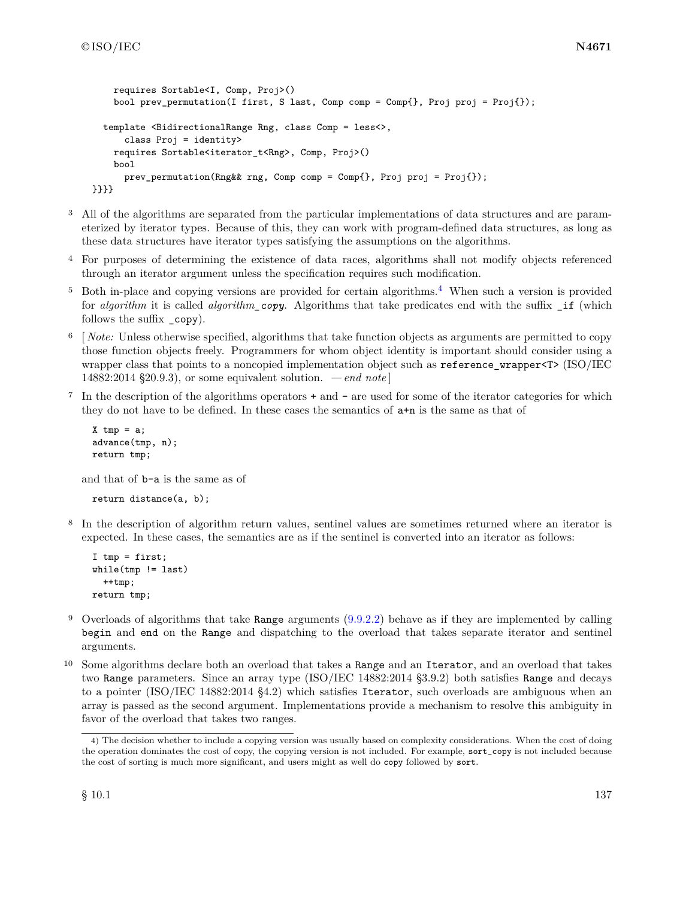```
requires Sortable<I, Comp, Proj>()
    bool prev_permutation(I first, S last, Comp comp = Comp{}, Proj proj = Proj{});
  template <BidirectionalRange Rng, class Comp = less<>,
      class Proj = identity>
    requires Sortable<iterator_t<Rng>, Comp, Proj>()
    bool
      prev_permutation(Rng&& rng, Comp comp = Comp{}, Proj proj = Proj{});
}}}}
```
- <sup>3</sup> All of the algorithms are separated from the particular implementations of data structures and are parameterized by iterator types. Because of this, they can work with program-defined data structures, as long as these data structures have iterator types satisfying the assumptions on the algorithms.
- <sup>4</sup> For purposes of determining the existence of data races, algorithms shall not modify objects referenced through an iterator argument unless the specification requires such modification.
- <sup>5</sup> Both in-place and copying versions are provided for certain algorithms.<sup>[4](#page-140-0)</sup> When such a version is provided for *algorithm* it is called *algorithm\_copy*. Algorithms that take predicates end with the suffix \_if (which follows the suffix \_copy).
- <sup>6</sup> [ *Note:* Unless otherwise specified, algorithms that take function objects as arguments are permitted to copy those function objects freely. Programmers for whom object identity is important should consider using a wrapper class that points to a noncopied implementation object such as reference wrapper<T> (ISO/IEC 14882:2014 §20.9.3), or some equivalent solution. *— end note* ]
- <sup>7</sup> In the description of the algorithms operators + and are used for some of the iterator categories for which they do not have to be defined. In these cases the semantics of a+n is the same as that of

```
X tmp = a;
advance(tmp, n);
return tmp;
```
and that of b-a is the same as of

return distance(a, b);

<sup>8</sup> In the description of algorithm return values, sentinel values are sometimes returned where an iterator is expected. In these cases, the semantics are as if the sentinel is converted into an iterator as follows:

```
I tmp = first;
while(tmp != last)
  ++tmp;
return tmp;
```
- <sup>9</sup> Overloads of algorithms that take Range arguments [\(9.9.2.2\)](#page-115-2) behave as if they are implemented by calling begin and end on the Range and dispatching to the overload that takes separate iterator and sentinel arguments.
- <sup>10</sup> Some algorithms declare both an overload that takes a Range and an Iterator, and an overload that takes two Range parameters. Since an array type (ISO/IEC 14882:2014 §3.9.2) both satisfies Range and decays to a pointer (ISO/IEC 14882:2014 §4.2) which satisfies Iterator, such overloads are ambiguous when an array is passed as the second argument. Implementations provide a mechanism to resolve this ambiguity in favor of the overload that takes two ranges.

<span id="page-140-0"></span><sup>4)</sup> The decision whether to include a copying version was usually based on complexity considerations. When the cost of doing the operation dominates the cost of copy, the copying version is not included. For example, sort\_copy is not included because the cost of sorting is much more significant, and users might as well do copy followed by sort.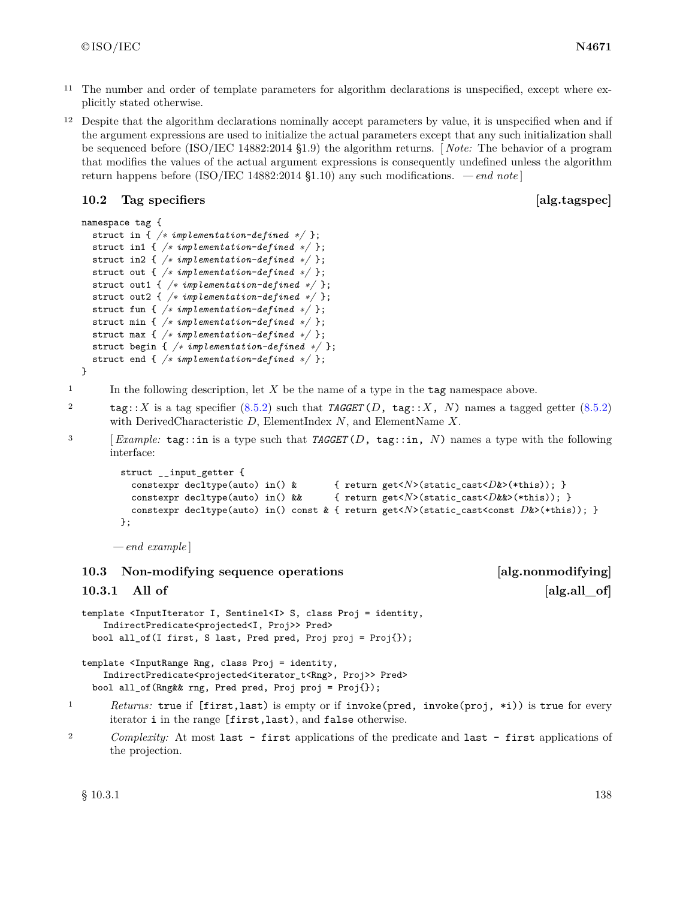- <sup>11</sup> The number and order of template parameters for algorithm declarations is unspecified, except where explicitly stated otherwise.
- <sup>12</sup> Despite that the algorithm declarations nominally accept parameters by value, it is unspecified when and if the argument expressions are used to initialize the actual parameters except that any such initialization shall be sequenced before (ISO/IEC 14882:2014 §1.9) the algorithm returns. [ *Note:* The behavior of a program that modifies the values of the actual argument expressions is consequently undefined unless the algorithm return happens before (ISO/IEC 14882:2014 §1.10) any such modifications. *— end note* ]

### <span id="page-141-1"></span>**10.2 Tag specifiers [alg.tagspec]**

```
namespace tag {
  struct in { /∗ implementation-defined ∗/ };
  struct in1 { /∗ implementation-defined ∗/ };
  struct in2 { /∗ implementation-defined ∗/ };
  struct out { /∗ implementation-defined ∗/ };
  struct out1 { /∗ implementation-defined ∗/ };
  struct out2 { /∗ implementation-defined ∗/ };
  struct fun { /∗ implementation-defined ∗/ };
  struct min { /∗ implementation-defined ∗/ };
  struct max { /∗ implementation-defined ∗/ };
  struct begin { /∗ implementation-defined ∗/ };
  struct end { /∗ implementation-defined ∗/ };
}
```
 $1$  In the following description, let  $X$  be the name of a type in the **tag** namespace above.

<sup>2</sup> tag::*X* is a tag specifier [\(8.5.2\)](#page-41-0) such that *TAGGET* (*D*, tag::*X*, *N*) names a tagged getter [\(8.5.2\)](#page-41-0) with DerivedCharacteristic *D*, ElementIndex *N*, and ElementName *X*.

<sup>3</sup> [*Example:* tag::in is a type such that *TAGGET* (*D*, tag::in, *N*) names a type with the following interface:

```
struct __input_getter {
 constexpr decltype(auto) in() & { return get<N>(static_cast<D&x>(*this)); }
 constexpr decltype(auto) in() && { return get<N>(static_cast<D&&>(*this)); }
 constexpr decltype(auto) in() const & { return get<N>(static_cast<const D&>(*this)); }
};
```
*— end example* ]

**10.3 Non-modifying sequence operations [alg.nonmodifying]**

<span id="page-141-0"></span>**10.3.1** All of **alg.all a 10.3.1** All of **a 10.3.1 a 1** 

template <InputIterator I, Sentinel<I> S, class Proj = identity, IndirectPredicate<projected<I, Proj>> Pred> bool all\_of(I first, S last, Pred pred, Proj proj = Proj{});

template <InputRange Rng, class Proj = identity, IndirectPredicate<projected<iterator\_t<Rng>, Proj>> Pred> bool all\_of(Rng&& rng, Pred pred, Proj proj = Proj{});

<sup>1</sup> *Returns:* true if [first,last) is empty or if invoke(pred, invoke(proj, \*i)) is true for every iterator i in the range [first,last), and false otherwise.

<sup>2</sup> *Complexity:* At most last - first applications of the predicate and last - first applications of the projection.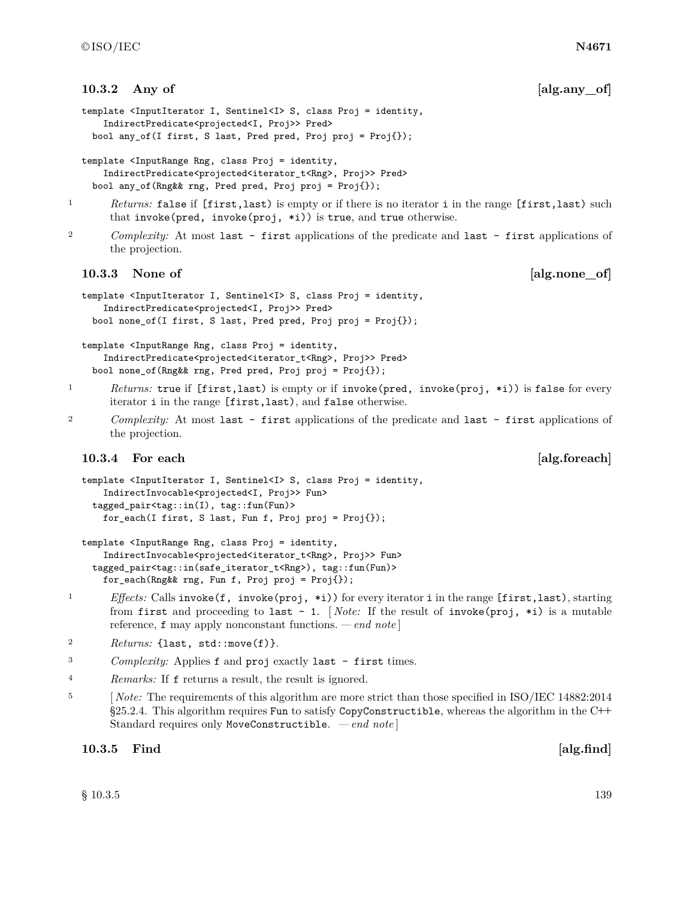### **10.3.2** Any of **[alg.any\_of]**

```
template <InputIterator I, Sentinel<I> S, class Proj = identity,
    IndirectPredicate<projected<I, Proj>> Pred>
 bool any_of(I first, S last, Pred pred, Proj proj = Proj{});
```

```
template <InputRange Rng, class Proj = identity,
    IndirectPredicate<projected<iterator_t<Rng>, Proj>> Pred>
 bool any_of(Rng&& rng, Pred pred, Proj proj = Proj{});
```
- <sup>1</sup> *Returns:* false if [first,last) is empty or if there is no iterator i in the range [first,last) such that invoke(pred, invoke(proj, \*i)) is true, and true otherwise.
- <sup>2</sup> *Complexity:* At most last first applications of the predicate and last first applications of the projection.

### **10.3.3 None of [alg.none\_of]**

```
template <InputIterator I, Sentinel<I> S, class Proj = identity,
    IndirectPredicate<projected<I, Proj>> Pred>
 bool none_of(I first, S last, Pred pred, Proj proj = Proj{});
```
template <InputRange Rng, class Proj = identity, IndirectPredicate<projected<iterator\_t<Rng>, Proj>> Pred> bool none\_of(Rng&& rng, Pred pred, Proj proj = Proj{});

- <sup>1</sup> *Returns:* true if [first,last) is empty or if invoke(pred, invoke(proj, \*i)) is false for every iterator i in the range [first,last), and false otherwise.
- <sup>2</sup> *Complexity:* At most last first applications of the predicate and last first applications of the projection.

### **10.3.4** For each **a [alg.foreach**]

```
template <InputIterator I, Sentinel<I> S, class Proj = identity,
    IndirectInvocable<projected<I, Proj>> Fun>
  tagged_pair<tag::in(I), tag::fun(Fun)>
    for_each(I first, S last, Fun f, Proj proj = Proj{});
```

```
template <InputRange Rng, class Proj = identity,
    IndirectInvocable<projected<iterator_t<Rng>, Proj>> Fun>
  tagged_pair<tag::in(safe_iterator_t<Rng>), tag::fun(Fun)>
    for_each(Rng&& rng, Fun f, Proj proj = Proj{});
```
- <sup>1</sup> *Effects:* Calls invoke(f, invoke(proj, \*i)) for every iterator i in the range [first,last), starting from first and proceeding to last - 1. [ *Note:* If the result of invoke(proj, \*i) is a mutable reference, f may apply nonconstant functions. *— end note* ]
- 2 *Returns:* {last, std::move(f)}.
- <sup>3</sup> *Complexity:* Applies f and proj exactly last first times.
- <sup>4</sup> *Remarks:* If f returns a result, the result is ignored.
- <sup>5</sup> [*Note:* The requirements of this algorithm are more strict than those specified in ISO/IEC 14882:2014 §25.2.4. This algorithm requires Fun to satisfy CopyConstructible, whereas the algorithm in the C**++** Standard requires only MoveConstructible. *— end note* ]

### **10.3.5 Find**  [alg.find]

 $\S 10.3.5$  10.3.5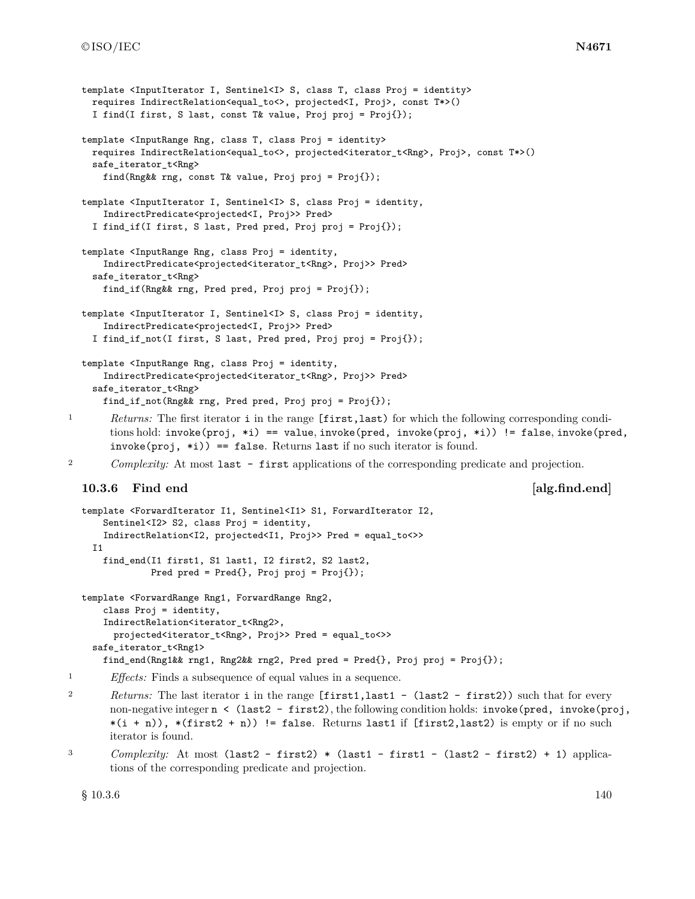```
template <InputIterator I, Sentinel<I> S, class T, class Proj = identity>
    requires IndirectRelation<equal_to<>, projected<I, Proj>, const T*>()
    I find(I first, S last, const T& value, Proj proj = Proj{});
  template <InputRange Rng, class T, class Proj = identity>
    requires IndirectRelation<equal_to<>, projected<iterator_t<Rng>, Proj>, const T*>()
    safe_iterator_t<Rng>
      find(Rng&& rng, const T& value, Proj proj = Proj{});
  template <InputIterator I, Sentinel<I> S, class Proj = identity,
      IndirectPredicate<projected<I, Proj>> Pred>
    I find_if(I first, S last, Pred pred, Proj proj = Proj{});
  template <InputRange Rng, class Proj = identity,
      IndirectPredicate<projected<iterator_t<Rng>, Proj>> Pred>
    safe_iterator_t<Rng>
      find_if(Rng&& rng, Pred pred, Proj proj = Proj{});
  template <InputIterator I, Sentinel<I> S, class Proj = identity,
      IndirectPredicate<projected<I, Proj>> Pred>
    I find_if_not(I first, S last, Pred pred, Proj proj = Proj{});
  template <InputRange Rng, class Proj = identity,
      IndirectPredicate<projected<iterator_t<Rng>, Proj>> Pred>
    safe_iterator_t<Rng>
      find_if_not(Rng&& rng, Pred pred, Proj proj = Proj{});
1 Returns: The first iterator i in the range [first,last) for which the following corresponding condi-
       tions hold: invoke(proj, *i) == value, invoke(pred, invoke(proj, *i)) != false, invoke(pred,
       invoke(proj, *i)) == false. Returns last if no such iterator is found.
2 Complexity: At most last - first applications of the corresponding predicate and projection.
  10.3.6 Find end [alg.find.end]
  template <ForwardIterator I1, Sentinel<I1> S1, ForwardIterator I2,
      Sentinel<I2> S2, class Proj = identity,
      IndirectRelation<I2, projected<I1, Proj>> Pred = equal_to<>>
    I1
      find_end(I1 first1, S1 last1, I2 first2, S2 last2,
               Pred pred = Pred{}; Proj proj = Proj{};
  template <ForwardRange Rng1, ForwardRange Rng2,
      class Proj = identity,
      IndirectRelation<iterator_t<Rng2>,
        projected<iterator_t<Rng>, Proj>> Pred = equal_to<>>
    safe_iterator_t<Rng1>
      find_end(Rng1&& rng1, Rng2&& rng2, Pred pred = Pred{}, Proj proj = Proj{});
1 Effects: Finds a subsequence of equal values in a sequence.
2 Returns: The last iterator i in the range [first1,last1 - (last2 - first2)) such that for every
       non-negative integer n < (last2 - first2), the following condition holds: invoke(pred, invoke(proj,
       *(i + n)), *(first2 + n)) != false. Returns last1 if [first2, last2) is empty or if no such
       iterator is found.
<sup>3</sup> Complexity: At most (last2 - first2) * (last1 - first1 - (last2 - first2) + 1) applica-
       tions of the corresponding predicate and projection.
```
 $\S$  10.3.6 10.3.6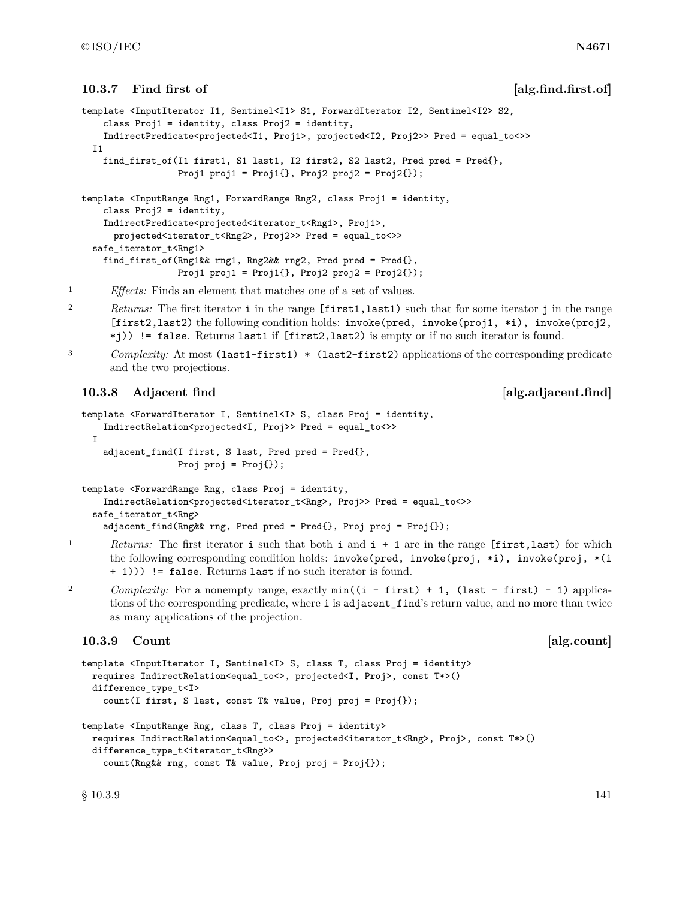### **10.3.7** Find first of *alg.find.first.of*

```
template <InputIterator I1, Sentinel<I1> S1, ForwardIterator I2, Sentinel<I2> S2,
    class Proj1 = identity, class Proj2 = identity,
    IndirectPredicate<projected<I1, Proj1>, projected<I2, Proj2>> Pred = equal_to<>>
 I1
    find_first_of(I1 first1, S1 last1, I2 first2, S2 last2, Pred pred = Pred{},
                  Proj1 proj1 = Proj1\{ \}, Proj2 proj2 = Proj2\{ \});
template <InputRange Rng1, ForwardRange Rng2, class Proj1 = identity,
    class Proj2 = identity,
    IndirectPredicate<projected<iterator_t<Rng1>, Proj1>,
     projected<iterator_t<Rng2>, Proj2>> Pred = equal_to<>>
  safe_iterator_t<Rng1>
   find_first_of(Rng1&& rng1, Rng2&& rng2, Pred pred = Pred{},
                  Proj1 proj1 = Proj1\{\}, Proj2 proj2 = Proj2\{\});
```
<sup>1</sup> *Effects:* Finds an element that matches one of a set of values.

- <sup>2</sup> *Returns:* The first iterator i in the range [first1,last1) such that for some iterator j in the range [first2,last2) the following condition holds: invoke(pred, invoke(proj1, \*i), invoke(proj2, \*j)) != false. Returns last1 if [first2,last2) is empty or if no such iterator is found.
- 

<sup>3</sup> *Complexity:* At most (last1-first1) \* (last2-first2) applications of the corresponding predicate and the two projections.

### **10.3.8** Adjacent find **algebra 10.3.8** Adjacent.find

```
template <ForwardIterator I, Sentinel<I> S, class Proj = identity,
    IndirectRelation<projected<I, Proj>> Pred = equal_to<>>
 I
   adjacent_find(I first, S last, Pred pred = Pred{},
                 Proj proj = Proj });
template <ForwardRange Rng, class Proj = identity,
    IndirectRelation<projected<iterator_t<Rng>, Proj>> Pred = equal_to<>>
```

```
safe_iterator_t<Rng>
 adjacent_find(Rng&& rng, Pred pred = Pred{}, Proj proj = Proj{});
```
- <sup>1</sup> *Returns:* The first iterator i such that both i and i + 1 are in the range [first,last) for which the following corresponding condition holds: invoke(pred, invoke(proj, \*i), invoke(proj, \*(i) + 1))) != false. Returns last if no such iterator is found.
- <sup>2</sup> *Complexity:* For a nonempty range, exactly  $min((i first) + 1, (last first) 1)$  applications of the corresponding predicate, where i is adjacent\_find's return value, and no more than twice as many applications of the projection.

### **10.3.9 Count and <b>a Example 2 Count a Example 2 Count EXAMPLE 2 Count**

```
template <InputIterator I, Sentinel<I> S, class T, class Proj = identity>
 requires IndirectRelation<equal_to<>, projected<I, Proj>, const T*>()
 difference_type_t<I>
    count(I first, S last, const T& value, Proj proj = Proj{});
```

```
template <InputRange Rng, class T, class Proj = identity>
 requires IndirectRelation<equal_to<>, projected<iterator_t<Rng>, Proj>, const T*>()
 difference_type_t<iterator_t<Rng>>
    count(Rng&& rng, const T& value, Proj proj = Proj{});
```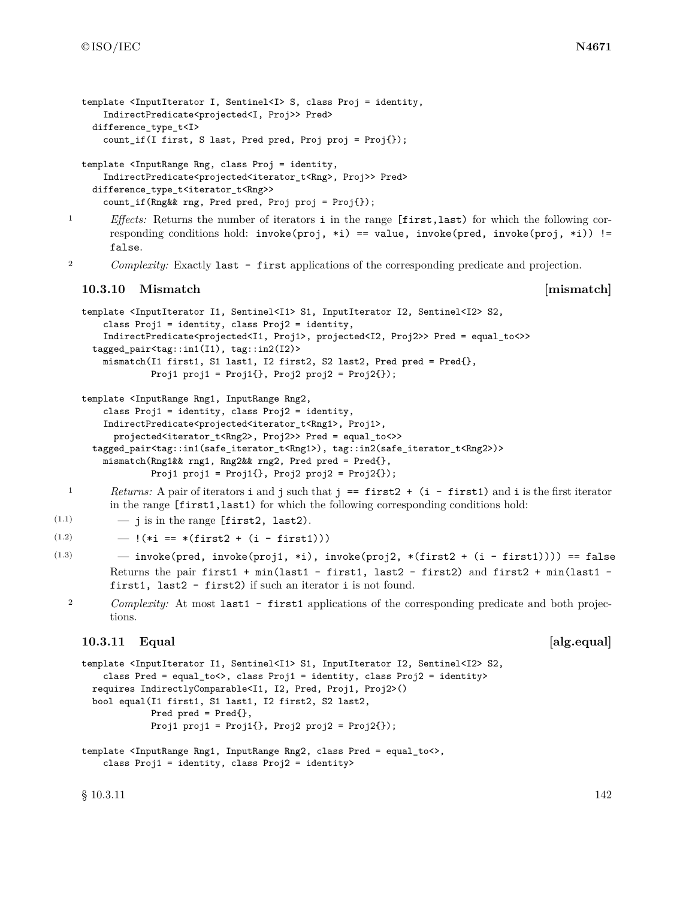```
template <InputIterator I, Sentinel<I> S, class Proj = identity,
    IndirectPredicate<projected<I, Proj>> Pred>
 difference_type_t<I>
    count_if(I first, S last, Pred pred, Proj proj = Proj{});
```

```
template <InputRange Rng, class Proj = identity,
    IndirectPredicate<projected<iterator_t<Rng>, Proj>> Pred>
 difference_type_t<iterator_t<Rng>>
    count_if(Rng&& rng, Pred pred, Proj proj = Proj{});
```
<sup>1</sup> *Effects:* Returns the number of iterators i in the range [first,last) for which the following corresponding conditions hold:  $invoke(proj, *i) == value, invoke(pred, invoke(proj, *i)) !=$ false.

<sup>2</sup> *Complexity:* Exactly last - first applications of the corresponding predicate and projection.

### **10.3.10 Mismatch [mismatch]**

```
template <InputIterator I1, Sentinel<I1> S1, InputIterator I2, Sentinel<I2> S2,
    class Proj1 = identity, class Proj2 = identity,
    IndirectPredicate<projected<I1, Proj1>, projected<I2, Proj2>> Pred = equal_to<>>
  tagged_pair<tag::in1(I1), tag::in2(I2)>
    mismatch(I1 first1, S1 last1, I2 first2, S2 last2, Pred pred = Pred{},
             Proj1 proj1 = Proj1\{ \}, Proj2 proj2 = Proj2\{ \});
```

```
template <InputRange Rng1, InputRange Rng2,
```

```
class Proj1 = identity, class Proj2 = identity,
 IndirectPredicate<projected<iterator_t<Rng1>, Proj1>,
   projected<iterator_t<Rng2>, Proj2>> Pred = equal_to<>>
tagged_pair<tag::in1(safe_iterator_t<Rng1>), tag::in2(safe_iterator_t<Rng2>)>
 mismatch(Rng1&& rng1, Rng2&& rng2, Pred pred = Pred{},
           Proj1 proj1 = Proj1\{\}, Proj2 proj2 = Proj2\{\});
```
- <sup>1</sup> *Returns:* A pair of iterators **i** and **j** such that **j** == **first2** + (**i first1**) and **i** is the first iterator in the range [first1,last1) for which the following corresponding conditions hold:
- $(1.1)$   $-$  j is in the range [first2, last2).

```
(1.2) - !(\ast i == \ast(first2 + (i - first1)))
```
- $(1.3)$  invoke(pred, invoke(proj1, \*i), invoke(proj2, \*(first2 + (i first1)))) == false Returns the pair first1 + min(last1 - first1, last2 - first2) and first2 + min(last1 first1, last2 - first2) if such an iterator i is not found.
	- <sup>2</sup> *Complexity:* At most last1 first1 applications of the corresponding predicate and both projections.

### **10.3.11 Equal alg.equal**

```
template <InputIterator I1, Sentinel<I1> S1, InputIterator I2, Sentinel<I2> S2,
    class Pred = equal_to<>, class Proj1 = identity, class Proj2 = identity>
 requires IndirectlyComparable<I1, I2, Pred, Proj1, Proj2>()
 bool equal(I1 first1, S1 last1, I2 first2, S2 last2,
             Pred pred = Pred{},
             Proj1 proj1 = Proj1\{ \}, Proj2 proj2 = Proj2\{ \});
```

```
template <InputRange Rng1, InputRange Rng2, class Pred = equal_to<>,
    class Proj1 = identity, class Proj2 = identity>
```
 $\S$  10.3.11 142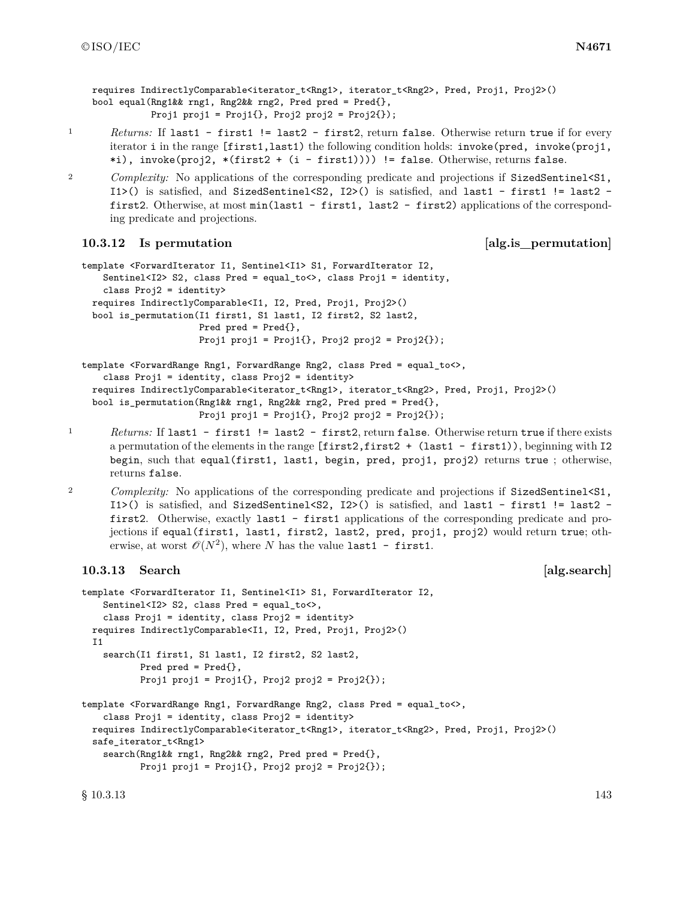requires IndirectlyComparable<iterator t<Rng1>, iterator t<Rng2>, Pred, Proj1, Proj2>() bool equal(Rng1&& rng1, Rng2&& rng2, Pred pred = Pred{}, Proj1 proj1 = Proj1 $\{ \}$ , Proj2 proj2 = Proj2 $\{ \}$ );

- 1 *Returns:* If last1 first1 != last2 first2, return false. Otherwise return true if for every iterator i in the range [first1,last1) the following condition holds: invoke(pred, invoke(proj1, \*i), invoke(proj2, \*(first2 + (i - first1)))) != false. Otherwise, returns false.
- <sup>2</sup> *Complexity:* No applications of the corresponding predicate and projections if SizedSentinel<S1, I1>() is satisfied, and SizedSentinel<S2, I2>() is satisfied, and last1 - first1 != last2 first2. Otherwise, at most min(last1 - first1, last2 - first2) applications of the corresponding predicate and projections.

### **10.3.12** Is permutation [alg.is\_permutation]

```
template <ForwardIterator I1, Sentinel<I1> S1, ForwardIterator I2,
    Sentinel<I2> S2, class Pred = equal_to<>, class Proj1 = identity,
    class Proj2 = identity>
 requires IndirectlyComparable<I1, I2, Pred, Proj1, Proj2>()
 bool is_permutation(I1 first1, S1 last1, I2 first2, S2 last2,
                      Pred pred = Pred{},
                      Proj1 proj1 = Proj1\{ \}, Proj2 proj2 = Proj2\{ \});
template <ForwardRange Rng1, ForwardRange Rng2, class Pred = equal_to<>,
```

```
class Proj1 = identity, class Proj2 = identity>
requires IndirectlyComparable<iterator_t<Rng1>, iterator_t<Rng2>, Pred, Proj1, Proj2>()
bool is_permutation(Rng1&& rng1, Rng2&& rng2, Pred pred = Pred{},
                    Proj1 proj1 = Proj1\{\}, Proj2 proj2 = Proj2\{\});
```
- <sup>1</sup> *Returns:* If last1 first1 != last2 first2, return false. Otherwise return true if there exists a permutation of the elements in the range  $[\text{first2}, \text{first2} + (\text{last1} - \text{first1})).$  beginning with I2 begin, such that equal(first1, last1, begin, pred, proj1, proj2) returns true; otherwise, returns false.
- <sup>2</sup> *Complexity:* No applications of the corresponding predicate and projections if SizedSentinel<S1, I1>() is satisfied, and SizedSentinel<S2, I2>() is satisfied, and last1 - first1 != last2 first2. Otherwise, exactly last1 - first1 applications of the corresponding predicate and projections if equal(first1, last1, first2, last2, pred, proj1, proj2) would return true; otherwise, at worst  $\mathcal{O}(N^2)$ , where *N* has the value last1 - first1.

### **10.3.13 Search and <b>a Example 2 Example 2 Example 2 Example 2 Example 2 Example 2 Example 2 Example 2 Example 2 Example 2 EXAMPLE 2 EXAMPLE 2 EXAMPLE 2 EXAMPLE 2 EXAMPLE 2 EXAMPLE 2 EXA**

```
template <ForwardIterator I1, Sentinel<I1> S1, ForwardIterator I2,
   Sentinel<I2> S2, class Pred = equal_to<>,
    class Proj1 = identity, class Proj2 = identity>
 requires IndirectlyComparable<I1, I2, Pred, Proj1, Proj2>()
 I1
    search(I1 first1, S1 last1, I2 first2, S2 last2,
           Pred pred = Pred{},
           Proj1 proj1 = Proj1\{ \}, Proj2 proj2 = Proj2\{ \});
template <ForwardRange Rng1, ForwardRange Rng2, class Pred = equal_to<>,
    class Proj1 = identity, class Proj2 = identity>
 requires IndirectlyComparable<iterator_t<Rng1>, iterator_t<Rng2>, Pred, Proj1, Proj2>()
 safe_iterator_t<Rng1>
    search(Rng1&& rng1, Rng2&& rng2, Pred pred = Pred{},
           Proj1 proj1 = Proj1\{ \}, Proj2 proj2 = Proj2\{ \});
```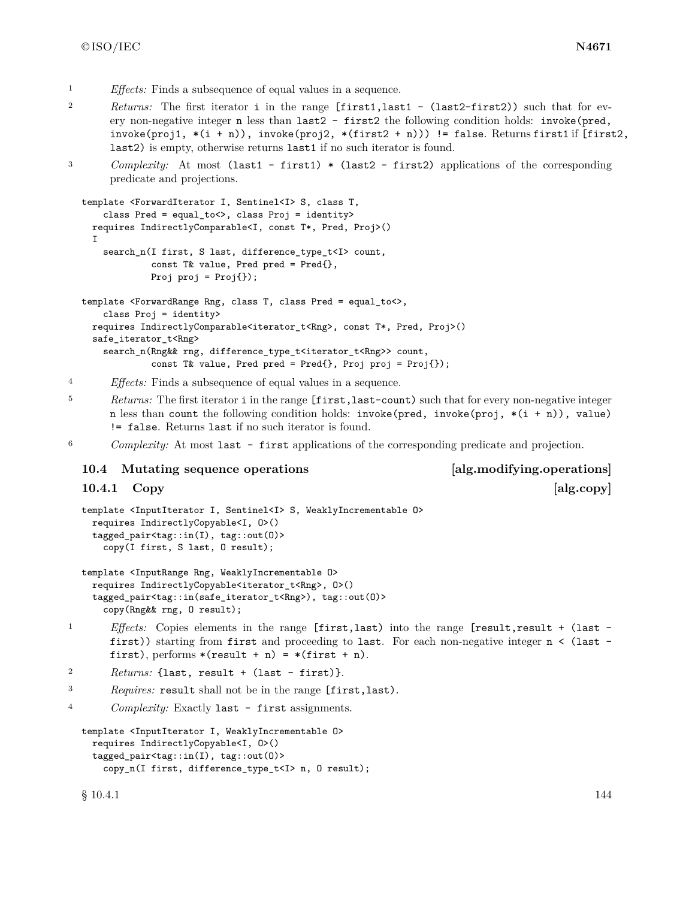- <sup>1</sup> *Effects:* Finds a subsequence of equal values in a sequence.
- <sup>2</sup> *Returns:* The first iterator i in the range [first1,last1 (last2-first2)) such that for every non-negative integer n less than last2 - first2 the following condition holds: invoke(pred, invoke(proj1,  $*(i + n))$ , invoke(proj2,  $*(first2 + n))$ ) != false. Returns first1 if [first2, last2) is empty, otherwise returns last1 if no such iterator is found.
- <sup>3</sup> *Complexity:* At most (last1 first1) \* (last2 first2) applications of the corresponding predicate and projections.

```
template <ForwardIterator I, Sentinel<I> S, class T,
    class Pred = equal_to<>, class Proj = identity>
 requires IndirectlyComparable<I, const T*, Pred, Proj>()
  I
    search_n(I first, S last, difference_type_t<I> count,
             const T& value, Pred pred = Pred{},
             Proj proj = Proj {});
template <ForwardRange Rng, class T, class Pred = equal_to<>,
    class Proj = identity>
 requires IndirectlyComparable<iterator t<Rng>, const T*, Pred, Proj>()
  safe_iterator_t<Rng>
    search_n(Rng&& rng, difference_type_t<iterator_t<Rng>> count,
             const T& value, Pred pred = Pred{}, Proj proj = Proj{});
```
<sup>4</sup> *Effects:* Finds a subsequence of equal values in a sequence.

- <sup>5</sup> *Returns:* The first iterator i in the range [first,last-count) such that for every non-negative integer n less than count the following condition holds: invoke(pred, invoke(proj, \*(i + n)), value) != false. Returns last if no such iterator is found.
- <sup>6</sup> *Complexity:* At most last first applications of the corresponding predicate and projection.

#### **10.4 Mutating sequence operations [alg.modifying.operations]**

**10.4.1 Copy [alg.copy]** 

```
template <InputIterator I, Sentinel<I> S, WeaklyIncrementable O>
 requires IndirectlyCopyable<I, O>()
  tagged_pair<tag::in(I), tag::out(O)>
    copy(I first, S last, O result);
```

```
template <InputRange Rng, WeaklyIncrementable O>
 requires IndirectlyCopyable<iterator_t<Rng>, O>()
  tagged_pair<tag::in(safe_iterator_t<Rng>), tag::out(O)>
    copy(Rng&& rng, O result);
```
<sup>1</sup> *Effects:* Copies elements in the range [first,last) into the range [result,result + (last first)) starting from first and proceeding to last. For each non-negative integer n < (last first), performs  $*(result + n) = *(first + n)$ .

```
2 Returns: {last, result + (last - first)}.
```
<sup>3</sup> *Requires:* result shall not be in the range [first,last).

```
4 Complexity: Exactly last - first assignments.
```

```
template <InputIterator I, WeaklyIncrementable O>
 requires IndirectlyCopyable<I, O>()
 tagged_pair<tag::in(I), tag::out(O)>
    copy_n(I first, difference_type_t<I> n, O result);
```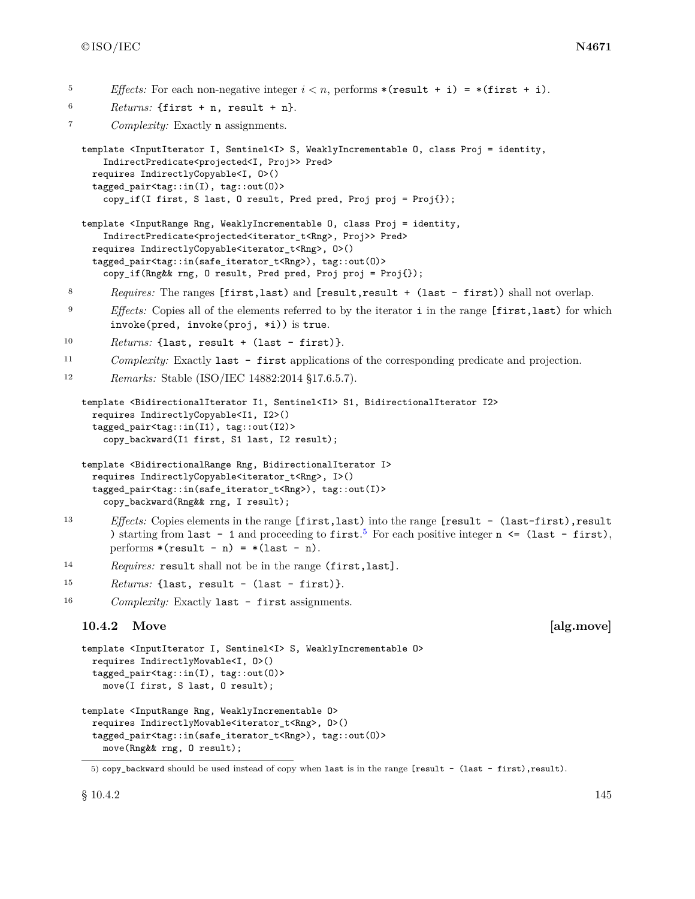- <sup>5</sup> *Effects:* For each non-negative integer  $i < n$ , performs \*(result + i) = \*(first + i).
- $6$  *Returns:* {first + n, result + n}.

<sup>7</sup> *Complexity:* Exactly n assignments.

```
template <InputIterator I, Sentinel<I> S, WeaklyIncrementable O, class Proj = identity,
    IndirectPredicate<projected<I, Proj>> Pred>
 requires IndirectlyCopyable<I, O>()
  tagged_pair<tag::in(I), tag::out(O)>
    copy_if(I first, S last, O result, Pred pred, Proj proj = Proj{});
```

```
template <InputRange Rng, WeaklyIncrementable O, class Proj = identity,
    IndirectPredicate<projected<iterator_t<Rng>, Proj>> Pred>
 requires IndirectlyCopyable<iterator_t<Rng>, O>()
  tagged_pair<tag::in(safe_iterator_t<Rng>), tag::out(O)>
    copy_if(Rng&& rng, O result, Pred pred, Proj proj = Proj{});
```
<sup>8</sup> *Requires:* The ranges [first,last) and [result,result + (last - first)) shall not overlap.

- <sup>9</sup> *Effects:* Copies all of the elements referred to by the iterator **i** in the range [first,last) for which invoke(pred, invoke(proj, \*i)) is true.
- 10 Returns: {last, result + (last first)}.
- <sup>11</sup> *Complexity:* Exactly last first applications of the corresponding predicate and projection.

```
12 Remarks: Stable (ISO/IEC 14882:2014 §17.6.5.7).
```

```
template <BidirectionalIterator I1, Sentinel<I1> S1, BidirectionalIterator I2>
 requires IndirectlyCopyable<I1, I2>()
  tagged_pair<tag::in(I1), tag::out(I2)>
    copy_backward(I1 first, S1 last, I2 result);
```

```
template <BidirectionalRange Rng, BidirectionalIterator I>
 requires IndirectlyCopyable<iterator_t<Rng>, I>()
  tagged_pair<tag::in(safe_iterator_t<Rng>), tag::out(I)>
    copy_backward(Rng&& rng, I result);
```
- <sup>13</sup> *Effects:* Copies elements in the range [first,last) into the range [result (last-first),result ) starting from last - 1 and proceeding to first.<sup>[5](#page-148-0)</sup> For each positive integer  $n \leq (last - first)$ , performs  $*(result - n) = *(last - n)$ .
- <sup>14</sup> *Requires:* result shall not be in the range (first,last].

```
15 Returns: {last, result - (last - first)}.
```
<sup>16</sup> *Complexity:* Exactly last - first assignments.

### **10.4.2** Move and the set of the set of the set of the set of the set of the set of the set of the set of the set of the set of the set of the set of the set of the set of the set of the set of the set of the set of the se

```
template <InputIterator I, Sentinel<I> S, WeaklyIncrementable O>
 requires IndirectlyMovable<I, O>()
  tagged_pair<tag::in(I), tag::out(O)>
    move(I first, S last, O result);
template <InputRange Rng, WeaklyIncrementable O>
 requires IndirectlyMovable<iterator_t<Rng>, O>()
```

```
tagged_pair<tag::in(safe_iterator_t<Rng>), tag::out(O)>
  move(Rng&& rng, O result);
```
<span id="page-148-0"></span><sup>5)</sup> copy\_backward should be used instead of copy when last is in the range [result - (last - first),result).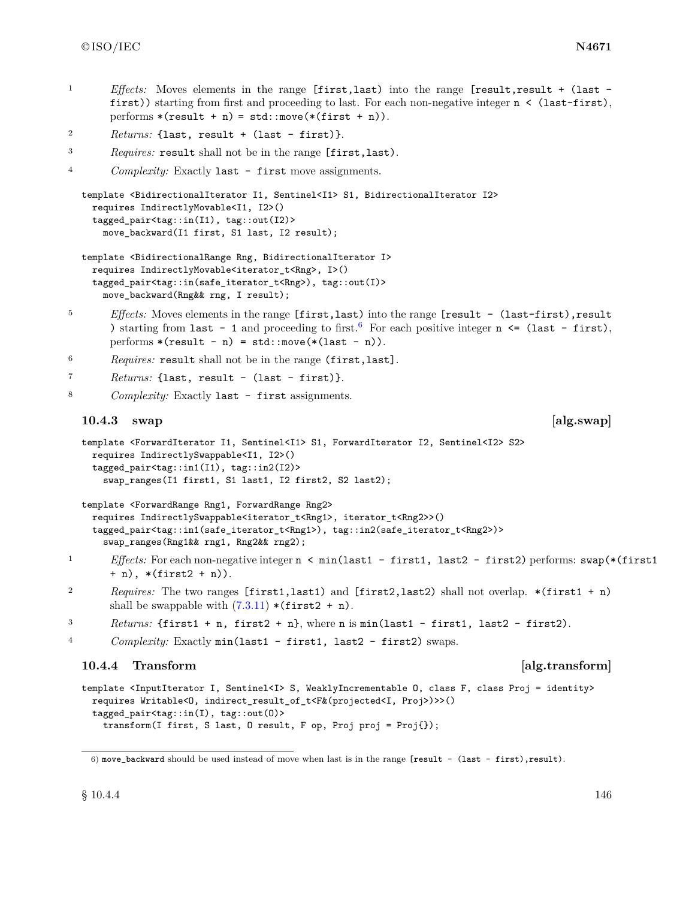<sup>1</sup> *Effects:* Moves elements in the range [first,last) into the range [result,result + (last first)) starting from first and proceeding to last. For each non-negative integer  $n <$  (last-first), performs  $*(result + n) = std::move(*(first + n)).$ 

```
2 Returns: {last, result + (last - first)}.
```

```
3 Requires: result shall not be in the range [first,last).
```

```
4 Complexity: Exactly last - first move assignments.
```

```
template <BidirectionalIterator I1, Sentinel<I1> S1, BidirectionalIterator I2>
 requires IndirectlyMovable<I1, I2>()
  tagged_pair<tag::in(I1), tag::out(I2)>
    move_backward(I1 first, S1 last, I2 result);
```

```
template <BidirectionalRange Rng, BidirectionalIterator I>
  requires IndirectlyMovable<iterator_t<Rng>, I>()
  tagged_pair<tag::in(safe_iterator_t<Rng>), tag::out(I)>
    move_backward(Rng&& rng, I result);
```
- <sup>5</sup> *Effects:* Moves elements in the range [first,last) into the range [result (last-first),result ) starting from last - 1 and proceeding to first.<sup>[6](#page-149-0)</sup> For each positive integer  $n \leq (last - first)$ , performs  $*(result - n) = std::move(*(last - n)).$
- <sup>6</sup> *Requires:* result shall not be in the range (first,last].

```
7 Returns: {last, result - (last - first)}.
```
<sup>8</sup> *Complexity:* Exactly last - first assignments.

### **10.4.3** swap [alg.swap]

```
template <ForwardIterator I1, Sentinel<I1> S1, ForwardIterator I2, Sentinel<I2> S2>
 requires IndirectlySwappable<I1, I2>()
  tagged_pair<tag::in1(I1), tag::in2(I2)>
    swap_ranges(I1 first1, S1 last1, I2 first2, S2 last2);
```

```
template <ForwardRange Rng1, ForwardRange Rng2>
 requires IndirectlySwappable<iterator_t<Rng1>, iterator_t<Rng2>>()
  tagged_pair<tag::in1(safe_iterator_t<Rng1>), tag::in2(safe_iterator_t<Rng2>)>
    swap_ranges(Rng1&& rng1, Rng2&& rng2);
```
- 1 *Effects:* For each non-negative integer  $n \leq min(\text{last1} \text{first1}, \text{last2} \text{first2})$  performs: swap(\*(first1) + n), \*(first2 + n)).
- <sup>2</sup> *Requires:* The two ranges [first1,last1) and [first2,last2) shall not overlap. \*(first1 + n) shall be swappable with  $(7.3.11)$  \*(first2 + n).

```
3 Returns: {first1 + n, first2 + n}, where n is min(last1 - first1, last2 - first2).
```

```
4 Complexity: Exactly min(last1 - first1, last2 - first2) swaps.
```
## **10.4.4 Transform [alg.transform]**

```
template <InputIterator I, Sentinel<I> S, WeaklyIncrementable O, class F, class Proj = identity>
  requires Writable<O, indirect_result_of_t<F&(projected<I, Proj>)>>()
  tagged_pair<tag::in(I), tag::out(O)>
    transform(I first, S last, O result, F op, Proj proj = Proj{});
```
<span id="page-149-0"></span><sup>6)</sup> move\_backward should be used instead of move when last is in the range [result - (last - first),result).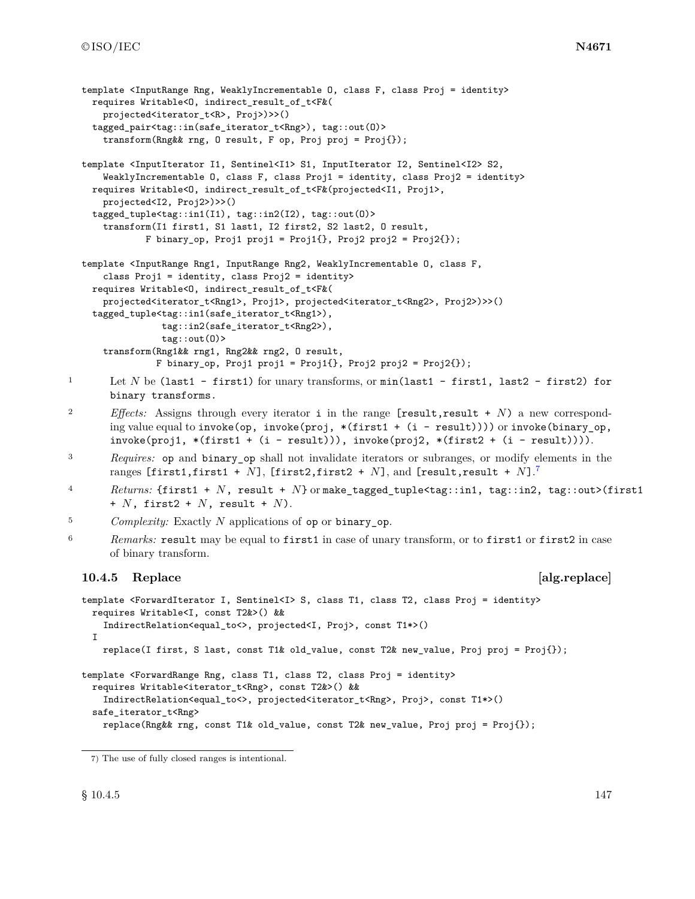```
template <InputRange Rng, WeaklyIncrementable O, class F, class Proj = identity>
    requires Writable<O, indirect_result_of_t<F&(
      projected<iterator_t<R>, Proj>)>>()
    tagged_pair<tag::in(safe_iterator_t<Rng>), tag::out(O)>
      transform(Rng&& rng, O result, F op, Proj proj = Proj{});
  template <InputIterator I1, Sentinel<I1> S1, InputIterator I2, Sentinel<I2> S2,
      WeaklyIncrementable 0, class F, class Proj1 = identity, class Proj2 = identity>
    requires Writable<O, indirect_result_of_t<F&(projected<I1, Proj1>,
      projected<I2, Proj2>)>>()
    tagged_tuple<tag::in1(I1), tag::in2(I2), tag::out(O)>
      transform(I1 first1, S1 last1, I2 first2, S2 last2, O result,
              F binary_op, Proj1 proj1 = Proj1{}, Proj2 proj2 = Proj2{});
  template <InputRange Rng1, InputRange Rng2, WeaklyIncrementable O, class F,
      class Proj1 = identity, class Proj2 = identity>
    requires Writable<O, indirect_result_of_t<F&(
      projected<iterator_t<Rng1>, Proj1>, projected<iterator_t<Rng2>, Proj2>)>>()
    tagged_tuple<tag::in1(safe_iterator_t<Rng1>),
                tag::in2(safe_iterator_t<Rng2>),
                tag::out(O)>
      transform(Rng1&& rng1, Rng2&& rng2, O result,
                F binary_op, Proj1 proj1 = Proj1\{ \}, Proj2 proj2 = Proj2\{ \});
1 Let N be (last1 - first1) for unary transforms, or min(last1 - first1, last2 - first2) for
       binary transforms.
2 Effects: Assigns through every iterator i in the range [result, result + N) a new correspond-
       ing value equal to invoke(op, invoke(proj, *(first1 + (i - result)))) or invoke(binary_op,
       invoke(proj1, * (first1 + (i - result))), invoke(proj2, * (first2 + (i - result)))).
3 Requires: op and binary_op shall not invalidate iterators or subranges, or modify elements in the
       ranges [first1,first1 + N], [first2,first2 + N], and [result,result + N].
7
4 Returns: {first1 + N, result + N} or make_tagged_tuple<tag::in1, tag::in2, tag::out>(first1
       + N, first2 + N, result + N).
5 Complexity: Exactly N applications of op or binary_op.
6 Remarks: result may be equal to first1 in case of unary transform, or to first1 or first2 in case
       of binary transform.
  10.4.5 Replace and alg.replace and alg.replace
  template <ForwardIterator I, Sentinel<I> S, class T1, class T2, class Proj = identity>
    requires Writable<I, const T2&>() &&
      IndirectRelation<equal_to<>, projected<I, Proj>, const T1*>()
    T.
      replace(I first, S last, const T1& old_value, const T2& new_value, Proj proj = Proj{});
  template <ForwardRange Rng, class T1, class T2, class Proj = identity>
    requires Writable<iterator_t<Rng>, const T2&>() &&
      IndirectRelation<equal_to<>, projected<iterator_t<Rng>, Proj>, const T1*>()
    safe_iterator_t<Rng>
```

```
replace(Rng&& rng, const T1& old_value, const T2& new_value, Proj proj = Proj{});
```
<span id="page-150-0"></span><sup>7)</sup> The use of fully closed ranges is intentional.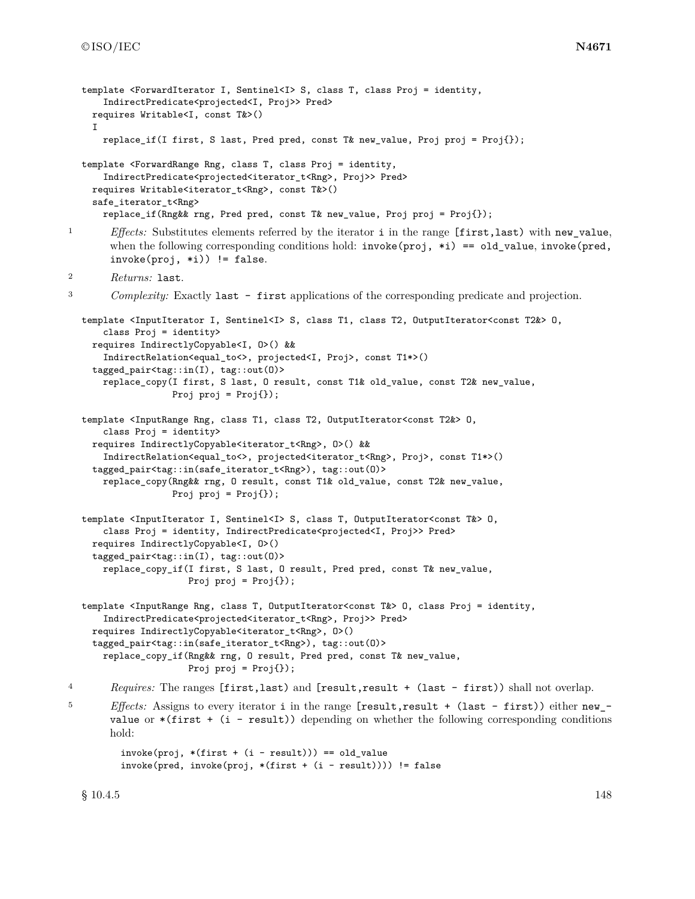```
template <ForwardIterator I, Sentinel<I> S, class T, class Proj = identity,
      IndirectPredicate<projected<I, Proj>> Pred>
    requires Writable<I, const T&>()
    I
      replace_if(I first, S last, Pred pred, const T& new_value, Proj proj = Proj{});
  template <ForwardRange Rng, class T, class Proj = identity,
      IndirectPredicate<projected<iterator_t<Rng>, Proj>> Pred>
    requires Writable<iterator_t<Rng>, const T&>()
    safe_iterator_t<Rng>
      replace_if(Rng&& rng, Pred pred, const T& new_value, Proj proj = Proj{});
<sup>1</sup> Effects: Substitutes elements referred by the iterator i in the range [first,last) with new value,
       when the following corresponding conditions hold: invoke(proj, *i) == old value, invoke(pred,
       invoke(proj, *i)) != false.
2 Returns: last.
3 Complexity: Exactly last - first applications of the corresponding predicate and projection.
  template <InputIterator I, Sentinel<I> S, class T1, class T2, OutputIterator<const T2&> O,
      class Proj = identity>
    requires IndirectlyCopyable<I, O>() &&
      IndirectRelation<equal_to<>, projected<I, Proj>, const T1*>()
    tagged_pair<tag::in(I), tag::out(O)>
      replace_copy(I first, S last, O result, const T1& old_value, const T2& new_value,
                   Proj proj = Proj();
  template <InputRange Rng, class T1, class T2, OutputIterator<const T2&> O,
      class Proj = identity>
    requires IndirectlyCopyable<iterator_t<Rng>, O>() &&
      IndirectRelation<equal_to<>, projected<iterator_t<Rng>, Proj>, const T1*>()
    tagged_pair<tag::in(safe_iterator_t<Rng>), tag::out(O)>
      replace_copy(Rng&& rng, O result, const T1& old_value, const T2& new_value,
                   Proj proj = Proj{});
  template <InputIterator I, Sentinel<I> S, class T, OutputIterator<const T&> O,
      class Proj = identity, IndirectPredicate<projected<I, Proj>> Pred>
    requires IndirectlyCopyable<I, O>()
    tagged_pair<tag::in(I), tag::out(O)>
      replace_copy_if(I first, S last, O result, Pred pred, const T& new_value,
                      Proj proj = Proj{});
  template <InputRange Rng, class T, OutputIterator<const T&> O, class Proj = identity,
      IndirectPredicate<projected<iterator_t<Rng>, Proj>> Pred>
    requires IndirectlyCopyable<iterator_t<Rng>, O>()
    tagged_pair<tag::in(safe_iterator_t<Rng>), tag::out(O)>
      replace_copy_if(Rng&& rng, O result, Pred pred, const T& new_value,
                      Proj proj = Proj{});
4 Requires: The ranges [first,last) and [result,result + (last - first)) shall not overlap.
5 Effects: Assigns to every iterator i in the range [result,result + (last - first)) either new_-
       value or *(first + (i - result)) depending on whether the following corresponding conditions
       hold:
         invoke(proj, *(first + (i - result))) == old_valueinvoke(pred, invoke(proj, *(first + (i - result)))) != false
```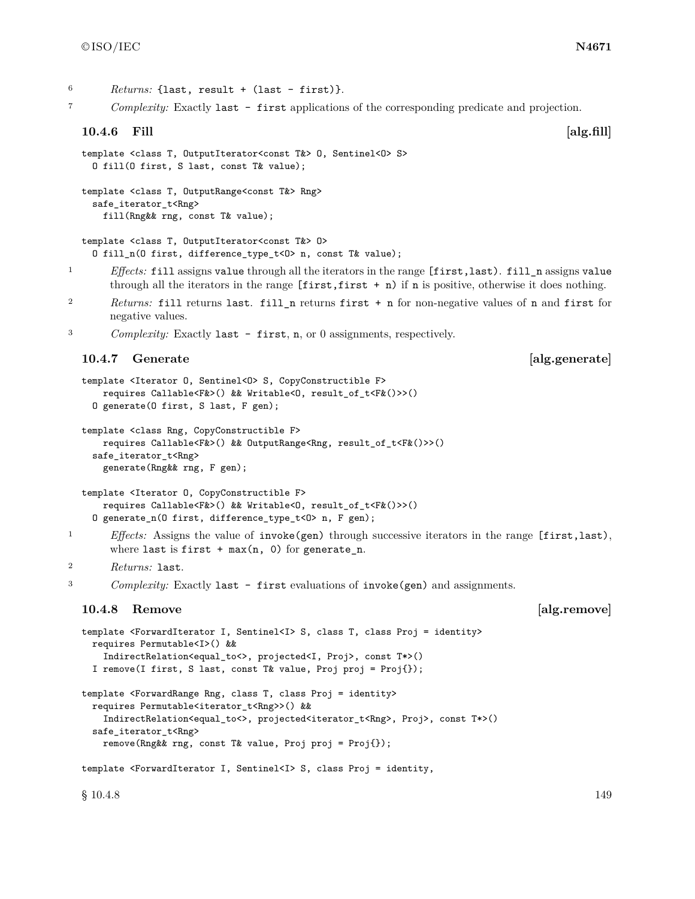$6$  *Returns:* {last, result + (last - first)}.

<sup>7</sup> *Complexity:* Exactly last - first applications of the corresponding predicate and projection.

### **10.4.6 Fill [alg.fill]**

```
template <class T, OutputIterator<const T&> O, Sentinel<O> S>
 O fill(O first, S last, const T& value);
```
template <class T, OutputRange<const T&> Rng> safe\_iterator\_t<Rng> fill(Rng&& rng, const T& value);

```
template <class T, OutputIterator<const T&> O>
  O fill_n(O first, difference_type_t<O> n, const T& value);
```
- <sup>1</sup> *Effects:* fill assigns value through all the iterators in the range [first,last). fill\_n assigns value through all the iterators in the range  $[\text{first}, \text{first } + n)$  if n is positive, otherwise it does nothing.
- <sup>2</sup> *Returns:* fill returns last. fill\_n returns first + n for non-negative values of n and first for negative values.

<sup>3</sup> *Complexity:* Exactly last - first, n, or 0 assignments, respectively.

### **10.4.7** Generate **and alg.generate [alg.generate]**

```
template <Iterator 0, Sentinel<0> S, CopyConstructible F>
    requires Callable<F&>() && Writable<O, result_of_t<F&()>>()
  O generate(O first, S last, F gen);
```

```
template <class Rng, CopyConstructible F>
    requires Callable<F&>() && OutputRange<Rng, result_of_t<F&()>>()
  safe_iterator_t<Rng>
    generate(Rng&& rng, F gen);
```

```
template <Iterator O, CopyConstructible F>
    requires Callable<F&>() && Writable<O, result_of_t<F&()>>()
  O generate_n(O first, difference_type_t<O> n, F gen);
```
<sup>1</sup> *Effects:* Assigns the value of **invoke(gen)** through successive iterators in the range [first,last), where last is first  $+$  max(n, 0) for generate\_n.

```
2 Returns: last.
```
<sup>3</sup> *Complexity:* Exactly last - first evaluations of invoke(gen) and assignments.

### **10.4.8 Remove** and **alg.remove**

```
template <ForwardIterator I, Sentinel<I> S, class T, class Proj = identity>
 requires Permutable<I>() &&
    IndirectRelation<equal_to<>, projected<I, Proj>, const T*>()
 I remove(I first, S last, const T& value, Proj proj = Proj{});
template <ForwardRange Rng, class T, class Proj = identity>
 requires Permutable<iterator_t<Rng>>() &&
    IndirectRelation<equal_to<>, projected<iterator_t<Rng>, Proj>, const T*>()
 safe_iterator_t<Rng>
    remove(Rng&& rng, const T& value, Proj proj = Proj{});
template <ForwardIterator I, Sentinel<I> S, class Proj = identity,
```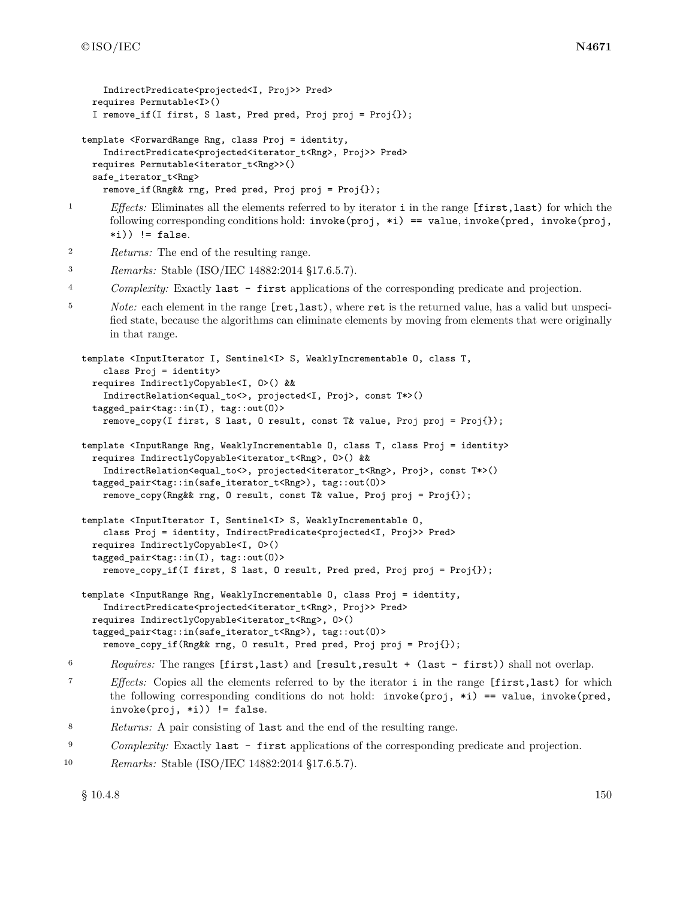```
IndirectPredicate<projected<I, Proj>> Pred>
    requires Permutable<I>()
    I remove_if(I first, S last, Pred pred, Proj proj = Proj{});
  template <ForwardRange Rng, class Proj = identity,
      IndirectPredicate<projected<iterator_t<Rng>, Proj>> Pred>
    requires Permutable<iterator_t<Rng>>()
    safe_iterator_t<Rng>
      remove_if(Rng&& rng, Pred pred, Proj proj = Proj{});
<sup>1</sup> Effects: Eliminates all the elements referred to by iterator i in the range [first,last) for which the
       following corresponding conditions hold: invoke(proj, *i) == value, invoke(pred, invoke(proj,(i)) != false.
2 Returns: The end of the resulting range.
3 Remarks: Stable (ISO/IEC 14882:2014 §17.6.5.7).
4 Complexity: Exactly last - first applications of the corresponding predicate and projection.
5 Note: each element in the range [ret,last), where ret is the returned value, has a valid but unspeci-
       fied state, because the algorithms can eliminate elements by moving from elements that were originally
       in that range.
  template <InputIterator I, Sentinel<I> S, WeaklyIncrementable O, class T,
      class Proj = identity>
    requires IndirectlyCopyable<I, O>() &&
      IndirectRelation<equal_to<>, projected<I, Proj>, const T*>()
    tagged_pair<tag::in(I), tag::out(O)>
      remove_copy(I first, S last, O result, const T& value, Proj proj = Proj{});
  template <InputRange Rng, WeaklyIncrementable O, class T, class Proj = identity>
    requires IndirectlyCopyable<iterator_t<Rng>, O>() &&
      IndirectRelation<equal_to<>, projected<iterator_t<Rng>, Proj>, const T*>()
    tagged_pair<tag::in(safe_iterator_t<Rng>), tag::out(O)>
      remove_copy(Rng&& rng, O result, const T& value, Proj proj = Proj{});
  template <InputIterator I, Sentinel<I> S, WeaklyIncrementable O,
      class Proj = identity, IndirectPredicate<projected<I, Proj>> Pred>
    requires IndirectlyCopyable<I, O>()
    tagged_pair<tag::in(I), tag::out(O)>
      remove_copy_if(I first, S last, O result, Pred pred, Proj proj = Proj{});
  template <InputRange Rng, WeaklyIncrementable O, class Proj = identity,
      IndirectPredicate<projected<iterator_t<Rng>, Proj>> Pred>
    requires IndirectlyCopyable<iterator_t<Rng>, 0>()
    tagged_pair<tag::in(safe_iterator_t<Rng>), tag::out(O)>
      remove_copy_if(Rng&& rng, O result, Pred pred, Proj proj = Proj{});
6 Requires: The ranges [first,last) and [result,result + (last - first)) shall not overlap.
7 Effects: Copies all the elements referred to by the iterator i in the range [first,last) for which
       the following corresponding conditions do not hold: invoke(proj, *i) == value, invoke(pred,invoke(proj, *i)) != false.
```

```
8 Returns: A pair consisting of last and the end of the resulting range.
```

```
9 Complexity: Exactly last - first applications of the corresponding predicate and projection.
```

```
10 Remarks: Stable (ISO/IEC 14882:2014 §17.6.5.7).
```
 $\S 10.4.8$  10.4.8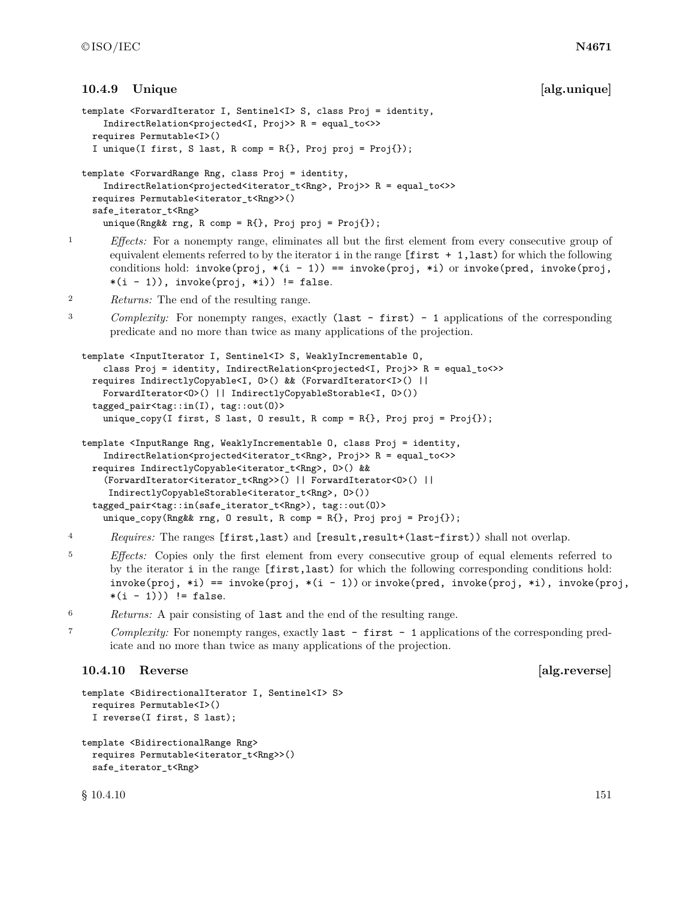### **10.4.9** Unique **a Example 10.4.9** and **a Example 10.4.9** and **a Example 10.4.9** and **a Example 10.4.9** and **a Example 10.4.9** and **Example 10.4.9** and **Example 10.4.9** and **Example 10.4.9** and **EXA**

```
template <ForwardIterator I, Sentinel<I> S, class Proj = identity,
      IndirectRelation<projected<I, Proj>> R = equal_to<>>
    requires Permutable<I>()
    I unique(I first, S last, R comp = R{}, Proj proj = Proj{});
  template <ForwardRange Rng, class Proj = identity,
      IndirectRelation<projected<iterator_t<Rng>, Proj>> R = equal_to<>>
    requires Permutable<iterator_t<Rng>>()
    safe_iterator_t<Rng>
      unique(Rng&& rng, R comp = R{}, Proj proj = Proj{});
1 Effects: For a nonempty range, eliminates all but the first element from every consecutive group of
       equivalent elements referred to by the iterator i in the range [first + 1, last) for which the following
       conditions hold: invoke(proj, *(i - 1)) == invoke(proj, *i) or invoke(pred, invoke(proj,
       *(i - 1)), invoke(proj, *i)) != false.
2 Returns: The end of the resulting range.
<sup>3</sup> Complexity: For nonempty ranges, exactly (last - first) - 1 applications of the corresponding
       predicate and no more than twice as many applications of the projection.
  template <InputIterator I, Sentinel<I> S, WeaklyIncrementable O,
      class Proj = identity, IndirectRelation<projected<I, Proj>> R = equal_to<>>
    requires IndirectlyCopyable<I, O>() && (ForwardIterator<I>() ||
      ForwardIterator<O>() || IndirectlyCopyableStorable<I, O>())
    tagged_pair<tag::in(I), tag::out(O)>
      unique_copy(I first, S last, O result, R comp = R{}, Proj proj = Proj{});
  template <InputRange Rng, WeaklyIncrementable O, class Proj = identity,
      IndirectRelation<projected<iterator_t<Rng>, Proj>> R = equal_to<>>
    requires IndirectlyCopyable<iterator_t<Rng>, O>() &&
      (ForwardIterator<iterator_t<Rng>>() || ForwardIterator<O>() ||
       IndirectlyCopyableStorable<iterator_t<Rng>, O>())
    tagged_pair<tag::in(safe_iterator_t<Rng>), tag::out(O)>
      unique_copy(Rng&& rng, O result, R comp = R{}, Proj proj = Proj{});
4 Requires: The ranges [first,last) and [result,result+(last-first)) shall not overlap.
```
- <sup>5</sup> *Effects:* Copies only the first element from every consecutive group of equal elements referred to by the iterator i in the range [first,last) for which the following corresponding conditions hold: invoke(proj, \*i) == invoke(proj, \*(i - 1)) or invoke(pred, invoke(proj, \*i), invoke(proj,  $*(i - 1))$ ) != false.
- <sup>6</sup> *Returns:* A pair consisting of last and the end of the resulting range.
- <sup>7</sup> *Complexity:* For nonempty ranges, exactly last first 1 applications of the corresponding predicate and no more than twice as many applications of the projection.

### **10.4.10 Reverse [alg.reverse]**

```
template <BidirectionalIterator I, Sentinel<I> S>
 requires Permutable<I>()
 I reverse(I first, S last);
```

```
template <BidirectionalRange Rng>
 requires Permutable<iterator_t<Rng>>()
 safe_iterator_t<Rng>
```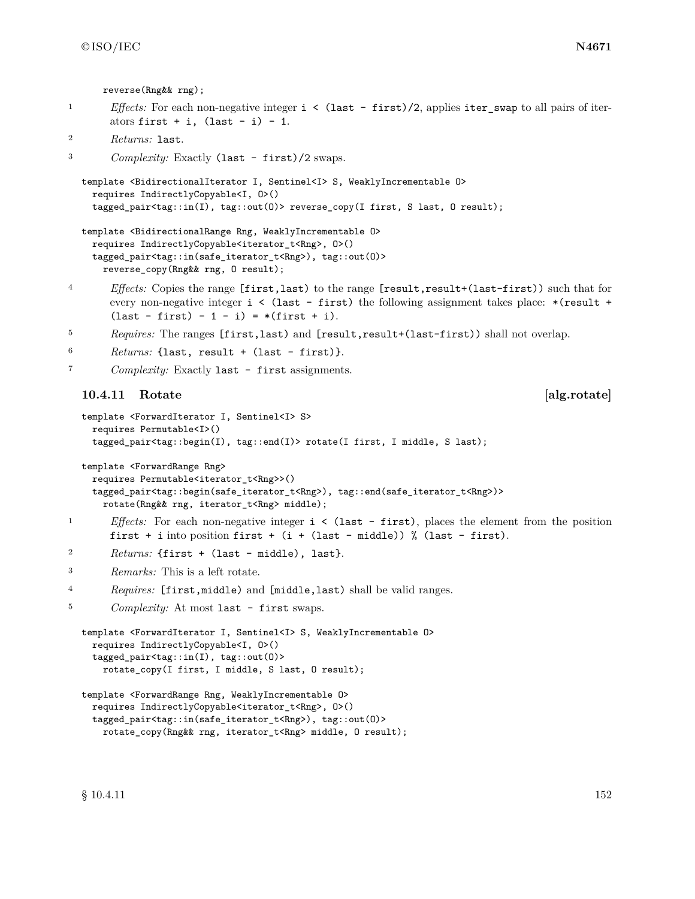reverse(Rng&& rng);

<sup>1</sup> *Effects:* For each non-negative integer  $i < (last - first)/2$ , applies iter\_swap to all pairs of iterators first  $+ i$ , (last  $- i$ )  $- 1$ .

```
2 Returns: last.
```
<sup>3</sup> *Complexity:* Exactly (last - first)/2 swaps.

```
template <BidirectionalIterator I, Sentinel<I> S, WeaklyIncrementable O>
 requires IndirectlyCopyable<I, O>()
  tagged_pair<tag::in(I), tag::out(O)> reverse_copy(I first, S last, O result);
```

```
template <BidirectionalRange Rng, WeaklyIncrementable O>
 requires IndirectlyCopyable<iterator_t<Rng>, O>()
  tagged_pair<tag::in(safe_iterator_t<Rng>), tag::out(O)>
   reverse_copy(Rng&& rng, O result);
```
- <sup>4</sup> *Effects:* Copies the range [first,last) to the range [result,result+(last-first)) such that for every non-negative integer  $i \leq (last - first)$  the following assignment takes place:  $*(result +$  $(last - first) - 1 - i) = *(first + i).$
- <sup>5</sup> *Requires:* The ranges [first,last) and [result,result+(last-first)) shall not overlap.

```
6 Returns: {last, result + (last - first)}.
```
<sup>7</sup> *Complexity:* Exactly last - first assignments.

## **10.4.11 Rotate [alg.rotate]**

```
template <ForwardIterator I, Sentinel<I> S>
 requires Permutable<I>()
 tagged_pair<tag::begin(I), tag::end(I)> rotate(I first, I middle, S last);
```
template <ForwardRange Rng>

```
requires Permutable<iterator_t<Rng>>()
tagged_pair<tag::begin(safe_iterator_t<Rng>), tag::end(safe_iterator_t<Rng>)>
 rotate(Rng&& rng, iterator_t<Rng> middle);
```
- <sup>1</sup> *Effects:* For each non-negative integer i < (last first), places the element from the position first + i into position first +  $(i + (last - middle))$  % (last - first).
- <sup>2</sup> *Returns:* {first + (last middle), last}.
- <sup>3</sup> *Remarks:* This is a left rotate.
- <sup>4</sup> *Requires:* [first,middle) and [middle,last) shall be valid ranges.
- <sup>5</sup> *Complexity:* At most last first swaps.

```
template <ForwardIterator I, Sentinel<I> S, WeaklyIncrementable O>
 requires IndirectlyCopyable<I, O>()
  tagged_pair<tag::in(I), tag::out(O)>
   rotate_copy(I first, I middle, S last, O result);
```

```
template <ForwardRange Rng, WeaklyIncrementable O>
 requires IndirectlyCopyable<iterator_t<Rng>, O>()
 tagged_pair<tag::in(safe_iterator_t<Rng>), tag::out(O)>
    rotate_copy(Rng&& rng, iterator_t<Rng> middle, O result);
```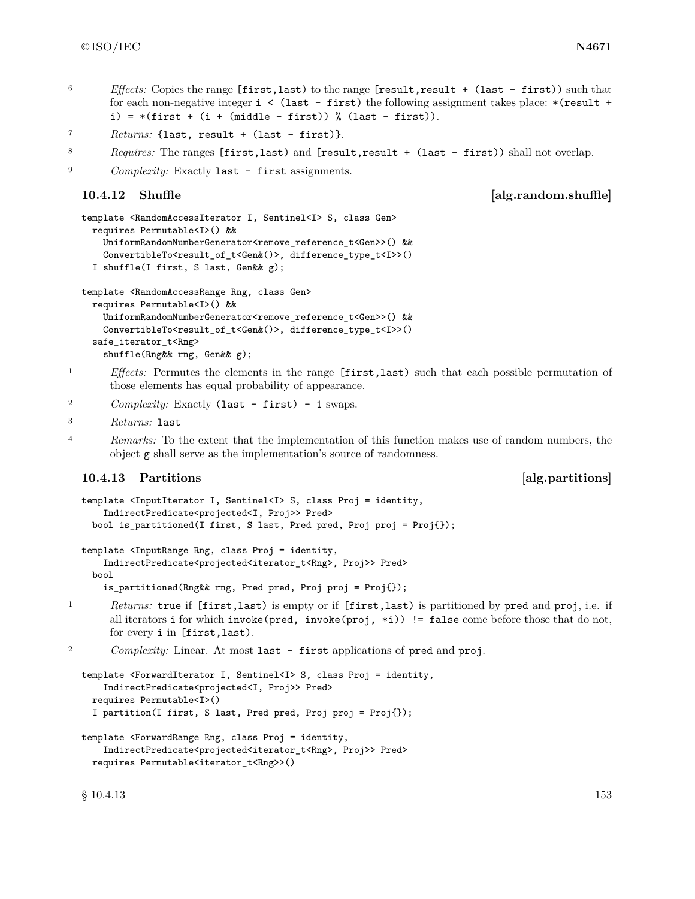- <sup>6</sup> *Effects:* Copies the range [first,last) to the range [result,result + (last first)) such that for each non-negative integer  $i \leq (last - first)$  the following assignment takes place: \*(result + i) =  $*(first + (i + (middle - first)) % (last - first)).$
- <sup>7</sup> *Returns:* {last, result + (last first)}.
- 8 *Requires:* The ranges [first,last) and [result,result + (last first)) shall not overlap.

```
<sup>9</sup> Complexity: Exactly last - first assignments.
```

```
10.4.12 Shuffle and Shuffle alg.random.shuffle
```

```
template <RandomAccessIterator I, Sentinel<I> S, class Gen>
 requires Permutable<I>() &&
    UniformRandomNumberGenerator<remove_reference_t<Gen>>() &&
    ConvertibleTo<result_of_t<Gen&()>, difference_type_t<I>>()
  I shuffle(I first, S last, Gen&& g);
```

```
template <RandomAccessRange Rng, class Gen>
```

```
requires Permutable<I>() &&
 UniformRandomNumberGenerator<remove_reference_t<Gen>>() &&
 ConvertibleTo<result_of_t<Gen&()>, difference_type_t<I>>()
safe_iterator_t<Rng>
 shuffle(Rng&& rng, Gen&& g);
```
<sup>1</sup> *Effects:* Permutes the elements in the range [first,last) such that each possible permutation of those elements has equal probability of appearance.

```
2 Complexity: Exactly (last - first) - 1 swaps.
```

```
3 Returns: last
```
<sup>4</sup> *Remarks:* To the extent that the implementation of this function makes use of random numbers, the object g shall serve as the implementation's source of randomness.

### **10.4.13 Partitions and** *Partitions* **and** *Partitions alg.partitions*

```
template <InputIterator I, Sentinel<I> S, class Proj = identity,
    IndirectPredicate<projected<I, Proj>> Pred>
 bool is_partitioned(I first, S last, Pred pred, Proj proj = Proj{});
```

```
template <InputRange Rng, class Proj = identity,
    IndirectPredicate<projected<iterator_t<Rng>, Proj>> Pred>
  bool
```

```
is_partitioned(Rng&& rng, Pred pred, Proj proj = Proj{});
```
<sup>1</sup> *Returns:* true if [first,last) is empty or if [first,last) is partitioned by pred and proj, i.e. if all iterators i for which invoke(pred, invoke(proj,  $\ast i$ )) != false come before those that do not, for every i in [first,last).

```
<sup>2</sup> Complexity: Linear. At most last - first applications of pred and proj.
```

```
template <ForwardIterator I, Sentinel<I> S, class Proj = identity,
    IndirectPredicate<projected<I, Proj>> Pred>
  requires Permutable<I>()
  I partition(I first, S last, Pred pred, Proj proj = Proj{});
```

```
template <ForwardRange Rng, class Proj = identity,
    IndirectPredicate<projected<iterator_t<Rng>, Proj>> Pred>
 requires Permutable<iterator_t<Rng>>()
```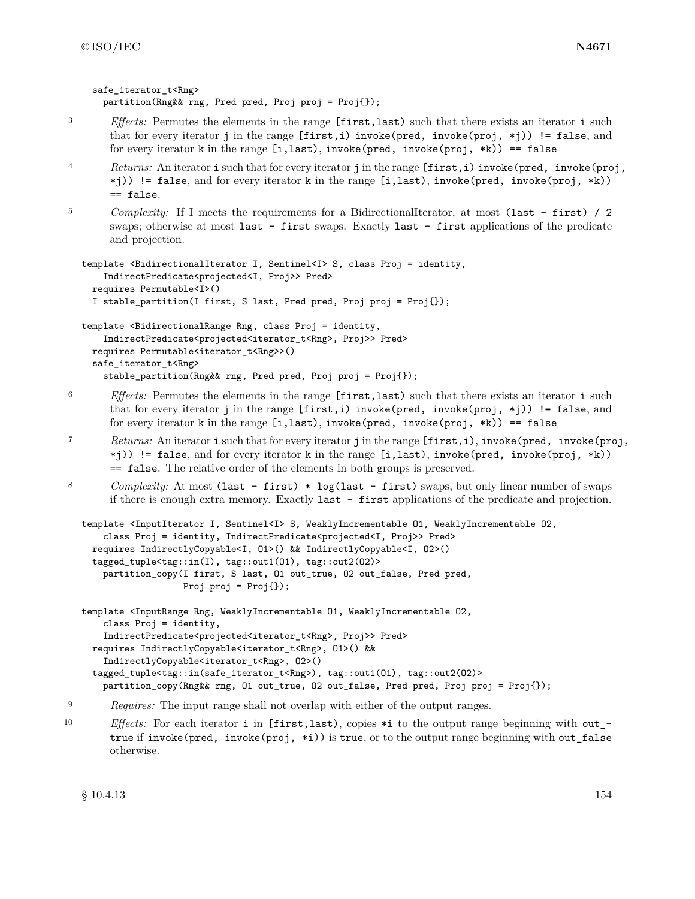safe\_iterator\_t<Rng>

partition(Rng&& rng, Pred pred, Proj proj = Proj{});

```
3 Effects: Permutes the elements in the range [first,last) such that there exists an iterator i such
       that for every iterator j in the range [first,i) invoke(pred, invoke(proj, *j)) != false, and
       for every iterator k in the range [i, last), invoke(pred, invoke(root, *k)) == false4 Returns: An iterator i such that for every iterator j in the range [first,i) invoke(pred, invoke(proj,
       *j)) != false, and for every iterator k in the range [i,last), invoke(pred, invoke(proj, *k))
       == false.
<sup>5</sup> Complexity: If I meets the requirements for a BidirectionalIterator, at most (last - first) / 2
       swaps; otherwise at most last - first swaps. Exactly last - first applications of the predicate
       and projection.
  template <BidirectionalIterator I, Sentinel<I> S, class Proj = identity,
      IndirectPredicate<projected<I, Proj>> Pred>
    requires Permutable<I>()
    I stable_partition(I first, S last, Pred pred, Proj proj = Proj{});
  template <BidirectionalRange Rng, class Proj = identity,
      IndirectPredicate<projected<iterator_t<Rng>, Proj>> Pred>
    requires Permutable<iterator_t<Rng>>()
    safe_iterator_t<Rng>
      stable_partition(Rng&& rng, Pred pred, Proj proj = Proj{});
6 Effects: Permutes the elements in the range [first,last) such that there exists an iterator i such
       that for every iterator j in the range [first,i) invoke(pred, invoke(proj, *j)) != false, and
       for every iterator k in the range [i,last), invoke(pred, invoke(proj, *k)) == false
7 Returns: An iterator i such that for every iterator j in the range [first,i), invoke(pred, invoke(proj,
       *j)) != false, and for every iterator k in the range [i,last), invoke(pred, invoke(proj, *k))
       == false. The relative order of the elements in both groups is preserved.
8 Complexity: At most (last - first) * log(last - first) swaps, but only linear number of swaps
       if there is enough extra memory. Exactly last - first applications of the predicate and projection.
  template <InputIterator I, Sentinel<I> S, WeaklyIncrementable O1, WeaklyIncrementable O2,
      class Proj = identity, IndirectPredicate<projected<I, Proj>> Pred>
    requires IndirectlyCopyable<I, O1>() && IndirectlyCopyable<I, O2>()
    tagged_tuple<tag::in(I), tag::out1(O1), tag::out2(O2)>
      partition_copy(I first, S last, O1 out_true, O2 out_false, Pred pred,
                     Proj proj = Proj });
```

```
template <InputRange Rng, WeaklyIncrementable O1, WeaklyIncrementable O2,
    class Proj = identity,
    IndirectPredicate<projected<iterator_t<Rng>, Proj>> Pred>
 requires IndirectlyCopyable<iterator_t<Rng>, O1>() &&
    IndirectlyCopyable<iterator_t<Rng>, O2>()
  tagged_tuple<tag::in(safe_iterator_t<Rng>), tag::out1(O1), tag::out2(O2)>
    partition_copy(Rng&& rng, O1 out_true, O2 out_false, Pred pred, Proj proj = Proj{});
```

```
<sup>9</sup> Requires: The input range shall not overlap with either of the output ranges.
```
10 *Effects:* For each iterator i in [first,last), copies \*i to the output range beginning with out\_true if invoke(pred, invoke(proj, \*i)) is true, or to the output range beginning with out\_false otherwise.

 $§ 10.4.13$  154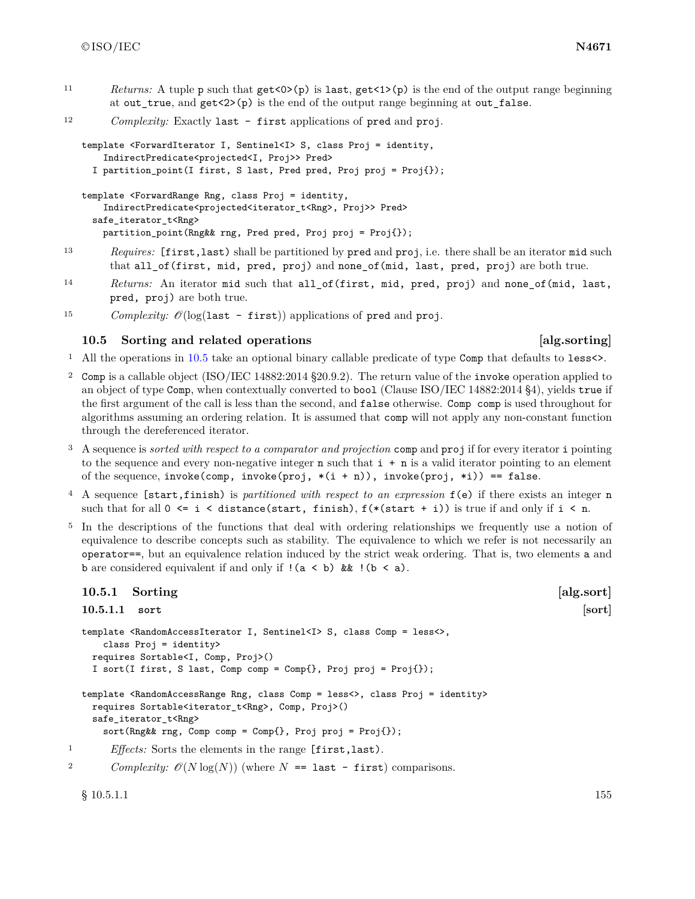11 *Returns:* A tuple p such that  $get < 0 > (p)$  is last,  $get < 1 > (p)$  is the end of the output range beginning at out\_true, and get<2>(p) is the end of the output range beginning at out\_false.

```
12 Complexity: Exactly last - first applications of pred and proj.
```

```
template <ForwardIterator I, Sentinel<I> S, class Proj = identity,
    IndirectPredicate<projected<I, Proj>> Pred>
  I partition_point(I first, S last, Pred pred, Proj proj = Proj{});
template <ForwardRange Rng, class Proj = identity,
    IndirectPredicate<projected<iterator_t<Rng>, Proj>> Pred>
```
safe\_iterator\_t<Rng> partition\_point(Rng&& rng, Pred pred, Proj proj = Proj{});

- <sup>13</sup> *Requires:* [first,last) shall be partitioned by pred and proj, i.e. there shall be an iterator mid such that all\_of(first, mid, pred, proj) and none\_of(mid, last, pred, proj) are both true.
- <sup>14</sup> *Returns:* An iterator mid such that all\_of(first, mid, pred, proj) and none\_of(mid, last, pred, proj) are both true.
- <sup>15</sup> *Complexity:*  $\mathcal{O}(\log(\text{last first}))$  applications of pred and proj.

### <span id="page-158-0"></span>**10.5 Sorting and related operations [alg.sorting]**

- <sup>1</sup> All the operations in [10.5](#page-158-0) take an optional binary callable predicate of type Comp that defaults to less<>.
- <sup>2</sup> Comp is a callable object (ISO/IEC 14882:2014 §20.9.2). The return value of the invoke operation applied to an object of type Comp, when contextually converted to bool (Clause ISO/IEC 14882:2014 §4), yields true if the first argument of the call is less than the second, and false otherwise. Comp comp is used throughout for algorithms assuming an ordering relation. It is assumed that comp will not apply any non-constant function through the dereferenced iterator.
- <sup>3</sup> A sequence is *sorted with respect to a comparator and projection* comp and proj if for every iterator i pointing to the sequence and every non-negative integer  $n$  such that  $i + n$  is a valid iterator pointing to an element of the sequence, invoke(comp, invoke(proj,  $*(i + n)$ ), invoke(proj,  $*i$ )) == false.
- <sup>4</sup> A sequence [start,finish) is *partitioned with respect to an expression* f(e) if there exists an integer n such that for all  $0 \leq i \leq \text{distance}(\text{start}, \text{ finish}), f(\ast(\text{start} + i))$  is true if and only if  $i \leq n$ .
- <sup>5</sup> In the descriptions of the functions that deal with ordering relationships we frequently use a notion of equivalence to describe concepts such as stability. The equivalence to which we refer is not necessarily an operator==, but an equivalence relation induced by the strict weak ordering. That is, two elements a and **b** are considered equivalent if and only if  $!(a < b)$  &  $!(b < a)$ .

### **10.5.1 Sorting [alg.sort]**

```
10.5.1.1 sort [sort]
```

```
template <RandomAccessIterator I, Sentinel<I> S, class Comp = less<>,
      class Proj = identity>
    requires Sortable<I, Comp, Proj>()
    I sort(I first, S last, Comp comp = Comp{}, Proj proj = Proj{});
  template <RandomAccessRange Rng, class Comp = less<>, class Proj = identity>
    requires Sortable<iterator_t<Rng>, Comp, Proj>()
    safe_iterator_t<Rng>
      sort(Rng&& rng, Comp comp = Comp{}, Proj proj = Proj{});
<sup>1</sup> Effects: Sorts the elements in the range [first, last).
```

```
2 Complexity: \mathcal{O}(N \log(N)) (where N = last - first) comparisons.
```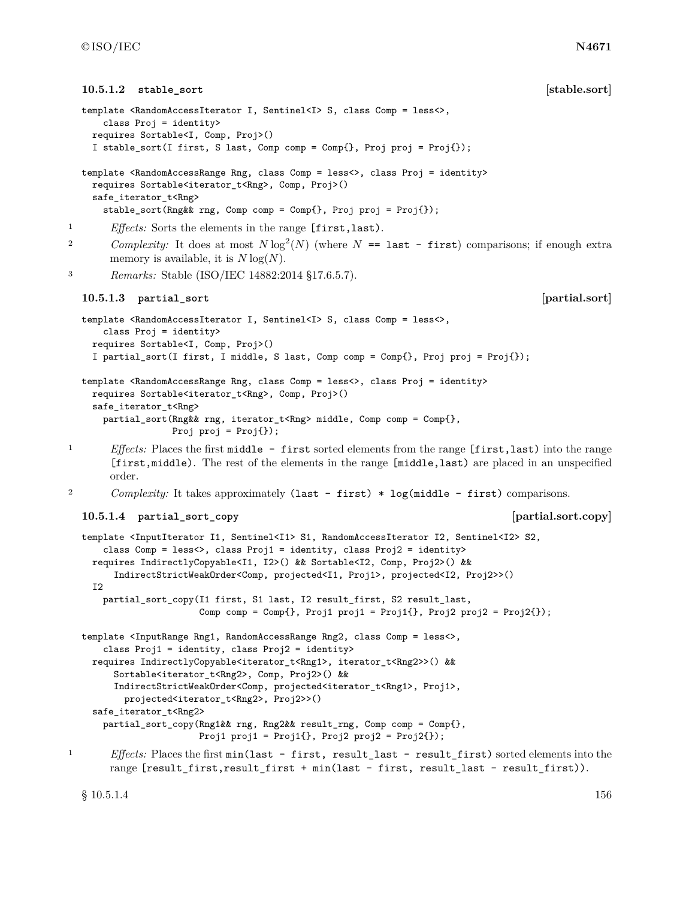```
10.5.1.2 stable_sort [stable.sort]
  template <RandomAccessIterator I, Sentinel<I> S, class Comp = less<>,
      class Proj = identity>
    requires Sortable<I, Comp, Proj>()
    I stable_sort(I first, S last, Comp comp = Comp{}, Proj proj = Proj{});
  template <RandomAccessRange Rng, class Comp = less<>, class Proj = identity>
    requires Sortable<iterator_t<Rng>, Comp, Proj>()
    safe_iterator_t<Rng>
      stable_sort(Rng&& rng, Comp comp = Comp{}, Proj proj = Proj{});
1 Effects: Sorts the elements in the range [first,last).
2 Complexity: It does at most N \log^2(N) (where N = last - first) comparisons; if enough extra
       memory is available, it is N \log(N).
3 Remarks: Stable (ISO/IEC 14882:2014 §17.6.5.7).
  10.5.1.3 partial_sort [partial.sort]
  template <RandomAccessIterator I, Sentinel<I> S, class Comp = less<>,
      class Proj = identity>
    requires Sortable<I, Comp, Proj>()
    I partial_sort(I first, I middle, S last, Comp comp = Comp{}, Proj proj = Proj{});
  template <RandomAccessRange Rng, class Comp = less<>, class Proj = identity>
    requires Sortable<iterator_t<Rng>, Comp, Proj>()
    safe_iterator_t<Rng>
      partial_sort(Rng&& rng, iterator_t<Rng> middle, Comp comp = Comp{},
                  Proj proj = Proj{});
<sup>1</sup> Effects: Places the first middle - first sorted elements from the range [first,last) into the range
       [first,middle). The rest of the elements in the range [middle,last) are placed in an unspecified
       order.
<sup>2</sup> Complexity: It takes approximately (last - first) * log(middle - first) comparisons.
  10.5.1.4 partial_sort_copy [partial.sort.copy]
  template <InputIterator I1, Sentinel<I1> S1, RandomAccessIterator I2, Sentinel<I2> S2,
      class Comp = less<>, class Proj1 = identity, class Proj2 = identity>
    requires IndirectlyCopyable<I1, I2>() && Sortable<I2, Comp, Proj2>() &&
        IndirectStrictWeakOrder<Comp, projected<I1, Proj1>, projected<I2, Proj2>>()
    I2
      partial_sort_copy(I1 first, S1 last, I2 result_first, S2 result_last,
                       Comp comp = Comp{}, Proj1 proj1 = Proj1{}, Proj2 proj2 = Proj2{});
  template <InputRange Rng1, RandomAccessRange Rng2, class Comp = less<>,
      class Proj1 = identity, class Proj2 = identity>
    requires IndirectlyCopyable<iterator_t<Rng1>, iterator_t<Rng2>>() &&
        Sortable<iterator_t<Rng2>, Comp, Proj2>() &&
        IndirectStrictWeakOrder<Comp, projected<iterator_t<Rng1>, Proj1>,
         projected<iterator_t<Rng2>, Proj2>>()
    safe_iterator_t<Rng2>
      partial_sort_copy(Rng1&& rng, Rng2&& result_rng, Comp comp = Comp{},
                       Proj1 proj1 = Proj1\{\}, Proj2 proj2 = Proj2\{\});
<sup>1</sup> Effects: Places the first min(last - first, result last - result first) sorted elements into the
       range [result_first,result_first + min(last - first, result_last - result_first)).
```
 $\S$  10.5.1.4 156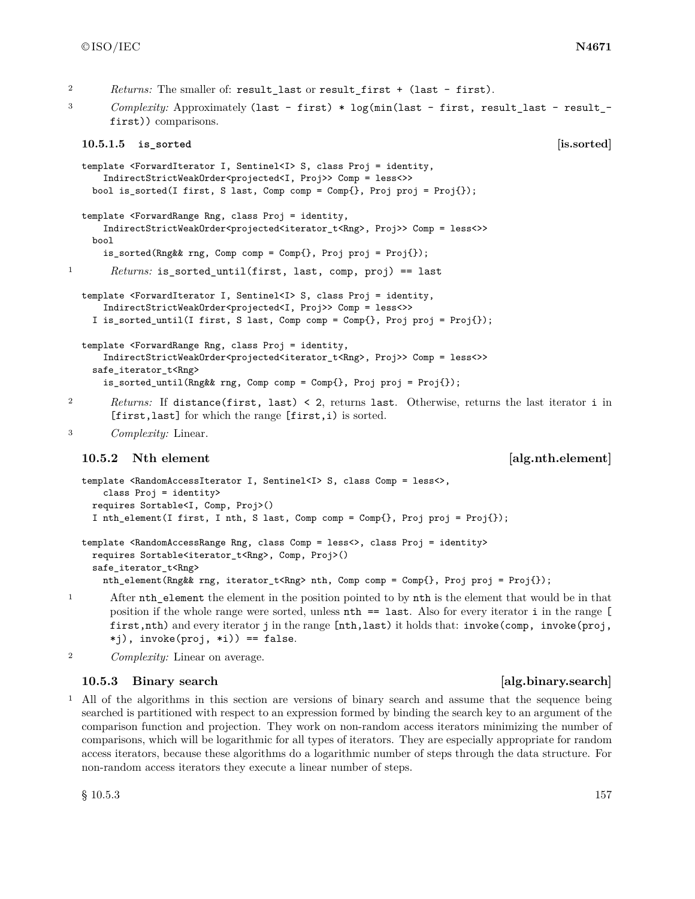- 2 *Returns:* The smaller of: result last or result first + (last first).
- <sup>3</sup> *Complexity:* Approximately (last first) \* log(min(last first, result\_last result\_first)) comparisons.

```
10.5.1.5 is_sorted [is.sorted]
```

```
template <ForwardIterator I, Sentinel<I> S, class Proj = identity,
      IndirectStrictWeakOrder<projected<I, Proj>> Comp = less<>>
    bool is_sorted(I first, S last, Comp comp = Comp{}, Proj proj = Proj{});
  template <ForwardRange Rng, class Proj = identity,
      IndirectStrictWeakOrder<projected<iterator_t<Rng>, Proj>> Comp = less<>>
    bool
      is_sorted(Rng&& rng, Comp comp = Comp{}, Proj proj = Proj{});
1 Returns: is_sorted_until(first, last, comp, proj) == last
  template <ForwardIterator I, Sentinel<I> S, class Proj = identity,
      IndirectStrictWeakOrder<projected<I, Proj>> Comp = less<>>
    I is_sorted_until(I first, S last, Comp comp = Comp{}, Proj proj = Proj{});
  template <ForwardRange Rng, class Proj = identity,
      IndirectStrictWeakOrder<projected<iterator_t<Rng>, Proj>> Comp = less<>>
    safe_iterator_t<Rng>
      is_sorted_until(Rng&& rng, Comp comp = Comp{}, Proj proj = Proj{});
2 Returns: If distance(first, last) < 2, returns last. Otherwise, returns the last iterator i in
```
### **10.5.2** Nth element **and a set of the set of the set of the set of the set of the set of the set of the set of the set of the set of the set of the set of the set of the set of the set of the set of the set of the set of**

<sup>3</sup> *Complexity:* Linear.

```
template <RandomAccessIterator I, Sentinel<I> S, class Comp = less<>,
    class Proj = identity>
 requires Sortable<I, Comp, Proj>()
  I nth_element(I first, I nth, S last, Comp comp = Comp{}, Proj proj = Proj{});
template <RandomAccessRange Rng, class Comp = less<>, class Proj = identity>
 requires Sortable<iterator_t<Rng>, Comp, Proj>()
  safe_iterator_t<Rng>
    nth_element(Rng&& rng, iterator_t<Rng> nth, Comp comp = Comp{}, Proj proj = Proj{});
```
[first,last] for which the range [first,i) is sorted.

- <sup>1</sup> After nth\_element the element in the position pointed to by nth is the element that would be in that position if the whole range were sorted, unless nth == last. Also for every iterator i in the range [ first,nth) and every iterator j in the range [nth,last) it holds that: invoke(comp, invoke(proj, \*j), invoke(proj, \*i)) == false.
- <sup>2</sup> *Complexity:* Linear on average.

### **10.5.3 Binary search and the search contract in the search [alg.binary.search]**

<sup>1</sup> All of the algorithms in this section are versions of binary search and assume that the sequence being searched is partitioned with respect to an expression formed by binding the search key to an argument of the comparison function and projection. They work on non-random access iterators minimizing the number of comparisons, which will be logarithmic for all types of iterators. They are especially appropriate for random access iterators, because these algorithms do a logarithmic number of steps through the data structure. For non-random access iterators they execute a linear number of steps.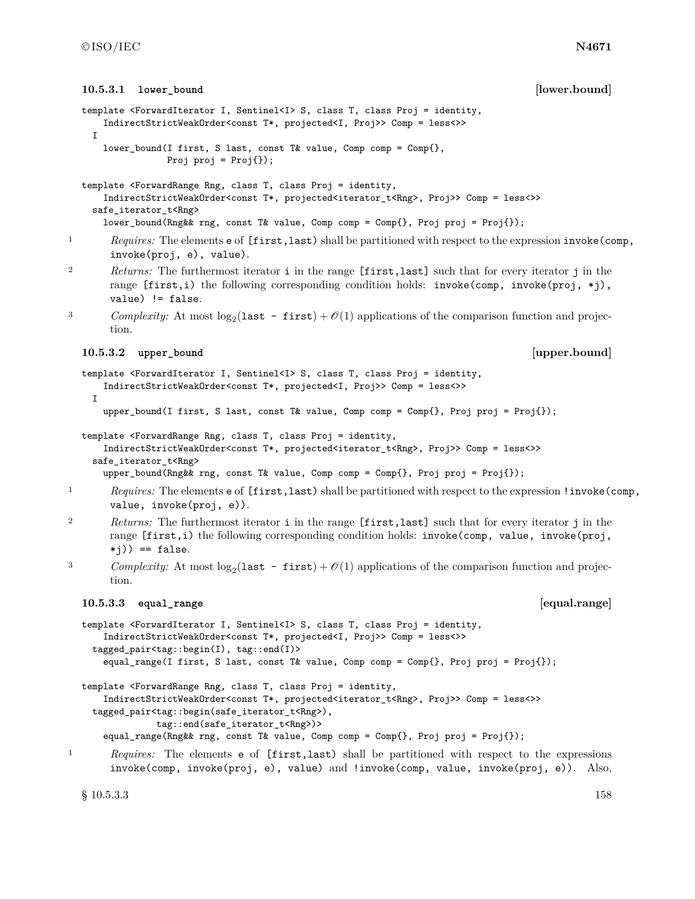```
10.5.3.1 lower bound in the lower bound lower.bound lower.bound
  template <ForwardIterator I, Sentinel<I> S, class T, class Proj = identity,
      IndirectStrictWeakOrder<const T*, projected<I, Proj>> Comp = less<>>
    I
      lower_bound(I first, S last, const T& value, Comp comp = Comp{},
                 Proj proj = Proj });
  template <ForwardRange Rng, class T, class Proj = identity,
      IndirectStrictWeakOrder<const T*, projected<iterator_t<Rng>, Proj>> Comp = less<>>
    safe_iterator_t<Rng>
      lower_bound(Rng&& rng, const T& value, Comp comp = Comp{}, Proj proj = Proj{});
<sup>1</sup> Requires: The elements e of [first,last) shall be partitioned with respect to the expression invoke(comp,
       invoke(proj, e), value).
2 Returns: The furthermost iterator i in the range [first,last] such that for every iterator j in the
       range [first,i) the following corresponding condition holds: invoke(comp, invoke(proj, *j),
       value) != false.
<sup>3</sup> Complexity: At most log_2(last - first) + O(1) applications of the comparison function and projec-
       tion.
  10.5.3.2 upper_bound [upper.bound]
  template <ForwardIterator I, Sentinel<I> S, class T, class Proj = identity,
      IndirectStrictWeakOrder<const T*, projected<I, Proj>> Comp = less<>>
    I
      upper_bound(I first, S last, const T& value, Comp comp = Comp{}, Proj proj = Proj{});
  template <ForwardRange Rng, class T, class Proj = identity,
      IndirectStrictWeakOrder<const T*, projected<iterator_t<Rng>, Proj>> Comp = less<>>
    safe_iterator_t<Rng>
      upper_bound(Rng&& rng, const T& value, Comp comp = Comp{}, Proj proj = Proj{});
<sup>1</sup> Requires: The elements e of [first,last) shall be partitioned with respect to the expression ! invoke(comp,
       value, invoke(proj, e)).
2 Returns: The furthermost iterator i in the range [first,last] such that for every iterator j in the
       range [first,i) the following corresponding condition holds: invoke(comp, value, invoke(proj,
       *(j)) == false.<sup>3</sup> Complexity: At most log_2(last - first) + O(1) applications of the comparison function and projec-
       tion.
  10.5.3.3 equal_range [equal.range]
  template <ForwardIterator I, Sentinel<I> S, class T, class Proj = identity,
      IndirectStrictWeakOrder<const T*, projected<I, Proj>> Comp = less<>>
    tagged_pair<tag::begin(I), tag::end(I)>
      equal_range(I first, S last, const T& value, Comp comp = Comp{}, Proj proj = Proj{});
  template <ForwardRange Rng, class T, class Proj = identity,
      IndirectStrictWeakOrder<const T*, projected<iterator_t<Rng>, Proj>> Comp = less<>>
    tagged_pair<tag::begin(safe_iterator_t<Rng>),
               tag::end(safe_iterator_t<Rng>)>
      equal_range(Rng&& rng, const T& value, Comp comp = Comp{}, Proj proj = Proj{});
1 Requires: The elements e of [first,last) shall be partitioned with respect to the expressions
       invoke(comp, invoke(proj, e), value) and !invoke(comp, value, invoke(proj, e)). Also,
```
 $\S~10.5.3.3$  158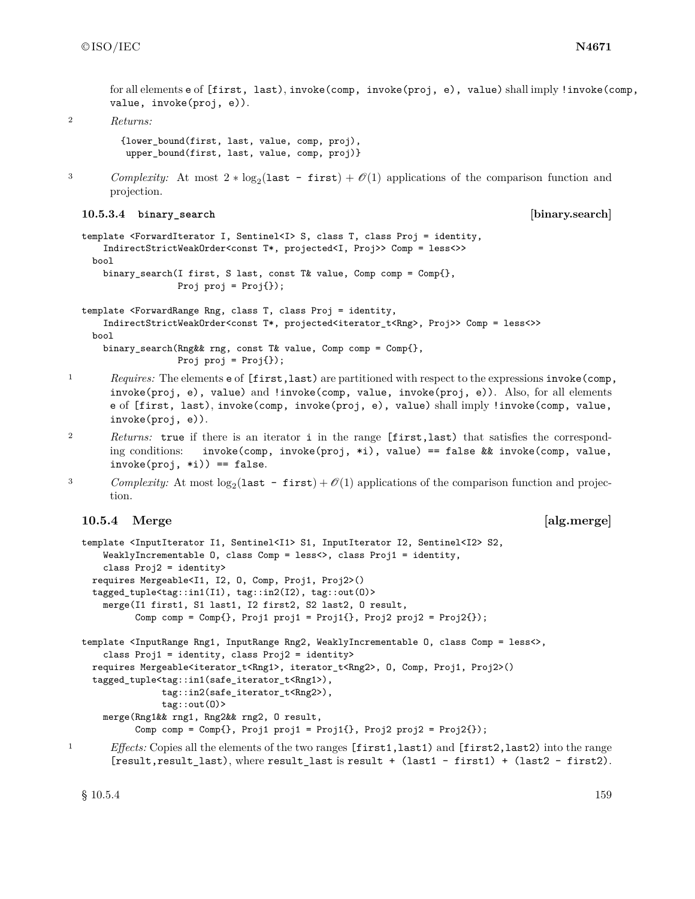for all elements e of [first, last), invoke(comp, invoke(proj, e), value) shall imply !invoke(comp, value, invoke(proj, e)).

<sup>2</sup> *Returns:*

{lower\_bound(first, last, value, comp, proj), upper\_bound(first, last, value, comp, proj)}

```
3 Complexity: At most 2 * log_2(last - first) + \mathcal{O}(1) applications of the comparison function and
       projection.
```

```
10.5.3.4 binary_search [binary.search]
```

```
template <ForwardIterator I, Sentinel<I> S, class T, class Proj = identity,
    IndirectStrictWeakOrder<const T*, projected<I, Proj>> Comp = less<>>
 bool
    binary_search(I first, S last, const T& value, Comp comp = Comp{},
                  Proj proj = Proj{});
```

```
template <ForwardRange Rng, class T, class Proj = identity,
    IndirectStrictWeakOrder<const T*, projected<iterator_t<Rng>, Proj>> Comp = less<>>
 bool
    binary_search(Rng&& rng, const T& value, Comp comp = Comp{},
                  Proj proj = Proj{});
```
- <sup>1</sup> *Requires:* The elements **e** of [first,last) are partitioned with respect to the expressions invoke(comp, invoke(proj, e), value) and !invoke(comp, value, invoke(proj, e)). Also, for all elements e of [first, last), invoke(comp, invoke(proj, e), value) shall imply !invoke(comp, value, invoke(proj, e)).
- <sup>2</sup> *Returns:* true if there is an iterator i in the range [first,last) that satisfies the corresponding conditions: invoke(comp, invoke(proj, \*i), value) == false && invoke(comp, value,  $invoke(proj, *i)) == false.$
- <sup>3</sup> *Complexity:* At most  $log_2($ **last first** $) + O(1)$  applications of the comparison function and projection.

### **10.5.4 Merge [alg.merge]**

```
template <InputIterator I1, Sentinel<I1> S1, InputIterator I2, Sentinel<I2> S2,
      WeaklyIncrementable O, class Comp = less<>, class Proj1 = identity,
      class Proj2 = identity>
    requires Mergeable<I1, I2, O, Comp, Proj1, Proj2>()
    tagged_tuple<tag::in1(I1), tag::in2(I2), tag::out(O)>
      merge(I1 first1, S1 last1, I2 first2, S2 last2, O result,
            Comp comp = Comp\, Proj1 proj1 = Proj1\}, Proj2 proj2 = Proj2\});
  template <InputRange Rng1, InputRange Rng2, WeaklyIncrementable O, class Comp = less<>,
      class Proj1 = identity, class Proj2 = identity>
    requires Mergeable<iterator_t<Rng1>, iterator_t<Rng2>, O, Comp, Proj1, Proj2>()
    tagged_tuple<tag::in1(safe_iterator_t<Rng1>),
                 tag::in2(safe_iterator_t<Rng2>),
                 tag::out(O)>
      merge(Rng1&& rng1, Rng2&& rng2, O result,
            Comp comp = Comp\, Proj1 proj1 = Proj1\}, Proj2 proj2 = Proj2\});
<sup>1</sup> Effects: Copies all the elements of the two ranges [first1,last1) and [first2,last2) into the range
        [result,result_last), where result_last is result + (last1 - first1) + (last2 - first2).
```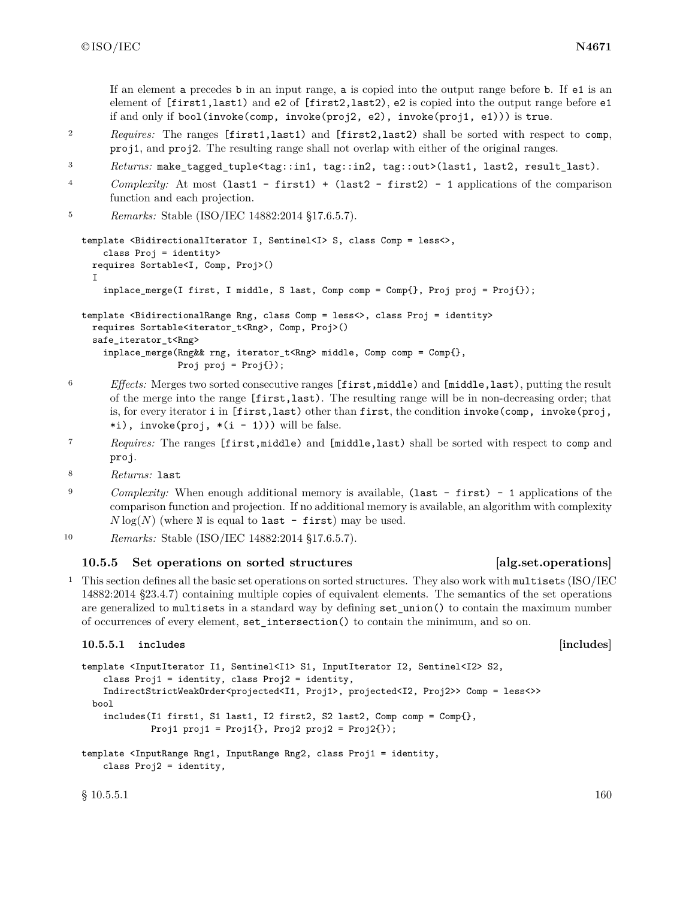If an element a precedes b in an input range, a is copied into the output range before b. If e1 is an element of [first1,last1) and e2 of [first2,last2), e2 is copied into the output range before e1 if and only if bool(invoke(comp, invoke(proj2, e2), invoke(proj1, e1))) is true.

- <sup>2</sup> *Requires:* The ranges [first1,last1) and [first2,last2) shall be sorted with respect to comp, proj1, and proj2. The resulting range shall not overlap with either of the original ranges.
- <sup>3</sup> *Returns:* make\_tagged\_tuple<tag::in1, tag::in2, tag::out>(last1, last2, result\_last).
- <sup>4</sup> *Complexity:* At most (last1 first1) + (last2 first2) 1 applications of the comparison function and each projection.

```
5 Remarks: Stable (ISO/IEC 14882:2014 §17.6.5.7).
```

```
template <BidirectionalIterator I, Sentinel<I> S, class Comp = less<>,
    class Proj = identity>
 requires Sortable<I, Comp, Proj>()
  I
    inplace_merge(I first, I middle, S last, Comp comp = Comp{}, Proj proj = Proj{});
template <BidirectionalRange Rng, class Comp = less<>, class Proj = identity>
 requires Sortable<iterator_t<Rng>, Comp, Proj>()
  safe_iterator_t<Rng>
    inplace_merge(Rng&& rng, iterator_t<Rng> middle, Comp comp = Comp{},
                  Proj proj = Proj);
```
- <sup>6</sup> *Effects:* Merges two sorted consecutive ranges [first,middle) and [middle,last), putting the result of the merge into the range [first,last). The resulting range will be in non-decreasing order; that is, for every iterator i in [first,last) other than first, the condition invoke(comp, invoke(proj, \*i),  $invoke(proj, *(i - 1))$  will be false.
- <sup>7</sup> *Requires:* The ranges [first,middle) and [middle,last) shall be sorted with respect to comp and proj.
- <sup>8</sup> *Returns:* last
- <sup>9</sup> *Complexity:* When enough additional memory is available, (last first) 1 applications of the comparison function and projection. If no additional memory is available, an algorithm with complexity  $N \log(N)$  (where N is equal to last - first) may be used.
- <sup>10</sup> *Remarks:* Stable (ISO/IEC 14882:2014 §17.6.5.7).

### **10.5.5 Set operations on sorted structures [alg.set.operations]**

<sup>1</sup> This section defines all the basic set operations on sorted structures. They also work with multisets (ISO/IEC 14882:2014 §23.4.7) containing multiple copies of equivalent elements. The semantics of the set operations are generalized to multisets in a standard way by defining set union() to contain the maximum number of occurrences of every element, set\_intersection() to contain the minimum, and so on.

#### **10.5.5.1 includes [includes]**

```
template <InputIterator I1, Sentinel<I1> S1, InputIterator I2, Sentinel<I2> S2,
    class Proj1 = identity, class Proj2 = identity,
    IndirectStrictWeakOrder<projected<I1, Proj1>, projected<I2, Proj2>> Comp = less<>>
 bool
    includes(I1 first1, S1 last1, I2 first2, S2 last2, Comp comp = Comp\},
             Proj1 proj1 = Proj1\{ \}, Proj2 proj2 = Proj2\{ \});
template <InputRange Rng1, InputRange Rng2, class Proj1 = identity,
    class Proj2 = identity,
```
 $\S$  10.5.5.1 160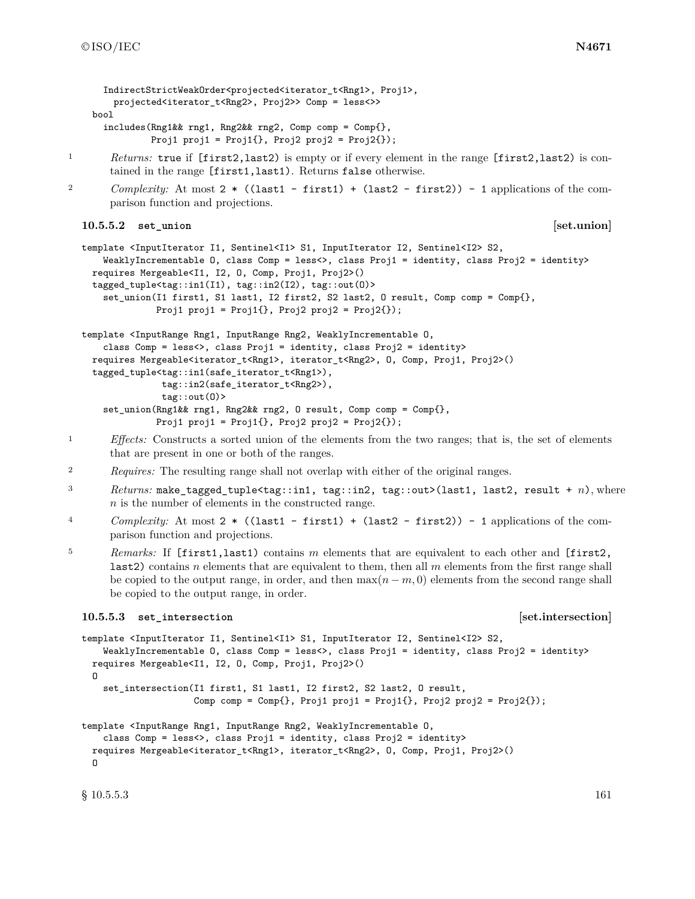```
IndirectStrictWeakOrder<projected<iterator t<Rng1>, Proj1>,
        projected<iterator_t<Rng2>, Proj2>> Comp = less<>>
    bool
      includes(Rng1&& rng1, Rng2&& rng2, Comp comp = Comp{},
               Proj1 proj1 = Proj1\{ \}, Proj2 proj2 = Proj2\{ \});
1 Returns: true if [first2,last2) is empty or if every element in the range [first2,last2) is con-
       tained in the range [first1,last1). Returns false otherwise.
```

```
2 Complexity: At most 2 * ((last1 - first1) + (last2 - first2)) - 1 applications of the com-
       parison function and projections.
```
**10.5.5.2 set\_union [set.union]**

```
template <InputIterator I1, Sentinel<I1> S1, InputIterator I2, Sentinel<I2> S2,
    WeaklyIncrementable 0, class Comp = less<>, class Proj1 = identity, class Proj2 = identity>
 requires Mergeable<I1, I2, O, Comp, Proj1, Proj2>()
  tagged_tuple<tag::in1(I1), tag::in2(I2), tag::out(O)>
    set_union(I1 first1, S1 last1, I2 first2, S2 last2, O result, Comp comp = Comp{},
              Proj1 proj1 = Proj1\{\}, Proj2 proj2 = Proj2\{\}\;
```

```
template <InputRange Rng1, InputRange Rng2, WeaklyIncrementable O,
    class Comp = less<>, class Proj1 = identity, class Proj2 = identity>
  requires Mergeable<iterator_t<Rng1>, iterator_t<Rng2>, O, Comp, Proj1, Proj2>()
  tagged_tuple<tag::in1(safe_iterator_t<Rng1>),
              tag::in2(safe_iterator_t<Rng2>),
               tag::out(O)>
    set_union(Rng1&& rng1, Rng2&& rng2, O result, Comp comp = Comp{},
             Proj1 proj1 = Proj1\; Proj2 proj2 = Proj2\);
```
- <sup>1</sup> *Effects:* Constructs a sorted union of the elements from the two ranges; that is, the set of elements that are present in one or both of the ranges.
- <sup>2</sup> *Requires:* The resulting range shall not overlap with either of the original ranges.
- <sup>3</sup> *Returns:* make\_tagged\_tuple<tag::in1, tag::in2, tag::out>(last1, last2, result + *n*), where *n* is the number of elements in the constructed range.
- <sup>4</sup> *Complexity:* At most 2 \* ((last1 first1) + (last2 first2)) 1 applications of the comparison function and projections.
- <sup>5</sup> *Remarks:* If [first1,last1) contains *m* elements that are equivalent to each other and [first2, last2) contains *n* elements that are equivalent to them, then all *m* elements from the first range shall be copied to the output range, in order, and then  $\max(n-m, 0)$  elements from the second range shall be copied to the output range, in order.

#### **10.5.5.3 set\_intersection [set.intersection]**

template <InputIterator I1, Sentinel<I1> S1, InputIterator I2, Sentinel<I2> S2, WeaklyIncrementable 0, class Comp = less<>, class Proj1 = identity, class Proj2 = identity> requires Mergeable<I1, I2, O, Comp, Proj1, Proj2>() O set\_intersection(I1 first1, S1 last1, I2 first2, S2 last2, O result, Comp comp =  $Comp\{\}, Prop1 = proj1 = Proj1\}, Prop2 = Proj2\})$ ;

```
template <InputRange Rng1, InputRange Rng2, WeaklyIncrementable O,
    class Comp = less<>, class Proj1 = identity, class Proj2 = identity>
 requires Mergeable<iterator_t<Rng1>, iterator_t<Rng2>, O, Comp, Proj1, Proj2>()
 \Omega
```
 $\S$  10.5.5.3 161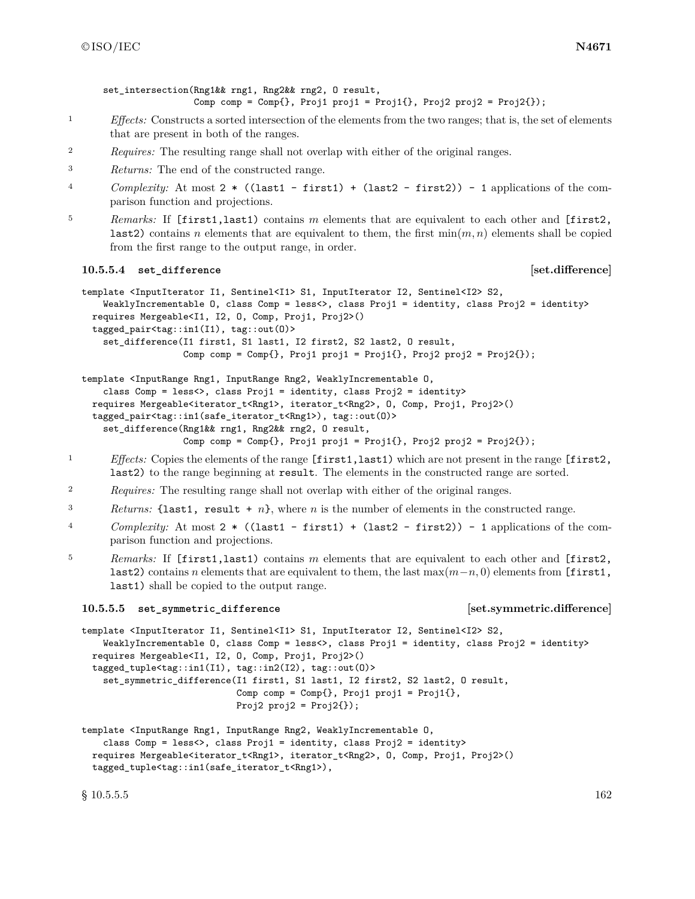set intersection(Rng1&& rng1, Rng2&& rng2, O result, Comp comp =  $Comp\{\}, Prop1 = proj1 = Proj1\}, Prop2 = Proj2\})$ ;

- <sup>1</sup> *Effects:* Constructs a sorted intersection of the elements from the two ranges; that is, the set of elements that are present in both of the ranges.
- <sup>2</sup> *Requires:* The resulting range shall not overlap with either of the original ranges.
- <sup>3</sup> *Returns:* The end of the constructed range.
- <sup>4</sup> *Complexity:* At most 2 \* ((last1 first1) + (last2 first2)) 1 applications of the comparison function and projections.
- <sup>5</sup> *Remarks:* If [first1,last1) contains *m* elements that are equivalent to each other and [first2, **last2**) contains *n* elements that are equivalent to them, the first  $\min(m, n)$  elements shall be copied from the first range to the output range, in order.

#### **10.5.5.4 set\_difference [set.difference]**

```
template <InputIterator I1, Sentinel<I1> S1, InputIterator I2, Sentinel<I2> S2,
    WeaklyIncrementable 0, class Comp = less<>, class Proj1 = identity, class Proj2 = identity>
  requires Mergeable<I1, I2, O, Comp, Proj1, Proj2>()
  tagged_pair<tag::in1(I1), tag::out(O)>
    set_difference(I1 first1, S1 last1, I2 first2, S2 last2, O result,
                   Comp comp = Comp{}, Proj1 proj1 = Proj1{}, Proj2 proj2 = Proj2{});
```

```
template <InputRange Rng1, InputRange Rng2, WeaklyIncrementable O,
    class Comp = less<>, class Proj1 = identity, class Proj2 = identity>
  requires Mergeable<iterator_t<Rng1>, iterator_t<Rng2>, O, Comp, Proj1, Proj2>()
  tagged_pair<tag::in1(safe_iterator_t<Rng1>), tag::out(O)>
    set_difference(Rng1&& rng1, Rng2&& rng2, O result,
                   Comp comp = Comp{}, Proj1 proj1 = Proj1{}, Proj2 proj2 = Proj2{});
```
- <sup>1</sup> *Effects:* Copies the elements of the range [first1,last1) which are not present in the range [first2, last2) to the range beginning at result. The elements in the constructed range are sorted.
- <sup>2</sup> *Requires:* The resulting range shall not overlap with either of the original ranges.
- <sup>3</sup> *Returns:* {last1, result + *n*}, where *n* is the number of elements in the constructed range.
- <sup>4</sup> *Complexity:* At most 2 \* ((last1 first1) + (last2 first2)) 1 applications of the comparison function and projections.
- <sup>5</sup> *Remarks:* If [first1,last1) contains *m* elements that are equivalent to each other and [first2, last2) contains *n* elements that are equivalent to them, the last max(*m*−*n,* 0) elements from [first1, last1) shall be copied to the output range.

#### **10.5.5.5 set\_symmetric\_difference [set.symmetric.difference]**

template <InputIterator I1, Sentinel<I1> S1, InputIterator I2, Sentinel<I2> S2, WeaklyIncrementable O, class Comp = less<>, class Proj1 = identity, class Proj2 = identity> requires Mergeable<I1, I2, O, Comp, Proj1, Proj2>() tagged\_tuple<tag::in1(I1), tag::in2(I2), tag::out(O)> set\_symmetric\_difference(I1 first1, S1 last1, I2 first2, S2 last2, O result, Comp comp =  $Comp{}$ , Proj1 proj1 = Proj1 ${}$ , Proj $2$  proj $2 =$  Proj $2$ {});

```
template <InputRange Rng1, InputRange Rng2, WeaklyIncrementable O,
    class Comp = less<>, class Proj1 = identity, class Proj2 = identity>
 requires Mergeable<iterator_t<Rng1>, iterator_t<Rng2>, O, Comp, Proj1, Proj2>()
 tagged_tuple<tag::in1(safe_iterator_t<Rng1>),
```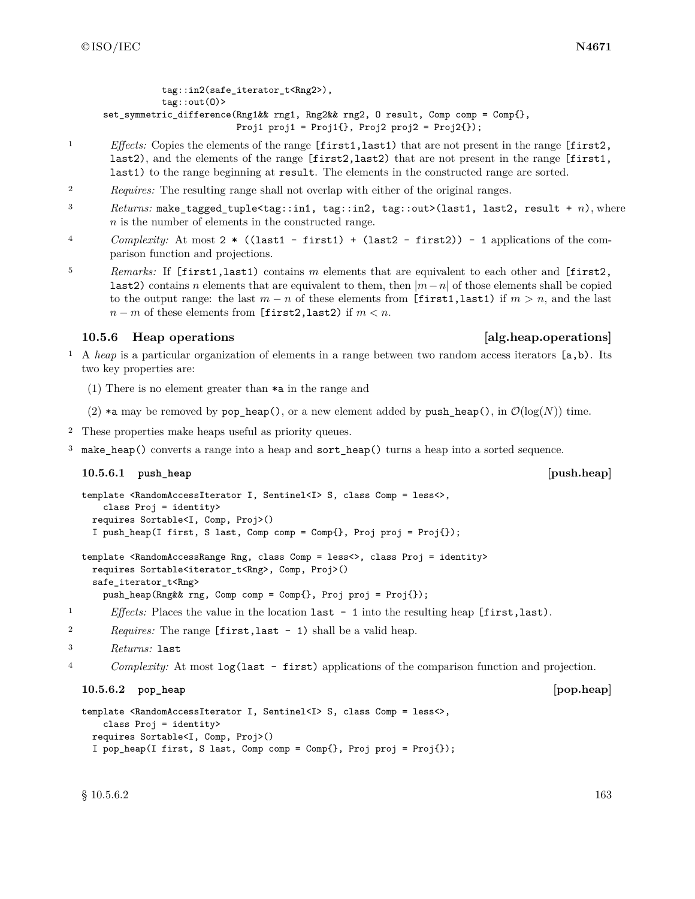tag::in2(safe\_iterator\_t<Rng2>), tag::out(O)> set\_symmetric\_difference(Rng1&& rng1, Rng2&& rng2, O result, Comp comp = Comp{}, Proj1 proj1 = Proj1 $\{ \}$ , Proj2 proj2 = Proj2 $\{ \}$ );

- <sup>1</sup> *Effects:* Copies the elements of the range [first1,last1) that are not present in the range [first2, last2), and the elements of the range [first2,last2) that are not present in the range [first1, last1) to the range beginning at result. The elements in the constructed range are sorted.
- <sup>2</sup> *Requires:* The resulting range shall not overlap with either of the original ranges.
- <sup>3</sup> *Returns:* make\_tagged\_tuple<tag::in1, tag::in2, tag::out>(last1, last2, result + *n*), where *n* is the number of elements in the constructed range.
- <sup>4</sup> *Complexity:* At most 2 \* ((last1 first1) + (last2 first2)) 1 applications of the comparison function and projections.
- <sup>5</sup> *Remarks:* If [first1,last1) contains *m* elements that are equivalent to each other and [first2, last2) contains *n* elements that are equivalent to them, then |*m*−*n*| of those elements shall be copied to the output range: the last  $m - n$  of these elements from [first1, last1) if  $m > n$ , and the last  $n - m$  of these elements from [first2,last2) if  $m < n$ .

### **10.5.6 Heap operations [alg.heap.operations]**

- <sup>1</sup> A *heap* is a particular organization of elements in a range between two random access iterators [a,b). Its two key properties are:
	- (1) There is no element greater than \*a in the range and
	- (2)  $*$ a may be removed by pop\_heap(), or a new element added by push\_heap(), in  $\mathcal{O}(\log(N))$  time.
- <sup>2</sup> These properties make heaps useful as priority queues.
- <sup>3</sup> make\_heap() converts a range into a heap and sort\_heap() turns a heap into a sorted sequence.

### **10.5.6.1 push\_heap [push.heap]**

```
template <RandomAccessIterator I, Sentinel<I> S, class Comp = less<>,
    class Proj = identity>
 requires Sortable<I, Comp, Proj>()
  I push_heap(I first, S last, Comp comp = Comp{}, Proj proj = Proj{});
```

```
template <RandomAccessRange Rng, class Comp = less<>, class Proj = identity>
 requires Sortable<iterator_t<Rng>, Comp, Proj>()
  safe_iterator_t<Rng>
    push_heap(Rng&& rng, Comp comp = Comp{}, Proj proj = Proj{});
```
- <sup>1</sup> *Effects:* Places the value in the location last 1 into the resulting heap [first,last).
- <sup>2</sup> *Requires:* The range [first,last 1) shall be a valid heap.

```
3 Returns: last
```
<sup>4</sup> *Complexity:* At most log(last - first) applications of the comparison function and projection.

### **10.5.6.2 pop\_heap [pop.heap]**

```
template <RandomAccessIterator I, Sentinel<I>>S, class Comp = less<>,
    class Proj = identity>
  requires Sortable<I, Comp, Proj>()
  I pop_heap(I first, S last, Comp comp = Comp{}, Proj proj = Proj{});
```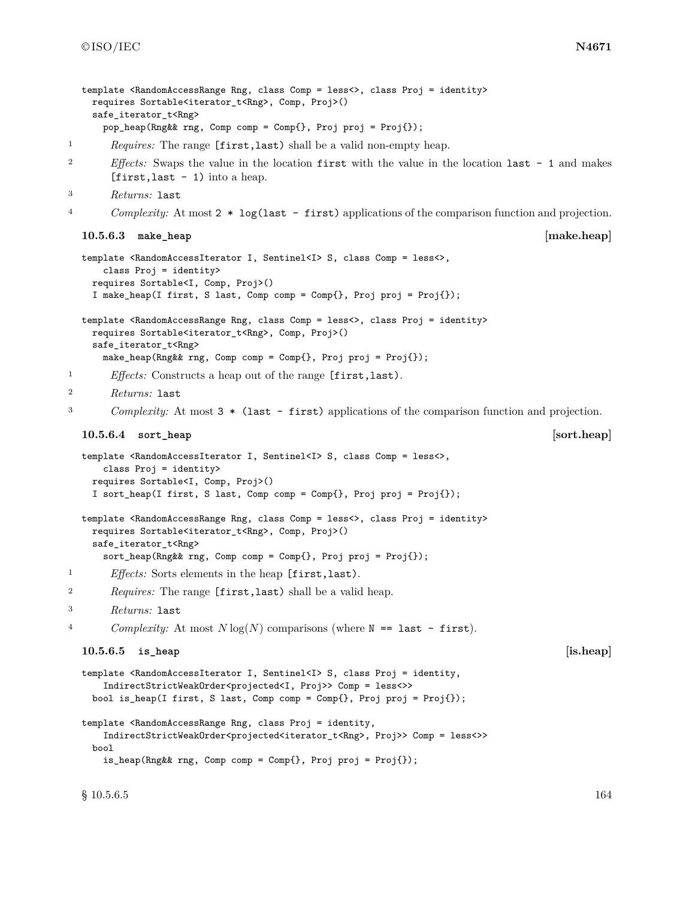```
template <RandomAccessRange Rng, class Comp = less<>, class Proj = identity>
    requires Sortable<iterator_t<Rng>, Comp, Proj>()
    safe_iterator_t<Rng>
     pop_heap(Rng&& rng, Comp comp = Comp{}, Proj proj = Proj{});
1 Requires: The range [first,last) shall be a valid non-empty heap.
2 Effects: Swaps the value in the location first with the value in the location last - 1 and makes
       [first, last - 1) into a heap.
3 Returns: last
4 Complexity: At most 2 * log(last - first) applications of the comparison function and projection.
  10.5.6.3 make_heap [make.heap]
  template <RandomAccessIterator I, Sentinel<I> S, class Comp = less<>,
     class Proj = identity>
    requires Sortable<I, Comp, Proj>()
    I make_heap(I first, S last, Comp comp = Comp{}, Proj proj = Proj{});
  template <RandomAccessRange Rng, class Comp = less<>, class Proj = identity>
    requires Sortable<iterator_t<Rng>, Comp, Proj>()
    safe_iterator_t<Rng>
     make_heap(Rng&& rng, Comp comp = Comp{}, Proj proj = Proj{});
1 Effects: Constructs a heap out of the range [first,last).
2 Returns: last
3 Complexity: At most 3 * (last - first) applications of the comparison function and projection.
  10.5.6.4 sort_heap [sort.heap]
  template <RandomAccessIterator I, Sentinel<I> S, class Comp = less<>,
     class Proj = identity>
    requires Sortable<I, Comp, Proj>()
    I sort_heap(I first, S last, Comp comp = Comp{}, Proj proj = Proj{});
  template <RandomAccessRange Rng, class Comp = less<>, class Proj = identity>
    requires Sortable<iterator_t<Rng>, Comp, Proj>()
    safe_iterator_t<Rng>
     sort_heap(Rng&& rng, Comp comp = Comp{}, Proj proj = Proj{});
1 Effects: Sorts elements in the heap [first,last).
2 Requires: The range [first,last) shall be a valid heap.
3 Returns: last
4 Complexity: At most N \log(N) comparisons (where N = 1 ast - first).
  10.5.6.5 is_heap [is.heap]
  template <RandomAccessIterator I, Sentinel<I>>>>>> S, class Proj = identity,
      IndirectStrictWeakOrder<projected<I, Proj>> Comp = less<>>
    bool is_heap(I first, S last, Comp comp = Comp{}, Proj proj = Proj{});
```

```
template <RandomAccessRange Rng, class Proj = identity,
    IndirectStrictWeakOrder<projected<iterator_t<Rng>, Proj>> Comp = less<>>
 bool
    is_heap(Rng&& rng, Comp comp = Comp{}, Proj proj = Proj{});
```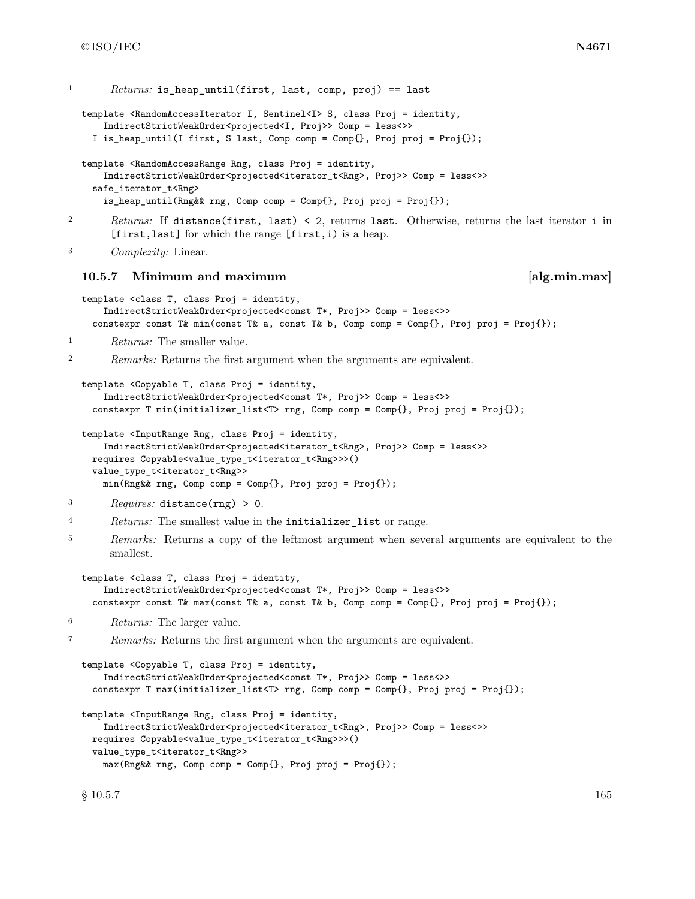```
1 Returns: is heap until(first, last, comp, proj) == last
  template <RandomAccessIterator I, Sentinel<I>>>>>> S, class Proj = identity,
      IndirectStrictWeakOrder<projected<I, Proj>> Comp = less<>>
    I is_heap_until(I first, S last, Comp comp = Comp{}, Proj proj = Proj{});
  template <RandomAccessRange Rng, class Proj = identity,
      IndirectStrictWeakOrder<projected<iterator_t<Rng>, Proj>> Comp = less<>>
    safe_iterator_t<Rng>
      is_heap_until(Rng&& rng, Comp comp = Comp{}, Proj proj = Proj{});
2 Returns: If distance(first, last) < 2, returns last. Otherwise, returns the last iterator i in
       [first,last] for which the range [first,i) is a heap.
3 Complexity: Linear.
  10.5.7 Minimum and maximum [alg.min.max]
  template <class T, class Proj = identity,
      IndirectStrictWeakOrder<projected<const T*, Proj>> Comp = less<>>
    constexpr const T& min(const T& a, const T& b, Comp comp = Comp{}, Proj proj = Proj{});
1 Returns: The smaller value.
2 Remarks: Returns the first argument when the arguments are equivalent.
  template <Copyable T, class Proj = identity,
      IndirectStrictWeakOrder<projected<const T*, Proj>> Comp = less<>>
    constexpr T min(initializer_list<T> rng, Comp comp = Comp{}, Proj proj = Proj{});
  template <InputRange Rng, class Proj = identity,
      IndirectStrictWeakOrder<projected<iterator_t<Rng>, Proj>> Comp = less<>>
    requires Copyable<value_type_t<iterator_t<Rng>>>()
    value_type_t<iterator_t<Rng>>
      min(Rng&& rng, Comp comp = Comp{}, Proj proj = Proj{});
3 Requires: distance(rng) > 0.
4 Returns: The smallest value in the initializer_list or range.
<sup>5</sup> Remarks: Returns a copy of the leftmost argument when several arguments are equivalent to the
       smallest.
  template <class T, class Proj = identity,
      IndirectStrictWeakOrder<projected<const T*, Proj>> Comp = less<>>
    constexpr const T& max(const T& a, const T& b, Comp comp = Comp{}, Proj proj = Proj{});
6 Returns: The larger value.
7 Remarks: Returns the first argument when the arguments are equivalent.
  template <Copyable T, class Proj = identity,
      IndirectStrictWeakOrder<projected<const T*, Proj>> Comp = less<>>
    constexpr T max(initializer_list<T> rng, Comp comp = Comp{}, Proj proj = Proj{});
  template <InputRange Rng, class Proj = identity,
      IndirectStrictWeakOrder<projected<iterator_t<Rng>, Proj>> Comp = less<>>
    requires Copyable<value_type_t<iterator_t<Rng>>>()
    value_type_t<iterator_t<Rng>>
      max(Rng&& rng, Comp comp = Comp{}, Proj proj = Proj{});
  \S 10.5.7 165
```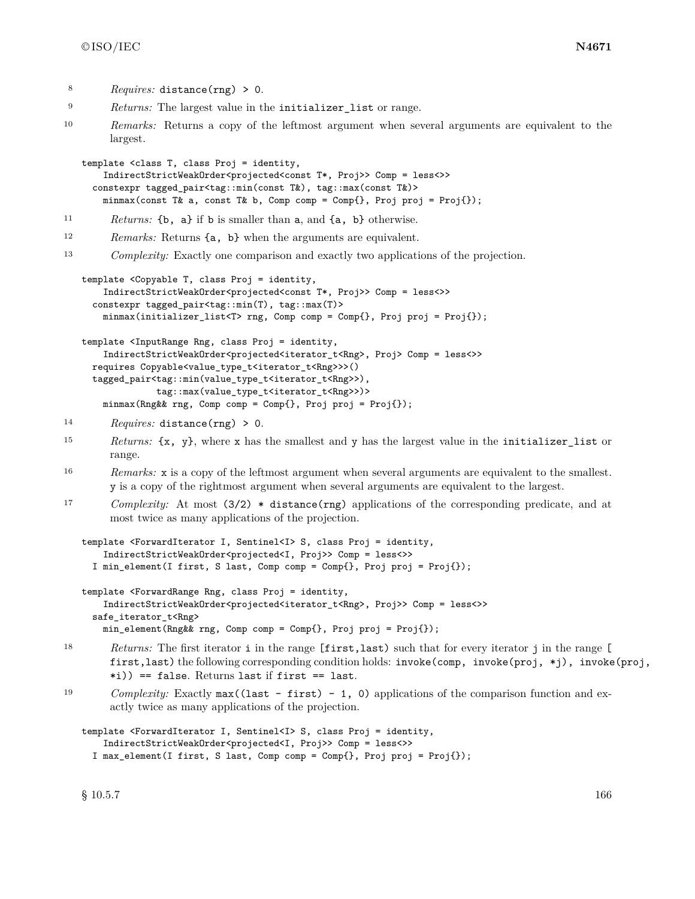- <sup>8</sup> *Requires:* distance(rng) > 0.
- <sup>9</sup> *Returns:* The largest value in the initializer\_list or range.
- <sup>10</sup> *Remarks:* Returns a copy of the leftmost argument when several arguments are equivalent to the largest.

```
template <class T, class Proj = identity,
    IndirectStrictWeakOrder<projected<const T*, Proj>> Comp = less<>>
  constexpr tagged_pair<tag::min(const T&), tag::max(const T&)>
    minmax(const T& a, const T& b, Comp comp = Comp{}, Proj proj = Proj{});
```
- <sup>11</sup> *Returns:* {b, a} if b is smaller than a, and {a, b} otherwise.
- <sup>12</sup> *Remarks:* Returns {a, b} when the arguments are equivalent.
- <sup>13</sup> *Complexity:* Exactly one comparison and exactly two applications of the projection.

```
template <Copyable T, class Proj = identity,
    IndirectStrictWeakOrder<projected<const T*, Proj>> Comp = less<>>
  constexpr tagged_pair<tag::min(T), tag::max(T)>
    minmax(initializer_list<T> rng, Comp comp = Comp{}, Proj proj = Proj{});
template <InputRange Rng, class Proj = identity,
    IndirectStrictWeakOrder<projected<iterator_t<Rng>, Proj> Comp = less<>>
```

```
requires Copyable<value_type_t<iterator_t<Rng>>>()
tagged_pair<tag::min(value_type_t<iterator_t<Rng>>),
            tag::max(value_type_t<iterator_t<Rng>>)>
 minmax(Rng&& rng, Comp comp = Comp{}, Proj proj = Proj{});
```
- <sup>14</sup> *Requires:* distance(rng) > 0.
- <sup>15</sup> *Returns:* {x, y}, where x has the smallest and y has the largest value in the initializer\_list or range.
- <sup>16</sup> *Remarks:* x is a copy of the leftmost argument when several arguments are equivalent to the smallest. y is a copy of the rightmost argument when several arguments are equivalent to the largest.
- <sup>17</sup> *Complexity:* At most (3/2) \* distance(rng) applications of the corresponding predicate, and at most twice as many applications of the projection.

```
template <ForwardIterator I, Sentinel<I> S, class Proj = identity,
    IndirectStrictWeakOrder<projected<I, Proj>> Comp = less<>>
  I min_element(I first, S last, Comp comp = Comp{}, Proj proj = Proj{});
```

```
template <ForwardRange Rng, class Proj = identity,
    IndirectStrictWeakOrder<projected<iterator_t<Rng>, Proj>> Comp = less<>>
  safe_iterator_t<Rng>
    min_element(Rng&& rng, Comp comp = Comp{}, Proj proj = Proj{});
```
- <sup>18</sup> *Returns:* The first iterator i in the range [first,last) such that for every iterator j in the range [ first,last) the following corresponding condition holds: invoke(comp, invoke(proj, \*j), invoke(proj, \*i)) == false. Returns last if first == last.
- 19 *Complexity:* Exactly max((last first) 1, 0) applications of the comparison function and exactly twice as many applications of the projection.

```
template <ForwardIterator I, Sentinel<I> S, class Proj = identity,
    IndirectStrictWeakOrder<projected<I, Proj>> Comp = less<>>
  I max_element(I first, S last, Comp comp = Comp{}, Proj proj = Proj{});
```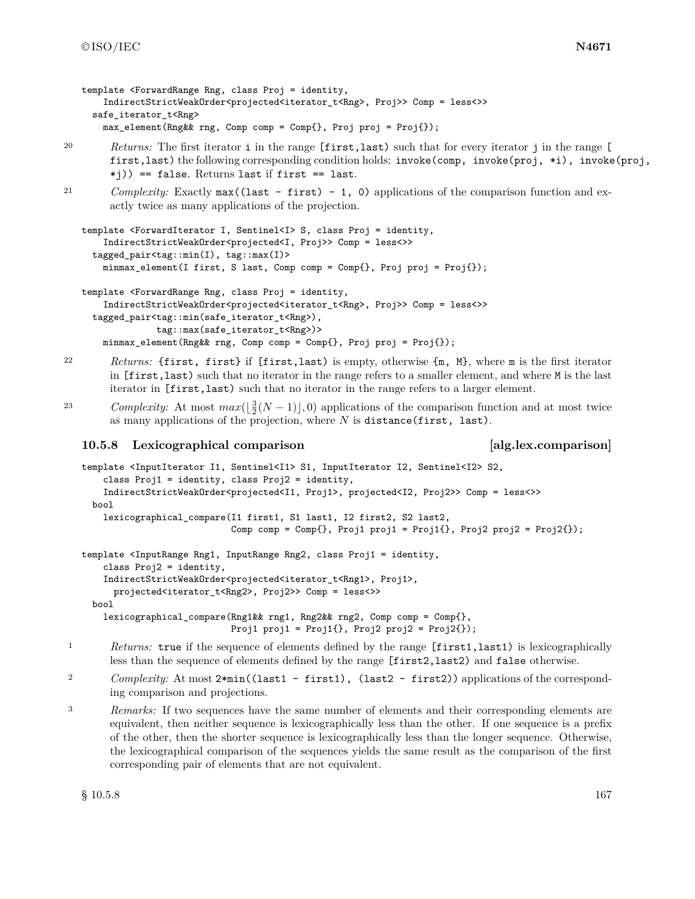```
template <ForwardRange Rng, class Proj = identity,
   IndirectStrictWeakOrder<projected<iterator_t<Rng>, Proj>> Comp = less<>>
 safe_iterator_t<Rng>
   max_element(Rng&& rng, Comp comp = Comp{}, Proj proj = Proj{});
```
<sup>20</sup> *Returns:* The first iterator i in the range [first,last) such that for every iterator j in the range [ first,last) the following corresponding condition holds: invoke(comp, invoke(proj, \*i), invoke(proj, \*j)) == false. Returns last if first == last.

```
21 Complexity: Exactly max((last - first) - 1, 0) applications of the comparison function and ex-
        actly twice as many applications of the projection.
```

```
template <ForwardIterator I, Sentinel<I> S, class Proj = identity,
    IndirectStrictWeakOrder<projected<I, Proj>> Comp = less<>>
  tagged_pair<tag::min(I), tag::max(I)>
   minmax_element(I first, S last, Comp comp = Comp{}, Proj proj = Proj{});
template <ForwardRange Rng, class Proj = identity,
```

```
IndirectStrictWeakOrder<projected<iterator_t<Rng>, Proj>> Comp = less<>>
tagged_pair<tag::min(safe_iterator_t<Rng>),
            tag::max(safe_iterator_t<Rng>)>
 minmax_element(Rng&& rng, Comp comp = Comp{}, Proj proj = Proj{});
```
<sup>22</sup> *Returns:* {first, first} if [first,last) is empty, otherwise {m, M}, where m is the first iterator in [first,last) such that no iterator in the range refers to a smaller element, and where M is the last iterator in [first,last) such that no iterator in the range refers to a larger element.

23 *Complexity:* At most  $max(\frac{3}{2}(N-1)),0)$  applications of the comparison function and at most twice as many applications of the projection, where *N* is distance(first, last).

### **10.5.8 Lexicographical comparison [alg.lex.comparison]**

```
template <InputIterator I1, Sentinel<I1> S1, InputIterator I2, Sentinel<I2> S2,
    class Proj1 = identity, class Proj2 = identity,
    IndirectStrictWeakOrder<projected<I1, Proj1>, projected<I2, Proj2>> Comp = less<>>
 bool
    lexicographical_compare(I1 first1, S1 last1, I2 first2, S2 last2,
                            Comp comp = Comp\{\}, Prop1 = proj1 = Proj1\}, Prop2 = Proj2\});
template <InputRange Rng1, InputRange Rng2, class Proj1 = identity,
    class Proj2 = identity,
```
IndirectStrictWeakOrder<projected<iterator\_t<Rng1>, Proj1>, projected<iterator\_t<Rng2>, Proj2>> Comp = less<>> bool

lexicographical\_compare(Rng1&& rng1, Rng2&& rng2, Comp comp = Comp{}, Proj1 proj1 = Proj1 $\{\}$ , Proj2 proj2 = Proj2 $\{\}$ );

- <sup>1</sup> *Returns:* true if the sequence of elements defined by the range [first1,last1) is lexicographically less than the sequence of elements defined by the range [first2,last2) and false otherwise.
- <sup>2</sup> *Complexity:* At most  $2 * min((last1 first1), (last2 first2))$  applications of the corresponding comparison and projections.
- <sup>3</sup> *Remarks:* If two sequences have the same number of elements and their corresponding elements are equivalent, then neither sequence is lexicographically less than the other. If one sequence is a prefix of the other, then the shorter sequence is lexicographically less than the longer sequence. Otherwise, the lexicographical comparison of the sequences yields the same result as the comparison of the first corresponding pair of elements that are not equivalent.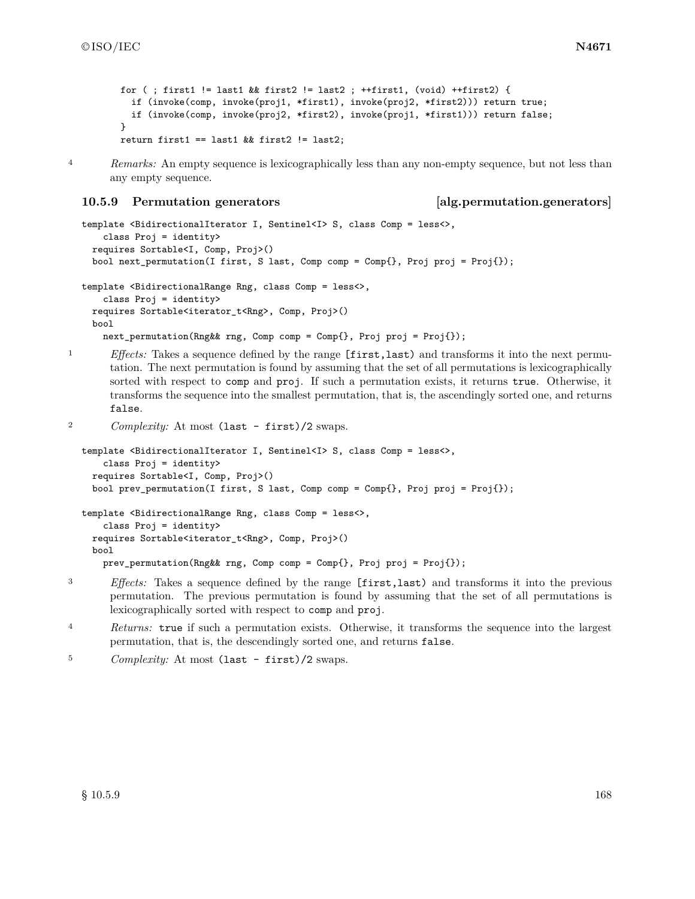```
for (; first1 != last1 && first2 != last2 ; ++first1, (void) ++first2) {
 if (invoke(comp, invoke(proj1, *first1), invoke(proj2, *first2))) return true;
  if (invoke(comp, invoke(proj2, *first2), invoke(proj1, *first1))) return false;
}
return first1 == last1 && first2 != last2;
```
<sup>4</sup> *Remarks:* An empty sequence is lexicographically less than any non-empty sequence, but not less than

#### **10.5.9 Permutation generators [alg.permutation.generators]**

any empty sequence.

```
template <BidirectionalIterator I, Sentinel<I> S, class Comp = less<>,
    class Proj = identity>
 requires Sortable<I, Comp, Proj>()
 bool next_permutation(I first, S last, Comp comp = Comp{}, Proj proj = Proj{});
template <BidirectionalRange Rng, class Comp = less<>,
    class Proj = identity>
 requires Sortable<iterator_t<Rng>, Comp, Proj>()
 bool
    next_permutation(Rng&& rng, Comp comp = Comp{}, Proj proj = Proj{});
```
<sup>1</sup> *Effects:* Takes a sequence defined by the range [first, last) and transforms it into the next permutation. The next permutation is found by assuming that the set of all permutations is lexicographically sorted with respect to comp and proj. If such a permutation exists, it returns true. Otherwise, it transforms the sequence into the smallest permutation, that is, the ascendingly sorted one, and returns false.

```
<sup>2</sup> Complexity: At most (last - first)/2 swaps.
```

```
template <BidirectionalIterator I, Sentinel<I> S, class Comp = less<>,
    class Proj = identity>
 requires Sortable<I, Comp, Proj>()
 bool prev_permutation(I first, S last, Comp comp = Comp{}, Proj proj = Proj{});
template <BidirectionalRange Rng, class Comp = less<>,
    class Proj = identity>
 requires Sortable<iterator_t<Rng>, Comp, Proj>()
 bool
    prev_permutation(Rng&& rng, Comp comp = Comp{}, Proj proj = Proj{});
```
- <sup>3</sup> *Effects:* Takes a sequence defined by the range [first,last) and transforms it into the previous permutation. The previous permutation is found by assuming that the set of all permutations is lexicographically sorted with respect to comp and proj.
- <sup>4</sup> *Returns:* true if such a permutation exists. Otherwise, it transforms the sequence into the largest permutation, that is, the descendingly sorted one, and returns false.
- <sup>5</sup> *Complexity:* At most (last first)/2 swaps.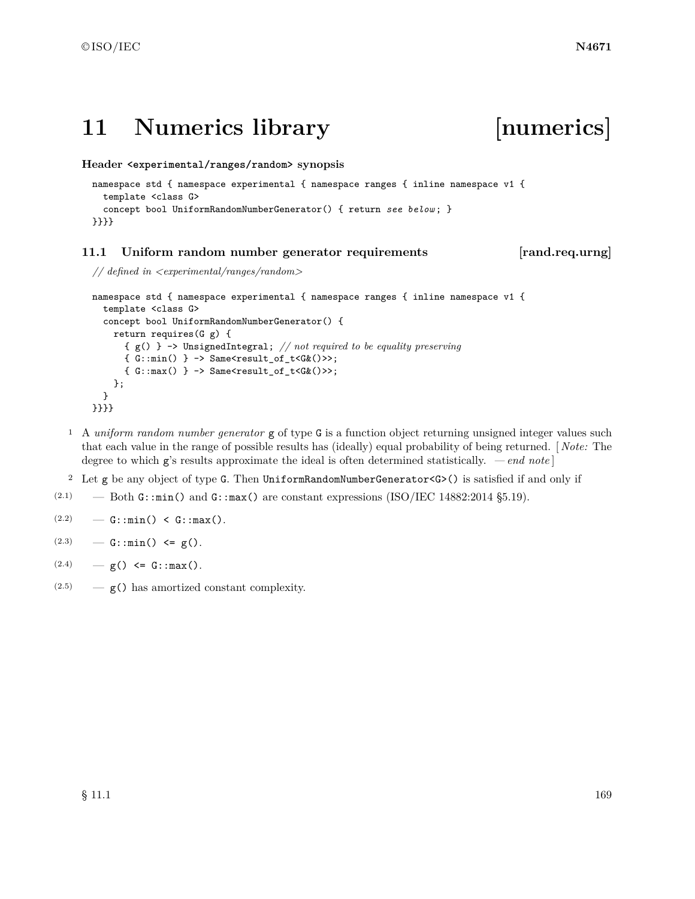# **11 Numerics library [numerics]**

**Header <experimental/ranges/random> synopsis**

```
namespace std { namespace experimental { namespace ranges { inline namespace v1 {
  template <class G>
  concept bool UniformRandomNumberGenerator() { return see below ; }
}}}}
```
## **11.1 Uniform random number generator requirements [rand.req.urng]**

```
// defined in <experimental/ranges/random>
```

```
namespace std { namespace experimental { namespace ranges { inline namespace v1 {
  template <class G>
  concept bool UniformRandomNumberGenerator() {
    return requires(G g) {
       { g() } -> UnsignedIntegral; // not required to be equality preserving
       \{ G: : min() \} \rightarrow Same \text{``result_of_t<G&()~\>~;}\{ G: max() \} \rightarrow Same \text{Xresult_of_t} \langle G(x) \rangle};
  }
}}}}
```
- <sup>1</sup> A *uniform random number generator* g of type G is a function object returning unsigned integer values such that each value in the range of possible results has (ideally) equal probability of being returned. [ *Note:* The degree to which g's results approximate the ideal is often determined statistically. *— end note* ]
- <sup>2</sup> Let g be any object of type G. Then UniformRandomNumberGenerator<G>() is satisfied if and only if
- (2.1) Both  $\texttt{G::min}()$  and  $\texttt{G::max}()$  are constant expressions (ISO/IEC 14882:2014 §5.19).

```
(2.2) – G::min() < G::max().
```
- $(2.3)$  G::min() <= g().
- $(2.4)$   $g() \leq G: max()$ .
- $(2.5)$  g() has amortized constant complexity.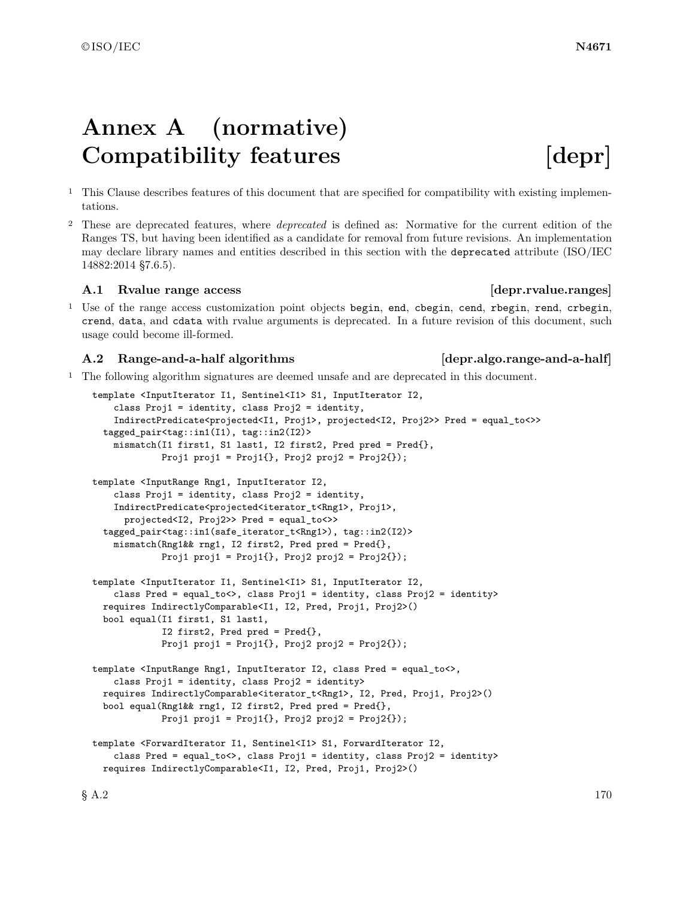# **Annex A (normative)** Compatibility features [depr]

- <sup>1</sup> This Clause describes features of this document that are specified for compatibility with existing implementations.
- <sup>2</sup> These are deprecated features, where *deprecated* is defined as: Normative for the current edition of the Ranges TS, but having been identified as a candidate for removal from future revisions. An implementation may declare library names and entities described in this section with the deprecated attribute (ISO/IEC 14882:2014 §7.6.5).

### A.1 Rvalue range access and the same of the same of the same of the same of the same of the same of the same of the same of the same of the same of the same of the same of the same of the same of the same of the same of th

<sup>1</sup> Use of the range access customization point objects begin, end, cbegin, cend, rbegin, rend, crbegin, crend, data, and cdata with rvalue arguments is deprecated. In a future revision of this document, such usage could become ill-formed.

### **A.2 Range-and-a-half algorithms [depr.algo.range-and-a-half]**

<sup>1</sup> The following algorithm signatures are deemed unsafe and are deprecated in this document.

```
template <InputIterator I1, Sentinel<I1> S1, InputIterator I2,
    class Proj1 = identity, class Proj2 = identity,
    IndirectPredicate<projected<I1, Proj1>, projected<I2, Proj2>> Pred = equal_to<>>
  tagged_pair<tag::in1(I1), tag::in2(I2)>
    mismatch(I1 first1, S1 last1, I2 first2, Pred pred = Pred{},
             Proj1 proj1 = Proj1\{\}, Proj2 proj2 = Proj2\{\});
template <InputRange Rng1, InputIterator I2,
    class Proj1 = identity, class Proj2 = identity,
    IndirectPredicate<projected<iterator_t<Rng1>, Proj1>,
      projected<I2, Proj2>> Pred = equal_to<>>
  tagged_pair<tag::in1(safe_iterator_t<Rng1>), tag::in2(I2)>
    mismatch(Rng1&& rng1, I2 first2, Pred pred = Pred{},
             Proj1 proj1 = Proj1\{\}, Proj2 proj2 = Proj2\{\});
template <InputIterator I1, Sentinel<I1> S1, InputIterator I2,
    class Pred = equal_to<>, class Proj1 = identity, class Proj2 = identity>
  requires IndirectlyComparable<I1, I2, Pred, Proj1, Proj2>()
 bool equal(I1 first1, S1 last1,
             I2 first2, Pred pred = Pred{},
             Proj1 proj1 = Proj1\{ \}, Proj2 proj2 = Proj2\{ \});
template <InputRange Rng1, InputIterator I2, class Pred = equal_to<>,
    class Proj1 = identity, class Proj2 = identity>
  requires IndirectlyComparable<iterator_t<Rng1>, I2, Pred, Proj1, Proj2>()
 bool equal(Rng1&& rng1, I2 first2, Pred pred = Pred{},
             Proj1 proj1 = Proj1\{ \}, Proj2 proj2 = Proj2\{ \});
template <ForwardIterator I1, Sentinel<I1> S1, ForwardIterator I2,
    class Pred = equal_to<>, class Proj1 = identity, class Proj2 = identity>
  requires IndirectlyComparable<I1, I2, Pred, Proj1, Proj2>()
```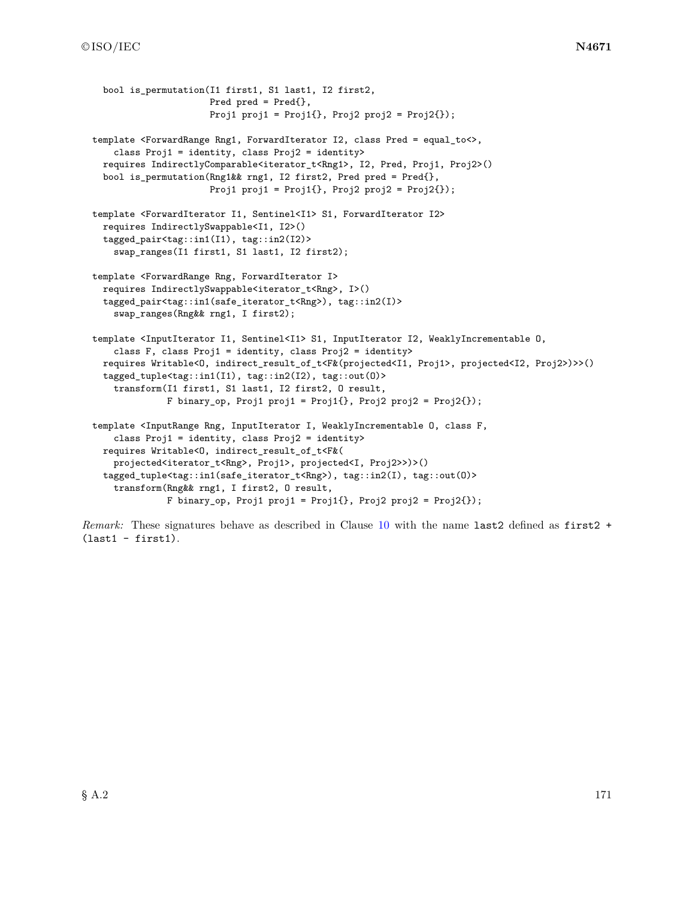```
bool is permutation(I1 first1, S1 last1, I2 first2,
                      Pred pred = Pred{},
                      Proj1 proj1 = Proj1\{ \}, Proj2 proj2 = Proj2\{ \});
template <ForwardRange Rng1, ForwardIterator I2, class Pred = equal_to<>,
    class Proj1 = identity, class Proj2 = identity>
  requires IndirectlyComparable<iterator_t<Rng1>, I2, Pred, Proj1, Proj2>()
  bool is_permutation(Rng1&& rng1, I2 first2, Pred pred = Pred{},
                      Proj1 proj1 = Proj1\{ \}, Proj2 proj2 = Proj2\{ \});
template <ForwardIterator I1, Sentinel<I1> S1, ForwardIterator I2>
  requires IndirectlySwappable<I1, I2>()
  tagged_pair<tag::in1(I1), tag::in2(I2)>
    swap_ranges(I1 first1, S1 last1, I2 first2);
template <ForwardRange Rng, ForwardIterator I>
  requires IndirectlySwappable<iterator_t<Rng>, I>()
  tagged_pair<tag::in1(safe_iterator_t<Rng>), tag::in2(I)>
    swap_ranges(Rng&& rng1, I first2);
template <InputIterator I1, Sentinel<I1> S1, InputIterator I2, WeaklyIncrementable O,
    class F, class Proj1 = identity, class Proj2 = identity>
  requires Writable<O, indirect_result_of_t<F&(projected<I1, Proj1>, projected<I2, Proj2>)>>()
  tagged_tuple<tag::in1(I1), tag::in2(I2), tag::out(O)>
    transform(I1 first1, S1 last1, I2 first2, O result,
              F binary_op, Proj1 proj1 = Proj1{}, Proj2 proj2 = Proj2{});
template <InputRange Rng, InputIterator I, WeaklyIncrementable O, class F,
    class Proj1 = identity, class Proj2 = identity>
 requires Writable<O, indirect_result_of_t<F&(
    projected<iterator_t<Rng>, Proj1>, projected<I, Proj2>>)>()
  tagged_tuple<tag::in1(safe_iterator_t<Rng>), tag::in2(I), tag::out(O)>
    transform(Rng&& rng1, I first2, O result,
              F binary_op, Proj1 proj1 = Proj1{}, Proj2 proj2 = Proj2{});
```
*Remark:* These signatures behave as described in Clause [10](#page-122-0) with the name last2 defined as first2 +  $(last1 - first1).$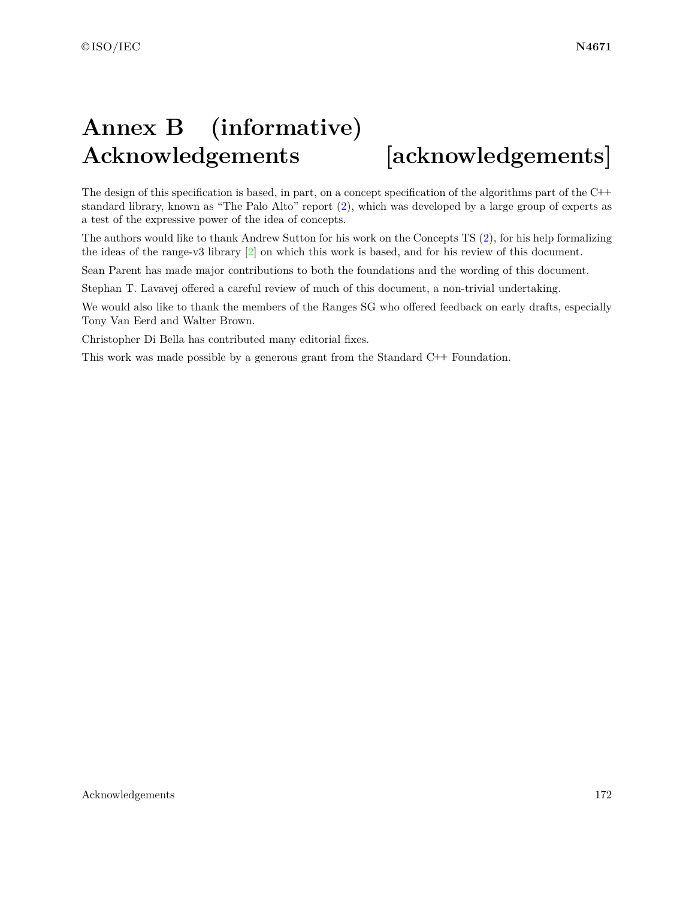# **Annex B (informative) Acknowledgements [acknowledgements]**

The design of this specification is based, in part, on a concept specification of the algorithms part of the C**++** standard library, known as "The Palo Alto" report [\(2\)](#page-5-0), which was developed by a large group of experts as a test of the expressive power of the idea of concepts.

The authors would like to thank Andrew Sutton for his work on the Concepts TS [\(2\)](#page-5-0), for his help formalizing the ideas of the range-v3 library [\[2\]](#page-179-0) on which this work is based, and for his review of this document.

Sean Parent has made major contributions to both the foundations and the wording of this document.

Stephan T. Lavavej offered a careful review of much of this document, a non-trivial undertaking.

We would also like to thank the members of the Ranges SG who offered feedback on early drafts, especially Tony Van Eerd and Walter Brown.

Christopher Di Bella has contributed many editorial fixes.

This work was made possible by a generous grant from the Standard C**++** Foundation.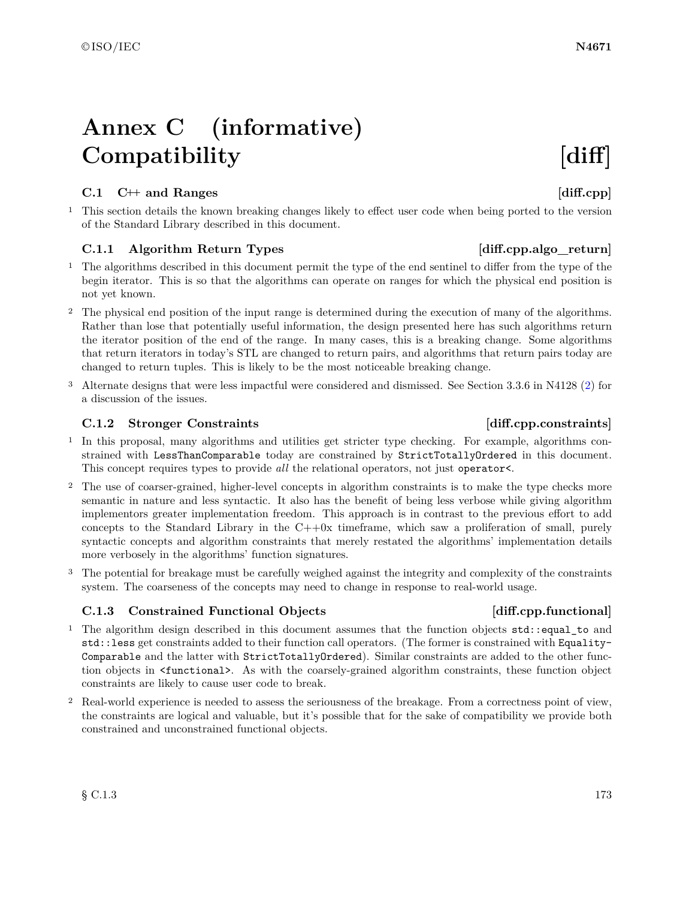# **Annex C (informative)** Compatibility **[diff]**

## **C.1 C++ and Ranges [diff.cpp]**

<sup>1</sup> This section details the known breaking changes likely to effect user code when being ported to the version of the Standard Library described in this document.

# <span id="page-176-0"></span>C.1.1 Algorithm Return Types [diff.cpp.algo\_return]

- <sup>1</sup> The algorithms described in this document permit the type of the end sentinel to differ from the type of the begin iterator. This is so that the algorithms can operate on ranges for which the physical end position is not yet known.
- <sup>2</sup> The physical end position of the input range is determined during the execution of many of the algorithms. Rather than lose that potentially useful information, the design presented here has such algorithms return the iterator position of the end of the range. In many cases, this is a breaking change. Some algorithms that return iterators in today's STL are changed to return pairs, and algorithms that return pairs today are changed to return tuples. This is likely to be the most noticeable breaking change.
- <sup>3</sup> Alternate designs that were less impactful were considered and dismissed. See Section 3.3.6 in N4128 [\(2\)](#page-5-0) for a discussion of the issues.

## **C.1.2 Stronger Constraints [diff.cpp.constraints]**

- <sup>1</sup> In this proposal, many algorithms and utilities get stricter type checking. For example, algorithms constrained with LessThanComparable today are constrained by StrictTotallyOrdered in this document. This concept requires types to provide *all* the relational operators, not just operator<.
- <sup>2</sup> The use of coarser-grained, higher-level concepts in algorithm constraints is to make the type checks more semantic in nature and less syntactic. It also has the benefit of being less verbose while giving algorithm implementors greater implementation freedom. This approach is in contrast to the previous effort to add concepts to the Standard Library in the  $C++0x$  timeframe, which saw a proliferation of small, purely syntactic concepts and algorithm constraints that merely restated the algorithms' implementation details more verbosely in the algorithms' function signatures.
- <sup>3</sup> The potential for breakage must be carefully weighed against the integrity and complexity of the constraints system. The coarseness of the concepts may need to change in response to real-world usage.

# **C.1.3 Constrained Functional Objects [diff.cpp.functional]**

- <sup>1</sup> The algorithm design described in this document assumes that the function objects std::equal\_to and std::less get constraints added to their function call operators. (The former is constrained with Equality-Comparable and the latter with StrictTotallyOrdered). Similar constraints are added to the other function objects in <functional>. As with the coarsely-grained algorithm constraints, these function object constraints are likely to cause user code to break.
- <sup>2</sup> Real-world experience is needed to assess the seriousness of the breakage. From a correctness point of view, the constraints are logical and valuable, but it's possible that for the sake of compatibility we provide both constrained and unconstrained functional objects.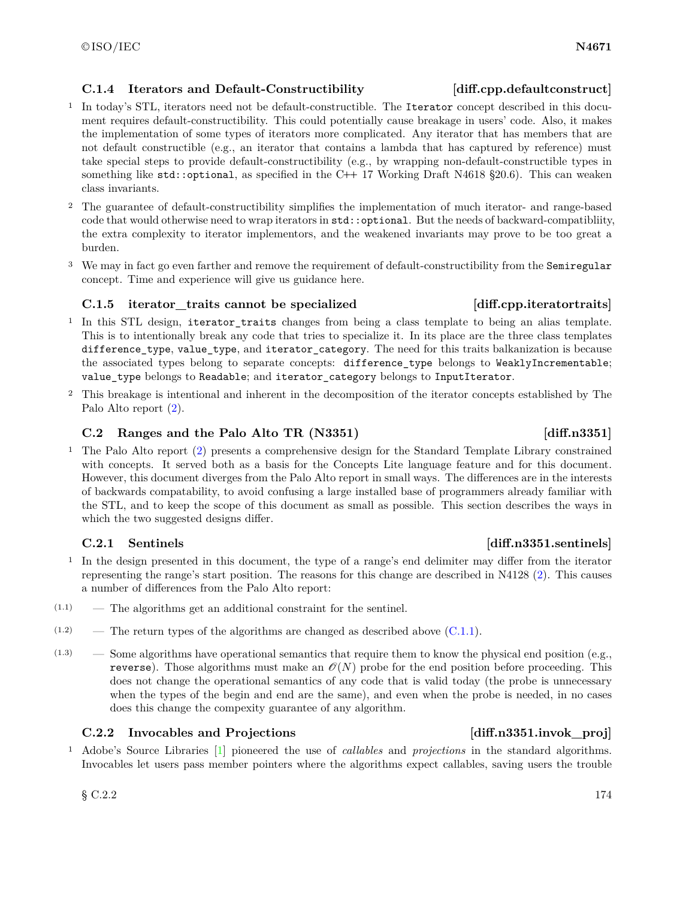# **C.1.4 Iterators and Default-Constructibility [diff.cpp.defaultconstruct]**

- <sup>1</sup> In today's STL, iterators need not be default-constructible. The Iterator concept described in this document requires default-constructibility. This could potentially cause breakage in users' code. Also, it makes the implementation of some types of iterators more complicated. Any iterator that has members that are not default constructible (e.g., an iterator that contains a lambda that has captured by reference) must take special steps to provide default-constructibility (e.g., by wrapping non-default-constructible types in something like std::optional, as specified in the C**++** 17 Working Draft N4618 §20.6). This can weaken class invariants.
- <sup>2</sup> The guarantee of default-constructibility simplifies the implementation of much iterator- and range-based code that would otherwise need to wrap iterators in std::optional. But the needs of backward-compatibliity, the extra complexity to iterator implementors, and the weakened invariants may prove to be too great a burden.
- <sup>3</sup> We may in fact go even farther and remove the requirement of default-constructibility from the Semiregular concept. Time and experience will give us guidance here.

# **C.1.5 iterator\_traits cannot be specialized [diff.cpp.iteratortraits]**

- <sup>1</sup> In this STL design, iterator\_traits changes from being a class template to being an alias template. This is to intentionally break any code that tries to specialize it. In its place are the three class templates difference\_type, value\_type, and iterator\_category. The need for this traits balkanization is because the associated types belong to separate concepts: difference\_type belongs to WeaklyIncrementable; value\_type belongs to Readable; and iterator\_category belongs to InputIterator.
- <sup>2</sup> This breakage is intentional and inherent in the decomposition of the iterator concepts established by The Palo Alto report [\(2\)](#page-5-0).

# **C.2 Ranges and the Palo Alto TR (N3351) [diff.n3351]**

<sup>1</sup> The Palo Alto report [\(2\)](#page-5-0) presents a comprehensive design for the Standard Template Library constrained with concepts. It served both as a basis for the Concepts Lite language feature and for this document. However, this document diverges from the Palo Alto report in small ways. The differences are in the interests of backwards compatability, to avoid confusing a large installed base of programmers already familiar with the STL, and to keep the scope of this document as small as possible. This section describes the ways in which the two suggested designs differ.

# **C.2.1 Sentinels [diff.n3351.sentinels]**

- <sup>1</sup> In the design presented in this document, the type of a range's end delimiter may differ from the iterator representing the range's start position. The reasons for this change are described in N4128 [\(2\)](#page-5-0). This causes a number of differences from the Palo Alto report:
- (1.1) The algorithms get an additional constraint for the sentinel.
- $(1.2)$  The return types of the algorithms are changed as described above  $(C.1.1)$ .
- $(1.3)$  Some algorithms have operational semantics that require them to know the physical end position (e.g., reverse). Those algorithms must make an  $\mathcal{O}(N)$  probe for the end position before proceeding. This does not change the operational semantics of any code that is valid today (the probe is unnecessary when the types of the begin and end are the same), and even when the probe is needed, in no cases does this change the compexity guarantee of any algorithm.

# **C.2.2** Invocables and Projections **C.2.2** Invocables and Projections

<sup>1</sup> Adobe's Source Libraries [\[1\]](#page-179-1) pioneered the use of *callables* and *projections* in the standard algorithms. Invocables let users pass member pointers where the algorithms expect callables, saving users the trouble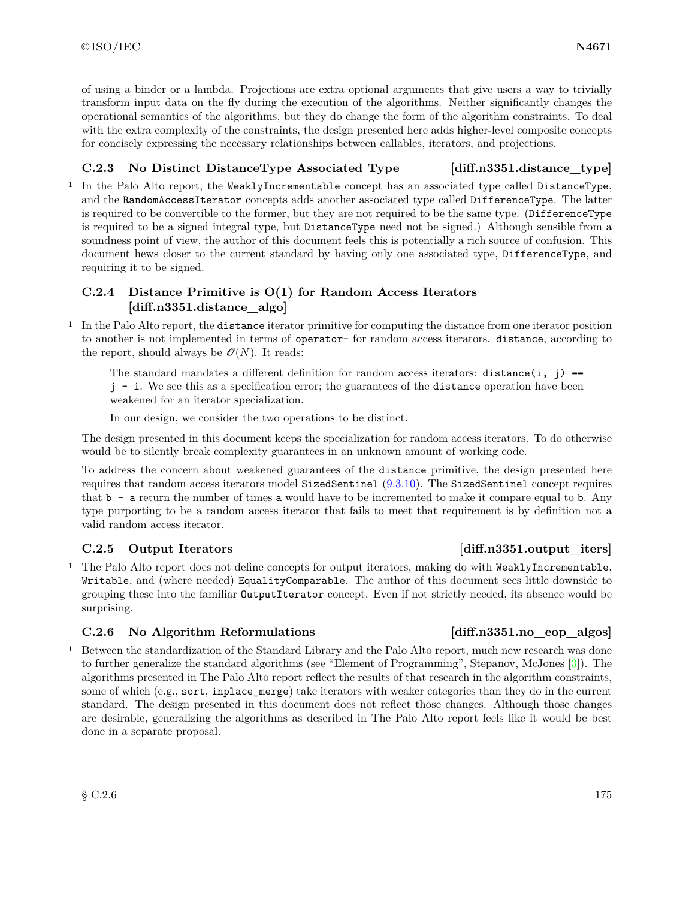of using a binder or a lambda. Projections are extra optional arguments that give users a way to trivially transform input data on the fly during the execution of the algorithms. Neither significantly changes the operational semantics of the algorithms, but they do change the form of the algorithm constraints. To deal with the extra complexity of the constraints, the design presented here adds higher-level composite concepts for concisely expressing the necessary relationships between callables, iterators, and projections.

# **C.2.3 No Distinct DistanceType Associated Type [diff.n3351.distance\_type]**

<sup>1</sup> In the Palo Alto report, the WeaklyIncrementable concept has an associated type called DistanceType, and the RandomAccessIterator concepts adds another associated type called DifferenceType. The latter is required to be convertible to the former, but they are not required to be the same type. (DifferenceType is required to be a signed integral type, but DistanceType need not be signed.) Although sensible from a soundness point of view, the author of this document feels this is potentially a rich source of confusion. This document hews closer to the current standard by having only one associated type, DifferenceType, and requiring it to be signed.

# **C.2.4 Distance Primitive is O(1) for Random Access Iterators [diff.n3351.distance\_algo]**

<sup>1</sup> In the Palo Alto report, the distance iterator primitive for computing the distance from one iterator position to another is not implemented in terms of operator- for random access iterators. distance, according to the report, should always be  $\mathcal{O}(N)$ . It reads:

The standard mandates a different definition for random access iterators: distance  $(i, j)$  == j - i. We see this as a specification error; the guarantees of the distance operation have been weakened for an iterator specialization.

In our design, we consider the two operations to be distinct.

The design presented in this document keeps the specialization for random access iterators. To do otherwise would be to silently break complexity guarantees in an unknown amount of working code.

To address the concern about weakened guarantees of the distance primitive, the design presented here requires that random access iterators model SizedSentinel [\(9.3.10\)](#page-65-0). The SizedSentinel concept requires that b - a return the number of times a would have to be incremented to make it compare equal to b. Any type purporting to be a random access iterator that fails to meet that requirement is by definition not a valid random access iterator.

# **C.2.5 Output Iterators [diff.n3351.output\_iters]**

<sup>1</sup> The Palo Alto report does not define concepts for output iterators, making do with WeaklyIncrementable, Writable, and (where needed) EqualityComparable. The author of this document sees little downside to grouping these into the familiar OutputIterator concept. Even if not strictly needed, its absence would be surprising.

# **C.2.6 No Algorithm Reformulations** [diff.n3351.no eop algos]

<sup>1</sup> Between the standardization of the Standard Library and the Palo Alto report, much new research was done to further generalize the standard algorithms (see "Element of Programming", Stepanov, McJones [\[3\]](#page-179-2)). The algorithms presented in The Palo Alto report reflect the results of that research in the algorithm constraints, some of which (e.g., sort, inplace\_merge) take iterators with weaker categories than they do in the current standard. The design presented in this document does not reflect those changes. Although those changes are desirable, generalizing the algorithms as described in The Palo Alto report feels like it would be best done in a separate proposal.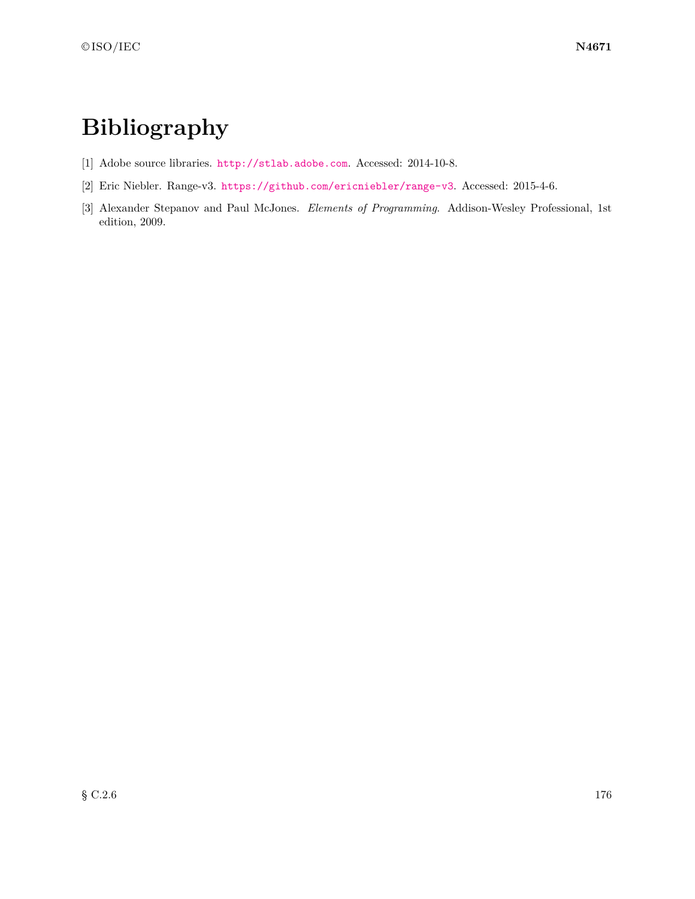# **Bibliography**

- <span id="page-179-1"></span>[1] Adobe source libraries. <http://stlab.adobe.com>. Accessed: 2014-10-8.
- <span id="page-179-0"></span>[2] Eric Niebler. Range-v3. <https://github.com/ericniebler/range-v3>. Accessed: 2015-4-6.
- <span id="page-179-2"></span>[3] Alexander Stepanov and Paul McJones. *Elements of Programming*. Addison-Wesley Professional, 1st edition, 2009.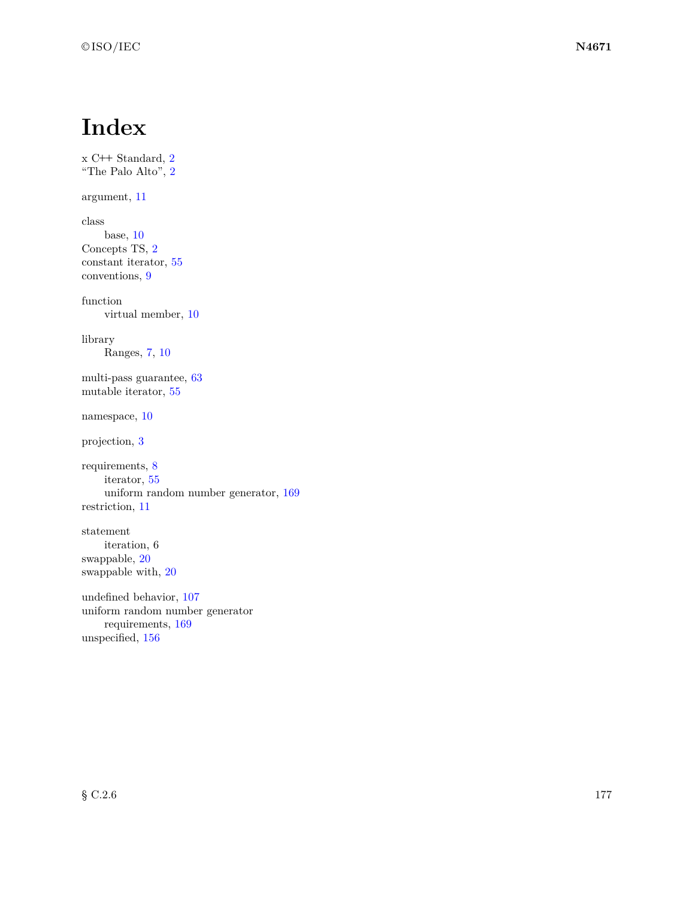## **Index**

```
x C++ Standard, 2
"The Palo Alto", 2
argument, 11
class
    base, 10
Concepts TS, 2
constant iterator, 55
conventions, 9
function
    virtual member, 10
library
    Ranges, 7, 10
multi-pass guarantee, 63
mutable iterator, 55
namespace, 10
projection, 3
requirements, 8
    iterator, 55
    uniform random number generator, 169
restriction, 11
statement
    iteration, 6
swappable, 20
swappable with, 20
undefined behavior, 107
uniform random number generator
    requirements, 169
unspecified, 156
```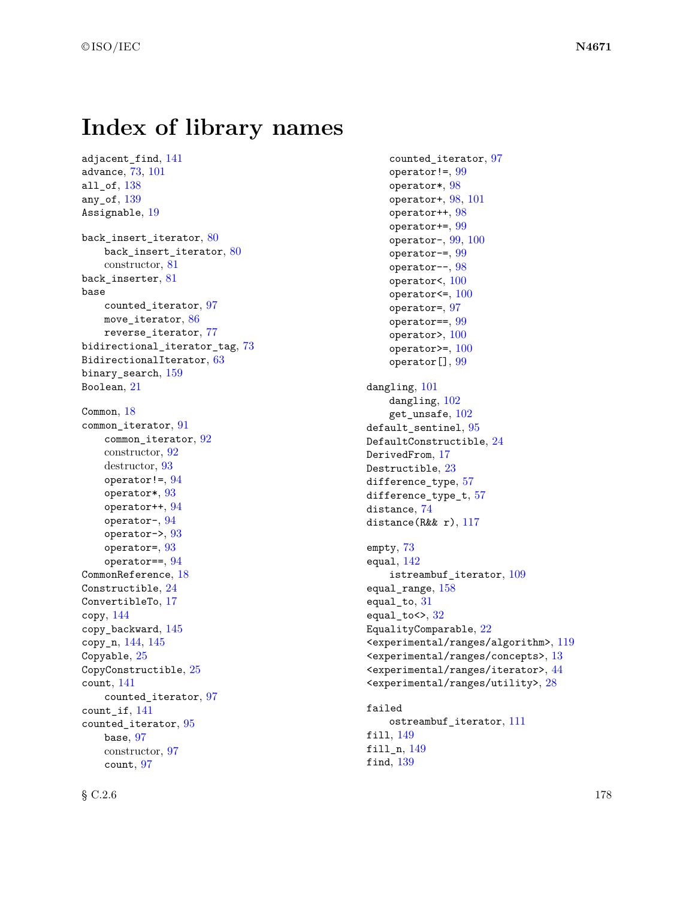## **Index of library names**

adjacent find, [141](#page-144-0) advance, [73,](#page-76-0) [101](#page-104-0) all of, [138](#page-141-0) any\_of, [139](#page-142-0) Assignable, [19](#page-22-0) back\_insert\_iterator, [80](#page-83-0) back insert iterator,  $80$ constructor, [81](#page-84-0) back\_inserter, [81](#page-84-0) base counted\_iterator, [97](#page-100-0) move\_iterator, [86](#page-89-0) reverse\_iterator, [77](#page-80-0) bidirectional\_iterator\_tag, [73](#page-76-0) BidirectionalIterator, [63](#page-66-0) binary\_search, [159](#page-162-0) Boolean, [21](#page-24-0) Common, [18](#page-21-0) common\_iterator, [91](#page-94-0) common\_iterator, [92](#page-95-0) constructor, [92](#page-95-0) destructor, [93](#page-96-0) operator! $=$ ,  $94$ operator\*, [93](#page-96-0) operator++, [94](#page-97-0) operator-, [94](#page-97-0) operator->, [93](#page-96-0) operator=, [93](#page-96-0) operator==, [94](#page-97-0) CommonReference, [18](#page-21-0) Constructible, [24](#page-27-0) ConvertibleTo, [17](#page-20-0) copy, [144](#page-147-0) copy\_backward, [145](#page-148-0) copy\_n, [144,](#page-147-0) [145](#page-148-0) Copyable, [25](#page-28-0) CopyConstructible, [25](#page-28-0) count, [141](#page-144-0) counted\_iterator, [97](#page-100-0) count\_if, [141](#page-144-0) counted\_iterator, [95](#page-98-0) base, [97](#page-100-0) constructor, [97](#page-100-0) count, [97](#page-100-0)

counted\_iterator, [97](#page-100-0) operator!=, [99](#page-102-0) operator\*, [98](#page-101-0) operator+, [98,](#page-101-0) [101](#page-104-0) operator++, [98](#page-101-0) operator+=, [99](#page-102-0) operator-, [99,](#page-102-0) [100](#page-103-0) operator-=, [99](#page-102-0) operator--, [98](#page-101-0) operator<, [100](#page-103-0) operator $\leq$ , [100](#page-103-0) operator=, [97](#page-100-0) operator==, [99](#page-102-0) operator>, [100](#page-103-0) operator $>=$ , [100](#page-103-0) operator[], [99](#page-102-0) dangling, [101](#page-104-0) dangling, [102](#page-105-0) get\_unsafe, [102](#page-105-0) default\_sentinel, [95](#page-98-0) DefaultConstructible, [24](#page-27-0) DerivedFrom, [17](#page-20-0) Destructible, [23](#page-26-0) difference type, [57](#page-60-0) difference\_type\_t, [57](#page-60-0) distance, [74](#page-77-0) distance(R&& r), [117](#page-120-0) empty, [73](#page-76-0) equal, [142](#page-145-0) istreambuf\_iterator, [109](#page-112-0) equal\_range, [158](#page-161-0) equal to,  $31$ equal\_to $\leftrightarrow$ ,  $32$ EqualityComparable, [22](#page-25-0) <experimental/ranges/algorithm>, [119](#page-122-0) <experimental/ranges/concepts>, [13](#page-16-0) <experimental/ranges/iterator>, [44](#page-47-0) <experimental/ranges/utility>, [28](#page-31-0) failed ostreambuf\_iterator, [111](#page-114-0) fill, [149](#page-152-0)

fill\_n, [149](#page-152-0) find, [139](#page-142-0)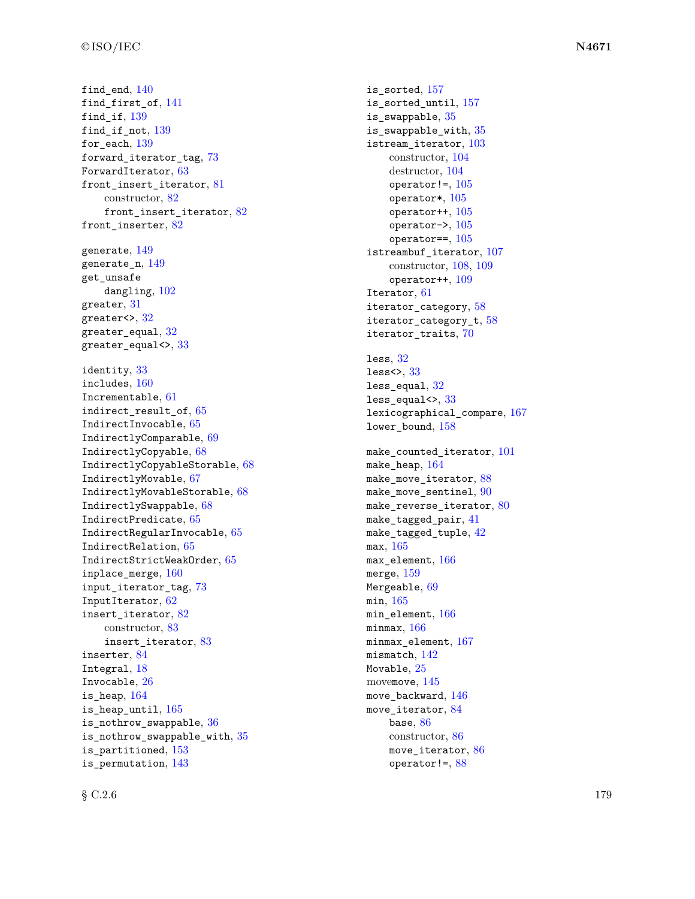$final$ <sub>end</sub>,  $140$ find\_first\_of , [141](#page-144-0)  $\verb|find_if|, 139$  $\verb|find_if|, 139$  $\verb|find_if_not|, 139$  $\verb|find_if_not|, 139$  $\,$  for\_each,  $\,139$  $\,139$ forward\_iterator\_tag , [73](#page-76-0)  ${\tt ForwardIterator}, 63$  ${\tt ForwardIterator}, 63$ front\_insert\_iterator, [81](#page-84-0) constructor, [82](#page-85-0)  $front\_insert\_iterator, 82$  $front\_insert\_iterator, 82$ front\_inserter, [82](#page-85-0) generate,  $149$ generate\_n,  $149$ get unsafe  $\texttt{dangling},\,102$  $\texttt{dangling},\,102$ greater,  $31\,$  $31\,$ greater $\leftrightarrow$ ,  $32$ greater\_equal,  $32\,$  $32\,$ greater\_equal $\leftrightarrow$ ,  $33$ identity , [33](#page-36-0) includes , [160](#page-163-0) Incrementable , [61](#page-64-0) indirect\_result\_of , [65](#page-68-0) IndirectInvocable , [65](#page-68-0) IndirectlyComparable , [69](#page-72-0) IndirectlyCopyable , [68](#page-71-0) IndirectlyCopyableStorable, [68](#page-71-0) IndirectlyMovable , [67](#page-70-0) IndirectlyMovableStorable , [68](#page-71-0) IndirectlySwappable , [68](#page-71-0) IndirectPredicate , [65](#page-68-0) IndirectRegularInvocable , [65](#page-68-0) IndirectRelation , [65](#page-68-0) IndirectStrictWeakOrder , [65](#page-68-0) inplace\_merge , [160](#page-163-0) input\_iterator\_tag, [73](#page-76-0) InputIterator, [62](#page-65-0) insert\_iterator , [82](#page-85-0) constructor, [83](#page-86-0) insert\_iterator , [83](#page-86-0) inserter , [84](#page-87-0) Integral, [18](#page-21-0) Invocable , [26](#page-29-0) is\_heap , [164](#page-167-0)  $\verb|is_heap_until|,165$  $\verb|is_heap_until|,165$ is\_nothrow\_swappable , [36](#page-39-0) is\_nothrow\_swappable\_with , [35](#page-38-0) is\_partitioned , [153](#page-156-0) is\_permutation , [143](#page-146-0)

is\_sorted , [157](#page-160-0) is\_sorted\_until , [157](#page-160-0) is\_swappable , [35](#page-38-0) is\_swappable\_with , [35](#page-38-0) istream\_iterator , [103](#page-106-0) constructor, [104](#page-107-0) destructor, [104](#page-107-0) operator!=,  $105$ operator\* , [105](#page-108-0)  $\texttt{operator++},\,105$  $\texttt{operator++},\,105$ operator->,  $105\,$  $105\,$  $\texttt{operator}==, 105$  $\texttt{operator}==, 105$ istreambuf\_iterator, [107](#page-110-0) constructor, [108](#page-111-0) , [109](#page-112-0)  $\texttt{operator++}, 109$  $\texttt{operator++}, 109$ Iterator, [61](#page-64-0) iterator\_category , [58](#page-61-0) iterator\_category\_t, [58](#page-61-0) iterator\_traits , [70](#page-73-0)  $l$ ess,  $32$ less $\leftrightarrow$ ,  $33$  ${\tt less\_equal},\,32$  ${\tt less\_equal},\,32$ less\_equal<>,  $33$ lexicographical\_compare , [167](#page-170-0) lower\_bound , [158](#page-161-0)  ${\tt make\_counted\_iterator},\,101$  ${\tt make\_counted\_iterator},\,101$ make\_heap , [164](#page-167-0) make\_move\_iterator,  $88$  ${\tt make\_move\_sentinel,~90}$  ${\tt make\_move\_sentinel,~90}$  ${\tt make\_move\_sentinel,~90}$  ${\tt make\_reverse\_iterator},\,80$  ${\tt make\_reverse\_iterator},\,80$  $\mathtt{make\_tagged\_pair},\,41$  $\mathtt{make\_tagged\_pair},\,41$  ${\tt make\_tagged\_tuple},\ 42$  ${\tt make\_tagged\_tuple},\ 42$ max , [165](#page-168-0)  $\texttt{max\_element},\,166$  $\texttt{max\_element},\,166$ merge,  $159$ Mergeable,  $69$ min , [165](#page-168-0)  $\texttt{min\_element},\,166$  $\texttt{min\_element},\,166$ minmax , [166](#page-169-0) minmax\_element , [167](#page-170-0)  $m$ ismatch,  $142$ Movable,  $25\,$  $25\,$ movemove , [145](#page-148-0) move\_backward,  $146$ move\_iterator, [84](#page-87-0) base,  $86$ constructor, [86](#page-89-0) move\_iterator,  $86$ operator!= , [88](#page-91-0)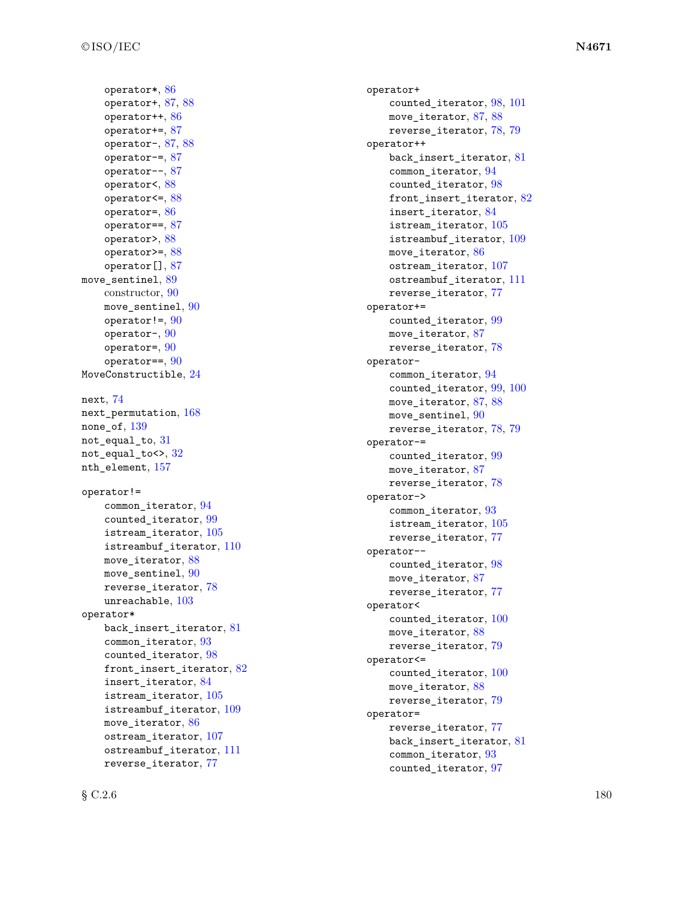operator\* , [86](#page-89-0) operator+, [87](#page-90-0), [88](#page-91-0) operator++ , [86](#page-89-0) operator+= , [87](#page-90-0) operator-, [87](#page-90-0), [88](#page-91-0) operator-= , [87](#page-90-0) operator-- , [87](#page-90-0) operator<, [88](#page-91-0) operator<=, [88](#page-91-0) operator= , [86](#page-89-0) operator== , [87](#page-90-0) operator> , [88](#page-91-0) operator>= , [88](#page-91-0) operator[] , [87](#page-90-0) move\_sentinel,  $89$ constructor, [90](#page-93-0) move\_sentinel,  $90$ operator!=, [90](#page-93-0)  $\texttt{operator-,90}$  $\texttt{operator-,90}$  $\texttt{operator-,90}$  $operator =$ ,  $90$  $operator==, 90$  $operator==, 90$  $\,$ Move $\,$ Constructible, $24$ next , [74](#page-77-0) next\_permutation , [168](#page-171-0)  $\texttt{none\_of},\,139$  $\texttt{none\_of},\,139$ not\_equal\_to,  $31\,$  $31\,$  $\texttt{not\_equal\_to<>}, 32$  $\texttt{not\_equal\_to<>}, 32$ nth\_element , [157](#page-160-0) operator!= common\_iterator , [94](#page-97-0) counted\_iterator , [99](#page-102-0) istream\_iterator , [105](#page-108-0)  ${\tt istreambuf\_iterator},$   $110$ move\_iterator, [88](#page-91-0) move\_sentinel,  $90$ reverse\_iterator , [78](#page-81-0)  $\texttt{unreachable},\,103$  $\texttt{unreachable},\,103$ operator\* back\_insert\_iterator,  $81$ common\_iterator , [93](#page-96-0) counted\_iterator , [98](#page-101-0)  $front\_insert\_iterator, 82$  $front\_insert\_iterator, 82$ insert\_iterator , [84](#page-87-0) istream\_iterator , [105](#page-108-0) istreambuf\_iterator,  $109$ move\_iterator,  $86$  $\texttt{ostream\_iterator},\,107$  $\texttt{ostream\_iterator},\,107$ ostreambuf\_iterator, [111](#page-114-0) reverse\_iterator , [77](#page-80-0)

```
operator+
   98101
   8788
   reverse_iterator
, 78
, 79
operator++
   back_insert_iterator, 81common_iterator
, 94
   counted_iterator
, 98
   82
   insert_iterator
, 84
   istream_iterator
, 105
   istreambuf_iterator, 109move_iterator, 86ostream_iterator
, 107
   111
   reverse_iterator
, 77
operator+=
   counted_iterator
, 99
   87
   reverse_iterator
, 78
operator-
   common_iterator
, 94
   99100
   8788
   move_sentinel, 907879
operator-=
   counted_iterator
, 99
   87
   reverse_iterator
, 78
operator->
   common_iterator
, 93
   istream_iterator
, 105
   reverse_iterator
, 77
operator--
   counted_iterator
, 98
   87
   reverse_iterator
, 77
operator<
   counted_iterator, 10088
   reverse_iterator
, 79
operator<=
   counted_iterator, 10088
   reverse_iterator
, 79
operator=
   reverse_iterator
, 77
   back_insert_iterator, 81common_iterator
, 93
   counted_iterator
, 97
```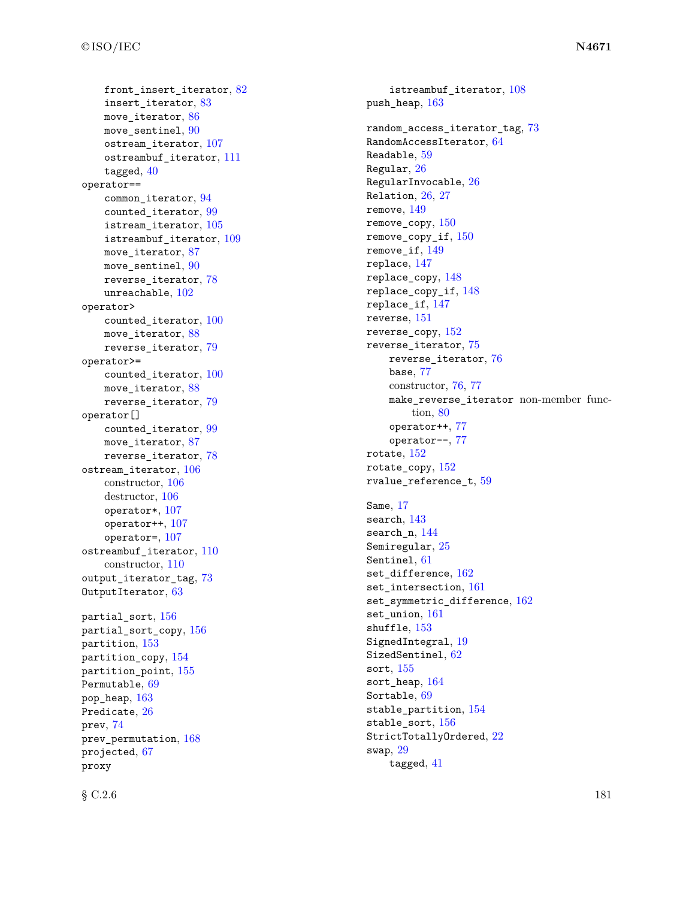front\_insert\_iterator,  $82$ insert\_iterator , [83](#page-86-0) move\_iterator,  $86$  $\texttt{move\_sentinel}, \, 90$  $\texttt{move\_sentinel}, \, 90$  $\texttt{ostream\_iterator},\,107$  $\texttt{ostream\_iterator},\,107$ ostreambuf\_iterator, [111](#page-114-0)  $\texttt{tagged},\,40$  $\texttt{tagged},\,40$ operator== common\_iterator , [94](#page-97-0) counted\_iterator , [99](#page-102-0) istream\_iterator , [105](#page-108-0) istreambuf\_iterator,  $109$ move\_iterator, [87](#page-90-0)  $\texttt{move\_sentinel}, \, 90$  $\texttt{move\_sentinel}, \, 90$ reverse\_iterator , [78](#page-81-0)  $\texttt{unreachable},\,102$  $\texttt{unreachable},\,102$ operator> counted\_iterator, [100](#page-103-0) move\_iterator,  $88$  ${\tt reverse\_iterator},\,79$  ${\tt reverse\_iterator},\,79$ operator>= counted\_iterator,  $100$ move\_iterator,  $88$  ${\tt reverse\_iterator},\,79$  ${\tt reverse\_iterator},\,79$ operator[] counted\_iterator , [99](#page-102-0) move\_iterator, [87](#page-90-0) reverse\_iterator , [78](#page-81-0) ostream\_iterator , [106](#page-109-0) constructor, [106](#page-109-0) destructor, [106](#page-109-0)  $\texttt{operator*}, 107$  $\texttt{operator*}, 107$  $o$ perator++,  $107\,$  $107\,$ operator=, [107](#page-110-0) ostreambuf\_iterator, [110](#page-113-0) constructor, [110](#page-113-0) output\_iterator\_tag, [73](#page-76-0) OutputIterator, [63](#page-66-0)  ${\tt partial\_sort},\,156$  ${\tt partial\_sort},\,156$  $\mathtt{partial\_sort\_copy},\,156$  $\mathtt{partial\_sort\_copy},\,156$ partition,  $153\,$  $153\,$  ${\tt partition\_copy},\,154$  ${\tt partition\_copy},\,154$ partition\_point , [155](#page-158-0) Permutable , [69](#page-72-0)  $\tt pop\_heap, \, 163$  $\tt pop\_heap, \, 163$ Predicate,  $26$ prev , [74](#page-77-0) prev\_permutation , [168](#page-171-0)  $\tt{projected, 67}$  $\tt{projected, 67}$  $\tt{projected, 67}$ proxy

istreambuf\_iterator,  $108$  $\,$ push\_hea $\,$ p $,163$  $,163$  $\verb|random-access_i|$ terator\_tag, $73$  $\verb|RandomAccessIterator|, 64$  $\verb|RandomAccessIterator|, 64$  $\texttt{Readable},\,59$  $\texttt{Readable},\,59$ Regular,  $26$  ${\tt RegularInvocable},\,26$  ${\tt RegularInvocable},\,26$  $R$ elation,  $26,\,27$  $26,\,27$  $26,\,27$ remove , [149](#page-152-0)  $\verb|remove_copy|, 150$  $\verb|remove_copy|, 150$  $\verb|remove_copy_if, 150$  $\verb|remove_copy_if, 150$  $\verb|remove_if|, 149$  $\verb|remove_if|, 149$ replace , [147](#page-150-0)  $\verb|replace_copy|, 148$  $\verb|replace_copy|, 148$  $\verb|replace_copy_if|, 148$  $\verb|replace_copy_if|, 148$ replace\_if , [147](#page-150-0)  ${\tt reverse},\, 151$  ${\tt reverse},\, 151$  ${\tt reverse\_copy},\,152$  ${\tt reverse\_copy},\,152$  ${\tt reverse\_iterator},\,75$  ${\tt reverse\_iterator},\,75$  ${\tt reverse\_iterator}, 76$  ${\tt reverse\_iterator}, 76$ base , [77](#page-80-0) constructor, [76](#page-79-0) , [77](#page-80-0) make\_reverse\_iterator non-member function, [80](#page-83-0) operator++ , [77](#page-80-0) operator-- , [77](#page-80-0)  $\verb|rotate|, 152$  $\verb|rotate|, 152$  $\verb|rotate_copy|, 152$  $\verb|rotate_copy|, 152$  $\verb|rvalue_reference_t|, 59$  $\verb|rvalue_reference_t|, 59$ Same , [17](#page-20-0) search , [143](#page-146-0) search\_n , [144](#page-147-0) Semiregular,  $25$  $S$ entinel,  $61$  $\mathtt{set\_difference},\, 162$  $\mathtt{set\_difference},\, 162$ set\_intersection, [161](#page-164-0)  $\mathtt{set\_symmetric\_difference},\,162$  $\mathtt{set\_symmetric\_difference},\,162$ set\_union , [161](#page-164-0)  $\texttt{shuffle},\,153$  $\texttt{shuffle},\,153$ SignedIntegral,  $19$  $\texttt{SizedSentinel},\,62$  $\texttt{SizedSentinel},\,62$  $\mathop{\tt sort}\nolimits,\,155$  $\mathop{\tt sort}\nolimits,\,155$ sort\_heap , [164](#page-167-0) Sortable,  $69$ stable\_partition , [154](#page-157-0)  $\texttt{stable\_sort},\,156$  $\texttt{stable\_sort},\,156$  ${\tt StrictTotallyOrdered},\,22$  ${\tt StrictTotallyOrdered},\,22$ swap,  $29$ tagged , [41](#page-44-0)

 $\S \, \text{C.2.6}$  181